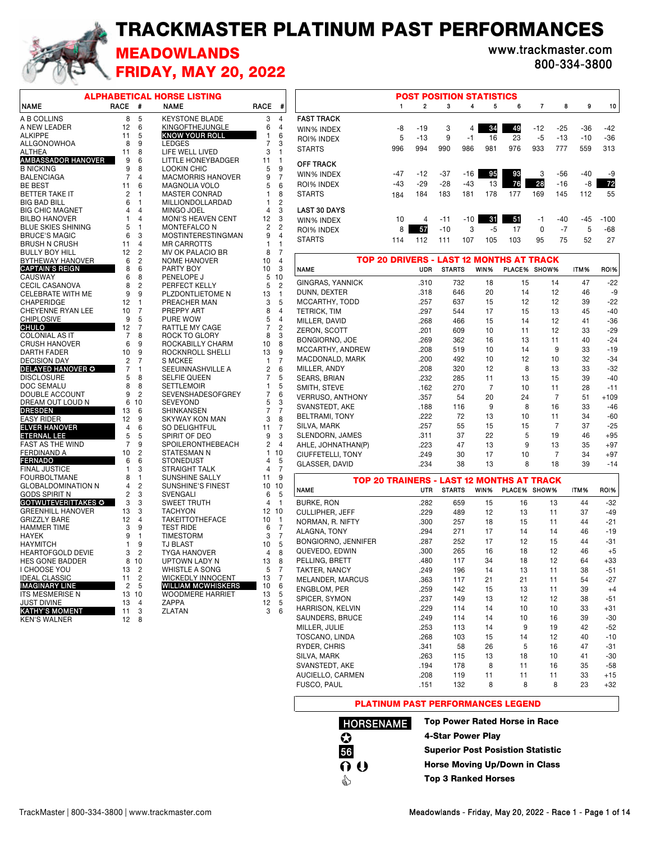## TRACKMASTER PLATINUM PAST PERFORMANCES



## MEADOWLANDS **www.trackmaster.com** FRIDAY, MAY 20, 2022

**800-334-3800**

|                                                 |                |                | ALPHABETICAL HORSE LISTING                            |                |                                  |
|-------------------------------------------------|----------------|----------------|-------------------------------------------------------|----------------|----------------------------------|
| <b>NAME</b>                                     | <b>RACE</b>    | #              | <b>NAME</b>                                           | <b>RACE</b>    | #                                |
| A B COLLINS                                     | 8              | 5              | <b>KEYSTONE BLADE</b>                                 | 3              | 4                                |
| A NEW LEADER                                    | 12             | 6              | KINGOFTHEJUNGLE                                       | 6              | 4                                |
| <b>ALKIPPE</b>                                  | 11             | 5              | <b>KNOW YOUR ROLL</b>                                 | 1              | 6                                |
| ALLGONOWHOA                                     | 8              | 9              | <b>LEDGES</b>                                         | 7              | 3                                |
| ALTHEA                                          | 11             | 8              | LIFE WELL LIVED                                       | 3              | 1                                |
| <b>AMBASSADOR HANOVER</b>                       | 9              | 6              | <b>LITTLE HONEYBADGER</b>                             | 11             | 1                                |
| <b>B NICKING</b>                                | 9              | 8              | <b>LOOKIN CHIC</b>                                    | 5              | 9                                |
| <b>BALENCIAGA</b>                               | 7              | 4              | <b>MACMORRIS HANOVER</b>                              | 9              | 7                                |
| <b>BE BEST</b>                                  | 11             | 6              | <b>MAGNOLIA VOLO</b>                                  | 5              | 6                                |
| BETTER TAKE IT                                  | 2              | 1              | <b>MASTER CONRAD</b>                                  | 1              | 8                                |
| <b>BIG BAD BILL</b>                             | 6              | 1              | MILLIONDOLLARDAD                                      | 1              | $\overline{c}$                   |
| <b>BIG CHIC MAGNET</b>                          | 4              | 4              | <b>MINGO JOEL</b>                                     | 4              | 3                                |
| <b>BILBO HANOVER</b>                            | 1              | 4              | MONI'S HEAVEN CENT                                    | 12             | 3                                |
| <b>BLUE SKIES SHINING</b>                       | 5              | 1              | <b>MONTEFALCO N</b>                                   | 2              | $\overline{c}$<br>$\overline{4}$ |
| <b>BRUCE'S MAGIC</b><br><b>BRUSH N CRUSH</b>    | 6<br>11        | 3<br>4         | <b>MOSTINTERESTINGMAN</b><br><b>MR CARROTTS</b>       | 9<br>1         | 1                                |
| <b>BULLY BOY HILL</b>                           | 12             | $\overline{c}$ | MV OK PALACIO BR                                      | 8              | 7                                |
| <b>BYTHEWAY HANOVER</b>                         | 6              | $\overline{c}$ | <b>NOME HANOVER</b>                                   | 10             | $\overline{4}$                   |
| <b>CAPTAIN'S REIGN</b>                          | 8              | 6              | PARTY BOY                                             | 10             | 3                                |
| <b>CAUSWAY</b>                                  | 6              | 8              | PENELOPE J                                            | 5              | 10                               |
| <b>CECIL CASANOVA</b>                           | 8              | $\overline{c}$ | PERFECT KELLY                                         | 5              | $\overline{c}$                   |
| <b>CELEBRATE WITH ME</b>                        | 9              | 9              | PLZDONTLIETOME N                                      | 13             | 1                                |
| <b>CHAPERIDGE</b>                               | 12             | 1              | PREACHER MAN                                          | 3              | 5                                |
| <b>CHEYENNE RYAN LEE</b>                        | 10             | 7              | PREPPY ART                                            | 8              | $\overline{4}$                   |
| <b>CHIPLOSIVE</b>                               | 9              | 5              | PURE WOW                                              | 5              | $\overline{4}$                   |
| CHULO                                           | 12             | 7              | RATTLE MY CAGE                                        | 7              | $\overline{c}$                   |
| <b>COLONIAL AS IT</b>                           | 7              | 8              | ROCK TO GLORY                                         | 8              | 3                                |
| <b>CRUSH HANOVER</b>                            | 6              | 9              | ROCKABILLY CHARM                                      | 10             | 8                                |
| <b>DARTH FADER</b>                              | 10             | 9              | ROCKNROLL SHELLI                                      | 13             | 9                                |
| <b>DECISION DAY</b><br><b>DELAYED HANOVER O</b> | 2<br>7         | 7<br>1         | <b>S MCKEE</b>                                        | 1              | 7<br>6                           |
| <b>DISCLOSURE</b>                               | 5              | 8              | SEEUINNASHVILLE A<br><b>SELFIE QUEEN</b>              | 2<br>7         | 5                                |
| <b>DOC SEMALU</b>                               | 8              | 8              | <b>SETTLEMOIR</b>                                     | 1              | 5                                |
| DOUBLE ACCOUNT                                  | 9              | $\overline{c}$ | SEVENSHADESOFGREY                                     | 7              | 6                                |
| DREAM OUT LOUD N                                | 6              | 10             | <b>SEVEYOND</b>                                       | 5              | 3                                |
| <b>DRESDEN</b>                                  | 13             | 6              | <b>SHINKANSEN</b>                                     | 7              | $\overline{7}$                   |
| EASY RIDER                                      | 12             | 9              | <b>SKYWAY KON MAN</b>                                 | 3              | 8                                |
| <b>ELVER HANOVER</b>                            | 4              | 6              | SO DELIGHTFUL                                         | 11             | 7                                |
| <b>ETERNAL LEE</b>                              | 5              | 5              | SPIRIT OF DEO                                         | 9              | 3                                |
| <b>FAST AS THE WIND</b>                         | 7              | 9              | <b>SPOILERONTHEBEACH</b>                              | $\overline{2}$ | $\overline{4}$                   |
| FERDINAND A                                     | 10             | $\overline{c}$ | STATESMAN N                                           | 1              | 10                               |
| <b>FERNADO</b>                                  | 6              | 6<br>3         | <b>STONEDUST</b>                                      | 4<br>4         | 5<br>7                           |
| <b>FINAL JUSTICE</b><br><b>FOURBOLTMANE</b>     | 1<br>8         | 1              | <b>STRAIGHT TALK</b><br><b>SUNSHINE SALLY</b>         | 11             | 9                                |
| <b>GLOBALDOMINATION N</b>                       | 4              | $\overline{c}$ | SUNSHINE'S FINEST                                     | 10             | 10                               |
| <b>GODS SPIRIT N</b>                            | $\overline{c}$ | 3              | SVENGALI                                              | 6              | 5                                |
| <b>GOTWUTEVERITTAKES ©</b>                      | 3              | 3              | SWEET TRUTH                                           | 4              | 1                                |
| <b>GREENHILL HANOVER</b>                        | 13             | 3              | <b>TACHYON</b>                                        | 12             | 10                               |
| <b>GRIZZLY BARE</b>                             | 12             | 4              | <b>TAKEITTOTHEFACE</b>                                | 10             | 1                                |
| <b>HAMMER TIME</b>                              | 3              | 9              | <b>TEST RIDE</b>                                      | 6              | 7                                |
| <b>HAYEK</b>                                    | 9              | 1              | <b>TIMESTORM</b>                                      | 3              | 7                                |
| <b>HAYMITCH</b>                                 | 1              | 9              | TJ BLAST                                              | 10             | 5                                |
| <b>HEARTOFGOLD DEVIE</b>                        | 3              | $\overline{2}$ | <b>TYGA HANOVER</b>                                   | 4              | 8                                |
| <b>HES GONE BADDER</b>                          | 8              | 10             | <b>UPTOWN LADY N</b>                                  | 13             | 8                                |
| I CHOOSE YOU                                    | 13             | 2              | WHISTLE A SONG                                        | 5              | 7                                |
| <b>IDEAL CLASSIC</b><br><b>IMAGINARY LINE</b>   | 11<br>2        | 2<br>5         | <b>WICKEDLY INNOCENT</b><br><b>WILLIAM MCWHISKERS</b> | 13<br>10       | 7<br>6                           |
| <b>ITS MESMERISE N</b>                          | 13             | 10             | <b>WOODMERE HARRIET</b>                               | 13             | 5                                |
| JUST DIVINE                                     | 13             | 4              | <b>ZAPPA</b>                                          | 12             | 5                                |
| <b>KATHY'S MOMENT</b>                           | 11             | 3              | ZLATAN                                                | 3              | 6                                |
| <b>KEN'S WALNER</b>                             | 12             | 8              |                                                       |                |                                  |
|                                                 |                |                |                                                       |                |                                  |

|                                                                       |       | <b>POST POSITION STATISTICS</b> |       |       |      |     |                |       |       |        |  |  |  |  |
|-----------------------------------------------------------------------|-------|---------------------------------|-------|-------|------|-----|----------------|-------|-------|--------|--|--|--|--|
|                                                                       | 1     | $\overline{2}$                  | 3     | 4     | 5    | 6   | $\overline{7}$ | 8     | 9     | 10     |  |  |  |  |
| <b>FAST TRACK</b>                                                     |       |                                 |       |       |      |     |                |       |       |        |  |  |  |  |
| WIN% INDEX                                                            | -8    | $-19$                           | 3     | 4     | 34   | 49  | $-12$          | $-25$ | $-36$ | $-42$  |  |  |  |  |
| 5<br>16<br>9<br>-5<br>$-13$<br>$-13$<br>23<br>-1<br>ROI% INDEX        |       |                                 |       |       |      |     |                |       |       |        |  |  |  |  |
| 986<br>981<br>976<br>933<br>777<br>996<br>994<br>990<br><b>STARTS</b> |       |                                 |       |       |      |     |                |       |       |        |  |  |  |  |
| <b>OFF TRACK</b>                                                      |       |                                 |       |       |      |     |                |       |       |        |  |  |  |  |
| WIN% INDEX                                                            | $-47$ | $-12$                           | $-37$ | $-16$ | 95   | 93  | 3              | $-56$ | $-40$ | -9     |  |  |  |  |
| <b>ROI% INDEX</b>                                                     | $-43$ | $-29$                           | $-28$ | $-43$ | 13   | 76  | 28             | $-16$ | -8    | 72     |  |  |  |  |
| <b>STARTS</b>                                                         | 184   | 184                             | 183   | 181   | 178  | 177 | 169            | 145   | 112   | 55     |  |  |  |  |
| <b>LAST 30 DAYS</b>                                                   |       |                                 |       |       |      |     |                |       |       |        |  |  |  |  |
| WIN% INDEX                                                            | 10    | 4                               | $-11$ | $-10$ | 31   | 51  | -1             | $-40$ | $-45$ | $-100$ |  |  |  |  |
| <b>ROI% INDEX</b>                                                     | 8     | 57                              | $-10$ | 3     | $-5$ | 17  | $\Omega$       | $-7$  | 5     | $-68$  |  |  |  |  |
| <b>STARTS</b>                                                         | 114   | 112                             | 111   | 107   | 105  | 103 | 95             | 75    | 52    | 27     |  |  |  |  |
|                                                                       |       |                                 |       |       |      |     |                |       |       |        |  |  |  |  |

| <b>TOP 20 DRIVERS - LAST 12 MONTHS AT TRACK</b>  |              |               |                |              |                |          |                |
|--------------------------------------------------|--------------|---------------|----------------|--------------|----------------|----------|----------------|
| <b>NAME</b>                                      | UDR          | <b>STARTS</b> | WIN%           |              | PLACE% SHOW%   | ITM%     | ROI%           |
| <b>GINGRAS, YANNICK</b>                          | .310         | 732           | 18             | 15           | 14             | 47       | -22            |
| DUNN, DEXTER                                     | .318         | 646           | 20             | 14           | 12             | 46       | -9             |
| MCCARTHY, TODD                                   | .257         | 637           | 15             | 12           | 12             | 39       | $-22$          |
| <b>TETRICK, TIM</b>                              | .297         | 544           | 17             | 15           | 13             | 45       | $-40$          |
| MILLER, DAVID                                    | .268         | 466           | 15             | 14           | 12             | 41       | $-36$          |
| ZERON, SCOTT                                     | .201         | 609           | 10             | 11           | 12             | 33       | $-29$          |
| <b>BONGIORNO, JOE</b>                            | .269         | 362           | 16             | 13           | 11             | 40       | $-24$          |
| MCCARTHY, ANDREW                                 | .208         | 519           | 10             | 14           | 9              | 33       | $-19$          |
| MACDONALD, MARK                                  | .200         | 492           | 10             | 12           | 10             | 32       | $-34$          |
| MILLER, ANDY                                     | .208         | 320           | 12             | 8            | 13             | 33       | $-32$          |
| SEARS, BRIAN                                     | .232         | 285           | 11             | 13           | 15             | 39       | $-40$          |
| SMITH, STEVE                                     | .162         | 270           | $\overline{7}$ | 10           | 11             | 28       | $-11$          |
| <b>VERRUSO, ANTHONY</b>                          | .357         | 54            | 20             | 24           | $\overline{7}$ | 51       | $+109$         |
| SVANSTEDT, AKE                                   | .188         | 116           | 9              | 8            | 16             | 33       | $-46$          |
| <b>BELTRAMI, TONY</b>                            | .222         | 72            | 13             | 10           | 11             | 34       | $-60$          |
| SILVA, MARK                                      | .257         | 55            | 15             | 15           | $\overline{7}$ | 37       | $-25$          |
| SLENDORN, JAMES                                  | .311         | 37            | 22             | 5            | 19             | 46       | $+95$          |
| AHLE, JOHNATHAN(P)                               | .223         | 47            | 13             | 9            | 13             | 35       | $+97$          |
| CIUFFETELLI, TONY                                | .249         | 30            | 17             | 10           | $\overline{7}$ | 34       | $+97$          |
| GLASSER, DAVID                                   | .234         | 38            | 13             | 8            | 18             | 39       | $-14$          |
| <b>TOP 20 TRAINERS - LAST 12 MONTHS AT TRACK</b> |              |               |                |              |                |          |                |
| <b>NAME</b>                                      | <b>UTR</b>   | <b>STARTS</b> | WIN%           | PLACE% SHOW% |                | ITM%     | ROI%           |
| <b>BURKE, RON</b>                                | .282         | 659           | 15             | 16           | 13             | 44       | $-32$          |
| CULLIPHER, JEFF                                  | .229         | 489           | 12             | 13           | 11             | 37       | $-49$          |
| NORMAN, R. NIFTY                                 | .300         | 257           | 18             | 15           | 11             | 44       | $-21$          |
| ALAGNA, TONY                                     | .294         | 271           | 17             | 14           | 14             | 46       | $-19$          |
| <b>BONGIORNO, JENNIFER</b>                       | .287         | 252           | 17             | 12           |                | 44       | $-31$          |
| QUEVEDO, EDWIN                                   |              |               |                |              | 15             |          |                |
| PELLING, BRETT                                   | .300         | 265           | 16             | 18           | 12             | 46       | $+5$           |
|                                                  | .480         | 117           | 34             | 18           | 12             | 64       | $+33$          |
| TAKTER, NANCY                                    | .249         | 196           | 14             | 13           | 11             | 38       | $-51$          |
| MELANDER, MARCUS                                 | .363         | 117           | 21             | 21           | 11             | 54       | $-27$          |
| ENGBLOM, PER                                     | .259         | 142           | 15             | 13           | 11             | 39       | $+4$           |
|                                                  | .237         | 149           | 13             | 12           | 12             | 38       | $-51$          |
| SPICER, SYMON<br><b>HARRISON, KELVIN</b>         | .229         | 114           | 14             | 10           | 10             | 33       | $+31$          |
|                                                  | .249         | 114           | 14             | 10           | 16             | 39       | $-30$          |
| SAUNDERS, BRUCE<br>MILLER, JULIE                 | .253         | 113           | 14             | 9            | 19             | 42       | $-52$          |
| TOSCANO, LINDA                                   | .268         | 103           | 15             | 14           | 12             | 40       | $-10$          |
|                                                  | .341         | 58            | 26             | 5            | 16             | 47       | $-31$          |
| RYDER, CHRIS                                     |              |               |                |              |                |          |                |
| SILVA, MARK                                      | .263         | 115           | 13             | 18<br>11     | 10             | 41       | $-30$          |
| SVANSTEDT, AKE<br>AUCIELLO, CARMEN               | .194<br>.208 | 178<br>119    | 8<br>11        | 11           | 16<br>11       | 35<br>33 | $-58$<br>$+15$ |

## PLATINUM PAST PERFORMANCES LEGEND

**HORSENAME 56** i<br>O  $\bf Q$  $0<sub>0</sub>$ 

Top Power Rated Horse in Race 4-Star Power Play Superior Post Posistion Statistic Horse Moving Up/Down in Class Top 3 Ranked Horses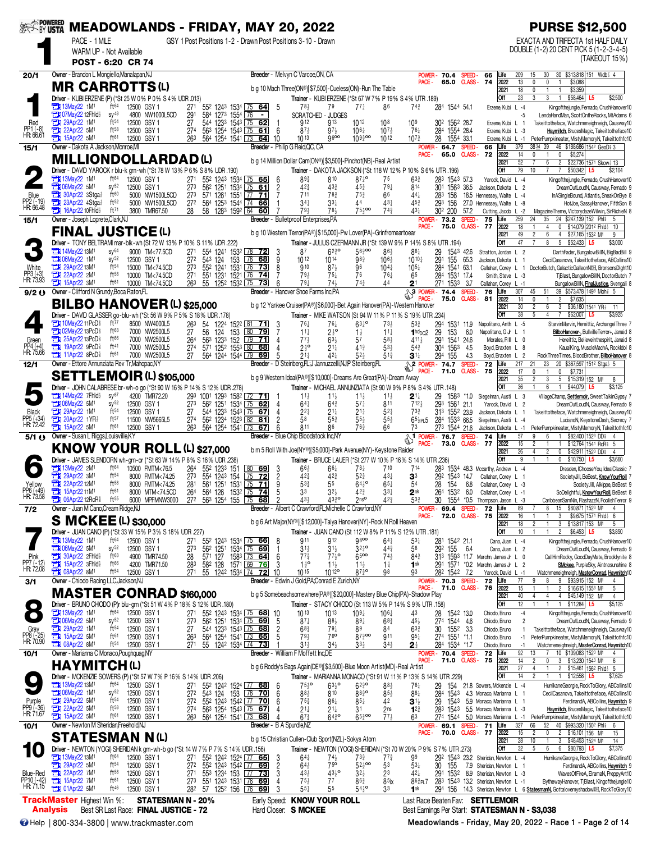|                                     |                                                                                       | PACE - 1 MILE<br>WARM UP - Not Available |                                      | SER MEADOWLANDS - FRIDAY, MAY 20, 2022                                                               |                                     |                                 |                                             | GSY 1 Post Positions 1-2 - Drawn Post Positions 3-10 - Drawn                             |                       |                                                       |                                                                                                                                 |                                                 |                                       |                                        |                                      |                         |                                                                                    |                                  | <b>PURSE \$12,500</b><br>EXACTA AND TRIFECTA 1st HALF DAILY<br>DOUBLE (1-2) 20 CENT PICK 5 (1-2-3-4-5)        |
|-------------------------------------|---------------------------------------------------------------------------------------|------------------------------------------|--------------------------------------|------------------------------------------------------------------------------------------------------|-------------------------------------|---------------------------------|---------------------------------------------|------------------------------------------------------------------------------------------|-----------------------|-------------------------------------------------------|---------------------------------------------------------------------------------------------------------------------------------|-------------------------------------------------|---------------------------------------|----------------------------------------|--------------------------------------|-------------------------|------------------------------------------------------------------------------------|----------------------------------|---------------------------------------------------------------------------------------------------------------|
|                                     |                                                                                       | POST - 6:20 CR 74                        |                                      |                                                                                                      |                                     |                                 |                                             |                                                                                          |                       |                                                       |                                                                                                                                 |                                                 |                                       |                                        |                                      |                         |                                                                                    |                                  | (TAKEOUT 15%)                                                                                                 |
| 20/1                                | Owner - Brandon L Mongiello, Manalapan, NJ                                            |                                          |                                      |                                                                                                      |                                     |                                 |                                             |                                                                                          |                       |                                                       | Breeder - Melvyn C Varcoe, ON, CA                                                                                               |                                                 |                                       | <b>POWER</b>                           | 70.4                                 | SPEED-                  | 66<br>Life                                                                         | 209<br>15                        | 30 \$313,818 151 Wdb <sup>2</sup> 4<br>30                                                                     |
|                                     | <b>MR CARROTTS(L)</b>                                                                 |                                          |                                      |                                                                                                      |                                     |                                 |                                             |                                                                                          |                       |                                                       | b g 10 Mach Three(ON®)[\$7,500]-Cueless(ON)-Run The Table                                                                       |                                                 |                                       | PACE -                                 | 65.0 CLASS-                          |                         | 74<br>2022<br>2021                                                                 | 13<br>0<br>18<br>0               | $\mathbb O$<br>\$3,088<br>$\mathbf{1}$<br>\$3,359<br>-1                                                       |
|                                     |                                                                                       |                                          |                                      | Driver - KUBI ERZENE (P) (*St 25 W 0% P 0% S 4% UDR .013)                                            |                                     |                                 |                                             |                                                                                          |                       |                                                       | Trainer - KUBI ERZENE (*St 67 W 7% P 19% S 4% UTR .189)                                                                         |                                                 |                                       |                                        |                                      |                         | Off                                                                                | 23<br>3                          | 3<br>\$58,464<br>\$2,500<br>$\overline{1}$<br>L5                                                              |
|                                     | <b>TEM</b> 13May22 1M <sup>1</sup><br>12Fhid                                          |                                          | ft <sup>64</sup><br>$SV^{48}$        | 12500 GSY 1<br>4800 NW1000L5CD                                                                       | 27 <sup>1</sup><br>291              |                                 | 584 1273 1554 76                            | 55 <sup>2</sup> 124 <sup>3</sup> 1534 75 64<br>$\blacksquare$                            | -5                    | 78 <sup>1</sup>                                       | 79<br>SCRATCHED - JUDGES                                                                                                        | $77\frac{1}{4}$                                 | 86                                    | $74\frac{3}{4}$                        | 284 1544 54.1                        |                         | Erzene, Kubi L -4                                                                  | $-5$                             | Kingofthejungle, Fernado, CrushHanover10<br>LendaHandMan, ScottOntheRocks, MtAdams 6                          |
| Red                                 | 29Apr22 1M <sup>1</sup><br>О<br>22Apr22 5M1<br>О                                      |                                          | ft54<br>$ft^{58}$                    | 12500 GSY 1<br>12500 GSY 1                                                                           | 27<br>27 <sup>4</sup>               |                                 |                                             | 544 1233 1543 75 62<br>563 1254 1543 75 61                                               | -1<br>-6              | 912<br>$87\frac{1}{2}$                                | 913<br>$97\frac{1}{2}$                                                                                                          | 1012<br>$10^{6}$                                | 108<br>$10^{7}$                       | 10 <sup>9</sup><br>$76\frac{1}{4}$     | 302 1562 28.7<br>284 1554 28.4       |                         | Erzene, Kubi L 1<br>Erzene, Kubi L -3                                              |                                  | Takeittotheface, Watchmeneighneigh, Causway10<br>Haymitch, BrucesMagic, Takeittotheface10                     |
| PP1 (-8)<br>HR: 66.61               | <b>EM</b> 15Apr22 5M <sup>1</sup>                                                     |                                          | ft61                                 | 12500 GSY 1                                                                                          | 263                                 |                                 | 564 1254 1541 73                            | 64                                                                                       | 10                    | 1013                                                  | 9600                                                                                                                            | $109\frac{3}{4}$ 00                             | 1012                                  | $10^{7}$                               | 28<br>1554 33.1                      |                         | Erzene, Kubi L -1                                                                  |                                  | PeterPumpkineater, MistyMemoryN, Takeittothfc10                                                               |
| 15/1                                | Owner - Dakota A Jackson, Monroe, MI                                                  |                                          |                                      |                                                                                                      |                                     |                                 |                                             |                                                                                          |                       | Breeder - Philip G Reid, QC, CA                       |                                                                                                                                 |                                                 |                                       | POWER-<br>PACE -                       | 64.7<br>65.0                         | SPEED-<br><b>CLASS-</b> | 66<br>Life<br>2022<br>72                                                           | 379<br>14<br>$\mathbf{0}$        | 3834 39<br>46 \$188,686 1542 GeoD \$3<br>$\mathbf 0$<br>\$5,274                                               |
|                                     |                                                                                       |                                          |                                      | <b>MILLIONDOLLARDAD(L)</b><br>Driver - DAVID YAROCK r blu-k grn-wh (*St 78 W 13% P 6% S 8% UDR .190) |                                     |                                 |                                             |                                                                                          |                       |                                                       | b q 14 Million Dollar Cam(ON®)[\$3,500]-Pinchot(NB)-Real Artist<br>Trainer - DAKOTA JACKSON (*St 118 W 12% P 10% S 6% UTR .196) |                                                 |                                       |                                        |                                      |                         | 2021<br>Off                                                                        | 52<br>79<br>10                   | 6<br>$\overline{c}$<br>\$22,736 1571 Skow 13<br>$\overline{7}$<br>\$50,342<br>$\overline{7}$<br>\$2,104<br>L5 |
|                                     | <b>The 13May22 1M<sup>1</sup></b>                                                     |                                          | ft <sup>64</sup>                     | 12500 GSY 1                                                                                          | 271                                 |                                 |                                             | 552 1243 1534 75 65                                                                      | -6                    | $89\frac{3}{4}$                                       | 810                                                                                                                             | $87\frac{1}{4}$ <sup>o</sup>                    | 75                                    | $63\frac{3}{4}$                        | 283 1543 57.3                        |                         | Yarock, David L -4                                                                 |                                  | Kingofthejungle, Fernado, CrushHanover10                                                                      |
| Blue                                | <b>Extra 06May22 5M1</b><br>30Apr22 3Stga}<br>о                                       |                                          | $sy^{52}$<br>ft60                    | 12500 GSY 1<br>5000 NW1500L5CD                                                                       | 273<br>273                          |                                 |                                             | 56 <sup>2</sup> 125 <sup>1</sup> 153 <sup>4</sup> 75 61<br>571 1261 1551 77 71           | $\overline{c}$        | 42 <sub>4</sub><br>711                                | 433<br>$78\frac{3}{4}$                                                                                                          | 453<br>$75\frac{3}{4}$                          | $79\frac{1}{4}$<br>66                 | 814<br>$44\frac{1}{4}$                 | 301<br>1563 36.5<br>283<br>156       |                         | Jackson, Dakota L 2<br>18.5 Hennessey, Walte L -4                                  |                                  | DreamOutLoudN, Causway, Fernado 9<br>InASingleBound, Atlantis, SneakOnBye 8                                   |
| PP2 (-19)<br>HR: 66.48              | 23Apr22 4Stga<br>П                                                                    |                                          | ft52<br>ft71                         | 5000 NW1500L5CD                                                                                      | 27 <sup>2</sup>                     |                                 |                                             | 564 1253 1544 74 66                                                                      |                       | $34\frac{1}{4}$                                       | $33\frac{1}{4}$                                                                                                                 | 44<br>$75\frac{1}{2}$ 00                        | 431                                   | $45\frac{3}{4}$                        | 293<br>156                           |                         | 27.0 Hennessey, Walte L -8                                                         |                                  | HotJoe, SassyHanover, FifthSon 8                                                                              |
| 15/1                                | 16Apr22 10Fhld}<br>Owner - Joseph Loprete, Clark, NJ                                  |                                          |                                      | 3800 TMR67.50                                                                                        | 28                                  |                                 | 58 1283 1592 64                             | 60                                                                                       |                       | 794                                                   | 78}<br>Breeder - Bulletproof Enterprises,PA                                                                                     |                                                 | $74\frac{3}{4}$                       | 431                                    | 30 <sup>2</sup> 200<br>POWER- 73.2   | 57.2<br>SPEED-          | Cutting, Jacob L -2<br>75<br>_ife                                                  | 259<br>24                        | MagazineTheme, VictorydazeWilwin, SirRichieN 8<br>24 \$247,139 152 Phis<br>35<br>5                            |
|                                     | <b>FINAL JUSTICE (L)</b>                                                              |                                          |                                      |                                                                                                      |                                     |                                 |                                             |                                                                                          |                       |                                                       | b g 10 Western Terror(PA®)[\$15,000]-Pw Lover(PA)-Grinfromeartoear                                                              |                                                 |                                       | PACE -                                 | 75.0                                 |                         | <b>CLASS-77</b><br>2022<br>2021                                                    | 18<br>49<br>$\overline{c}$       | 0<br>\$14,079 2012 Fhid<br>4<br>10<br>$6\overline{6}$<br>\$27,165 1532 M1<br>4<br>9                           |
|                                     |                                                                                       |                                          |                                      | Driver - TONY BELTRAMI mar-blk-wh (St 72 W 13% P 10% S 11% UDR 222)                                  |                                     |                                 |                                             |                                                                                          |                       |                                                       | Trainer - JULIUS CZERMANN JR (*St 139 W 9% P 14% S 8% UTR .194)                                                                 |                                                 |                                       |                                        |                                      |                         | Off                                                                                | 47                               | 8<br>5<br>\$52,433<br>L5<br>\$3,000                                                                           |
|                                     | <b>THE 14May22 13M1</b><br>1M <sup>1</sup>                                            |                                          | SV <sup>64</sup><br>SV <sup>52</sup> | 9000 TM<77.5CD<br>12500 GSY 1                                                                        | 27 <sup>1</sup><br>$\overline{272}$ | 554 1241<br>$543 \frac{124}{ }$ | 153                                         | 153 <sup>2</sup> 78 72<br>78 68                                                          | 3<br>9                | 87<br>1012                                            | $6^{230}$<br>$10^{14}$                                                                                                          | 56300<br>983                                    | $86\frac{1}{2}$<br>$10^{6}$           | 861<br>$10^{10}$                       | 29<br>291<br>155 65.3                | 1543 42.6               | Stratton, Jordan L 2<br>Jackson, Dakota L 1                                        |                                  | DarthFader, BungalowBillN, BigBadBill 9<br>CecilCasanova, Takeittotheface, ABCollins10                        |
| Mhite                               | 29Apr22 13M1<br><b>THE 22Apr22 2M1</b>                                                |                                          | ft <sup>54</sup><br>ft58             | 15000 TM<74.5CD<br>10000 TM<74.5CD                                                                   | 27 <sup>3</sup><br>27 <sup>1</sup>  |                                 | 551 1231 1521 76                            | 552 1241 1531 76 73<br>74                                                                | 8<br>7                | 910<br>79}                                            | $87\frac{1}{2}$<br>$75+$                                                                                                        | 96<br>76                                        | $10^{4}$<br>76 <sup>1</sup>           | $10^{5}$<br>65                         | 1541 63.1<br>284<br>284 1531 17.4    |                         | Callahan, Corey L 1                                                                |                                  | DoctorButch, GalacticGalleonNDH, BronsonsDlght10<br>TiBlast, BungalowBillN, DoctorButch 7                     |
| PP3 (+3)<br>HR: 73.93               | 15Apr22 3M <sup>1</sup>                                                               |                                          | ft61                                 | 10000 TM<74.5CD                                                                                      | 263                                 |                                 | 55 1252 1532 75                             | 73                                                                                       | 6                     | $79\frac{1}{4}$                                       | $74\frac{1}{2}$                                                                                                                 | $74\frac{3}{4}$                                 | 44                                    | 2 <sup>1</sup>                         | 271 1533                             | 3.7                     | Smith, Steve L -3<br>Callahan, Corey L -1                                          |                                  | BungalowBillN, FinalJustice, Svengali 8                                                                       |
| 9/2()                               | Owner - Clifford N Grundy, Boca Raton, FL                                             |                                          |                                      |                                                                                                      |                                     |                                 |                                             |                                                                                          |                       |                                                       | <b>Breeder</b> - Hanover Shoe Farms Inc.PA                                                                                      |                                                 |                                       | $\frac{21}{3}$ POWER - 74.4<br>PACE-   | 75.0                                 | SPEED-                  | 76<br>Life<br>CLASS-81<br>2022                                                     | 307<br>45<br>14<br>0             | 51<br>39 \$573,478 1493 Moh 3 5<br>\$7,635<br>$\mathbf{1}$<br>$\overline{c}$                                  |
|                                     |                                                                                       |                                          |                                      | <b>BO HANOVER (L) \$25,000</b>                                                                       |                                     |                                 |                                             |                                                                                          |                       |                                                       | b g 12 Yankee Cruiser(PA®)[\$6,000]-Bet Again Hanover(PA)-Western Hanover                                                       |                                                 |                                       |                                        |                                      |                         | 2021                                                                               | 30<br>$\overline{c}$             | 6<br>\$36,180 1541 YR3<br>3<br>11                                                                             |
|                                     | <b>THE 10May22 11PcD</b>                                                              |                                          | ft77                                 | Driver - DAVID GLASSER go-blu-wh (*St 56 W 9% P 5% S 18% UDR .178)<br>8500 NW4000L5                  | 263                                 |                                 |                                             | 1224 1522 81 71                                                                          | 3                     | $76\frac{1}{4}$                                       | Trainer - MIKE WATSON (St 94 W 11% P 11% S 19% UTR .234)<br>76+                                                                 | $63^{10}$                                       | $73\frac{1}{2}$                       | $5^{3}$                                | 294<br>1531 119                      |                         | Off<br>Napolitano, Anth L -5                                                       | 38<br>5                          | $\overline{4}$<br>\$62,007<br>7<br>\$3,925<br>StarvinMarvin, Hereittiz, ArchangelThree 7                      |
| Green                               | <b>THI 02May22 13PcD<sup>§</sup></b><br>25Apr22 13PcD                                 |                                          | ft63<br>ft66                         | 7000 NW2500L5<br>7000 NW2500L5                                                                       | 27<br>264                           | 54<br>56                        | 124<br>153<br>563 1233 152                  | 80<br><u>79</u><br>$\begin{array}{ c c } \hline 79 & \textbf{71} \end{array}$            | 7<br>4                | $11\frac{1}{4}$<br>$77\frac{1}{2}$                    | $2\frac{1}{2}$ <sup>o</sup><br>$63\frac{1}{2}$                                                                                  | $1\frac{1}{2}$<br>57                            | $11\frac{1}{4}$<br>58}                | $1hd$ <sub>DO</sub> 2<br>4114          | 29<br>153<br>291<br>1541 24.6        | 6.0                     | Napolitano, G Jr L 1<br>Morales, R III L 0                                         |                                  | BilboHanover-, BullvilleTerror+, Janaid 8<br>Hereittiz, Believeinthespirit, Janaid 8                          |
| PP4 (+4)<br>HR: 75.66               | <b>The 19Apr22 9PcD</b>                                                               |                                          | ft41                                 | 7000 NW2500L5                                                                                        |                                     |                                 | 571 1252 1553 80                            | 68                                                                                       | $\overline{4}$        | $2^{\frac{1}{2}^{\circ}}$                             | 21‡                                                                                                                             | $41\frac{3}{4}$                                 | 53}                                   | $5^{4}$                                | 304 1563                             | 4.5                     | Boyd, Braxten L 8                                                                  |                                  | KauaiKing, MuscleMachA, RockIdol 8                                                                            |
| 12/1                                | <b>THE 11Apr22 8PcD</b><br>Owner - Ettore Annunziata Rev Tr, Mahopac, NY              |                                          | ft61                                 | 7000 NW2500L5                                                                                        | 27                                  |                                 |                                             | 564 1244 1544 79 69                                                                      | 5                     | $21\frac{1}{4}$                                       | 42}<br>Breeder - D Steinberg,FL;J Jannuzzelli,NJ,P Steinberg,FL                                                                 | $52\frac{1}{2}$                                 | $5^{13}$                              | $3^{11}$                               | 294 155                              | 4.3<br>SPEED-           | Boyd, Braxten L 2<br>72<br>Life                                                    | 217<br>21                        | RockThreeTimes, BloodBrother, BilboHanover 8<br>23<br>20 \$367,597 1512 Stga} 5                               |
|                                     |                                                                                       |                                          |                                      | <b>SETTLEMOIR (L) \$105,000</b>                                                                      |                                     |                                 |                                             |                                                                                          |                       |                                                       | b g 9 Western Ideal(PA®)[\$10,000]-Dreams Are Great(PA)-Dream Away                                                              |                                                 |                                       | $\frac{8}{2}$ POWER- 74.7<br>PACE -    | 71.0                                 |                         | <b>CLASS - 75</b><br>2022<br>2021                                                  | 17<br>$\mathbf{0}$<br>35         | $\mathbf{0}$<br>\$7,731<br>$\mathbf{1}$                                                                       |
|                                     |                                                                                       |                                          |                                      | Driver - JOHN CALABRESE br-wh-o go (*St 90 W 16% P 14% S 12% UDR .278)                               |                                     |                                 |                                             |                                                                                          |                       |                                                       | Trainer - MICHAEL ANNUNZIATA (St 90 W 9% P 8% S 4% UTR .148)                                                                    |                                                 |                                       |                                        |                                      |                         | Off                                                                                | 36                               | 3<br>5<br>\$15,319 152 M1<br>8<br>$\boldsymbol{6}$<br>\$44,079<br>\$3,125<br>$\mathbf{1}$<br>L5               |
|                                     | $\frac{1}{2}$ 14May22 7Fhld $\frac{1}{2}$<br><b>Extra 06May22 5M1</b>                 |                                          | $sy^{67}$<br>SV <sup>52</sup>        | 4200 TMR72.20<br>12500 GSY 1                                                                         | 273                                 |                                 |                                             | 293 1001 1293 1582 72 71<br>56 <sup>2</sup> 1251 1534 75 62                              | - 1<br>$\overline{4}$ | $11\frac{1}{2}$<br>$64\frac{1}{4}$                    | $11\frac{1}{2}$<br>$64\frac{3}{4}$                                                                                              | $11\frac{1}{2}$<br>$57\frac{1}{4}$              | $11\frac{1}{2}$<br>811                | $2^{11}$<br>7124                       | 29<br>1583<br>293<br>1561 21.1       | $*1.0$                  | Siegelman, Austi L 3<br>Yarock, David L 2                                          |                                  | VillageChamp, Settlemoir, SweetTalkinGypsy 7<br>DreamOutLoudN, Causway, Fernado 9                             |
| Black                               | 29Apr22 1M <sup>1</sup><br>а                                                          |                                          | ft <sup>54</sup>                     | 12500 GSY 1                                                                                          | 27                                  |                                 |                                             | 544 1233 1543 75 67                                                                      | $\overline{4}$        | $2^{2}$                                               | $21\frac{1}{4}$                                                                                                                 | $21\frac{1}{4}$                                 | $5^{2}$                               | $73\frac{3}{4}$                        | 313 1552 23.9                        |                         | Jackson, Dakota L                                                                  |                                  | Takeittotheface, Watchmeneighneigh, Causway10                                                                 |
| PP5 (+34)<br>HR: 72.42              | 20Apr22 1YR3<br>15Apr22 5M <sup>1</sup><br>æ                                          |                                          | ft <sub>57</sub><br>ft61             | 11500 NW5665L5<br>12500 GSY 1                                                                        | 274<br>263                          |                                 | 564 1254 1541 73                            | 562 1234 1523 82 81<br>67                                                                | $\overline{2}$<br>6   | 58<br>811                                             | $55\frac{3}{4}$<br>86                                                                                                           | 55 <sup>3</sup><br>$76\frac{3}{4}$              | $55\frac{1}{2}$<br>66                 | $65\frac{1}{2}$ PL5<br>73              | 1533 66.5<br>284<br>273 1544 21.6    |                         | Siegelman, Austi L -4<br>Jackson, Dakota L -1                                      |                                  | LucianoN, KeystoneDash, Secrecy 7<br>PeterPumpkineater, MistyMemoryN, Takeittothfc10                          |
| 5/1 ()                              | Owner - Susan L Riggs, Louisville, KY                                                 |                                          |                                      |                                                                                                      |                                     |                                 |                                             |                                                                                          |                       |                                                       | Breeder - Blue Chip Bloodstock Inc.NY                                                                                           |                                                 |                                       | $1$ POWER - 76.7<br>PACE -             | 73.0                                 | <b>SPEED</b>            | 74<br>Life<br><b>CLASS-77</b><br>2022                                              | 57<br>9<br>15<br>$\overline{c}$  | \$82,400 1523 DD<br>6<br>$\overline{4}$<br>\$12,764 1541 RcR \$5                                              |
|                                     |                                                                                       |                                          |                                      | <b>KNOW YOUR ROLL (L) \$27,000</b>                                                                   |                                     |                                 |                                             |                                                                                          |                       |                                                       | b m 5 Roll With Joe(NY®)[\$5,000]-Park Avenue(NY)-Keystone Raider                                                               |                                                 |                                       |                                        |                                      |                         | 2021                                                                               | 26<br>4                          | $\overline{2}$<br>\$42,911 1523 DD<br>0<br>$\overline{4}$                                                     |
|                                     | <b>EN 13May22 2M1</b>                                                                 |                                          | ft64                                 | Driver - JAMES SLENDORN wh-grn-or (*St 63 W 14% P 8% S 16% UDR .238)<br>10500 FMTM<76.5              | 264                                 | 552 1233                        | 151                                         | 80 69                                                                                    |                       | $66\frac{1}{2}$                                       | Trainer - BRUCE LAUER (*St 277 W 10% P 16% S 14% UTR .236)<br>66‡                                                               | $78\frac{1}{4}$                                 | 710                                   |                                        | 283                                  |                         | Off<br>1534 48.3 Mccarthy, Andrew L -4                                             | 9                                | $\mathbf{0}$<br>\$10,750<br>\$3,660<br>L5<br>Dresden, IChooseYou, IdealClassic 7                              |
|                                     | 29Apr22 3M <sup>1</sup><br>с                                                          |                                          | $ft^{54}$<br>ft58                    | 8000 FMTM<74.25                                                                                      | $\bar{27}$ <sup>3</sup>             |                                 | 554 1243 154                                | $\overline{75}$ 72                                                                       | $\frac{3}{2}$         | $42\frac{3}{4}$                                       | 423                                                                                                                             | $52\frac{3}{4}$                                 | $43\frac{1}{4}$                       | 3 <sup>3</sup>                         | 292<br>1543 14.7                     |                         | Callahan, Corey L                                                                  |                                  | SocietyJill, BeBest, KnowYourRoll 7                                                                           |
| Yellow<br>PP6 (+49)                 | 22Apr22 12M <sup>1</sup><br>о<br><b>TEM</b> 15Apr22 11M <sup>1</sup>                  |                                          | ft61                                 | 8000 FMTM<74.25<br>8000 MTM<74.5CD                                                                   | 281<br>264                          |                                 |                                             | 561 1251 1531 75 71<br>564 126 1532 75 74                                                | 5                     | 533<br>33                                             | 55<br>$32+$                                                                                                                     | $64^{10}$<br>42 <sup>3</sup>                    | $65\frac{1}{4}$<br>33 <sup>1</sup>    | 54<br>2 <sup>nk</sup>                  | 28<br>154<br>1532<br>264             | 6.8<br>6.0              | Callahan, Corey L -3<br>Callahan, Corey L -1                                       |                                  | SocietyJill, Alkippe, BeBest 9<br>SoDelightful, Know YourRoll, BeBest 8                                       |
| HR: 73.58<br>7/2                    | $\Box$ 06Apr22 12RcR $\overline{\mathcal{E}}$<br>Owner - Juan M Cano, Cream Ridge, NJ |                                          | $ft^{55}$                            | 6000 MPFMNW3000                                                                                      |                                     |                                 | 27 <sup>2</sup> 56 <sup>3</sup> 1254 155 75 | <u>68</u>                                                                                | 2                     | $43\frac{1}{2}$                                       | 4330<br>Breeder - Albert C Crawford, FL; Michelle C Crawford, NY                                                                | 2n <sub>s</sub>                                 | 423                                   | 533<br>POWER-                          | 30<br>69.4                           |                         | 1554 *0.5 Thompson, Jason L -3<br><b>SPEED-72</b><br>Life                          | 89                               | CaribbeanSamNin, FlashazzN, FoolishTerror 9<br>\$60,871 1523 M1<br>8<br>15<br>4                               |
|                                     | <b>S MCKEE (L) \$30,000</b>                                                           |                                          |                                      |                                                                                                      |                                     |                                 |                                             |                                                                                          |                       |                                                       | b g 6 Art Major(NY®)[\$12,000]-Taiya Hanover(NY)-Rock N Roll Heaven                                                             |                                                 |                                       | PACE -                                 | 72.0                                 |                         | <b>CLASS - 75</b><br>2022                                                          | 16                               | 3<br>\$9,675 1571 Fhld} 6                                                                                     |
|                                     |                                                                                       |                                          |                                      | Driver - JUAN CANO (P) (*St 33 W 15% P 3% S 18% UDR .227)                                            |                                     |                                 |                                             |                                                                                          |                       |                                                       | <b>Trainer</b> - JUAN CANO (St 112 W 8% P 11% S 12% UTR 181)                                                                    |                                                 |                                       |                                        |                                      |                         | 2021<br>Off                                                                        | 18<br>$\overline{2}$<br>10       | 3<br>\$13,817 153 M1<br>5<br>$$6,453$ L5<br>$\overline{c}$<br>\$3,850                                         |
|                                     | <b>External 13May22 1M<sup>1</sup></b><br><b>EN 06May22 5M1</b>                       |                                          | ft64<br>$sy^{52}$                    | 12500 GSY 1<br>12500 GSY 1                                                                           | 27 <sup>1</sup><br>273              |                                 |                                             | 55 <sup>2</sup> 124 <sup>3</sup> 153 <sup>4</sup> 75 66<br>562 1251 1534 75 69           | 8<br>-1               | 911                                                   | 912<br>$31\frac{1}{2}$                                                                                                          | 9800<br>$3^{24}$ °                              | $64\frac{1}{4}$                       | $5^{3}$<br>56                          | 281 1542 21.1<br>292 155             | 6.4                     | Cano, Juan L -4                                                                    |                                  | Kingofthejungle, Fernado, CrushHanover10                                                                      |
| Pink                                | 30Apr22 2Fhld3                                                                        |                                          | ft63                                 | 4900 TMR74.50                                                                                        | 28                                  | 571 127                         |                                             | 1583 73 64                                                                               | 6                     | $31\frac{1}{2}$<br>$7^{73}$                           | $77\frac{1}{2}$ <sup>o</sup>                                                                                                    | 6500                                            | $44\frac{3}{4}$<br>$74\frac{1}{2}$    | $84\frac{3}{4}$                        |                                      |                         | Cano, Juan L 2<br>313 1593 11.7 Marohn, James Jr L 0                               |                                  | DreamOutLoudN, Causway, Fernado 9<br>CallHimRocky, GoodDayMate, Brooklynite 8                                 |
| PP7 (-12)<br>HR: 72.08              | 15Apr22 3Fhld}<br><b>EM</b> 08Apr22 8M <sup>1</sup>                                   |                                          | $ft^{66}$<br>ft54                    | 4200 TMR71.50<br>12500 GSY 1                                                                         | 283<br>27 <sup>1</sup>              |                                 |                                             | 58 <sup>2</sup> 128 1571 69 76<br>55 1242 1534 74 72                                     | 3<br>10               | $1\frac{1}{2}$ <sup>o</sup><br>1015                   | $11\frac{1}{2}$<br>10 12 <sup>o</sup>                                                                                           | $11\frac{1}{2}$<br>$87\frac{3}{4}$ <sup>o</sup> | $1\frac{1}{4}$<br>98                  | 1 <sup>nk</sup><br>Q <sub>3</sub>      | 282 1542 7.2                         |                         | 291 1571 *0.2 Marohn, James Jr L 2<br>Yarock, David L -1                           |                                  | SMckee, PurpleSky, Aintnosunshine 8<br>Watchmeneighneigh, MasterConrad, Haymitch10                            |
| 3/1                                 | Owner - Chiodo Racing LLC, Jackson, NJ                                                |                                          |                                      |                                                                                                      |                                     |                                 |                                             |                                                                                          |                       |                                                       | Breeder - Edwin J Gold, PA; Conrad E Zurich, NY                                                                                 |                                                 |                                       | PACE -                                 | POWER- 70.3 SPEED-<br>71.0 CLASS- 76 |                         | 72<br>Life<br>2022                                                                 | 77<br>9<br>15                    | 8<br>9 \$93,915 152 M1<br>2 \$16,615 1553 M1<br>5                                                             |
|                                     |                                                                                       |                                          |                                      | <b>MASTER CONRAD \$160,000</b>                                                                       |                                     |                                 |                                             |                                                                                          |                       |                                                       | b g 5 Somebeachsomewhere(PA®)[\$20,000]-Mastery Blue Chip(PA)-Shadow Play                                                       |                                                 |                                       |                                        |                                      |                         | 2021                                                                               | 40                               | 4<br>4<br>\$45,149 152 M <sup>1</sup><br>4                                                                    |
|                                     | <b>EH</b> 13May22 1M <sup>1</sup>                                                     |                                          | ft64                                 | Driver - BRUNO CHIODO (P)r blu-grn (*St 51 W 4% P 18% S 12% UDR .180)<br>12500 GSY 1                 | 27 <sup>1</sup>                     |                                 |                                             | 55 <sup>2</sup> 1243 1534 75 68 10                                                       |                       | 1013                                                  | Trainer - STACY CHIODO (St 113 W 5% P 14% S 9% UTR .158)<br>1013                                                                | $109\frac{1}{4}$                                | $10^{6}$                              | 43                                     | 28 1542 13.0                         |                         | Off<br>Chiodo, Bruno                                                               | 12<br>$-4$                       | $\overline{1}$<br>\$11,284 L5<br>\$5,125<br>Kingofthejungle, Fernado, CrushHanover10                          |
|                                     | 23 06May22 5M1                                                                        |                                          | $sy^{52}$                            | 12500 GSY 1                                                                                          | 273                                 |                                 |                                             | 56 <sup>2</sup> 125 <sup>1</sup> 153 <sup>4</sup> 75 69                                  | 5                     | $87\frac{1}{4}$                                       | 88}                                                                                                                             | 89}                                             | $68\frac{3}{4}$                       | $45\frac{1}{2}$                        | 274 1544 46                          |                         | Chiodo, Bruno                                                                      | $\overline{2}$                   | DreamOutLoudN, Causway, Fernado 9                                                                             |
| Gray<br>PP8 (-25)<br>HR: 70.90      | 29Apr22 1M <sup>1</sup><br><b>EN 15Apr22 5M1</b>                                      |                                          | $ft^{54}$<br>ft61                    | 12500 GSY 1<br>12500 GSY 1                                                                           | 27<br>263                           |                                 |                                             | 544 1233 1543 75 68<br>564 1254 1541 73 65                                               | $\frac{2}{5}$         | $68\frac{3}{4}$<br>79 <sub>3</sub>                    | $79\frac{1}{4}$<br>76 <sup>o</sup>                                                                                              | 89<br>$87\frac{3}{4}$ 00                        | 84<br>911                             | $63\frac{3}{4}$<br>$95\frac{1}{4}$     | 30<br>1552 3.3<br>274 1551 *1.1      |                         | Chiodo, Bruno<br>Chiodo, Bruno                                                     | $-1$                             | Takeittotheface, Watchmeneighneigh, Causway10<br>PeterPumpkineater, MistyMemoryN, Takeittothfc10              |
|                                     | <b>EN 08Apr22 8M1</b><br>Owner - Marianna C Monaco, Poughquag, NY                     |                                          | $ft^{54}$                            | 12500 GSY 1                                                                                          |                                     |                                 |                                             | 271 55 1242 1534 74 73                                                                   |                       | $31\frac{1}{2}$<br>Breeder - William F Moffett Inc.DE | $34\frac{1}{2}$                                                                                                                 | 33 <sup>1</sup>                                 | $34\frac{1}{2}$                       | $2\frac{1}{2}$                         | 284 1534 *1.7<br>POWER- 70.4         | SPEED-                  | Chiodo, Bruno<br>72<br>Life                                                        | -1<br>92<br>13                   | Watchmeneighneigh, MasterConrad, Haymitch10<br>10 \$109,083 1523 M1                                           |
| 10/1                                | HAYMITCH(L)                                                                           |                                          |                                      |                                                                                                      |                                     |                                 |                                             |                                                                                          |                       |                                                       | b g 6 Roddy's Bags Again(DE®)[\$3,500]-Blue Moon Artist(MD)-Real Artist                                                         |                                                 |                                       | PACE -                                 | 71.0                                 | CLASS -                 | 75<br>2022                                                                         | 14<br>$\overline{2}$             | 3 \$13,230 1543 M1<br>6                                                                                       |
|                                     |                                                                                       |                                          |                                      | Driver - MCKENZIE SOWERS (P) (*St 57 W 7 % P 16 % S 14 % UDR .206)                                   |                                     |                                 |                                             |                                                                                          |                       |                                                       | Trainer - MARIANNA MONACO (*St 91 W 11% P 13% S 14% UTR 229)                                                                    |                                                 |                                       |                                        |                                      |                         | 2021<br>Off                                                                        | 27<br>4<br>14<br>$\overline{2}$  | 2 \$15,461 1562 Fhld} 5<br>\$12,558<br>$\mathbf{1}$<br>\$7,625<br>L5                                          |
|                                     | <b>EN 13May22 13M1</b><br>73 06May22 1M <sup>1</sup>                                  |                                          | ft <sup>64</sup><br>$sy^{52}$        | 12500 GSY 1<br>12500 GSY 1                                                                           | 271<br>27 <sup>2</sup>              |                                 |                                             | 55 <sup>2</sup> 124 <sup>2</sup> 152 <sup>4</sup> 77 68<br>54 <sup>3</sup> 124 153 78 70 | - 6<br>6              | $75\frac{1}{2}$<br>$88\frac{1}{2}$                    | $63^{10}_{2}$<br>810                                                                                                            | $6^{230}$<br>8830                               | $8^{8}\frac{1}{2}$<br>$85\frac{1}{2}$ | 76‡<br>$88\frac{1}{4}$                 | 29<br>154<br>284<br>1543             |                         | 21.8 Sowers, Mckenzie L -4                                                         |                                  | HurrikaneGeorgie, RockToGlory, ABCollins10                                                                    |
|                                     | 29Apr22 5M1                                                                           |                                          | ft <sup>54</sup>                     | 12500 GSY 1                                                                                          | 272                                 |                                 |                                             | 55 <sup>2</sup> 1243 1542 77 70                                                          | 6                     | $75\frac{3}{4}$                                       | 86‡                                                                                                                             | 85‡                                             | 42                                    | $3^{1}$                                | 29<br>1543                           |                         | 4.3 Monaco, Marianna L 1<br>5.9 Monaco, Marianna L 1                               |                                  | CecilCasanova, Takeittotheface, ABCollins10<br>FerdinandA, ABCollins, Haymitch 9                              |
| Purple<br>PP9 (-36)<br>HR: 71.67    | <b>EN 22Apr22 5M1</b><br>$15$ Apr22 5M <sup>1</sup>                                   |                                          | $ft^{58}$<br>ft61                    | 12500 GSY 1<br>12500 GSY 1                                                                           | 274<br>263                          |                                 |                                             | 563 1254 1543 75 67<br>564 1254 1541 73 68                                               |                       | $21\frac{1}{4}$<br>$67\frac{3}{4}$                    | 21‡<br>6430                                                                                                                     | 31<br>$65\frac{3}{4}$ 00                        | 2ns<br>$77\frac{1}{2}$                | $1^{2^{3}}$<br>63                      | 283 1543                             |                         | 5.5 Monaco, Marianna L -3<br>274 1544 5.0 Monaco, Marianna L-1                     |                                  | Haymitch, BrucesMagic, Takeittotheface10<br>PeterPumpkineater, MistyMemoryN, Takeittothfc10                   |
| 10/1                                | Owner - Newton M Sheridan, Freehold, NJ                                               |                                          |                                      |                                                                                                      |                                     |                                 |                                             |                                                                                          |                       | Breeder - B A Spurdle, NZ                             |                                                                                                                                 |                                                 |                                       |                                        | <b>POWER-69.1</b>                    |                         | <b>SPEED-71</b><br>Life                                                            | 327<br>66                        | 40 \$993,320 1502 Phil 6<br>52                                                                                |
|                                     | STATESMAN                                                                             |                                          |                                      | N(L)                                                                                                 |                                     |                                 |                                             |                                                                                          |                       |                                                       | b g 15 Christian Cullen-Club Sport(NZL)-Sokys Atom                                                                              |                                                 |                                       | PACE -                                 | 70.0 CLASS- 77                       |                         | 2022<br>2021                                                                       | 15<br>$\overline{c}$<br>28<br>10 | 0<br>2 \$16,101 156 M <sup>1</sup><br>15<br>3 \$48,453 1524 M1<br>14                                          |
|                                     | <b>External 13May 22 13M<sup>1</sup></b>                                              |                                          | ft <sup>64</sup>                     | Driver - NEWTON (YOGI) SHERIDAN k grn-wh-b go (*St 14 W 7 % P 7 % S 14 % UDR .156)<br>12500 GSY 1    | 27 <sup>1</sup>                     |                                 |                                             | 552 1242 1524 77 65                                                                      | 3                     | $64\frac{1}{4}$                                       | Trainer - NEWTON (YOGI) SHERIDAN (*St 70 W 20% P 9% S 7% UTR 273)<br>$74\frac{1}{2}$                                            | $73\frac{3}{4}$                                 | $7^{3}$                               | 99                                     |                                      |                         | Off<br>292 1543 23.2 Sheridan, Newton L -4                                         | 32<br>5                          | 6<br>6 \$80,793 L5<br>\$7,375<br>HurrikaneGeorgie, RockToGlory, ABCollins10                                   |
|                                     | 29Apr22 5M1<br>22Apr22 7M1                                                            |                                          | $ft^{54}$                            | 12500 GSY 1                                                                                          | 27 <sup>2</sup>                     |                                 |                                             | 552 1243 1542 77 69                                                                      | 2                     | $64\frac{1}{2}$                                       | 75 <sup>o</sup>                                                                                                                 | $52\frac{1}{2}$ 00                              | 53                                    | $5^{3+}$                               | 30<br>155                            |                         | 7.9 Sheridan, Newton L 1                                                           |                                  | FerdinandA, ABCollins, Haymitch 9                                                                             |
| Blue-Red<br>PP10 (-42)<br>HR: 71.15 | 15Apr22 7M1                                                                           |                                          | $ft^{58}$<br>ft61                    | 12500 GSY 1<br>12500 GSY 1                                                                           | 27 <sup>1</sup><br>273              |                                 |                                             | 553 1234 153 77 73<br>551 1243 1531 76 69                                                | 3<br>4                | $43\frac{1}{2}$<br>$75\frac{1}{2}$                    | $43\frac{1}{2}$ <sup>o</sup><br>77                                                                                              | $32\frac{1}{2}$<br>863                          | 23<br>$85$ ix                         | $42\frac{1}{4}$<br>$86\frac{3}{4}$ PL7 | 291                                  |                         | 1532 8.9 Sheridan, Newton L -3<br>283 1543 13.2 Sheridan, Newton L -1              |                                  | WavesOfFireA, ElramaN, PreppyArt10<br>BythewayHanover, TjBlast, Kingofthejungle10                             |
|                                     | <b>EX 01Apr22 5M1</b>                                                                 |                                          | ft <sup>46</sup>                     | 12500 GSY 1                                                                                          | 282                                 |                                 |                                             | 57 1252 156 76 69                                                                        | 3                     | $55\frac{1}{4}$                                       | 55                                                                                                                              | $54\frac{1}{2}$ <sup>o</sup>                    | 33                                    | 1nk                                    |                                      |                         |                                                                                    |                                  | 294 156 14.3 Sheridan, Newton L 6 StatesmanN, Gottalovemyshadow吗, RockToGlory10                               |
|                                     | <b>TrackMaster Highest Win %:</b><br><b>Analysis</b>                                  |                                          |                                      | <b>STATESMAN N - 20%</b><br>Best SR Last Race: FINAL JUSTICE - 72                                    |                                     |                                 |                                             |                                                                                          |                       | Hard Closer: S MCKEE                                  | Early Speed: KNOW YOUR ROLL                                                                                                     |                                                 |                                       |                                        |                                      |                         | Last Race Beaten Fav: SETTLEMOIR<br>Best Earnings Per Start: STATESMAN N - \$3,038 |                                  |                                                                                                               |
|                                     |                                                                                       |                                          |                                      | $\bullet$ Help   800-334-3800   www.trackmaster.com                                                  |                                     |                                 |                                             |                                                                                          |                       |                                                       |                                                                                                                                 |                                                 |                                       |                                        |                                      |                         |                                                                                    |                                  | Meadowlands - Friday, May 20, 2022 - Race 1 - Page 2 of 14                                                    |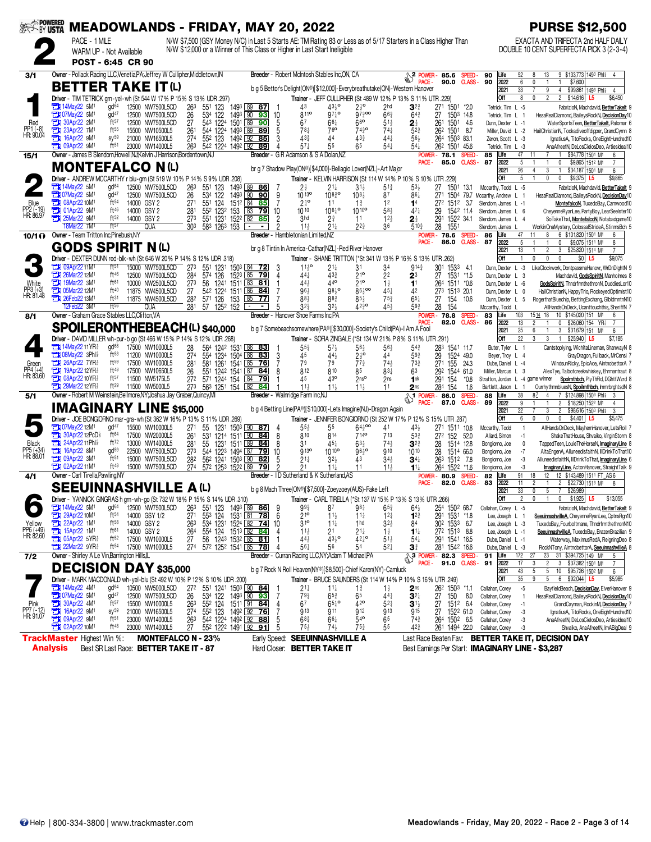| <b>SEEK BY USTA</b>              |                                                                                                          |                                              |                                      | <b>MEADOWLANDS - FRIDAY, MAY 20, 2022</b>                                                                                              |                                                    |                                                    |                                                                                                                                            |                                                |                                    |                                                |                                                                  |                                                   | <b>PURSE \$12,500</b>                                                                                                |
|----------------------------------|----------------------------------------------------------------------------------------------------------|----------------------------------------------|--------------------------------------|----------------------------------------------------------------------------------------------------------------------------------------|----------------------------------------------------|----------------------------------------------------|--------------------------------------------------------------------------------------------------------------------------------------------|------------------------------------------------|------------------------------------|------------------------------------------------|------------------------------------------------------------------|---------------------------------------------------|----------------------------------------------------------------------------------------------------------------------|
|                                  | PACE - 1 MILE                                                                                            |                                              |                                      | N/W \$7,500 (GSY Money N/C) in Last 5 Starts AE: TM Rating 83 or Less as of 5/17 Starters in a Class Higher Than                       |                                                    |                                                    |                                                                                                                                            |                                                |                                    |                                                |                                                                  |                                                   | EXACTA AND TRIFECTA 2nd HALF DAILY                                                                                   |
|                                  |                                                                                                          | WARM UP - Not Available<br>POST - 6:45 CR 90 |                                      | N/W \$12,000 or a Winner of This Class or Higher in Last Start Ineligible                                                              |                                                    |                                                    |                                                                                                                                            |                                                |                                    |                                                |                                                                  |                                                   | DOUBLE 10 CENT SUPERFECTA PICK 3 (2-3-4)                                                                             |
|                                  |                                                                                                          |                                              |                                      | Owner - Pollack Racing LLC.Venetia.PA:Jeffrey W Cullipher.Middletown.IN                                                                |                                                    |                                                    | Breeder - Robert McIntosh Stables Inc.ON, CA                                                                                               |                                                |                                    |                                                |                                                                  |                                                   |                                                                                                                      |
| 3/1                              |                                                                                                          |                                              |                                      |                                                                                                                                        |                                                    |                                                    |                                                                                                                                            |                                                |                                    | 2 POWER<br>PACF -                              | 85.6<br>SPEED-<br>90.0<br><b>CLASS-</b>                          | 90<br>52<br>Life<br>90<br>2022<br>6               | 9 \$133,773 1493 Phis<br>13<br>8<br>4<br>\$7,600<br>0                                                                |
|                                  | <b>BETTER TAKE IT (L)</b>                                                                                |                                              |                                      | Driver - TIM TETRICK grn-yel-wh (St 544 W 17% P 15% S 13% UDR .297)                                                                    |                                                    |                                                    | b q 5 Bettor's Delight(ON®)[\$12,000]-Everybreathutake(ON)-Western Hanover<br>Trainer - JEFF CULLIPHER (St 489 W 12% P 13% S 11% UTR .229) |                                                |                                    |                                                |                                                                  | 2021<br>33<br>Off<br>8                            | $\overline{9}$<br>\$99,861 1493 Phl<br>4<br>4<br>$\overline{2}$<br>$\overline{2}$<br>0<br>\$14,616<br>\$6,450<br>L5  |
|                                  | 14May22 5M                                                                                               | gd <sup>64</sup>                             | 12500 NW7500L5CD                     | 263<br>551<br>123                                                                                                                      | 1493 89 87                                         | 43                                                 | $43\frac{1}{2}$                                                                                                                            | $2\frac{1}{2}$ <sup>o</sup>                    | 2 <sub>hd</sub>                    | $3^{2}$                                        | 271 1501 *2.0                                                    | Tetrick, Tim L -5                                 | FabrizioN, Machdavid, Better Takelt 9                                                                                |
| Red                              | <b>Extra 07May22 5M1</b><br>30Apr22 2M1                                                                  | $d^{47}$<br>ft57                             | 12500 NW7500L5CD<br>12500 NW7500L5CD | 534 122<br>26<br>543 1224<br>27                                                                                                        | 1493 90<br>93<br>10<br>1501 L89<br>90<br>5         | 8110<br>67                                         | $97\frac{1}{4}$ o<br>66‡                                                                                                                   | $97\frac{3}{4}$ 00<br>66                       | $66\frac{3}{4}$<br>51}             | $64\frac{3}{4}$                                | 1503 148<br>27<br>261<br>1501<br>- 4.6                           | Tetrick, Tim L 1<br>Dunn, Dexter L -1             | HezaRealDiamond, BaileysRockN, DecisionDay10<br>WaterSportsTeen, BetterTakelt, Palomar 6                             |
| PP1 (-8)<br>HR: 90.04            | 23Apr22 7M1                                                                                              | ft55                                         | 15500 NW10500L5                      | 26 <sup>1</sup><br>1224<br>544                                                                                                         | 1493 89<br>5<br>89                                 | 781                                                | 76 <sup>o</sup>                                                                                                                            | $74^{30}$                                      | $74\frac{1}{4}$                    | 21<br>52 <sup>3</sup>                          | 262 1501 8.7                                                     | Miller, David L -2                                | HailChristianN, Tookadiveoffdipper, GrandCymn 8                                                                      |
|                                  | <b>THE 16Apr22 9M1</b><br><b>TH</b> 09Apr22 9M <sup>1</sup>                                              | $sy^{59}$<br>$ft^{51}$                       | 21000 NW16500L5<br>23000 NW14000L5   | 274<br>552 123<br>542 1224 1492 92<br>263                                                                                              | 1492 92<br>3<br>85<br>89                           | 433<br>$57\frac{1}{4}$                             | 44<br>55                                                                                                                                   | $43\frac{3}{4}$<br>65                          | 441<br>$54\frac{1}{4}$             | $56\frac{1}{2}$<br>$54\frac{1}{4}$             | 264 1503 83.1<br>262 1501 45.6                                   | Zeron, Scott L -3<br>Tetrick, Tim L -3            | IgnatiusA, TitoRocks, OneEightHundred10<br>AnaAfreetN, DeLosCielosDeo, ArtiesIdeal10                                 |
| 15/1                             | Owner - James B Slendorn.Howell.NJ:Kelvin J Harrison.Bordentown.NJ                                       |                                              |                                      |                                                                                                                                        |                                                    |                                                    | Breeder - G R Adamson & S A Dolan, NZ                                                                                                      |                                                |                                    |                                                | <b>POWER-78.1</b><br>SPEED-                                      | 47<br>85<br>Life                                  | \$84,778 1501 M1<br>11<br>6                                                                                          |
|                                  | <b>MONTEFALCO N(L)</b>                                                                                   |                                              |                                      |                                                                                                                                        |                                                    |                                                    | br g 7 Shadow Play(ON®)[\$4,000]-Bellagio Lover(NZL)-Art Major                                                                             |                                                |                                    | PACE -                                         | <b>CLASS-</b><br>85.0                                            | 2022<br>87<br>5<br>2021<br>26                     | \$9,865 1512 M1<br>0<br>$\mathbf{1}$<br>$\overline{7}$<br>3<br>\$34,187 1501 M1<br>4<br>6                            |
|                                  |                                                                                                          |                                              |                                      | Driver - ANDREW MCCARTHY r blu-grn (St 519 W 10% P 14% S 9% UDR .208)                                                                  |                                                    |                                                    | Trainer - KELVIN HARRISON (St 114 W 14% P 10% S 10% UTR .229)                                                                              |                                                |                                    |                                                |                                                                  | Off<br>5                                          | $\mathbf 0$<br>$\theta$<br>\$9,375<br>\$9,865<br>L <sub>5</sub>                                                      |
|                                  | 14May22 5M<br><b>T307May22 5M1</b>                                                                       | gd <sup>64</sup><br>gd <sup>47</sup>         | 12500 NW7500L5CD<br>12500 NW7500L5CD | 263<br>551 123<br>26<br>534 122                                                                                                        | 1493 89<br><u>86</u><br>1493 90<br>9<br>90         | $2\frac{1}{2}$<br>$10^{130}$                       | $21\frac{1}{4}$<br>$108^{30}_{4}$                                                                                                          | $31\frac{1}{2}$<br>$10^{8}$                    | $5^{13}$<br>87                     | $53\frac{1}{2}$<br>861                         | 27<br>1501<br>13.1<br>271<br>1504                                | Mccarthy, Todd L -5<br>79.7 Mccarthy, Andrew L    | FabrizioN, Machdavid, Better Takelt 9<br>HezaRealDiamond, BaileysRockN, DecisionDay10                                |
| Blue                             | <b>EM 08Apr22 10M1</b>                                                                                   | ft <sub>54</sub>                             | 14000 GSY 2                          | 551 124<br>271                                                                                                                         | 1512 84 85                                         | $2^{10}$                                           | 11                                                                                                                                         | $1\frac{3}{4}$                                 | 12                                 | 14                                             | 272 1512 3.7                                                     | Slendorn, James L -1                              | MontefalcoN, TuxedoBay, Camwood10                                                                                    |
| PP2 (-19)<br>HR: 86.97           | <b>External O1Apr22 9M1</b><br>Ħ<br>25Mar22 9M1                                                          | ft46<br>ft52                                 | 14000 GSY 2<br>14000 GSY 2           | 552 1232<br>28 <sup>1</sup><br>273<br>551 1231                                                                                         | 153 83 79<br>10<br>152 <sup>2</sup> L82<br>85<br>2 | 1010<br>3hd                                        | $106\frac{1}{4}$ <sup>o</sup><br>2∛                                                                                                        | 10 10 <sup>o</sup><br>11                       | $58\frac{1}{2}$<br>$12\frac{1}{2}$ | $47\frac{1}{4}$<br>2 ₹                         | 1542 11.4<br>29<br>291 1522 34.1                                 | Slendorn, James L 6<br>Slendorn, James L 4        | CheyenneRyanLee, PartyBoy, LearSeelster10<br>SoTakeThat, MontefalcoN, Notabadgame10                                  |
|                                  | 8Mar22 7M<br>Owner - Team Tritton Inc.Pinebush.NY                                                        | ft57                                         | QUA                                  | 303<br>583 1263 153                                                                                                                    | ٠.                                                 | $11\frac{1}{2}$                                    | $21\frac{1}{4}$                                                                                                                            | $2^{2^{3}}$                                    | 36                                 | $5^{10}$                                       | 28<br>155                                                        | Slendorn, James L<br>47                           | WorkinOnaMystery, ColossalStrideA, StinmsBch 5<br>6 \$101,820 1501 M1<br>11<br>8<br>6                                |
| 10/1 $\Omega$                    |                                                                                                          |                                              |                                      |                                                                                                                                        |                                                    | <b>Breeder</b> - Hambletonian Limited.NZ           |                                                                                                                                            |                                                |                                    | <b>POWER</b><br><b>PACE</b>                    | 78.6<br>SPEED-<br>CLASS-<br>86.0                                 | Life<br>86<br>87<br>2022<br>5                     | \$9,075 1511 M1<br>0<br>8                                                                                            |
|                                  | <b>GODS SPIRIT N(L)</b>                                                                                  |                                              |                                      | <b>Driver</b> - DEXTER DUNN red-blk-wh (St 646 W 20% P 14% S 12% UDR 318)                                                              |                                                    |                                                    | br g 8 Tintin In America-Cathar(NZL)-Red River Hanover<br>Trainer - SHANE TRITTON (*St 341 W 13% P 16% S 13% UTR .262)                     |                                                |                                    |                                                |                                                                  | 13<br>2021<br>Off                                 | $\overline{c}$<br>3<br>\$25,820 1514 M1<br>$\overline{7}$<br>$\mathbf 0$<br>$\mathbf{0}$<br>\$0 L5<br>\$9,075<br>0   |
|                                  | <b>11M1</b> 09Apr22 11M1                                                                                 | ft <sup>51</sup>                             | 15000 NW7500L5CD                     | 273<br>551 1231                                                                                                                        | 1503 84 72<br>3                                    | $11^{19}$                                          | 21‡                                                                                                                                        | 31                                             | 34                                 | $914\frac{3}{4}$                               | 301 1533<br>-41                                                  | Dunn, Dexter L -3                                 | LikeClockwork, DontpassmeHanovr, WrDnDlghtN 9                                                                        |
| White                            | <b>THE 26Mar22 12M1</b><br><b>THE 19Mar22 3M1</b>                                                        | ft <sup>46</sup><br>ft61                     | 12500 NW7500L5CD<br>10000 NW2500L5CD | 284<br>126<br>574<br>273<br>56<br>1241                                                                                                 | 1523 85 79<br>4<br>1511 83<br>81                   | 441<br>44}                                         | 43 <sup>3</sup><br>440                                                                                                                     | 210<br>210                                     | 22<br>$1\frac{1}{2}$               | 23<br>1 <sup>1</sup>                           | 27<br>1531<br>$*1.5$<br>264<br>1511 *0.6                         | Dunn, Dexter L 3<br>Dunn, Dexter L -6             | Machdavid, GodsSpiritN, Manholmes 8<br>GodsSpiritN. ThndrfrmthethronN. DuddiesLor10                                  |
| PP3 (+3)<br>HR: 81.48            | <b>EN 05Mar22 12M1</b>                                                                                   | ft40                                         | 11875 NW4500L5CD                     | 542 1224 1511 86<br>27                                                                                                                 | 84                                                 | 96}                                                | $98^{10}$                                                                                                                                  | $86\frac{1}{2}$ 00                             | 45+                                | 42                                             | 273 1513 20.1                                                    | Dunn, Dexter L 0                                  | HailChristianN, HappyTrio, RockeyedOptimist10                                                                        |
|                                  | <b>TEM</b> 26Feb22 13M <sup>1</sup><br>12Feb22 3M                                                        | ft31<br>ft56                                 | 11875 NW4500L5CD<br><b>QUA</b>       | 571 126<br>282<br>153<br>281<br>1252 152<br>57                                                                                         | $\lfloor 85 \rfloor$<br>77                         | 88}<br>$3^{2^{3}}$                                 | 883<br>$32\frac{1}{2}$                                                                                                                     | $85\frac{1}{2}$<br>4230                        | $75\frac{3}{4}$<br>454             | $65\frac{1}{4}$<br>59}                         | 27<br>154<br>10.6<br>28<br>154                                   | Dunn, Dexter L 5<br>Mccarthy, Todd L              | RogerthatBluechip, BettingExchang, GlbldmntnN10<br>AllHandsOnDeck, Ucanttouchthis, SheriffN 7                        |
| 8/1                              | Owner - Graham Grace Stables LLC, Clifton, VA                                                            |                                              |                                      |                                                                                                                                        |                                                    | <b>Breeder</b> - Hanover Shoe Farms Inc.PA         |                                                                                                                                            |                                                |                                    | <b>POWER</b>                                   | 78.8<br>SPEED-<br><b>CLASS-</b>                                  | 103<br>Life<br>83                                 | 18<br>1514<br>10 \$145,020 151 M <sup>1</sup><br>6                                                                   |
|                                  |                                                                                                          |                                              |                                      | <b>SPOILERONTHEBEACH(L) \$40,000</b>                                                                                                   |                                                    |                                                    | b g 7 Somebeachsomewhere(PA®)[\$30,000]-Society's Child(PA)-I Am A Fool                                                                    |                                                |                                    | <b>PACE</b>                                    | 82.0                                                             | 86<br>2022<br>13<br>25<br>2021                    | $\mathbf{0}$<br>\$26,060 154 YR <sub>2</sub><br>2<br>7<br>3<br>\$31,679 151 M <sup>1</sup><br>6<br>6                 |
|                                  |                                                                                                          | gd <sup>68</sup>                             |                                      | <b>Driver</b> - DAVID MILLER wh-pur-b go (St 466 W 15% P 14% S 12% UDR 268)                                                            |                                                    |                                                    | Trainer - SOFIA ZINGALE (*St 134 W 21% P 8% S 11% UTR .291)                                                                                |                                                |                                    |                                                |                                                                  | Off<br>22                                         | 3<br>\$25,940<br>3<br>L5<br>\$7,185                                                                                  |
|                                  | <b>THE 14May 22 11 YR</b><br><b>THI 08May22 3Phl?</b>                                                    | ft <sub>53</sub>                             | 17500 NW10000L5<br>11200 NW10000L5   | 28<br>564 1242 1531 86 83<br>554 1234 1504 86<br>274                                                                                   | 3<br>83                                            | 55}<br>45                                          | $57\frac{1}{2}$<br>44}                                                                                                                     | $56\frac{1}{2}$<br>$2\frac{1}{2}$ <sup>o</sup> | $56\frac{1}{2}$<br>44              | $5^{4}$<br>$59\frac{3}{4}$                     | 283 1541 11.7<br>29<br>1524 49.0                                 | Buter, Tyler L 1<br>Beyer, Troy L 4               | Cantstoplying, WichitaLineman, ShanwayN 8<br>GrayDragon, Fullback, MrCensi 7                                         |
| Green                            | $26$ Apr22 7YR<br><b>External 19Apr22 12YR</b>                                                           | ft59<br>ft48                                 | 17500 NW10000L5<br>17500 NW10650L5   | 581 1261 1541 85 76<br>281<br>26<br>551 1242 1541 87 84                                                                                | 7<br>8                                             | 79<br>812                                          | 79<br>810                                                                                                                                  | $77\frac{3}{4}$<br>85                          | $74\frac{1}{2}$<br>831             | $73\frac{3}{4}$<br>63                          | 155<br>27 <sup>1</sup><br>24.3<br>292 1544 61.0                  | Dube, Daniel L -4<br>Miller, Marcus L             | WindsunRicky, EpicAce, AintnobettorA 7                                                                               |
| PP4 (+4)<br>HR: 83.60            | 08Apr22 10 YR <sub>2</sub>                                                                               | ft57                                         | 11500 NW5175L5                       | 272<br>571 1244 154                                                                                                                    | 84<br>79                                           | 45                                                 | 43 <sup>o</sup>                                                                                                                            | 2n <sub>s</sub>                                | 2 <sub>ns</sub>                    | 1nk                                            | 291<br>154<br>$*0.8$                                             | Stratton, Jordan L -4 game winner                 | AlexTye, Talbotcreekwhiskey, Ehrmantraut 8<br>Spolrnthbch, PlyThFld, DGhttWzrd 8                                     |
| 5/1                              | $29$ Mar22 12YR $\frac{1}{2}$<br>Owner - Robert M Weinstein, Bellmore, NY; Joshua Jay Graber, Quincy, MI | ft29                                         | 11500 NW5000L5                       | 563 1251 154 82<br>273                                                                                                                 | 84                                                 | $11\frac{1}{2}$<br>Breeder - Walnridge Farm Inc.NJ | $11\frac{1}{2}$                                                                                                                            | 11 <sub>3</sub>                                | 11                                 | 2 <sub>ns</sub><br>$\sqrt{\frac{1}{n}}$ POWER- | 284 154<br>1.6<br>86.0<br><b>SPEED</b>                           | Bartlett, Jason L<br>Life<br>38<br>88             | OurrhythmnbluesN, Spoilrnthbch, ImmrbrghtsdN 8<br>7 \$124,898 1503 Phis<br>3<br>8Z<br>4                              |
|                                  | <b>IMAGINARY LINE \$15,000</b>                                                                           |                                              |                                      |                                                                                                                                        |                                                    |                                                    |                                                                                                                                            |                                                |                                    |                                                | 87.0<br><b>CLASS-</b>                                            | 89<br>2022<br>9                                   | $\overline{c}$<br>\$18,250 1522 M1<br>4                                                                              |
|                                  |                                                                                                          |                                              |                                      | Driver - JOE BONGIORNO mar-gra-wh (St 362 W 16% P 13% S 11% UDR 269)                                                                   |                                                    |                                                    | b g 4 Betting Line(PA®)[\$10,000]-Lets Imagine(NJ)-Dragon Again                                                                            |                                                |                                    |                                                | Trainer - JENNIFER BONGIORNO (St 252 W 17% P 12% S 15% UTR .287) | 2021<br>22<br>Off<br>6                            | 3<br>$\overline{c}$<br>\$98,616 1503 Phl<br>3<br>0<br>$\mathbf 0$<br>\$4,401<br>0<br>L <sub>5</sub><br>\$5,475       |
|                                  | 73 07May 22 12M <sup>1</sup>                                                                             | $qd^{47}$                                    | 15500 NW10000L5                      | 271<br>55                                                                                                                              | 1231 1503 90 87                                    | $55\frac{1}{2}$                                    | 55                                                                                                                                         | $64\frac{1}{2}$ 00                             | 41                                 | $43\frac{1}{2}$                                | 271 1511 10.8                                                    | Mccarthy, Todd                                    | $\mathbf{1}$<br>AllHandsOnDeck, MayhemHanover, LetsRoll 7                                                            |
| Black                            | <b>THE 30Apr22 12PcD</b><br>24Apr22 11Phl <sup>§</sup>                                                   | ft64<br>ft72                                 | 17500 NW20000L5<br>13000 NW14000L5   | $26^{\circ}$<br>531 1214 1511 90<br>55<br>281                                                                                          | 8<br><u>84   </u><br>1231 1511 89 84<br>8          | 810<br>31                                          | 814<br>$45\frac{1}{4}$                                                                                                                     | <b>714°</b><br>$63\frac{1}{2}$                 | 713<br>$74\frac{1}{2}$             | $5^{3}{}_{4}^{3}$<br>$3^{23}$                  | 272 152<br>52.0<br>1514 12.8<br>28                               | Allard, Simon<br>Bongiorno, Joe                   | $-1$<br>ShakeThatHouse, Shvaiko, VirginStorm 8<br>$\mathbf{0}$<br>TappedTeen, LouieTheHorseN, <i>maginaryLine</i> 8  |
| PP5 (+34)<br>HR: 88.01           | 16Apr22 8M1<br>CH<br><b>THE 09Apr22 3M1</b>                                                              | gd <sup>59</sup><br>ft <sub>51</sub>         | 22500 NW7500L5CD<br>15000 NW7500L5CD | 544 1223 1494 87 79<br>273                                                                                                             | 10                                                 | 913 <sup>o</sup>                                   | 10 10 <sup>o</sup>                                                                                                                         | $96\frac{1}{2}$                                | 910                                | 1010                                           | 28<br>1514 66.0                                                  | Bongiorno, Joe                                    | AltaEngenA, AlluneedisfaithN, IllDrinkToThat10<br>$-7$                                                               |
|                                  | <b>THE 02Apr2211M1</b>                                                                                   | ft48                                         | 15000 NW7500L5CD                     | 282<br>562 1241 1503 90<br>274<br>572 1253 1522 89                                                                                     | 82<br>5<br>ŋ<br>79                                 | $21\frac{1}{4}$<br>21                              | $32\frac{1}{2}$<br>$11\frac{1}{4}$                                                                                                         | 43<br>11                                       | $34\frac{1}{2}$<br>$11\frac{1}{2}$ | $34\frac{1}{4}$<br>$11\frac{1}{4}$             | 263 1512 7.8<br>264 1522 *1.6                                    | Bongiorno, Joe<br>Bongiorno, Joe                  | -3<br>AlluneedisfaithN, IIIDrinkToThat, ImaginaryLine 6<br>-3<br><b>ImaginaryLine</b> , ActonHanover, StraightTalk 9 |
| 4/1                              | Owner - Carl Tirella, Pawling, NY                                                                        |                                              |                                      |                                                                                                                                        |                                                    |                                                    | Breeder - ID Sutherland & K Sutherland, AS                                                                                                 |                                                |                                    | <b>POWER</b><br>PACE -                         | 80.9<br><b>SPEED</b><br>82.0<br><b>CLASS-</b>                    | 91<br>Life<br>82<br>83<br>2022<br>11              | 12 \$143,489 1511 FT_AS 6<br>18<br>12<br>$\overline{2}$<br>\$22,730 1513 M1<br>$\mathbf{1}$<br>8                     |
|                                  | <b>SEEUINNASHVILLE A (L)</b>                                                                             |                                              |                                      |                                                                                                                                        |                                                    |                                                    | b q 8 Mach Three(ON®)[\$7,500]-Zoeyzoey(AUS)-Fake Left                                                                                     |                                                |                                    |                                                |                                                                  | 2021<br>33                                        | 5<br>\$26,989<br>7<br>0                                                                                              |
|                                  | <b>EN 14May22 5M1</b>                                                                                    | gd <sup>64</sup>                             | 12500 NW7500L5CD                     | Driver - YANNICK GINGRAS higrn-wh-go (St 732 W 18% P 15% S 14% UDR .310)<br>263<br>551 123 1493 89 86                                  | 9                                                  | $99\frac{3}{4}$                                    | Trainer - CARL TIRELLA (*St 137 W 15% P 13% S 13% UTR .266)<br>87                                                                          | 98‡                                            | $65\frac{3}{4}$                    | $64\frac{1}{2}$                                | 254 1502 68.7                                                    | Off<br>Callahan, Corey L -5                       | 0<br>0<br>$$1,925$ L5<br>\$13,055<br>FabrizioN, Machdavid, Better Takelt 9                                           |
|                                  | 29Apr22 10M1                                                                                             | $ft^{54}$                                    | 14000 GSY 1/2                        | 271<br>553 124                                                                                                                         | 1531 81 78<br>6                                    | $21^{\circ}$                                       | $11\frac{1}{2}$                                                                                                                            | $11\frac{1}{4}$                                | $12\frac{1}{4}$                    | $1^{2}$                                        | 291 1531 *1.8                                                    | Lee, Joseph L 1                                   | SeeuinnashvilleA, CheyenneRyanLee, CptnsRqn10                                                                        |
| Yellow<br>PP6 (+49)<br>HR: 82.60 | 22Apr22 1M1<br>1M <sup>1</sup>                                                                           | $ft^{58}$<br>ft61                            | 14000 GSY 2<br>14000 GSY 2           | 534 1231 1524 82 74<br>263<br>264                                                                                                      | 10                                                 | 310<br>$11\frac{1}{2}$                             | $11\frac{1}{4}$                                                                                                                            | 1 <sub>hd</sub>                                | $3^{2}$<br>$1\frac{1}{2}$          | 84<br>$1^{11}$                                 | 30 <sup>2</sup> 153 <sup>3</sup> 6.7                             | Lee, Joseph L -3<br>Lee, Joseph L -1              | TuxedoBay, Fourboltmane, ThndrfrmthethronN10<br>SeeuinnashvilleA, TuxedoBay, BrazenBrazilian 9                       |
|                                  | <b>EX 05Apr22 5YR</b>                                                                                    | $ft^{52}$                                    | 17500 NW10000L5                      | 554 124 1513 82 84<br>56 1243 1532 85 81<br>27                                                                                         |                                                    | $44\frac{1}{2}$                                    | $21$<br>$43\frac{1}{2}$ o                                                                                                                  | $2^{11}_{42}$<br>42 <sup>1</sup>               | $51\frac{1}{2}$                    | $54\frac{1}{4}$                                | 272 1513 8.8<br>291 1541 16.5                                    | Dube, Daniel L -1                                 | Waterway, MaximusRedA, ReigningDeo 8                                                                                 |
| $7/2$                            | $22$ Mar22 $9YR\frac{1}{2}$<br>Owner - Shirley A Le Vin, Barrington Hills, IL                            | $ft^{54}$                                    | 17500 NW10000L5                      | 274<br>572 1252 1541 85 78                                                                                                             |                                                    | 56‡                                                | 56<br>Breeder - Curran Racing LLC,NY;Adam T Michael,PA                                                                                     | 54                                             | $5^{2}$                            | 3 <sup>3</sup>                                 | 281 1542 16.6<br><b>A</b> 3 POWER - 82.3<br>SPEED-               | Dube, Daniel L -3<br>91<br>Life<br>172            | RockNTony, AintnobettorA, SeeuinnashvilleA 8<br>23<br>31 \$394,725 149 M1<br>27<br>5                                 |
|                                  | <b>DECISION DAY \$35,000</b>                                                                             |                                              |                                      |                                                                                                                                        |                                                    |                                                    | b g 7 Rock N Roll Heaven(NY®)[\$8,500]-Chief Karen(NY)-Camluck                                                                             |                                                |                                    | PACE -                                         | 91.0<br><b>CLASS-</b>                                            | 91<br>2022<br>17<br>2021<br>43                    | $\overline{2}$<br>3 \$37,382 1501 M1<br>$\overline{7}$<br>5<br>10 \$95,726 1502 M1<br>5<br>6                         |
|                                  |                                                                                                          |                                              |                                      | Driver - MARK MACDONALD wh-yel-blu (St 492 W 10% P 12% S 10% UDR .200)                                                                 |                                                    |                                                    | <b>Trainer - BRUCE SAUNDERS (St 114 W 14% P 10% S 16% UTR 249)</b>                                                                         |                                                |                                    |                                                |                                                                  | $35\,$<br>Off                                     | $5\phantom{.0}$<br>9<br>6 \$92,044<br>\$5,985<br>L5                                                                  |
|                                  | <b>TEM</b> 14May22 4M <sup>1</sup><br><b>Extra 07May22 5M1</b>                                           | gd <sup>64</sup><br>gd <sup>47</sup>         | 10500 NW5000L5CD<br>12500 NW7500L5CD | 551 1241 1503 90 84<br>272<br>534 122<br>26                                                                                            | 1493 90 93<br>-7                                   | $21\frac{1}{4}$<br>793                             | $11\frac{1}{4}$<br>$65\frac{3}{4}$                                                                                                         | $1\frac{3}{4}$<br>65                           | $1\frac{1}{2}$<br>441              | $2^{\text{ns}}$<br>$3^{2+}$                    | 262 1503 *1.1<br>27<br>150<br>8.0                                | Callahan, Corey<br>Callahan, Corey                | $-5$<br>BayfieldBeach, DecisionDay, ElverHanover 9<br>HezaRealDiamond, BaileysRockN, DecisionDay10                   |
| Pink                             | 30Apr22 4M <sup>1</sup>                                                                                  | ft57                                         | 15500 NW10000L5                      | 263<br>552 124                                                                                                                         | 1511 91 84<br>4                                    | 67                                                 | $65\frac{1}{4}$ <sup>o</sup>                                                                                                               | 42 <sup>o</sup>                                | $5^{2}$                            | $\mathbf{3}^{1\frac{1}{2}}$                    | 27<br>1512 6.4                                                   | Callahan, Corey                                   | GrandCayman, RockinM, DecisionDay 7<br>$-1$                                                                          |
| PP7 (-12)<br>HR: 91.07           | 16Apr22 9M1<br><b>THE 09Apr22 9M1</b>                                                                    | $sy^{59}$<br>$ft^{51}$                       | 21000 NW16500L5<br>23000 NW14000L5   | 27 <sup>4</sup><br>55 <sup>2</sup> 123 149 <sup>2</sup> 92 <b>76</b><br>54 <sup>2</sup> 122 <sup>4</sup> 149 <sup>2</sup> 92 88<br>263 | 5                                                  | 913<br>$68\frac{3}{4}$                             | 911<br>66‡                                                                                                                                 | 912<br>$54$ <sup>o</sup>                       | 913<br>6 <sup>5</sup>              | 915<br>$74\frac{3}{4}$                         | 1522 61.0<br>27<br>264 1502 6.5                                  | Callahan, Corey<br>Callahan, Corey                | IgnatiusA, TitoRocks, OneEightHundred10<br>-3<br>-3<br>AnaAfreetN, DeLosCielosDeo, ArtiesIdeal10                     |
|                                  | <b>EX 02Apr22 10M1</b>                                                                                   | ft48                                         | 23000 NW14000L5                      | 27<br>552 1222 1491 92 91                                                                                                              | 5                                                  | $75\frac{1}{2}$                                    | 74}                                                                                                                                        | $75\frac{3}{4}$                                | 55                                 | $42\frac{3}{4}$                                | 261 1494 22.0                                                    | Callahan, Corey<br>-3                             | Shvaiko, AnaAfreetN, ImABigDeal 9                                                                                    |
|                                  | <b>TrackMaster Highest Win %:</b>                                                                        |                                              |                                      | <b>MONTEFALCO N - 23%</b>                                                                                                              |                                                    |                                                    | Early Speed: SEEUINNASHVILLE A                                                                                                             |                                                |                                    |                                                |                                                                  |                                                   | Last Race Beaten Fav: BETTER TAKE IT, DECISION DAY                                                                   |
|                                  | Analysis                                                                                                 |                                              |                                      | Best SR Last Race: BETTER TAKE IT - 87                                                                                                 |                                                    |                                                    | Hard Closer: BETTER TAKE IT                                                                                                                |                                                |                                    |                                                |                                                                  | Best Earnings Per Start: IMAGINARY LINE - \$3,287 |                                                                                                                      |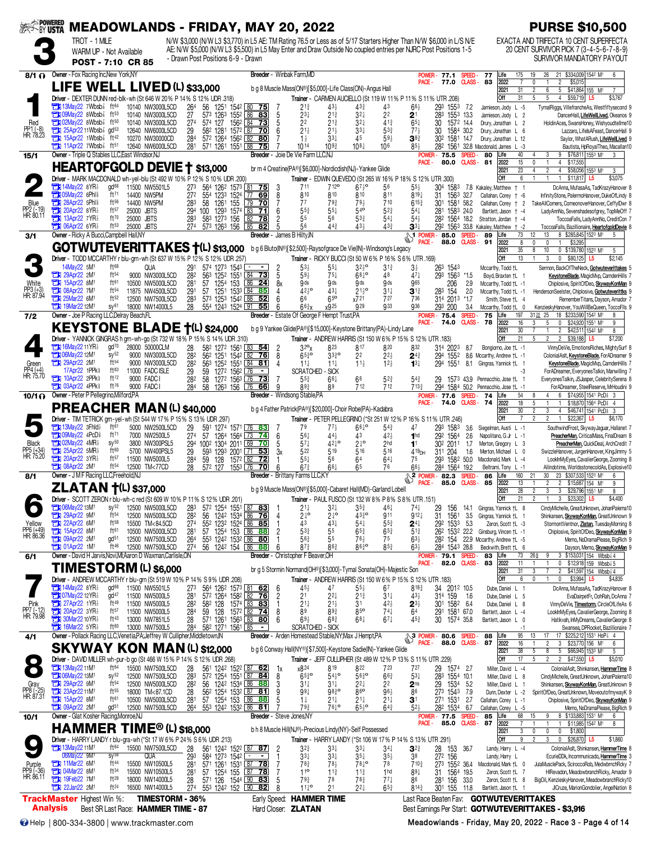| <b>EXAPOWERED</b>                 |                                                                                                                     |                                                               |                                       |                          | <b>MEADOWLANDS - FRIDAY, MAY 20, 2022</b>                                                             |            |                                    |                              |                                                                                                   |                |                                                |                                                 |                                                                    |                                    |                                                                                |                                                                                                                                                                                                                                          |                         |                                                                        | <b>PURSE \$10,500</b>                                                                                                         |
|-----------------------------------|---------------------------------------------------------------------------------------------------------------------|---------------------------------------------------------------|---------------------------------------|--------------------------|-------------------------------------------------------------------------------------------------------|------------|------------------------------------|------------------------------|---------------------------------------------------------------------------------------------------|----------------|------------------------------------------------|-------------------------------------------------|--------------------------------------------------------------------|------------------------------------|--------------------------------------------------------------------------------|------------------------------------------------------------------------------------------------------------------------------------------------------------------------------------------------------------------------------------------|-------------------------|------------------------------------------------------------------------|-------------------------------------------------------------------------------------------------------------------------------|
|                                   |                                                                                                                     | TROT - 1 MILE<br>WARM UP - Not Available<br>POST - 7:10 CR 85 |                                       |                          |                                                                                                       |            | - Drawn Post Positions 6-9 - Drawn |                              |                                                                                                   |                |                                                |                                                 |                                                                    |                                    |                                                                                | N/W \$3,000 (N/W L3 \$3,770) in L5 AE: TM Rating 76.5 or Less as of 5/17 Starters Higher Than N/W \$6,000 in L/S N/E<br>AE: N/W \$5,000 (N/W L3 \$5,500) in L5 May Enter and Draw Outside No coupled entries per NJRC Post Positions 1-5 |                         |                                                                        | EXACTA AND TRIFECTA 10 CENT SUPERFECTA<br>20 CENT SURVIVOR PICK 7 (3-4-5-6-7-8-9)<br>SURVIVOR MANDATORY PAYOUT                |
|                                   | 8/1 @ Owner - Fox Racing Inc, New York, NY                                                                          |                                                               |                                       |                          |                                                                                                       |            |                                    |                              |                                                                                                   |                | Breeder - Winbak Farm, MD                      |                                                 |                                                                    |                                    | <b>POWER</b>                                                                   | 77.1                                                                                                                                                                                                                                     | SPEED-                  | 175<br>77<br>Life                                                      | 21 \$334,009 1542 M1<br>19<br>26                                                                                              |
|                                   |                                                                                                                     |                                                               |                                       |                          | LIFE WELL LIVED (L) \$33,000                                                                          |            |                                    |                              |                                                                                                   |                |                                                |                                                 | b g 8 Muscle Mass(ON®)[\$5,000]-Life Class(ON)-Angus Hall          |                                    | PACE -                                                                         | 77.0 CLASS-                                                                                                                                                                                                                              |                         | 2022<br>83<br>7<br>2021<br>31                                          | \$5,015<br>0<br>$\overline{c}$<br>$\overline{c}$<br>6<br>5 <sub>5</sub><br>\$41,864 155 M                                     |
|                                   | <b>The 13May22 7Wbsb</b> <sup>2</sup> ft <sup>64</sup>                                                              |                                                               |                                       |                          | Driver - DEXTER DUNN red-blk-wh (St 646 W 20% P 14% S 12% UDR 318)<br>10140 NW3000L5CD                | 264        | 56                                 |                              | 1251 1542 80 75                                                                                   |                | $2^{13}$                                       | $43\frac{1}{2}$                                 | 433                                                                | 43                                 | $66\frac{1}{2}$                                                                | Trainer - CARMEN AUCIELLO (St 119 W 11% P 11% S 11% UTR .208)<br>293 1553                                                                                                                                                                | - 7.2                   | Off<br>31<br>Jamieson, Jody L -5                                       | 5<br>$\overline{4}$<br>\$59,719<br>\$3,767<br>5<br>TymalRiggs, VillefrancheAs, Westfiftysecond 9                              |
| Red                               | $\frac{1}{2}$ 09May22 8Wbsb $\frac{1}{2}$ ft <sup>53</sup><br><b>TH</b> 02May22 8Wbsb <sup>2</sup> ft <sup>50</sup> |                                                               |                                       |                          | 10140 NW3000L5CD<br>10140 NW3000L5CD                                                                  | 27<br>274  | 573 1263<br>574 127                | 1552 86<br>1562 84           | 83<br>73                                                                                          | 5              | $2^{3}\frac{1}{4}$<br>22                       | $21\frac{3}{4}$<br>$2^{1\frac{3}{4}}$           | $3^{2+}$<br>$3^{2}$                                                | 2 <sup>2</sup><br>$41\frac{3}{4}$  | 2 <sup>1</sup><br>$65\frac{1}{4}$                                              | 1553 13.3<br>283<br>30<br>1572 144                                                                                                                                                                                                       |                         | Jamieson, Jody L 2<br>Drury, Jonathan L 2                              | DancerHall, LifeWellLived, Okeanos 9<br>HoldinAces, SwansHoney, Wishyoudtellme10                                              |
| PP1 (-8)<br>HR: 78.23             | 25Apr2211Wbsb dd <sup>53</sup><br>15Apr22 1Wbsb ft <sup>42</sup>                                                    |                                                               |                                       |                          | 12640 NW6000L5CD<br>10270 NW30000CD                                                                   | 29<br>284  | 582 1281 1572 87                   |                              | <u>70 </u><br>572 1264 1562 82 80                                                                 | 6              | $21\frac{1}{2}$<br>$1\frac{1}{2}$              | $21\frac{1}{2}$<br>$3^{3+}$                     | $33\frac{1}{4}$<br>45                                              | $5^{3}$<br>$59\frac{1}{2}$         | $77\frac{1}{2}$<br>$3^{8}$                                                     | 30<br>1584 30.2<br>302 1581 14.7                                                                                                                                                                                                         |                         | Drury, Jonathan L 6<br>Drury, Jonathan L 12                            | Lazzaro, LifelsAFeast, DancerHall 9<br>Saylor, WhatARush, LifeWellLived 9                                                     |
| 15/1                              | <b>The 11Apr22 7Wbsb</b> <sup>2</sup> ft <sup>51</sup><br>Owner - Triple Q Stables LLC.East Windsor.NJ              |                                                               |                                       |                          | 12640 NW6000L5CD                                                                                      | 281        | 571 1261 1551 88                   |                              | 75                                                                                                |                | 1014<br>Breeder - Joie De Vie Farm LLC.NJ      | $109\frac{3}{4}$                                | $10^{8}$                                                           | 106                                | $85+$                                                                          | 282<br>POWER- 75.5                                                                                                                                                                                                                       | SPEED-                  | 1561 32.8 Macdonald, James<br>$L - 3$<br>80<br>Life<br>40              | Bautista, HpRoyalTheo, Macallan10<br>\$76.811 1553 M1<br>3<br>9<br>3<br>4                                                     |
|                                   |                                                                                                                     |                                                               |                                       |                          | HEARTOFGOLD DEVIE + \$13,000                                                                          |            |                                    |                              |                                                                                                   |                |                                                |                                                 | br m 4 Creatine(PA®)[\$6,000]-Nordicdish(NJ)-Yankee Glide          |                                    | <b>PACE</b>                                                                    | 80.0                                                                                                                                                                                                                                     | <b>CLASS-</b>           | 15<br>81<br>2022<br>$\overline{23}$<br>2021                            | 0<br>$\overline{4}$<br>\$17,555<br>$\mathbf{1}$<br>$\overline{2}$<br>\$58,056 1553 M1<br>$\overline{4}$<br>4<br>3             |
|                                   | $\mathbb{Z}$ 14May22 8YR                                                                                            |                                                               | gd <sup>68</sup>                      |                          | Driver - MARK MACDONALD wh-yel-blu (St 492 W 10% P 12% S 10% UDR .200)<br>11500 NW5501L5              | 273        |                                    |                              | 564 1262 1573 81 75                                                                               |                | 711                                            | $712$ <sup>o</sup>                              | $67\frac{1}{2}$ <sup>o</sup>                                       | 56                                 | Trainer - EDWIN QUEVEDO (St 265 W 16% P 18% S 12% UTR .300)<br>$55\frac{1}{2}$ | 304                                                                                                                                                                                                                                      |                         | Off<br>6<br>1583 7.8 Kakaley, Matthew<br>$+$ 1                         | \$11,817<br>$\mathbf{1}$<br>$\mathbf{1}$<br>\$3,075<br>L5<br>DcAnna, MufasaAs, TadKrazyHanover 8                              |
| Blue                              | <b>EN 05May22 6Phl</b><br><b>THE 28Apr22 5Phls</b>                                                                  |                                                               | ft71<br>ft56                          |                          | 14400 NW5PM<br>14400 NW5PM                                                                            | 272<br>283 | 554 1233 1524 77<br>58             |                              | 69<br>1261 155 79 70                                                                              | 8              | 810<br>77                                      | 810<br>79 <sub>3</sub>                          | 810<br>79,                                                         | 811<br>710                         | $8^{19}$<br>$6^{15}$                                                           | 31<br>1563 32.7<br>1581 58.2<br>30 <sup>1</sup>                                                                                                                                                                                          |                         | Callahan, Corey<br>$+ -6$<br>$+2$<br>Callahan, Corey                   | InfinityStone, PalermoHanover, DukeOfLindy 8<br>TakeAllComers, ComeonoverHanover, CeffylDwr 8                                 |
| PP2 (-19)<br>HR: 80.11            | <b>TEM</b> 20Apr22 8YR<br><b>TEM</b> 13Apr22 7YR <sub>2</sub>                                                       |                                                               | ft57<br>ft70                          | 25000 JBTS<br>25000 JBTS |                                                                                                       | 294<br>283 | 100<br>583 1273 156                | 1293 1574 83                 | 71<br>82<br>78                                                                                    |                | $55\frac{3}{4}$<br>55                          | $55\frac{1}{4}$<br>56                           | $54$ <sup>o</sup><br>533                                           | $5^{2^{3}}$<br>$54\frac{1}{4}$     | $54\frac{1}{4}$<br>$54\frac{1}{2}$                                             | 281<br>1583 24.0<br>282 1564 182                                                                                                                                                                                                         |                         | Bartlett, Jason + -4<br>Stratton, Jordan<br>$+ -4$                     | LadyAnnNo, Sevenshadesofgrey, TopMeOff 7<br>ToccoaFalls, LadyAnnNo, CreditCon 7                                               |
|                                   | $106$ Apr22 6YR<br>Owner - Ricky A Bucci, Campbell Hall, NY                                                         |                                                               | $ft^{53}$                             | 25000 JBTS               |                                                                                                       | 274        | 573 1263 156                       |                              | $\lfloor 85 \rfloor$<br>82                                                                        | 5              | 56<br>Breeder - James B Hilty, IN              | $44\frac{3}{4}$                                 | 431                                                                | 43 <sup>3</sup>                    | $3^{3+}$                                                                       |                                                                                                                                                                                                                                          | <b>SPEED</b>            | 292 1563 33.8 Kakaley, Matthew<br>$+ -2$<br>73<br>89<br>Life           | ToccoaFalls, Bazillionaire, HeartofgoldDevie 8<br>13<br>8 \$285,845 1523 M1<br>12<br>5                                        |
| 3/1                               |                                                                                                                     |                                                               |                                       |                          | GOTWUTEVERITTAKES †(L) \$13,000 bg 6 Bluto(IN®)[\$2,500]-Raysofgrace De Vie(IN)-Windsong's Legacy     |            |                                    |                              |                                                                                                   |                |                                                |                                                 |                                                                    |                                    | PACE -                                                                         | $\frac{1}{2}$ POWER - 85.0<br>88.0 CLASS- 91                                                                                                                                                                                             |                         | 2022<br>8<br>35<br>2021                                                | $\theta$<br>\$3,295<br>$\Omega$<br>8<br>10<br>0 \$139,780 1523 M1<br>5                                                        |
|                                   |                                                                                                                     | 14Mav22 5M1                                                   | ft68                                  |                          | Driver - TODD MCCARTHY r blu-grn-wh (St 637 W 15% P 12% S 12% UDR .257)<br><b>QUA</b>                 |            |                                    |                              | $\sim$                                                                                            |                |                                                |                                                 |                                                                    |                                    | Trainer - RICKY BUCCI (St 50 W 6% P 16% S 6% UTR .169)                         |                                                                                                                                                                                                                                          |                         | Off<br>13<br>Mccarthv. Todd <sup>+</sup> L                             | $\mathbf{0}$<br>\$80,125<br>3<br>L5<br>\$2,145                                                                                |
|                                   | <b>THE 29Apr22 2M1</b>                                                                                              |                                                               | ft54<br>ft61                          |                          | 9000 NW3000L5CD                                                                                       | 291<br>282 | 574 1273 1543                      |                              | 563 1252 1551 84 73                                                                               | 5              | 53)<br>$59\frac{1}{2}$                         | $55\frac{1}{4}$<br>$75\frac{1}{4}$              | $3^{24}$ °<br>$68^{10}$                                            | $3^{13}$<br>48                     | $3\frac{1}{2}$<br>47 <sub>7</sub>                                              | 263 1543<br>293 1563                                                                                                                                                                                                                     | $*1.5$                  | Boyd, Braxten +L 1                                                     | Sermon, BackOfTheNeck, Gotwuteverittakes<br>KeystoneBlade, MagicMvp, CamdenHills                                              |
| White<br>PP3 (+3)<br>HR: 87.94    | <b>EX 15Apr22 8M1</b><br><b>EN 08Apr22 7M1</b><br><b>TEM</b> 25Mar22 6M <sup>1</sup>                                |                                                               | $ft^{54}$<br>ft52                     |                          | 10500 NW5000L5CD<br>11875 NW4500L5CD                                                                  | 281<br>291 | 57                                 |                              | 57 1254 153 86 24<br>1251 1533 84 85                                                              | 8x<br>4        | 9 <sub>ds</sub><br>4210                        | 9ds<br>$43\frac{1}{4}$                          | 9 <sub>ds</sub><br>$21^{10}_{2}$                                   | .g ds<br>$31\frac{1}{4}$           | 965<br>$3^{12}$                                                                | 206<br>154<br>283                                                                                                                                                                                                                        | 2.9<br>2.0              | Mccarthy, Todd +L -1<br>Mccarthy, Todd +L -1                           | Chiplosive, SpiritOfDeo, SkywayKonMan<br>HendersonSeelster, Chiplosive, Gotwuteverittks                                       |
|                                   | <b>19Mar22 12M1</b>                                                                                                 |                                                               | SV <sup>61</sup>                      |                          | 12500 NW7500L5CD<br>18000 NW14000L5                                                                   | 283<br>28  |                                    |                              | 573 1253 1542 88 52<br>554 1243 1524 91 55                                                        |                | 66<br>663x                                     | 65 <sup>o</sup><br><sub>x</sub> 925             | x721<br>929                                                        | 727<br>Q33                         | 736<br>936                                                                     | 314 2013 *17<br>293 200                                                                                                                                                                                                                  | 3.4                     | Smith, Steve +L 4<br>Mccarthy, Todd +L 0                               | RememberTitans, Dayson, Amador<br>KenzieskyHanover, YouWillBeQueen, ToccoFlls 9                                               |
| 7/2                               | Owner - Joe P Racing LLC, Delray Beach, FL                                                                          |                                                               |                                       |                          | <b>KEYSTONE BLADE +(L) \$24,000</b>                                                                   |            |                                    |                              |                                                                                                   |                | Breeder - Estate Of George F Hempt Trust, PA   |                                                 | b g 9 Yankee Glide(PA®)[\$15,000]-Keystone Brittany(PA)-Lindy Lane |                                    | PACE -                                                                         | POWER- 75.4<br>74.0                                                                                                                                                                                                                      | <b>SPEED</b><br>CLASS-  | Life<br>197<br>75<br>78<br>2022<br>16                                  | 3122 25<br>18 \$233,590 1542 M1<br>8<br>3<br>5<br>0<br>\$24,920 1551 M1<br>9                                                  |
|                                   |                                                                                                                     |                                                               |                                       |                          | Driver - YANNICK GINGRAS h grn-wh-go (St 732 W 18% P 15% S 14% UDR 310)                               |            |                                    |                              |                                                                                                   |                |                                                |                                                 |                                                                    |                                    | Trainer - ANDREW HARRIS (St 150 W 6% P 15% S 12% UTR .183)                     |                                                                                                                                                                                                                                          |                         | 2021<br>30<br>Off<br>21                                                | $\overline{2}$<br>\$42,511 1542 M<br>8<br>5<br>$\overline{2}$<br>$\overline{2}$<br>\$39,188<br>\$7,200<br>L5                  |
|                                   | <b>Ext 16May22 11YR</b><br><b>Ext 06May22 12M1</b>                                                                  |                                                               | gd <sup>70</sup><br>SV <sup>52</sup>  |                          | 28000 50000CLM<br>9000 NW3000L5CD                                                                     | 28<br>282  |                                    |                              | 58 <sup>2</sup> 127 <sup>2</sup> 156 <sup>1</sup> 83 <b>54</b><br>56 <sup>2</sup> 1251 1542 82 76 | 8              | $32^{\circ}$<br>$65\frac{3}{4}$ <sup>o</sup>   | 823<br>$33^{30}_{4}$                            | 817<br>22                                                          | 820<br>$2^{2}$                     | 832<br>$2^{4}$                                                                 | 314 2023<br>294 1552                                                                                                                                                                                                                     | 8.7                     | Bongiorno, Joe +L -1<br>8.6 Mccarthy, Andrew +L -1                     | VinnyDeVie, EmotionsRiches, MightySurf 8<br>ColonialAslt, KeystoneBlade, ForADreamer 9                                        |
| Green<br>PP4 (+4)<br>HR: 75.70    | <b>T1 29Apr22 2M1</b>                                                                                               | 17Apr22 1PPk <sup>§</sup>                                     | ft54<br>$ft^{83}$                     |                          | 9000 NW3000L5CD<br>11000 FADC ISLE                                                                    | 282<br>29  | 563<br>59                          | 1252 1551 84<br>1272 1562 76 | 81<br>$\blacksquare$                                                                              | 4              | $11\frac{1}{4}$<br><b>SCRATCHED</b>            | $11\frac{1}{4}$<br>· SICK                       | $11\frac{1}{2}$                                                    | 12 <sub>3</sub>                    | $1^{3}$                                                                        | 294 1551                                                                                                                                                                                                                                 | 81                      | Gingras, Yannick †L 1<br>-3                                            | KeystoneBlade, MagicMvp, CamdenHills<br>For ADreamer, Everyones Talkin, Manwilling 7                                          |
|                                   | <b>The 10Apr22 2PPk<sup>§</sup></b><br><b>THE 03Apr22 4PPk<sup>§</sup></b>                                          |                                                               | ft72<br>ft76                          |                          | 9000 FADC1<br>9000 FADC I                                                                             | 282<br>284 | 58 1272 1563 76<br>58 1263 156 76  |                              | $\overline{73}$<br>66                                                                             |                | $5^{53}$<br>893                                | $66\frac{1}{4}$<br>89                           | 66<br>712                                                          | $52\frac{3}{4}$<br>712             | $54\frac{3}{4}$<br>7133                                                        | 29<br>294                                                                                                                                                                                                                                |                         | 1573 43.9 Pennacchio, Jose †L 1<br>1584 50.2 Pennacchio, Jose †L -1    | EveryonesTalkin, JSJasper, CelebritySerena 8<br>ForADreamer, SteelReserve, MrHoudini 9                                        |
| 10/1 0                            | Owner - Peter P Pellegrino, Milford, PA                                                                             |                                                               |                                       |                          | <b>PREACHER MAN(L) \$40,000</b>                                                                       |            |                                    |                              |                                                                                                   |                | <b>Breeder</b> - Windsong Stable, PA           |                                                 |                                                                    |                                    | PACE -                                                                         | <b>POWER-77.6</b><br>74.0                                                                                                                                                                                                                | SPEED-                  | 54<br>74<br>Life<br><b>CLASS-74</b><br>2022<br>18                      | \$74,955 1541 PcD 3<br>6<br>4<br>5<br>\$18,870   1564 PcD   4                                                                 |
|                                   |                                                                                                                     |                                                               |                                       |                          | Driver - TIM TETRICK grn-yel-wh (St 544 W 17% P 15% S 13% UDR 297)                                    |            |                                    |                              |                                                                                                   |                |                                                |                                                 | b g 4 Father Patrick(PA®)[\$20,000]-Choir Robe(PA)-Kadabra         |                                    |                                                                                | Trainer - PETER PELLEGRINO (*St 251 W 12% P 16% S 11% UTR .246)                                                                                                                                                                          |                         | 30<br>2021<br>Off<br>$\overline{7}$                                    | $\overline{c}$<br>3<br>$\overline{4}$<br>\$46,741 1541 PcD 3<br>$\mathfrak{p}$<br>$\overline{2}$<br>\$22,367<br>L5<br>\$6,170 |
|                                   | 13May22 3Fhld}<br><b>THE OSMay22 4PcD</b>                                                                           |                                                               | ft61<br>$ft^{71}$                     |                          | 5000 NW2500L5CD<br>7000 NW2500L5                                                                      | 29<br>274  | 591                                |                              | 1274 1571 76 83<br>57 1264 1564 73 74                                                             | 6              | 79<br>$56\frac{1}{4}$                          | $77\frac{1}{2}$<br>$44\frac{1}{2}$              | $66^{10}$<br>43                                                    | $54\frac{3}{4}$<br>42 <sub>2</sub> | 47<br>1 <sub>hd</sub>                                                          | 293 1583<br>292 1564                                                                                                                                                                                                                     | 3.6<br>2.6              | Siegelman, Austi L -1<br>Napolitano, G Jr L -1                         | SouthwindFrost, SkywayJaguar, Hallanet 7<br>PreacherMan, CriticalMass, FinalDream 8                                           |
| Black<br>PP5 (+34)<br>HR: 75.20   | <b>THE 02May22 4MR</b> }<br>25Apr22 5MR}                                                                            |                                                               | $sy^{50}$<br>ft60                     |                          | 3800 NW300PSL5<br>5700 NW400PSL5                                                                      | 294<br>29  | 1002 1304 2011 69                  |                              | 70<br>593 1293 2001 71 53                                                                         | 5<br>3x        | $57\frac{1}{4}$<br>522                         | $42^{10}$<br>519                                | $2^{10}$<br>516                                                    | 2 <sub>hd</sub><br>516             | 11.<br>419 <sub>DH</sub>                                                       | 302 2011<br>311 204                                                                                                                                                                                                                      | 1.7<br>1.6              | Merton, Gregory L 3<br>Merton, Michael L 0                             | PreacherMan, QuickDeal, ArchCredit 7<br>SwizzleHanover, JurgenHanover, KingJimmy 5                                            |
|                                   | $20$ Apr22 3YR $\frac{1}{2}$<br><b>EN 08Apr22 2M1</b>                                                               |                                                               | ft57<br>$ft^{54}$                     |                          | 11500 NW5000L5<br>12500 TM<77CD                                                                       | 284<br>28  | 128<br>59<br>572 127               | 1572 82                      | 72<br>1553 76 70                                                                                  |                | $55\frac{1}{4}$<br>67                          | 56<br>661                                       | 64<br>65                                                           | $64\frac{1}{4}$<br>76              | 75<br>$66\frac{1}{2}$                                                          | 293 1582 50.0<br>284 1564 19.2                                                                                                                                                                                                           |                         | Macdonald, Mark L -4<br>Beltrami. Tony L -1                            | LookInMyEyes, CavalierGeorge, Zooming 8<br>Allindotime, WorldsstonecoldAs, Explosive10                                        |
| 8/1                               | Owner - J M F Racing LLC, Freehold, NJ                                                                              |                                                               |                                       |                          |                                                                                                       |            |                                    |                              |                                                                                                   |                | <b>Breeder</b> - Brittany Farms LLC, KY        |                                                 |                                                                    |                                    | <b>2</b> POWER-<br>PACE -                                                      | 82.3<br>85.0 CLASS-                                                                                                                                                                                                                      | <b>SPEED</b>            | Life<br>160<br>86<br>85<br>2022<br>13                                  | 23 \$307,533 1523 M1<br>21<br>30<br>6<br>$\overline{2}$<br>$\overline{2}$<br>\$15,687 154 M1<br>9                             |
|                                   | <b>ZLATAN +(L) \$37,000</b>                                                                                         |                                                               |                                       |                          | <b>Driver</b> - SCOTT ZERON r blu-wh-c red (St 609 W 10% P 11% S 12% UDR 201)                         |            |                                    |                              |                                                                                                   |                |                                                |                                                 | b g 9 Muscle Mass(ON®)[\$5,000]-Cabaret Hall(MD)-Garland Lobell    |                                    | Trainer - PAUL FUSCO (St 132 W 8% P 8% S 8% UTR .151)                          |                                                                                                                                                                                                                                          |                         | 2021<br>28<br>Off<br>21                                                | $\overline{2}$<br>3<br>3<br>\$29,796 1551 M1<br>8<br>1 3 \$23,302 L5<br>\$4,400<br>$\overline{c}$                             |
|                                   | <b>THE O6May22 13M1</b><br><b>The 29Apr22 9M1</b>                                                                   |                                                               | $SV^{52}$<br>ft <sup>54</sup>         |                          | 12500 NW5000L5CD<br>12500 NW5000L5CD                                                                  | 283<br>282 | 56                                 |                              | 572 1254 1551 87 83<br>1242 1534 86 76                                                            |                | $21\frac{1}{4}$<br>$2\frac{1}{4}$ <sup>o</sup> | $3^{2}$<br>$2^{10}$                             | $35\frac{3}{4}$<br>$43^{30}_{4}$                                   | $46\frac{1}{4}$<br>911             | $74\frac{1}{4}$<br>$912\frac{1}{4}$                                            | 29<br>156<br>31<br>1561                                                                                                                                                                                                                  | 14.1<br>-3.5            | Gingras, Yannick +L 8<br>Gingras, Yannick †L 1                         | CindyMichelle, GreatUnknown, JohanPalema10<br>Shinkansen, SkywayKonMan, GreatUnknown 9                                        |
| Yellow                            | <b>EN 22Apr22 6M1</b><br>15Apr22 8M <sup>1</sup>                                                                    |                                                               | $ft^{58}$<br>ft61                     |                          | 15500 TM<84.5CD<br>10500 NW5000L5CD                                                                   | 274<br>281 |                                    |                              | 552 1232 1524 86 85                                                                               | $\overline{2}$ | 43<br>533                                      | $43\frac{1}{4}$<br>55                           | $54\frac{1}{4}$<br>$65\frac{3}{4}$                                 | $55\frac{3}{4}$<br>$65\frac{3}{4}$ | $2^{4}$<br>$5^{13}$                                                            | 292 1533<br>262 1532 22.2                                                                                                                                                                                                                | 5.3                     | Zeron, Scott +L -3<br>Ginsburg, Vincen †L -1                           | StormontVentnor, Zlatan, TuesdayMorning 8<br>Chiplosive, SpiritOfDeo, SkywayKonMan 9                                          |
| PP6 (+49)<br>HR: 86.36            | <b>EX 09Apr22 2M1</b><br><b>THE 01Apr22 1M1</b>                                                                     |                                                               | gd <sup>51</sup><br>ft 46             |                          | 12500 NW7500L5CD<br>12500 NW7500L5CD                                                                  | 264<br>274 | 56 1242 154 86                     |                              | 553 1242 1532 86 80<br>88                                                                         | 6              | 563<br>$8^{73}$                                | 55<br>863                                       | 76}<br>8630                                                        | 75<br>853                          | $63\frac{1}{2}$<br>$63\frac{1}{2}$                                             | 284 1543 28.8                                                                                                                                                                                                                            |                         | 282 154 22.9 Mccarthy, Andrew +L -5<br>Beckwith, Brett +L 6            | Memo, NoDramaPlease, BigRich 9<br>Dayson, Memo, SkywayKonMan 9                                                                |
| 6/1                               |                                                                                                                     |                                                               |                                       |                          | Owner - David H Jarvis, Novi, MI, Aaron D Waxman, Carlisle, ON                                        |            |                                    |                              |                                                                                                   |                | Breeder - Christopher F Beaver, OH             |                                                 |                                                                    |                                    | PACE -                                                                         | POWER- 79.1<br>82.0                                                                                                                                                                                                                      | SPEED.<br><b>CLASS-</b> | 73<br>83<br>Life<br>2022<br>83<br>11                                   | 3 \$153,031 154 Wbsb 3 4<br>268<br>9<br>\$12,918 159 Wbsb i 5<br>0                                                            |
|                                   |                                                                                                                     |                                                               |                                       |                          | <b>TIMESTORM (L) \$6,000</b><br>Driver - ANDREW MCCARTHY r blu-grn (St 519 W 10% P 14% S 9% UDR .208) |            |                                    |                              |                                                                                                   |                |                                                |                                                 | br g 5 Stormin Normand(OH®)[\$3,000]-Tymal Sonata(OH)-Majestic Son |                                    | Trainer - ANDREW HARRIS (St 150 W 6% P 15% S 12% UTR .183)                     |                                                                                                                                                                                                                                          |                         | 31<br>2021<br>6<br>Off                                                 | 3<br>$\overline{c}$<br>\$41,597 154 Wbsb 34<br>0<br>\$3,994 L5<br>0<br>\$4,835                                                |
|                                   | $\frac{1}{2}$ 14May22 8YR $\frac{1}{2}$                                                                             |                                                               | gd <sup>68</sup>                      |                          | 11500 NW5501L5                                                                                        | 273        |                                    |                              | 564 1262 1573 81 62                                                                               | - 6            | 45}                                            | 47                                              | $55\frac{1}{2}$                                                    | 67                                 | $8^{18\frac{3}{4}}$                                                            | 34<br>2012 10.5                                                                                                                                                                                                                          |                         | Dube, Daniel L 1                                                       | DcAnna, MufasaAs, TadKrazyHanover 8                                                                                           |
| Pink<br>PP7 (-12)<br>HR: 79.98    | <b>THE O7May22 12YR!</b><br>27Apr22 1YR3                                                                            |                                                               | $\mathrm{d}^{47}$<br>ft <sup>49</sup> |                          | 11500 NW5000L5<br>11500 NW5000L5                                                                      | 281<br>282 |                                    |                              | 572 1264 1582 82 76<br>58 <sup>2</sup> 128 1574 83 83                                             | $\overline{2}$ | 21<br>$21\frac{1}{4}$                          | $2^{2}$<br>$21\frac{1}{2}$                      | $21\frac{3}{4}$<br>31                                              | $31\frac{1}{4}$<br>$42\frac{1}{2}$ | $43\frac{1}{2}$<br>$2^{3}\frac{1}{2}$                                          | 314 159<br>301 1582 6.4                                                                                                                                                                                                                  | 1.6                     | Dube, Daniel L<br>5<br>Dube, Daniel L 8                                | EvaDairpetFr, OohRah, DcAnna 7<br>VinnyDeVie, Timestorm, CircleOfLifeAs 6                                                     |
|                                   | $20$ Apr22 3YR $\frac{1}{2}$<br><b>THE 30Mar22 10 YR!</b>                                                           |                                                               | ft <sup>57</sup><br>ft43              |                          | 11500 NW5000L5<br>13000 NW7851L5                                                                      | 284<br>28  | 59 128                             |                              | 1572 82 74<br>571 1261 1563 83 80                                                                 | 8<br>ĥ         | 89<br>$69\frac{1}{2}$                          | $89\frac{3}{4}$<br>$68\frac{3}{4}$              | 850<br>$68\frac{1}{4}$                                             | $74\frac{1}{4}$<br>$67\frac{1}{4}$ | 64<br>$45\frac{3}{4}$                                                          | 1581 67.0<br>291<br>30<br>1574 35.8                                                                                                                                                                                                      |                         | Bartlett, Jason L -4<br>Bartlett, Jason L 0                            | LookInMyEyes, CavalierGeorge, Zooming 8<br>Hatikvah, InMyDreams, CavalierGeorge 8                                             |
| 4/1                               | <b>The 16Mar22 5YR}</b>                                                                                             |                                                               | ft60                                  |                          | 13000 NW7500L5<br>Owner - Pollack Racing LLC, Venetia, PA; Jeffrey W Cullipher, Middletown, IN        | 284        | 582 1271 1561 85                   |                              | $\blacksquare$                                                                                    |                | <b>SCRATCHED - SICK</b>                        |                                                 | Breeder - Arden Homestead Stable, NY; Max J Hempt, PA              |                                    |                                                                                | <b>A<sub>3</sub> POWER-80.6 SPEED-</b>                                                                                                                                                                                                   |                         | -1<br>95<br>88<br>Life                                                 | Swansea, DPRocket, Bazillionaire 7<br>17 \$225,212 1531 HoP 3 4<br>13<br>17                                                   |
|                                   |                                                                                                                     |                                                               |                                       |                          | <b>SKYWAY KON MAN (L) \$12,000</b>                                                                    |            |                                    |                              |                                                                                                   |                |                                                |                                                 | b g 6 Conway Hall(NY®)[\$7,500]-Keystone Sadie(IN)-Yankee Glide    |                                    | PACE -                                                                         | 88.0                                                                                                                                                                                                                                     | <b>CLASS-</b>           | 87<br>16<br>2022<br>2021<br>38                                         | $\overline{c}$<br>3<br>\$23,770 156 M1<br>6<br>$\sqrt{5}$<br>8<br>$5\phantom{.0}$<br>\$66,945 1533 M1<br>5                    |
| $\bullet$                         | <b>TEM</b> 13May22 11M <sup>1</sup>                                                                                 |                                                               | $ft^{64}$                             |                          | Driver - DAVID MILLER wh-pur-b go (St 466 W 15% P 14% S 12% UDR .268)<br>15500 NW7500L5CD             | 28         |                                    |                              | 561 1242 1522 87 62                                                                               | 1х             | x824                                           | 819                                             | 822                                                                | 723                                | Trainer - JEFF CULLIPHER (St 489 W 12% P 13% S 11% UTR .229)<br>727            | 29<br>1574 2.7                                                                                                                                                                                                                           |                         | Off<br>17<br>Miller, David L -4                                        | \$47,550 L5<br>5<br>$\overline{2}$<br>$\overline{2}$<br>\$5,010<br>ColonialAslt, Shinkansen, HammerTime 8                     |
|                                   | 731 06May22 13M1<br>29Apr22 9M1                                                                                     |                                                               | $sy^{52}$<br>ft <sup>54</sup>         |                          | 12500 NW7500L5CD<br>12500 NW5000L5CD                                                                  | 283<br>282 |                                    |                              | 572 1254 1551 87 84<br>56 1242 1534 86 88                                                         | 8<br>3         | $65\frac{3}{4}$ °<br>$31\frac{1}{4}$           | $54\frac{1}{2}$ <sup>o</sup><br>$31\frac{1}{4}$ | $56\frac{3}{4}$ <sup>o</sup><br>22‡                                | $66\frac{3}{4}$<br>22              | $53\frac{1}{4}$<br>2 <sub>ns</sub>                                             | 283 1554 10.1<br>29 1534 5.2                                                                                                                                                                                                             |                         | Miller, David L 8<br>Miller, David L 1                                 | CindyMichelle, GreatUnknown, JohanPalema10<br>Shinkansen, SkywayKonMan, GreatUnknown 9                                        |
| Gray<br>PP8 (-25)<br>HR: 87.31    | 23Apr22 11M1<br><b>EN 15Apr22 8M1</b>                                                                               |                                                               | ft55<br>ft61                          |                          | 18000 TM<87.1CD<br>10500 NW5000L5CD                                                                   | 28<br>281  |                                    |                              | 56 <sup>2</sup> 125 <sup>4</sup> 153 <sup>2</sup> 87 81<br>57 125 <sup>4</sup> 153 86 88          | 5              | 99‡<br>$1\frac{1}{4}$                          | $98^{30}_{4}$<br>$21\frac{1}{4}$                | 860<br>$21\frac{1}{4}$                                             | $96\frac{1}{2}$<br>$21\frac{1}{4}$ | 86<br>3 <sup>1</sup>                                                           | 273 1543 7.9<br>271 1531 27                                                                                                                                                                                                              |                         | Dunn, Dexter L -2<br>Callahan, Corey L -1                              | SpiritOfDeo, GreatUnknown, MoveoutofmywayK 9<br>Chiplosive, SpiritOfDeo, SkywayKonMan 9                                       |
| 10/1                              | <b>THE 09Apr22 2M1</b><br>Owner - Glat Kosher Racing, Monroe, NJ                                                    |                                                               | gd <sup>51</sup>                      |                          | 12500 NW7500L5CD                                                                                      | 264        | 553 1242 1532 86                   |                              | 81                                                                                                |                | 793<br>Breeder - Steve Jones, NY               | $76^{10}_{10}$                                  | $65\frac{1}{2}$ <sup>o</sup>                                       | $64\frac{3}{4}$                    | 52 <sub>7</sub>                                                                | 28 <sup>2</sup> 1534 6.7<br>POWER-77.5 SPEED                                                                                                                                                                                             |                         | Callahan, Corey L -5<br>85<br>Life<br>68                               | Memo, NoDramaPlease, BigRich 9<br>15<br>8 \$133,883 1531 M1<br>9<br>6                                                         |
|                                   | HAMMER                                                                                                              |                                                               |                                       |                          | $TIME®$ (L) \$18,000                                                                                  |            |                                    |                              |                                                                                                   |                |                                                |                                                 | b h 8 Muscle Hill(NJ®)-Precious Lindy(NY)-Self Possessed           |                                    | PACE -                                                                         | 85.0                                                                                                                                                                                                                                     | <b>CLASS -</b>          | 87<br>2022<br>$\overline{7}$<br>$\mathbf{3}$<br>2021                   | \$11,985 1542 M1<br>8<br>0<br>0<br>0<br>\$1,800                                                                               |
|                                   | <b>THE 13May 22 11M</b>                                                                                             |                                                               | $ft^{64}$                             |                          | Driver - HARRY LANDY r blu-gra-wh (*St 17 W 6% P 24% S 6% UDR .213)<br>15500 NW7500L5CD               | 28         |                                    |                              | 561 1242 1522 87 87                                                                               | $\overline{2}$ | 323                                            | $3^{3+}$                                        | $33\frac{1}{4}$                                                    | $34\frac{1}{4}$                    | Trainer - HARRY LANDY (*St 106 W 17% P 14% S 13% UTR 291)<br>$3^{2}$           | 28<br>153                                                                                                                                                                                                                                | -36.7                   | Off<br>9<br>Landy, Harry L -4                                          | $\overline{2}$<br>3<br>0<br>\$26,870<br>\$1,860<br>ColonialAslt, Shinkansen, HammerTime 8                                     |
|                                   | <b>EX 11Mar22 6M1</b>                                                                                               | 06May22 9M1                                                   | $sy^{58}$<br>ft44                     |                          | <b>QUA</b><br>15500 NW10500L5                                                                         | 293<br>281 | 584 1273 1542                      |                              | $\blacksquare$<br>571 1261 1531 87 78                                                             |                | $33\frac{1}{4}$<br>78 <sub>4</sub>             | $3^{3}$<br>$78\frac{1}{2}$                      | $35\frac{1}{4}$<br>$78^{10}_{4}$                                   | $35\frac{1}{2}$<br>78              | 38<br>710 <sub>3</sub>                                                         | 272 156<br>273 1552 36.4                                                                                                                                                                                                                 |                         | Landy, Harry L<br>Macdonald, Mark +L 0                                 | EcurieDDk, Incommunicado, HammerTime<br>JulaMusclePack, SciroccoRob, MedwbrnchRcky 7                                          |
| Purple<br>PP9 (-36)<br>HR: 86.11  | <b>EX 04Mar22 8M1</b><br>19Feb22 7M1                                                                                |                                                               | $ft^{34}$<br>$ft^{28}$                |                          | 15500 NW10500L5<br>18000 NW14000L5                                                                    | 281<br>28  | 57 1254 155<br>571 126             |                              | 155 87 78<br>1544 90 83                                                                           | 5              | 11 <sup>o</sup><br>$79\frac{3}{4}$             | $11\frac{3}{4}$<br>78                           | $11\frac{3}{4}$<br>$78\frac{3}{4}$                                 | 1 <sub>hd</sub><br>$77\frac{1}{4}$ | 89 <sub>†</sub><br>86                                                          | 1564 19.5<br>31<br>281 156 33.0                                                                                                                                                                                                          |                         | Zeron, Scott +L 7<br>Zeron, Scott +L 8                                 | HIRevadon, MeadowbranchRicky, Amador 9<br>BigOil, KenzieskyHanover, MeadowbranchRicky10                                       |
| <b>TrackMaster Highest Win %:</b> | <b>ED 22Jan22 2M</b>                                                                                                |                                                               | $ft^{24}$                             |                          | 16500 NW14000L5<br><b>TIMESTORM - 36%</b>                                                             | 274        | 553 1242 152 90                    |                              | 82                                                                                                |                | $11^{10}_{4}$<br>Early Speed: HAMMER TIME      | 2 <sup>1</sup>                                  | $2^{2+}$                                                           | $65\frac{3}{4}$                    | $8^{14\frac{3}{4}}$                                                            | 301 155                                                                                                                                                                                                                                  | 11.8                    | Bartlett, Jason †L 1<br>Last Race Beaten Fav: <b>GOTWUTEVERITTAKES</b> | JlCruze, MarionGondolier, AngelNation 8                                                                                       |
|                                   | <b>Analysis</b>                                                                                                     |                                                               |                                       |                          | Best SR Last Race: HAMMER TIME - 87                                                                   |            |                                    |                              |                                                                                                   |                | Hard Closer: <b>ZLATAN</b>                     |                                                 |                                                                    |                                    |                                                                                |                                                                                                                                                                                                                                          |                         |                                                                        | Best Earnings Per Start: GOTWUTEVERITTAKES - \$3,916                                                                          |

[Help](http://info.trackmaster.com/harness/hpl.pdf) | 800-334-3800 | www.trackmaster.com **Meadowlands - Friday, May 20, 2022 - Race 3 - Page 4 of 14**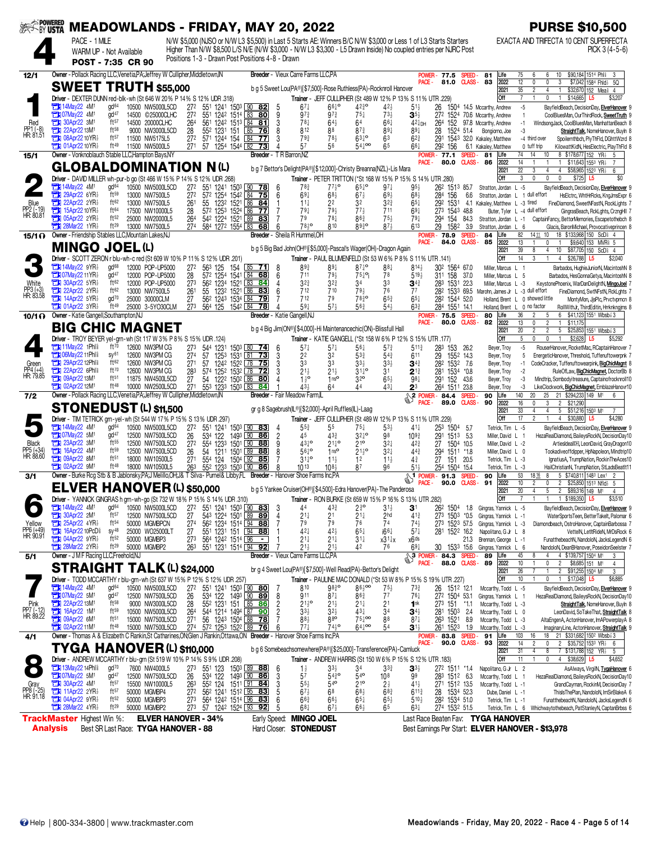| ※< WUSTX MEADOWLANDS - FRIDAY, MAY 20, 2022 |                                                              |                                                                                                                             |                                      |                                      |                        |                              |     |                                                                                                       |                |                                                       |                                                                               |                                                                     |                                       |                                                                                                                   |                                     |                               |                                                              |                                        | <b>PURSE \$10,500</b>                                                                                                                         |
|---------------------------------------------|--------------------------------------------------------------|-----------------------------------------------------------------------------------------------------------------------------|--------------------------------------|--------------------------------------|------------------------|------------------------------|-----|-------------------------------------------------------------------------------------------------------|----------------|-------------------------------------------------------|-------------------------------------------------------------------------------|---------------------------------------------------------------------|---------------------------------------|-------------------------------------------------------------------------------------------------------------------|-------------------------------------|-------------------------------|--------------------------------------------------------------|----------------------------------------|-----------------------------------------------------------------------------------------------------------------------------------------------|
|                                             |                                                              | PACE - 1 MILE                                                                                                               |                                      |                                      |                        |                              |     |                                                                                                       |                |                                                       |                                                                               |                                                                     |                                       | N/W \$5,000 (NJSO or N/W L3 \$5,500) in Last 5 Starts AE: Winners B/C N/W \$3,000 or Less 1 of L3 Starts Starters |                                     |                               |                                                              |                                        | EXACTA AND TRIFECTA 10 CENT SUPERFECTA                                                                                                        |
|                                             |                                                              | WARM UP - Not Available                                                                                                     |                                      |                                      |                        |                              |     | Positions 1-3 - Drawn Post Positions 4-8 - Drawn                                                      |                |                                                       |                                                                               |                                                                     |                                       | Higher Than N/W \$8,500 L/S N/E (N/W \$3,000 - N/W L3 \$3,300 - L5 Drawn Inside) No coupled entries per NJRC Post |                                     |                               |                                                              |                                        | PICK $3(4-5-6)$                                                                                                                               |
|                                             |                                                              | POST - 7:35 CR 90                                                                                                           |                                      |                                      |                        |                              |     |                                                                                                       |                |                                                       |                                                                               |                                                                     |                                       |                                                                                                                   |                                     |                               |                                                              |                                        |                                                                                                                                               |
| 12/1                                        |                                                              | Owner - Pollack Racing LLC, Venetia, PA; Jeffrey W Cullipher, Middletown, IN                                                |                                      |                                      |                        |                              |     |                                                                                                       |                | Breeder - Vieux Carre Farms LLC,PA                    |                                                                               |                                                                     |                                       | PACE -                                                                                                            | <b>POWER-77.5</b><br>81.0           | SPEED-                        | 81<br>CLASS-83                                               | Life<br>2022                           | \$90,184 1514 Phl<br>75<br>6<br>6<br>10<br>-3<br>12<br>0<br>0<br>3<br>\$7,042 1584 Fhid 3 5Q                                                  |
|                                             |                                                              | <b>SWEET TRUTH \$55,000</b>                                                                                                 |                                      |                                      |                        |                              |     |                                                                                                       |                |                                                       |                                                                               | b g 5 Sweet Lou(PA®)[\$7,500]-Rose Ruthless(PA)-Rocknroll Hanover   |                                       |                                                                                                                   |                                     |                               |                                                              | 2021                                   | 35<br>$\overline{4}$<br>$\overline{c}$<br>\$32,670 152 Meal 4                                                                                 |
|                                             |                                                              | Driver - DEXTER DUNN red-blk-wh (St 646 W 20% P 14% S 12% UDR .318)                                                         |                                      |                                      |                        |                              |     |                                                                                                       |                |                                                       |                                                                               |                                                                     |                                       | Trainer - JEFF CULLIPHER (St 489 W 12% P 13% S 11% UTR .229)                                                      |                                     |                               |                                                              | Off                                    | $\overline{7}$<br>0<br>\$14,665<br>\$3,207<br>L5                                                                                              |
|                                             | <b>EM 07May22 4M</b>                                         | <b>External 14May22 4M<sup>1</sup></b>                                                                                      | $gd^{64}$<br>gd <sup>47</sup>        | 10500 NW5000L5CD<br>14500 ©25000CLHC | 27 <sup>2</sup><br>272 |                              |     | 551 1241 1503 90 82<br>551 1242 1514 83 80                                                            | 9              | $67\frac{1}{4}$<br>$97\frac{3}{4}$                    | $66\frac{1}{4}$<br>$97\frac{3}{4}$                                            | $42\frac{3}{4}$ <sup>o</sup><br>75‡                                 | $42\frac{1}{2}$<br>73½                | $51\frac{1}{2}$<br>$\mathbf{3}^{5\frac{1}{2}}$                                                                    | 26                                  |                               | 1504 14.5 Mccarthy, Andrew<br>272 1524 70.6 Mccarthy, Andrew |                                        | $-5$<br>BayfieldBeach, DecisionDay, ElverHanover 9<br>$\overline{1}$<br>CoolBluesMan, OurThirdRock, SweetTruth 9                              |
| Red                                         | <b>The 30Apr22 3M<sup>1</sup></b>                            |                                                                                                                             | $ft^{57}$                            | 14500 20000CLHC                      | 264                    |                              |     | 561 1242 1513 84 81                                                                                   | 3              | $78\frac{1}{4}$                                       | $64\frac{1}{2}$                                                               | 64                                                                  | $66\frac{1}{4}$                       | $42\frac{1}{4}$ DH                                                                                                | 264<br>152                          |                               | 97.8 Mccarthy, Andrew                                        |                                        | $-1$<br>WindsongJack, CoolBluesMan, ManhattanBeach 8                                                                                          |
| PP1 (-8)<br>HR: 81.51                       | 22Apr22 13M1                                                 | <b>THE 08Apr22 10 YR3</b>                                                                                                   | $ft^{58}$<br>ft57                    | 9000 NW3000L5CD<br>11500 NW5175L5    | 28<br>27 <sup>2</sup>  | 552 1231 151<br>571 1244 154 |     | $85$ 76<br>84 77                                                                                      |                | 812<br>$79\frac{3}{4}$                                | 88<br>78 <sub>3</sub>                                                         | $87\frac{3}{4}$<br>$63^{10}$                                        | $89\frac{1}{4}$<br>63                 | $89\frac{1}{4}$<br>62}                                                                                            | 28<br>291                           | 1524 51.4                     | Bongiorno, Joe<br>1543 32.0 Kakaley, Matthew                 |                                        | -3<br>StraightTalk, NomeHanover, Buyln 8<br>-4 third over<br>Spoilernthbch, PlyThFld, DGhttWzrd 8                                             |
|                                             |                                                              | <b>THE 01Apr22 10 YR3</b>                                                                                                   | ft49                                 | 11500 NW5000L5                       | 271                    |                              |     | 57 1254 1544 82 73                                                                                    |                | 57                                                    | 56                                                                            | $54\frac{1}{4}$ 00                                                  |                                       | 667                                                                                                               | 292 156                             |                               | 6.1 Kakaley, Matthew                                         |                                        | 0 tuff trip<br>KilowattKidN, HesElectric, PlayThFld 8                                                                                         |
| 15/1                                        |                                                              | Owner - Vonknoblauch Stable LLC, Hampton Bays, NY                                                                           |                                      |                                      |                        |                              |     | Breeder - T R Barron.NZ                                                                               |                |                                                       |                                                                               |                                                                     |                                       | PACE -                                                                                                            | <b>POWER - 77.1</b><br>80.0         | SPEED-                        | 81<br>CLASS-86                                               | Life<br>2022                           | 14<br>8 \$178,677 152 YR<br>74<br>10<br>-5<br>14<br>\$11,643 1553 YR                                                                          |
|                                             |                                                              | GLOBALDOMINATION N(L)                                                                                                       |                                      |                                      |                        |                              |     |                                                                                                       |                |                                                       |                                                                               | b g 7 Bettor's Delight(PA®)[\$12,000]-Christy Breanna(NZL)-Lis Mara |                                       |                                                                                                                   |                                     |                               |                                                              | 2021                                   | $\overline{22}$<br>4 \$58,965 1523 YR<br>3<br>4<br>6                                                                                          |
|                                             |                                                              | Driver - DAVID MILLER wh-pur-b go (St 466 W 15% P 14% S 12% UDR 268)                                                        |                                      |                                      |                        |                              |     |                                                                                                       |                |                                                       |                                                                               |                                                                     |                                       | Trainer - PETER TRITTON (*St 168 W 15% P 15% S 14% UTR .280)                                                      |                                     |                               |                                                              | Off                                    | $\mathbf 0$<br>$\mathbf 0$<br>3<br>$\mathbf 0$<br>\$725 L5<br>\$0                                                                             |
|                                             |                                                              | <b>External 14May22 4M<sup>1</sup></b><br><b>THE 29Apr22 6YR3</b>                                                           | gd <sup>64</sup><br>ft <sub>59</sub> | 10500 NW5000L5CD<br>13000 NW7500L5   | 27 <sup>2</sup><br>272 |                              |     | 551 1241 1503 90 78<br>572 1254 1542 84 75                                                            | 6<br>6         | $78\frac{3}{4}$<br>$69\frac{1}{4}$                    | $77\frac{1}{2}$ <sup>o</sup><br>$68\frac{1}{2}$                               | $65\frac{1}{4}$<br>$67\frac{1}{2}$                                  | $97\frac{1}{4}$<br>$69\frac{1}{2}$    | 95 }<br>$68\frac{1}{2}$                                                                                           | 262 1513 85.7<br>284<br>156         | 6.6                           | Stratton, Jordan L -5                                        |                                        | BayfieldBeach, DecisionDay, ElverHanover 9<br>HsElctrc, WhtHrRcks, KngJmsExpr 6<br>Stratton, Jordan L 1 dull effort                           |
| Blue                                        |                                                              | 22Apr22 2YR                                                                                                                 | ft62                                 | 13000 NW7500L5                       | 261                    | 55                           |     | 1232 1521 86 84                                                                                       |                | $11\frac{1}{4}$                                       | 22                                                                            | 32                                                                  | $3^{2^{3}}$                           | 65‡                                                                                                               | 292<br>1531                         | 4.1                           | Kakaley, Matthew L -3 tired                                  |                                        | FineDiamond, SweetNFastN, RockLights 7                                                                                                        |
| PP2 (-19)<br>HR: 80.81                      |                                                              | <b>TEM</b> 15Apr22 10 YR <sub>2</sub><br><b>THE 05Apr22 2YR</b>                                                             | ft64<br>ft <sub>52</sub>             | 17500 NW10000L5<br>25000 NW20000L5   | 28<br>264              |                              |     | 57 <sup>2</sup> 125 <sup>3</sup> 1524 86 77<br>542 1224 1521 89 83                                    |                | $79\frac{1}{4}$<br>79                                 | 791<br>$78\frac{1}{4}$                                                        | $77\frac{1}{2}$<br>863                                              | 711<br>$75\frac{1}{2}$                | 691<br>79‡                                                                                                        | 273 1543 48.8<br>154<br>294         | 84.3                          | Stratton, Jordan L -1                                        |                                        | Buter, Tyler L -4 dull effort<br>GingrasBeach, RckLghts, CrzngHll 7<br>CaptainFancy, BettorMemories, Escapetothebch 8                         |
|                                             |                                                              | <b>28Mar22 1YR</b>                                                                                                          | ft29                                 | 13000 NW7500L5                       | 274                    | 584 1272 1554 83             |     | 68                                                                                                    |                | 78,0                                                  | 810                                                                           | 8930                                                                | $87\frac{1}{2}$                       | 613                                                                                                               | 29<br>1582                          | 3.9                           | Stratton, Jordan L 6                                         |                                        | Glacis, BaronMichael, Provocativeprincen 8                                                                                                    |
| 15/1 <sub>0</sub>                           |                                                              | Owner - Friendship Stables LLC, Mountain Lakes, NJ                                                                          |                                      |                                      |                        |                              |     |                                                                                                       |                | Breeder - Sheila R Hummel, OH                         |                                                                               |                                                                     |                                       | PACE -                                                                                                            | <b>POWER-78.9</b><br>84.0           | SPEED-<br><b>CLASS</b> -      | 84<br>85                                                     | Life<br>2022                           | 82<br>18 \$133,968 150 ScD î 4<br>14 11 10<br>13<br>0<br>$\overline{1}$                                                                       |
|                                             |                                                              | <b>MINGO JOEL (L)</b>                                                                                                       |                                      |                                      |                        |                              |     |                                                                                                       |                |                                                       |                                                                               | b g 5 Big Bad John(OH®)[\$5,000]-Pascal's Wager(OH)-Dragon Again    |                                       |                                                                                                                   |                                     |                               |                                                              | 2021                                   | \$9,640 153 MVR \$5<br>39<br>10<br>$$87,705$ 150 ScD $4$<br>8<br>4                                                                            |
|                                             |                                                              | Driver - SCOTT ZERON r blu-wh-c red (St 609 W 10% P 11% S 12% UDR 201)                                                      |                                      |                                      |                        |                              |     |                                                                                                       |                |                                                       |                                                                               |                                                                     |                                       | Trainer - PAUL BLUMENFELD (St 53 W 6% P 8% S 11% UTR .141)                                                        |                                     |                               |                                                              | Off                                    | 14<br>3<br>\$26,788 L5<br>$\overline{4}$<br>\$2,040                                                                                           |
|                                             |                                                              | $\Box$ 14May22 9YR<br><b>Ext 07May22 11 YR3</b>                                                                             | gd <sup>68</sup><br>qd <sup>47</sup> | 12000 POP-UP5000<br>12000 POP-UP5000 | 27 <sup>2</sup><br>28  | 563 125                      | 154 | $85$ 71<br>572 1254 1541 84 68                                                                        | 8<br>6         | 893<br>711                                            | $89\frac{1}{4}$<br>79 <sub>3</sub>                                            | $87\frac{1}{4}$ <sup>o</sup><br>$75\frac{1}{4}$ °i                  | $88\frac{1}{4}$<br>78                 | 8143<br>$5^{19}$                                                                                                  | 302 1564 67.0<br>311 158            | 37.0                          | Miller, Marcus L 1<br>Miller, Marcus L 5                     |                                        | Barbados, HughieJuniorN, MacintoshN 8<br>Barbados, HesGonnaGetya, MacintoshN 8                                                                |
| White                                       |                                                              | <b>THE 30Apr22 5YR</b>                                                                                                      | ft $62$                              | 12000 POP-UP5000                     | 273                    |                              |     | 562 1234 1521 83 84                                                                                   |                | $3^{2^{3}}$                                           | $3^{2^{3}}$                                                                   | 34                                                                  | 33                                    | $\mathbf{3}^{4\ddagger}$                                                                                          | 283 1531 22.3                       |                               | Miller, Marcus L -3                                          |                                        | KeystonePhoenix, WarDanDelightN, MingoJoel 7                                                                                                  |
| PP3 (+3)<br>HR: 83.58                       |                                                              | <b>EN 22Apr22 2YR3</b><br><b>THE 14Apr22 5YR3</b>                                                                           | ft62<br>$\frac{d}{d}$                | 13000 NW7500L5<br>25000 30000CLM     | 261<br>27              | 55                           |     | 123 <sup>2</sup> 1521 86 83<br>56 <sup>2</sup> 1243 1534 84 79                                        |                | 712<br>712                                            | 710<br>79                                                                     | 79}<br>7830                                                         | 76<br>$65\frac{3}{4}$                 | 77<br>$65\frac{1}{4}$                                                                                             | 282 1533 69.5<br>282 1544 52.0      |                               |                                                              |                                        | Marohn, James Jr L -3 dull effort<br>FineDiamond, SwtNFstN, RckLghts 7<br>Holland, Brent L 0 showed little<br>MontyMon, JjsPIc, Prvctvprncn 8 |
|                                             |                                                              | $T$ 01Apr22 3YR $\frac{1}{2}$                                                                                               | ft49                                 | 25000 3-5YO30CLM                     | 273                    | 564 125 1542 84              |     | 78                                                                                                    |                | $59\frac{1}{4}$                                       | $57\frac{1}{2}$                                                               | $56\frac{3}{4}$                                                     | $54\frac{1}{2}$                       | 633                                                                                                               | 284 1551 14.1                       |                               | Holland, Brent L                                             |                                        | RollWithJr, ThirdEditin, Hrrknkngjms 8<br>0 no factor                                                                                         |
| 10/10                                       |                                                              | Owner - Katie Gangell, Southampton, NJ                                                                                      |                                      |                                      |                        |                              |     |                                                                                                       |                | Breeder - Katie Gangell, NJ                           |                                                                               |                                                                     |                                       | PACE -                                                                                                            | <b>POWER-75.5</b><br>80.0           | SPEED-                        | 80<br>$C LASS - B2$                                          | Life<br>2022                           | 36<br>6 \$41,123 1551 Wbsb 3<br>2<br>5<br>13<br>$\overline{c}$<br>\$11,175<br>0<br>$\mathbf{1}$                                               |
|                                             |                                                              | BIG CHIC MAGNET                                                                                                             |                                      |                                      |                        |                              |     |                                                                                                       |                |                                                       |                                                                               | b g 4 Big Jim(ON®)[\$4,000]-Hi Maintenancechic(ON)-Blissfull Hall   |                                       |                                                                                                                   |                                     |                               |                                                              | 2021                                   | 20<br>$\overline{2}$<br>$\overline{2}$<br>5 \$25,853 1551 Wbsb 3                                                                              |
|                                             |                                                              | Driver - TROY BEYER yel-grn-wh (St 117 W 3% P 8% S 15% UDR .124)                                                            |                                      |                                      |                        |                              |     |                                                                                                       |                |                                                       |                                                                               |                                                                     |                                       | Trainer - KATIE GANGELL (*St 158 W 6% P 12% S 15% UTR 177)                                                        |                                     |                               |                                                              | Off                                    | 5<br>0<br>0<br>$\overline{1}$<br>$$2,628$ L5<br>\$5,292                                                                                       |
|                                             |                                                              | <b>EN 11May22 1Phls</b><br><b>THI 06May22 11Phls</b>                                                                        | ft70<br>SV <sup>61</sup>             | 12600 NW3PM CG<br>12600 NW3PM CG     | 273<br>274             | 544 1231<br>57<br>1253       |     | 1503 80 74<br>1531 81 73                                                                              | 6<br>3         | $57\frac{1}{4}$<br>22                                 | $57\frac{1}{4}$<br>32                                                         | $56\frac{1}{4}$<br>$53\frac{3}{4}$                                  | $5^{73}$<br>$54\frac{3}{4}$           | 511}<br>611                                                                                                       | 283<br>153<br>29                    | 26.2<br>1552 14.3             | Beyer, Troy<br>Beyer, Troy                                   |                                        | $-5$<br>RouserHanover, RocketMac, RCaptainHanover 7<br>EnergeticHanover, Threshold, Tuffenuftowerpnk 7<br>5                                   |
| Green                                       |                                                              | <b>EN 29Apr22 12Phls</b>                                                                                                    | ft62                                 | 12600 NW3PM CG                       | 271                    | 57                           |     | 1242 1522 78 75                                                                                       |                | 33                                                    | 33                                                                            | $33\frac{1}{2}$                                                     | $3^{3}\frac{1}{2}$                    | $3^{4}{}_{4}$                                                                                                     | 282 1532 7.6                        |                               | Beyer, Troy                                                  |                                        | -1<br>CodeCracker, Tuffenuftowearpink, BigChicMagnt 8                                                                                         |
| PP4 (+4)<br>HR: 79.85                       |                                                              | <b>THE 22Apr22 6Phls</b><br><b>T1 09Apr22 13M1</b>                                                                          | ft70<br>$ft^{51}$                    | 12600 NW3PM CG<br>11875 NW4500L5CD   | 283<br>27              |                              |     | 574 1252 1532 78 72<br>54 122 <sup>2</sup> 150 <sup>2</sup> 86 80                                     |                | $21\frac{1}{2}$<br>$1\frac{1}{2}$ <sup>o</sup>        | $21\frac{1}{2}$<br>1 <sup>ngo</sup>                                           | $31^{10}_{4}$<br>32 <sup>o</sup>                                    | 3 <sup>1</sup><br>$65\frac{1}{2}$     | $2^{13}$<br>$98\frac{1}{4}$                                                                                       | 281 1534 *0.8<br>291                | 152 43.6                      | Beyer, Troy<br>Beyer, Troy                                   |                                        | RuleOfLaw, BigChicMagnet, DoctorBb 8<br>$-2$<br>-3<br>Mindtrip, Sombodyitreasure, Captainofrocknroll10                                        |
|                                             | <b>TH</b> 02Apr22 12M                                        |                                                                                                                             | $ft^{48}$                            | 10000 NW2500L5CD                     | 271                    | 553 1233 1503 83             |     | 84                                                                                                    |                | 434                                                   | 64                                                                            | 44                                                                  | $43+$                                 | 23                                                                                                                | 264                                 | 1511 23.8                     | Beyer, Troy                                                  |                                        | -3<br>LikeClockwork, BigChicMagnet, EmblazeHanovr10                                                                                           |
| 7/2                                         |                                                              | Owner - Pollack Racing LLC, Venetia, PA; Jeffrey W Cullipher, Middletown, IN                                                |                                      |                                      |                        |                              |     |                                                                                                       |                | Breeder - Fair Meadow Farm,IL                         |                                                                               |                                                                     |                                       | $\sqrt{\frac{2 \text{ POWER}}{1}}$<br>PACE -                                                                      | 84.4<br>89.0                        | <b>SPEED</b><br><b>CLASS-</b> | 90<br>90                                                     | Life<br>2022                           | 140<br>20<br>25<br>21 \$294,233 149 M1<br>6<br>16<br>3<br>$\overline{2}$<br>\$21,290<br>$\theta$                                              |
|                                             |                                                              | <b>STONEDUST (L) \$11,500</b>                                                                                               |                                      |                                      |                        |                              |     |                                                                                                       |                | gr g 8 Sagebrush(IL®)[\$2,000]-April Ruffles(IL)-Laag |                                                                               |                                                                     |                                       |                                                                                                                   |                                     |                               |                                                              | 2021                                   | 33<br>5 \$51,216 1503 M1<br>4<br>4                                                                                                            |
|                                             |                                                              | Driver - TIM TETRICK grn-yel-wh (St 544 W 17% P 15% S 13% UDR 297)<br><b>External 14May22 4M<sup>1</sup></b>                |                                      |                                      |                        |                              |     |                                                                                                       |                |                                                       |                                                                               |                                                                     |                                       | Trainer - JEFF CULLIPHER (St 489 W 12% P 13% S 11% UTR .229)                                                      |                                     |                               |                                                              | Off                                    | 17<br>$\overline{c}$<br>4 \$30,880<br>\$4,280<br>L5                                                                                           |
|                                             |                                                              | <b>Ext 07May22 5M1</b>                                                                                                      | gd <sup>64</sup><br>$qd^{47}$        | 10500 NW5000L5CD<br>12500 NW7500L5CD | 272<br>26              | 534 122                      |     | 551 1241 1503 90 83<br>1493 90 86                                                                     | $\overline{c}$ | $55\frac{3}{4}$<br>45                                 | 55<br>$43\frac{3}{4}$                                                         | $75\frac{1}{4}$<br>$3^{24}$ °                                       | $5^{3}$<br>98                         | $41\frac{1}{4}$<br>$109\frac{3}{4}$                                                                               | 253 1504<br>291<br>$151^3$          | -5.7<br>5.3                   |                                                              | Tetrick, Tim L -5<br>Miller, David L 1 | BayfieldBeach, DecisionDay, ElverHanover 9<br>HezaRealDiamond, BaileysRockN, DecisionDay10                                                    |
| <b>Black</b>                                | <b>EM</b> 23Apr22 3M                                         |                                                                                                                             | ft55                                 | 12500 NW7500L5CD                     | 27 <sup>2</sup>        | 554 1233 1501 90             |     | 88                                                                                                    | 9              | $43^{10}$                                             | $21^{10}_{4}$                                                                 | $21^{\circ}$                                                        | $3^{2}$                               | $4^{2^{3}}$                                                                                                       | 27                                  | 1504 10.5                     |                                                              | Miller, David L -2                     | ArtiesIdeal <sup>DH</sup> , LeonDavid, GrayDragon10                                                                                           |
| PP5 (+34)<br>HR: 88.60                      | 16Apr22 4M <sup>1</sup><br><b>The 09Apr22 8M<sup>t</sup></b> |                                                                                                                             | $ft^{59}$<br>ft <sup>51</sup>        | 12500 NW7500L5CD<br>18000 NW10500L5  | 26<br>271              | 54<br>1211<br>554 124        |     | 1501 89 88<br>1504 92 85                                                                              |                | $56^{10}$<br>$31^{10}$                                | 1 <sup>nc</sup><br>$11\frac{1}{2}$                                            | $21\frac{1}{2}$ <sup>o</sup><br>1 <sup>2</sup>                      | $3^{2}$<br>$11\frac{1}{2}$            | 44 <sup>3</sup><br>$4\frac{3}{4}$                                                                                 | 294<br>27<br>151                    | 1511 *1.8<br>20.5             |                                                              | Miller, David L 0<br>Tetrick, Tim L -3 | Tookadiveoffdipper, HpNapoleon, Mindtrip10<br>IgnatiusA, TrumpNation, RockinTheAces10                                                         |
|                                             | $2$ 02Apr22 $9M1$                                            |                                                                                                                             | ft48                                 | 18000 NW10500L5                      | 263                    | 552 1233 1503 90             |     | 86                                                                                                    |                | $10^{13}$                                             | $10^{8}$                                                                      | 87                                                                  | 96                                    | $51\frac{1}{2}$                                                                                                   | 254 1504 15.4                       |                               |                                                              | Tetrick, Tim L -3                      | HailChristianN, TrumpNation, StLadsBeatIt11                                                                                                   |
| 3/1                                         |                                                              | Owner - Burke Rcg Stb & B Jablonsky, PA; J Melillo, OH; J& T Silva - Purnel& Libby, FL Breeder - Hanover Shoe Farms Inc, PA |                                      |                                      |                        |                              |     |                                                                                                       |                |                                                       |                                                                               |                                                                     |                                       | <b>S1</b> POWER - 91.3<br>PACE -                                                                                  | 90.0                                | <b>SPEED</b><br><b>CLASS-</b> | 90<br>91                                                     | Life<br>2022                           | 53<br>5 \$740,811 1483 Lex1<br>1816<br>8<br>10<br>$\overline{c}$<br>$\overline{2}$<br>\$25,850 1513 Nfld> 5<br>0                              |
|                                             |                                                              | ELVER HANOVER (L) \$50,000                                                                                                  |                                      |                                      |                        |                              |     |                                                                                                       |                |                                                       |                                                                               | b g 5 Yankee Cruiser(OH®)[\$4,500]-Edra Hanover(PA)-The Panderosa   |                                       |                                                                                                                   |                                     |                               |                                                              | 2021                                   | 20<br>5<br>2 \$89,316 149 M1<br>4<br>4                                                                                                        |
|                                             | <b>EN 14May22 4M<sup>1</sup></b>                             | Driver - YANNICK GINGRAS h grn-wh-go (St 732 W 18% P 15% S 14% UDR 310)                                                     | gd <sup>64</sup>                     | 10500 NW5000L5CD                     | 272                    |                              |     | 551 1241 1503 90 83                                                                                   | 3              | 44                                                    | $4^{33}$                                                                      | $2\frac{3}{4}$ <sup>o</sup>                                         | $3^{11}$                              | Trainer - RON BURKE (St 659 W 15% P 16% S 13% UTR .282)<br>31                                                     | 26 <sup>2</sup> 150 <sup>4</sup> 18 |                               |                                                              | Off                                    | 1 \$189,350<br>L5<br>BayfieldBeach, DecisionDay, ElverHanover 9                                                                               |
|                                             |                                                              | <b>EX 30Apr22 2M1</b>                                                                                                       | $ft^{57}$                            | 12500 NW7500L5CD                     | 27                     |                              |     | 543 1224 1501 89 89                                                                                   |                | $21\frac{1}{4}$                                       | 2 <sup>1</sup>                                                                | $21\frac{1}{4}$                                                     | 2hd                                   | $41\frac{3}{4}$                                                                                                   |                                     |                               | Gingras, Yannick L -5<br>273 1503 *0.5 Gingras, Yannick L -1 |                                        | WaterSportsTeen, BetterTakelt, Palomar 6                                                                                                      |
| Yellow                                      |                                                              | 25Apr22 4YR<br><b>TEM</b> 16Apr22 10PcD <sup>§</sup>                                                                        | $ft^{54}$<br>$SV^{48}$               | 50000 MGMBPCN                        | 27 <sup>4</sup>        |                              |     | 56 <sup>2</sup> 123 <sup>4</sup> 151 <sup>4</sup> 94 88<br>55 <sup>1</sup> 123 <sup>1</sup> 151 94 88 |                | 79                                                    | 79                                                                            | 76                                                                  | 74                                    | $74\frac{1}{2}$                                                                                                   | 273 1523 57.5                       |                               | Gingras, Yannick L -3                                        |                                        | Diamondbeach, OstroHanover, CaptainBarbossa 7                                                                                                 |
| PP6 (+49)<br>HR: 90.91                      |                                                              | <b>The 04Apr22 9YR</b>                                                                                                      | ft <sub>52</sub>                     | 25000 WO25000LT<br>50000 MGMBP3      | 27<br>273              | 564 1242 1514 96             |     | $\blacksquare$                                                                                        |                | 421<br>$21\frac{1}{4}$                                | $42\frac{1}{2}$<br>$21\frac{1}{4}$                                            | $65\frac{1}{4}$<br>$31\frac{1}{4}$                                  | $166\frac{1}{4}$<br>$x31\frac{1}{4}x$ | $57\frac{1}{4}$<br>x6 <sup>ds</sup>                                                                               | 281 1522 16.2                       | 21.3                          | Napolitano, G Jr L 8<br>Brennan, George L -1                 |                                        | VettelN, LetItRideN, MrDsRock 6<br>FunatthebeachN, NandoloN, JacksLegendN 6                                                                   |
|                                             |                                                              | <b>TEX 28Mar22 2YR</b>                                                                                                      | ft 29                                | 50000 MGMBP2                         | 263                    |                              |     | 551 1231 1514 94 92                                                                                   |                | $21\frac{1}{2}$                                       | $21\frac{1}{2}$                                                               | 42                                                                  | 76                                    | $69\frac{1}{4}$                                                                                                   |                                     |                               | 30 1533 15.6 Gingras, Yannick L 6                            |                                        | NandoloN, DeanBHanover, PoseidonSeelster 7                                                                                                    |
| 5/1                                         |                                                              | Owner - J M F Racing LLC, Freehold, NJ                                                                                      |                                      |                                      |                        |                              |     |                                                                                                       |                | Breeder - Vieux Carre Farms LLC, PA                   |                                                                               |                                                                     |                                       | <b>PACE -</b>                                                                                                     | SPOWER-84.3 SPEED-<br>88.0          |                               | 89<br>CLASS-89                                               | Life<br>2022                           | 45<br>4 \$139,757 1504 M1<br>8<br>10<br>$\overline{2}$<br>\$8,685 151 M <sup>1</sup><br>0<br>4                                                |
|                                             |                                                              | <b>STRAIGHT TALK (L) \$24,000</b>                                                                                           |                                      |                                      |                        |                              |     |                                                                                                       |                |                                                       |                                                                               | br g 4 Sweet Lou(PA®)[\$7,500]-Well Read(PA)-Bettor's Delight       |                                       |                                                                                                                   |                                     |                               |                                                              | 2021                                   | 26<br>2 \$91,255 1504 M1<br>3                                                                                                                 |
|                                             | <b>Et 14May22 4M<sup>1</sup></b>                             | Driver - TODD MCCARTHY r blu-grn-wh (St 637 W 15% P 12% S 12% UDR .257)                                                     | gd <sup>64</sup>                     | 10500 NW5000L5CD                     | 27 <sup>2</sup>        |                              |     | 551 1241 1503 30 80                                                                                   |                | 810                                                   | 9830                                                                          | $86\frac{1}{2}$ 00                                                  | $75\frac{1}{2}$                       | Trainer - PAULINE MAC DONALD (*St 53 W 8% P 15% S 19% UTR .227)<br>731                                            | 26 1512 12.1                        |                               | Mccarthy, Todd L -5                                          | Off                                    | 10<br>0<br>1 \$17,048 L5<br>\$6,885<br>BayfieldBeach, DecisionDay, ElverHanover 9                                                             |
|                                             | <b>Ext 07May22 5M1</b>                                       |                                                                                                                             | gd <sup>47</sup>                     | 12500 NW7500L5CD                     | 26                     |                              |     | 534 122 1493 90 89                                                                                    | 8              | 911                                                   | $87\frac{1}{4}$                                                               | 863                                                                 | 7 <sup>7</sup>                        | $76\frac{1}{4}$                                                                                                   | 272 1504 53.1                       |                               | Gingras, Yannick L 1                                         |                                        | HezaRealDiamond, BaileysRockN, DecisionDay10                                                                                                  |
| Pink<br>PP7 (-12)<br>HR: 89.22              | 22Apr22 13M1<br>231 16Apr22 1M1                              |                                                                                                                             | $ft^{58}$<br>$ft^{59}$               | 9000 NW3000L5CD                      | 28                     |                              |     | 552 1231 151 85 86                                                                                    |                | $21\frac{1}{2}$ <sup>o</sup>                          | $21\frac{1}{2}$                                                               | $21\frac{1}{4}$                                                     | 2 <sup>1</sup>                        | 1 <sup>nk</sup>                                                                                                   | 273 151 *1.1                        |                               | Mccarthy, Todd L -3<br>Mccarthy, Todd L 0                    |                                        | StraightTalk, NomeHanover, Buyln 8                                                                                                            |
|                                             | <b>EM</b> 09Apr22 6M <sup>1</sup>                            |                                                                                                                             | ft <sup>51</sup>                     | 10500 NW5000L5CD<br>15000 NW7500L5CD | 264<br>271             |                              |     | 56 1243 1504 88 78                                                                                    |                | $33\frac{1}{2}$<br>$88\frac{1}{2}$                    | $3^{2}$<br>880                                                                | $43\frac{1}{4}$<br>$75\frac{1}{4}$ 00                               | 3 <sup>4</sup><br>88                  | $34\frac{1}{2}$<br>$87\frac{1}{4}$                                                                                | 281 1503<br>263 1521 8.9            | 2.4                           | Mccarthy, Todd L -3                                          |                                        | LeonDavid, SoTakeThat, StraightTalk 8<br>AltaEngenA, ActonHanover, ImAPowerplayA 8                                                            |
|                                             |                                                              | <b>EDI</b> 02Apr22 11M <sup>1</sup>                                                                                         | ft <sup>48</sup>                     | 15000 NW7500L5CD                     | 27 <sup>4</sup>        |                              |     | 572 1253 1522 89 76                                                                                   |                | $77\frac{1}{4}$                                       | $74\frac{1}{2}$ <sup>o</sup>                                                  | $64\frac{1}{4}$ <sup>00</sup>                                       | 54                                    | 31,                                                                                                               | 261 1523 1.9                        |                               | Mccarthy, Todd L -3                                          |                                        | ImaginaryLine, ActonHanover, StraightTalk 9                                                                                                   |
| 4/1                                         |                                                              | Owner - Thomas A & Elizabeth C Rankin, St Catharines, ON; Glen J Rankin, Ottawa, ON Breeder - Hanover Shoe Farms Inc, PA    |                                      |                                      |                        |                              |     |                                                                                                       |                |                                                       |                                                                               |                                                                     |                                       | PACE -                                                                                                            | POWER-83.8 SPEED-<br>90.0           |                               | 91<br>CLASS-93                                               | Life<br>2022                           | 18 21 \$331,682 1502 Wbsb 3<br>103<br>16<br>2 \$35,752 1533 YR <sub>2</sub> 6<br>14<br>$\overline{2}$<br>$\mathbf{0}$                         |
|                                             |                                                              | <b>TYGA HANOVER (L) \$110,000</b>                                                                                           |                                      |                                      |                        |                              |     |                                                                                                       |                |                                                       |                                                                               | b g 6 Somebeachsomewhere(PA®)[\$25,000]-Transference(PA)-Camluck    |                                       |                                                                                                                   |                                     |                               |                                                              | 2021                                   | 31<br>4<br>8<br>7 \$131,788 152 YR <sub>2</sub> 5                                                                                             |
|                                             |                                                              | Driver - ANDREW MCCARTHY r blu-grn (St 519 W 10% P 14% S 9% UDR .208)<br><b>THE 13May 22 14 Philip</b>                      | gd <sup>70</sup>                     | 7600 NW4000L5                        | 273                    | 551 123                      |     | 150 <sup>3</sup> 89 88                                                                                |                |                                                       |                                                                               | 34                                                                  | $3^{3}_{4}$                           | Trainer - ANDREW HARRIS (St 150 W 6% P 15% S 12% UTR 183)<br>$\mathbf{3}^{3\frac{1}{2}}$                          | 272 1511 *1.4                       |                               | Napolitano, G Jr L 2                                         | Off                                    | 11<br>0 4 \$38,629 L5<br>\$4,652<br>AsAlways, VirgilN, TygaHanover 6                                                                          |
|                                             |                                                              | <b>Extra 07May22 5M1</b>                                                                                                    | gd <sup>47</sup>                     | 12500 NW7500L5CD                     | 26                     | $534$ 122                    |     | 1493 90 86                                                                                            | 6<br>3         | $1\frac{1}{2}$<br>57                                  | $\begin{array}{l} 3^{3\frac{1}{2}} \\ 5^{4\frac{3}{4}\mathbf{0}} \end{array}$ | $54$ <sup>o</sup>                                                   | 108                                   | 99                                                                                                                | 283 1512 6.3                        |                               | Mccarthy, Todd L 1                                           |                                        | HezaRealDiamond, BaileysRockN, DecisionDay10                                                                                                  |
| Gray                                        |                                                              | <b>EX 30Apr22 4M<sup>1</sup></b><br><b>EN 11Apr22 2YR</b>                                                                   | $ft^{57}$<br>ft57                    | 15500 NW10000L5<br>50000 MGMBP4      | 263<br>272             |                              |     | 55 <sup>2</sup> 124 1511 91 84<br>56 <sup>2</sup> 1241 1512 95 83                                     | 3              | $55\frac{1}{2}$                                       | $54$ <sup>o</sup><br>68                                                       | $21^{\circ}$                                                        | $2\frac{1}{2}$                        | $41\frac{1}{2}$                                                                                                   | 271 1512 13.5<br>28 1534 52.3       |                               | Mccarthy, Todd L -1                                          |                                        | GrandCayman, RockinM, DecisionDay 7<br>ThislsThePlan, NandoloN, ImSirBlakeA 6                                                                 |
| PP8 (-25)<br>HR: 91.18                      |                                                              | $\frac{1}{2}$ 04Apr22 9YR                                                                                                   | ft <sub>52</sub>                     | 50000 MGMBP3                         | 273                    |                              |     | 564 1242 1514 96 83                                                                                   | 6              | $67\frac{1}{2}$<br>$66\frac{3}{4}$                    | $66\frac{1}{2}$                                                               | $68\frac{1}{2}$<br>$65\frac{1}{4}$                                  | $68\frac{3}{4}$<br>$65\frac{1}{2}$    | $6^{11}$<br>510}                                                                                                  | 282 1534 51.0                       |                               |                                                              | Dube, Daniel L -1<br>Tetrick, Tim L -1 | FunatthebeachN, NandoloN, JacksLegendN 6                                                                                                      |
|                                             |                                                              | <b>EN 28Mar22 4YR</b>                                                                                                       | $ft^{29}$                            | 50000 MGMBP2                         | 273                    |                              |     | 57 1242 1524 93 92                                                                                    |                | $68\frac{1}{4}$                                       | $67\frac{1}{2}$                                                               | $66\frac{1}{2}$                                                     | 65                                    | 63‡                                                                                                               | 274 1532 51.5                       |                               |                                                              |                                        | Tetrick, Tim L 6 Whichwaytothebeach, PatStanleyN, CaptanBrbss 6                                                                               |
|                                             |                                                              | <b>TrackMaster Highest Win %:</b>                                                                                           |                                      | <b>ELVER HANOVER - 34%</b>           |                        |                              |     | Early Speed:                                                                                          |                | <b>MINGO JOEL</b>                                     |                                                                               |                                                                     |                                       | Last Race Beaten Fav: TYGA HANOVER                                                                                |                                     |                               |                                                              |                                        |                                                                                                                                               |
|                                             | <b>Analysis</b>                                              | Best SR Last Race: TYGA HANOVER - 88                                                                                        |                                      |                                      |                        |                              |     |                                                                                                       |                | Hard Closer: STONEDUST                                |                                                                               |                                                                     |                                       |                                                                                                                   |                                     |                               |                                                              |                                        | Best Earnings Per Start: ELVER HANOVER - \$13,978                                                                                             |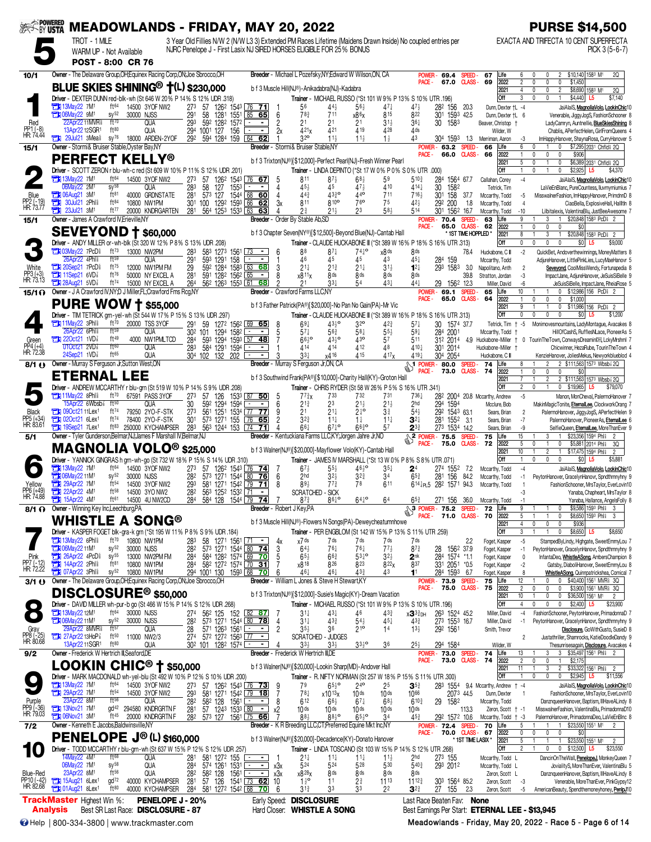| <b>EXAMPOWERED</b>                  | <b>MEADOWLANDS - FRIDAY, MAY 20, 2022</b>                                                                                     |                                                  |                                                        |                                                                    |                                                |                |                                                                                                                                                                                      |                                     |                                     |                                                      |                                                |                                       |                                                    | <b>PURSE \$14,500</b>                                                                                                                                      |
|-------------------------------------|-------------------------------------------------------------------------------------------------------------------------------|--------------------------------------------------|--------------------------------------------------------|--------------------------------------------------------------------|------------------------------------------------|----------------|--------------------------------------------------------------------------------------------------------------------------------------------------------------------------------------|-------------------------------------|-------------------------------------|------------------------------------------------------|------------------------------------------------|---------------------------------------|----------------------------------------------------|------------------------------------------------------------------------------------------------------------------------------------------------------------|
|                                     | TROT - 1 MILE<br>WARM UP - Not Available<br>POST - 8:00 CR 76                                                                 |                                                  |                                                        |                                                                    |                                                |                | 3 Year Old Fillies N/W 2 (N/W L3 3) Extended PM Races Lifetime (Maidens Drawn Inside) No coupled entries per<br>NJRC Penelope J - First Lasix NJ SIRED HORSES ELIGIBLE FOR 25% BONUS |                                     |                                     |                                                      |                                                |                                       |                                                    | EXACTA AND TRIFECTA 10 CENT SUPERFECTA<br>$PICK 3 (5-6-7)$                                                                                                 |
| 10/1                                | Owner - The Delaware Group, OH; Equinex Racing Corp, ON; Joe Sbrocco, OH                                                      |                                                  |                                                        |                                                                    |                                                |                | Breeder - Michael L Pozefsky, NY; Edward W Wilson, ON, CA                                                                                                                            |                                     |                                     | <b>POWER</b><br>PACE-                                | 69.4<br>67.0                                   | SPEED.<br><b>CLASS -</b>              | Life<br>67<br>69<br>2022                           | \$10,140 1583 M1<br>20<br>6<br>$\mathbf{0}$<br>$\overline{2}$<br>$\mathbf{0}$<br>$\mathbf{0}$<br>0<br>\$1,450                                              |
|                                     | BLUE SKIES SHINING <sup>®</sup> <sup>†</sup> (L) \$230,000                                                                    |                                                  |                                                        |                                                                    |                                                |                | b f 3 Muscle Hill(NJ®)-Anikadabra(NJ)-Kadabra                                                                                                                                        |                                     |                                     |                                                      |                                                |                                       | 2021                                               | $\overline{4}$<br>$\mathbf{0}$<br>0<br>\$8,690 1583 M1<br>2<br>2Q                                                                                          |
|                                     | Driver - DEXTER DUNN red-blk-wh (St 646 W 20% P 14% S 12% UDR .318)<br>ft64<br><b>FEE</b> 13May 22 7M <sup>1</sup>            | 14500 3YOF NW2                                   | 273                                                    | 57 126 <sup>2</sup> 154 <sup>3</sup> 76 71                         |                                                |                | Trainer - MICHAEL RUSSO (*St 101 W 9% P 13% S 10% UTR .196)<br>56<br>44,                                                                                                             | $56\frac{1}{2}$                     | 47 <sup>1</sup>                     | $47\frac{1}{2}$                                      | 28 <sup>2</sup> 156 20.3                       |                                       | Off<br>Dunn, Dexter +L -4                          | 3<br>0<br>0<br>\$4,440<br>\$7,140<br>L5<br>JaiAlaiS, MagnoliaVolo, LookinChic1                                                                             |
| Red                                 | <b>FEN 06Mav22 9M1</b><br>SV <sup>52</sup><br>ft70<br>22Apr22 11MVR <sup>§</sup>                                              | 30000 NJSS<br><b>QUA</b>                         | 291<br>293                                             | 58<br>592 1282 1572                                                | 1281 1551 85 65<br>$\sim$                      | 6              | 78 <sub>3</sub><br>711<br>2 <sup>1</sup><br>21                                                                                                                                       | x86x<br>2 <sup>1</sup>              | 815<br>$31\frac{1}{2}$              | 822<br>$36\frac{1}{4}$                               | 301 1593 42.5<br>30 1583                       |                                       | Dunn, Dexter †L 6<br>Beaver, Christop +            | Venerable, JiggyJogS, FashionSchooner &<br>LadyCamryn, Auntnellie, BlueSkiesShining                                                                        |
| PP1 (-8)<br>HR:74.44                | ft80<br>13Apr22 12SGR1<br>$29$ Jul21 3Mea $\frac{5}{8}$ sy <sup>76</sup>                                                      | <b>QUA</b>                                       | 294                                                    | 1001 127<br>156                                                    | $\blacksquare$<br>64                           | 2x             | 421 <sub>x</sub><br>421<br>32 <sup>o</sup><br>$11\frac{1}{2}$                                                                                                                        | 4 19                                | 428                                 | 4ds<br>43                                            |                                                |                                       | Wilder, W                                          | Chablis, APerfectHelen, GirlFromQueens                                                                                                                     |
| 15/1                                | Owner - Stormi& Bruiser Stable, Oyster Bay, NY                                                                                | 18000 ARDEN-2YOF                                 |                                                        | 292 594 1284 159                                                   | 62                                             |                | Breeder - Stormi& Bruiser Stable,NY                                                                                                                                                  | $11\frac{1}{2}$                     | $1\frac{1}{2}$                      | POWER -                                              | 304 1593 1.3<br>63.2 SPEED                     |                                       | Merriman, Aaron<br>66<br>Life                      | ImHappyHanover, ShaynaRosa, CurryHanover 5<br>-3<br>6<br>\$7,295 2031 Chfld <sup>§</sup> 2Q<br>0                                                           |
|                                     | <b>PERFECT KELLY®</b>                                                                                                         |                                                  |                                                        |                                                                    |                                                |                | b f 3 Trixton(NJ®)[\$12,000]-Perfect Pearl(NJ)-Fresh Winner Pearl                                                                                                                    |                                     |                                     | PACE -                                               | 66.0 CLASS-                                    |                                       | 66<br>2022<br>2021                                 | $\mathbf 0$<br>\$906<br>$\mathbf{0}$<br>$\mathbf{0}$<br>\$6,389 2031 Chfld 2Q<br>5<br>$\mathbf{0}$<br>$\Omega$                                             |
|                                     | Driver - SCOTT ZERON r blu-wh-c red (St 609 W 10% P 11% S 12% UDR .201)<br><b>External 13May22 7M1</b><br>ft <sup>64</sup>    | 14500 3YOF NW2                                   | 273                                                    | 57 126 <sup>2</sup> 154 <sup>3</sup> 76 67                         |                                                |                | Trainer - LINDA DEPINTO (*St 17 W 0% P 0% S 0% UTR .000)<br>811<br>$87\frac{1}{2}$                                                                                                   | $68\frac{1}{2}$                     | 59                                  | $5^{10\frac{3}{4}}$                                  | 284 1564 67.7                                  |                                       | Off<br>Callahan, Corey                             | $\mathbf{1}$<br>\$2,925<br>$\mathbf{0}$<br>\$4,370<br>L5<br>$-4$<br>JaiAlaiS, MagnoliaVolo, LookinChic10                                                   |
| Blue                                | 06May22 2M1<br>$s\sqrt{58}$<br><b>EM 06Aug21 3M1</b><br>ft81                                                                  | QUA<br>40000 GRDNSTATE                           | 283<br>281                                             | 58<br>127<br>1553<br>573 127                                       | 1544 68 60                                     | 4<br>4         | 453<br>45<br>44 <sub>3</sub><br>4330                                                                                                                                                 | 474<br>440                          | 410<br>711                          | $414\frac{1}{4}$<br>$716\frac{1}{2}$                 | 30<br>1582<br>30 <sup>1</sup><br>158 37.7      |                                       | Tetrick, Tim<br>Mccarthy, Todd                     | LaVieEnBlanc, PureCountess, Iluvmymiumius<br>MisswalnerFashion, ImHappyHanover, PrimdnnD 8<br>-5                                                           |
| PP2 (-19)<br>HR: 73.77              | 30Jul21 2Phl <sup>§</sup><br>ft84<br>О<br>а<br>23Jul21 3M <sup>1</sup><br>ft77                                                | 10800 NW1PM<br>20000 KNDRGARTEN                  | 301<br>281                                             | 100 1292 1593 66<br>564 1253 1533 63                               | - 62<br>63                                     | 3x             | 811<br>810 <sup>o</sup><br>$21\frac{1}{2}$<br>2∛                                                                                                                                     | 76 <sup>o</sup><br>2 <sup>3</sup>   | 75<br>58}                           | 423<br>514                                           | 292<br>200<br>30 <sup>1</sup><br>1562 16.7     | 1.8                                   | Mccarthy, Todd<br>Mccarthy, Todd                   | CiaoBella, ExplosiveHall, HallItln 8<br>$\Delta$<br>$-10$<br>Lilbitalexis, ValentinaBlu, JustBeeAwesome                                                    |
| 15/1                                | Owner - James A Crawford IV. Erieville, NY                                                                                    |                                                  |                                                        |                                                                    |                                                |                | Breeder - Order By Stable Ab, SD                                                                                                                                                     |                                     |                                     | POWER-                                               | 70.4                                           | SPEED-                                | Life<br>63                                         | \$20,848 1583 PcDi 2<br>g                                                                                                                                  |
|                                     | <b>SEVEYOND † \$60,000</b>                                                                                                    |                                                  |                                                        |                                                                    |                                                |                | b f 3 Chapter Seven(NY®)[\$12,500]-Beyond Blue(NJ)-Cantab Hall                                                                                                                       |                                     |                                     | PACE -                                               | 65.0                                           | <b>CLASS-</b><br>* 1ST TIME HOPPLED * | 62<br>2022<br>2021                                 | 1<br>$\mathbf{0}$<br>0<br>SO.<br>8<br>\$20,848 1583 PcD 1 2<br>3<br>$\overline{1}$<br>$\mathbf{1}$                                                         |
|                                     | Driver - ANDY MILLER or - wh-blk (St 320 W 12% P 8% S 13% UDR .208)<br><b>THI 03Mav22 7PcD</b><br>$ft^{73}$                   | 13000 NW2PM                                      | 283                                                    | 583 1273 1561 73                                                   | $\sim$                                         | 6              | Trainer - CLAUDE HUCKABONE III (*St 389 W 16% P 18% S 16% UTR .313)<br>88<br>$87\frac{1}{4}$                                                                                         | $74^{0}$                            | x8 <sup>ds</sup>                    | 8 <sub>ds</sub>                                      |                                                | 78.4                                  | Off<br>Huckabone, C III                            | 0<br>$\mathbf{0}$<br>0<br>\$0<br>\$9,000<br>L5<br>$-2$<br>QuickBet, Andoverthewinnings, MoneyMatters 8                                                     |
|                                     | 26Apr22 4Phl <sup>3</sup><br>ft59<br><b>The 20Sep21 7PcD</b><br>ft75                                                          | QUA<br>12000 NW1PM FM                            | 291<br>29                                              | 593 1291 158<br>592 1284 1583 63 68                                | $\sim$<br>$\blacksquare$                       | 3              | 46<br>45<br>$21\frac{1}{4}$<br>$2^{13}$                                                                                                                                              | 45<br>$21\frac{1}{4}$               | 43<br>$31\frac{1}{2}$               | 45}<br>$1^{2}$                                       | 284 159<br>293 1583                            | -3.0                                  | Mccarthy, Todd<br>Napolitano, Anth                 | AdjureHanover, LittlePinkLies, LucyMaeHanovr 5<br>Seveyond, CoolMissWendy, Fortunapedia {<br>$\overline{2}$                                                |
| PP3 (+3)<br>HR: 73.13               | <b>EN 11Sep21 6VD</b><br>ft76<br><b>The 28Aug21 5VD</b>                                                                       | 50000 NY EXCEL A                                 | 281                                                    | 591 1282 1562 65                                                   | $\blacksquare$                                 | 8              | x811x<br>8 ds                                                                                                                                                                        | 8 <sub>ds</sub>                     | 8 <sub>ds</sub>                     | 8 <sub>ds</sub>                                      |                                                | 39.8                                  | Stratton, Jordan                                   | -3<br>ImpactJane, AdjureHanover, JeSuisSiBelle 9                                                                                                           |
| $15/1$ $\Omega$                     | ft74<br>Owner - J A Crawford IV, NY; D J Miller, FL; Crawford Fms Rcg, NY                                                     | 15000 NY EXCEL A                                 | 264                                                    | 562 1263 1553 61                                                   | 68                                             |                | $33\frac{1}{4}$<br>21<br><b>Breeder</b> - Crawford Farms LLC.NY                                                                                                                      |                                     | $43+$                               | 441<br>POWER-                                        | 29 1562 12.3<br>69.1                           | <b>SPEED</b>                          | Miller, David<br>65<br>Life                        | JeSuisSiBelle, ImpactJane, RheiaRose !<br>-6<br>10<br>\$12,986 156 PcD ?                                                                                   |
|                                     | <b>PURE WOW + \$55,000</b>                                                                                                    |                                                  |                                                        |                                                                    |                                                |                | b f 3 Father Patrick(PA®)[\$20,000]-No Pan No Gain(PA)-Mr Vic                                                                                                                        |                                     |                                     | PACE -                                               | 65.0                                           | <b>CLASS-</b>                         | 64<br>2022<br>2021                                 | $\mathbf{0}$<br>0<br>$\Omega$<br>\$1,000<br>9<br>\$11,986 156 PcD<br>0                                                                                     |
|                                     | Driver - TIM TETRICK grn-yel-wh (St 544 W 17% P 15% S 13% UDR .297)<br><b>TEM</b> 11May22 3Phl <sup>§</sup><br>ft70           | 20000 TSS 3YOF                                   | 291                                                    | 59 1272 1562 69 65                                                 |                                                | 8              | Trainer - CLAUDE HUCKABONE III (*St 389 W 16 % P 18 % S 16 % UTR .313)<br>$69\frac{1}{4}$<br>$43\frac{1}{2}$ <sup>o</sup>                                                            | 32 <sup>o</sup>                     | $42\frac{3}{4}$                     | $57\frac{1}{4}$                                      | 30 1574 37.7                                   |                                       | Off<br>Tetrick, Tim                                | 0<br>0<br>0<br>$\mathbf{0}$<br>\$0<br>L5<br>\$1,200<br>$-5$<br>Monimovesmountains, LadyMontague, Avacakes &                                                |
|                                     | 26Apr22 6Phl <sup>§</sup><br>ft59<br>ft49                                                                                     | <b>QUA</b>                                       |                                                        | 30 <sup>2</sup> 101<br>1294 1582                                   | $\blacksquare$                                 |                | $57\frac{1}{4}$<br>$56\frac{3}{4}$                                                                                                                                                   | $58\frac{1}{4}$<br>43 <sup>o</sup>  | $55\frac{1}{2}$                     | $59\frac{1}{4}$                                      | 284 2001                                       |                                       | Mccarthy, Todd                                     | HillOfCashS, RufflesNLace, PioneerAs &                                                                                                                     |
| Green<br>PP4 (+4)<br>HR: 72.38      | $220ct21$ 1VD<br>ft60<br>01Oct21 2VD <sup>7</sup>                                                                             | 4000 NW1PMLTCD<br>QUA                            | 284<br>283                                             | 593 1294 1593 57<br>584 1291 1594                                  | 48<br>$\blacksquare$                           |                | $66^{10}$<br>$43\frac{1}{2}$ <sup>o</sup><br>414<br>414                                                                                                                              | 412                                 | 57<br>48                            | 511<br>410}                                          | 312 2014<br>301 2014                           | 4.9                                   | Huckabone-Miller †<br>Huckabone-Miller             | 0 TourinTheTown, ConwaysDreamin图, LckyMrshml 7<br>Chicwinner, HezaRube, TourinTheTown 4                                                                    |
| 8/1()                               | ft65<br>24Sep21 1VD <sup>7</sup><br>Owner - Murray S Ferguson Jr, Sutton West, ON                                             | <b>QUA</b>                                       |                                                        | 304 102 132 202                                                    |                                                |                | x416<br>$33\frac{1}{4}$<br>Breeder - Murray S Ferguson Jr, ON, CA                                                                                                                    | 415                                 | 417 <sub>x</sub>                    | 419 <sub>7</sub><br>$\frac{1}{2}$ POWER - 80.0 SPEED | 304 2054                                       |                                       | Huckabone, C III<br>Life<br>74                     | KenzieHanover, JoliesMekus, Newyorkblueblod 4<br>2 \$111,563 1573 Wbsb 2Q<br>8<br>2                                                                        |
|                                     | <b>ETERNAL LEE</b>                                                                                                            |                                                  |                                                        |                                                                    |                                                |                | b f 3 Southwind Frank(PA®)[\$10,000]-Charity Hall(KY)-Groton Hall                                                                                                                    |                                     |                                     | PACE -                                               | 73.0 CLASS- 74                                 |                                       | 2022<br>2021                                       | $\mathbf{1}$<br>$\pmb{0}$<br>0<br>\$0<br>$\overline{c}$<br>2 \$111,563 1573 Wbsb 2Q                                                                        |
|                                     | Driver - ANDREW MCCARTHY r blu-grn (St 519 W 10% P 14% S 9% UDR .208)<br><b>The 11May22 8Phl&amp;</b><br>ft70                 | 67591 PASS 3YOF                                  | 273                                                    |                                                                    | 1533 87 50                                     |                | Trainer - CHRIS RYDER (St 58 W 26% P 5% S 16% UTR .341)<br>$7^{73}x$<br>733                                                                                                          | 732                                 | 731                                 | 7364                                                 |                                                |                                       | Off                                                | $\overline{2}$<br>$\theta$<br>\$19,965<br>0<br>\$79,070<br>L5<br>$-5$                                                                                      |
|                                     | 15Apr22 6Wbsb <sup>3</sup> ft <sup>50</sup>                                                                                   | QUA                                              | 30                                                     | 57 126<br>592 1294 1594                                            | $\blacksquare$                                 | 6              | $2^{13}$<br>23                                                                                                                                                                       | $21\frac{1}{2}$                     | $21\frac{1}{2}$                     | 2hd                                                  | 294 1594                                       |                                       | 282 2004 20.8 Mccarthy, Andrew<br>Mcclure, Bob     | Manon, MonCheval, PalermoHanover 7<br>MakinMagicTonite, EternalLee, ClockworkOrang                                                                         |
| Black<br>PP5 (+34)<br>HR: 83.61     | ft74<br><b>EN 090ct2111Lex1</b><br>$20c121$ 6 Lex <sup>1</sup><br>ft74                                                        | 79250 2YO-F-STK<br>78400 2YO-F-STK               | 273<br>301                                             | 561 1251 1534 77 77<br>573 1271 155                                | 7665                                           | 9              | 21<br>$21\frac{1}{4}$<br>$3^{2^{3}}$<br>$11\frac{1}{4}$                                                                                                                              | $2^{10}$<br>$1\frac{1}{4}$          | $3\frac{3}{4}$<br>$11\frac{1}{4}$   | $54\frac{1}{2}$<br>$\mathbf{3}^{2+}$                 | 292 1543 63.1<br>281 1552 3.1                  |                                       | Sears, Brian<br>Sears, Brian                       | $\overline{2}$<br>PalermoHanover, JiggyJogS, APerfectHelen 9<br>$-7$<br>PalermoHanover, PioneerAs, EternalLee 6                                            |
| 5/1                                 | 19Sep21 7Lex <sup>1</sup><br>$ft^{83}$<br>Owner - Tyler Gunderson.Belmar.NJ:James F Marshall IV.Belmar.NJ                     | 250000 KYCHAMPSER                                | 283                                                    | 563 1244 153                                                       | $\sqrt{74}$<br>71                              |                | 661<br>$67\frac{1}{4}$ <sup>o</sup><br>Breeder - Kentuckiana Farms LLC,KY; Jorgen Jahre Jr,NO                                                                                        | $66\frac{3}{4}$ <sup>o</sup>        | 57                                  | $2^{3}{}^{3}$<br><b>2</b> POWER - 75.5               | 273 1534 14.2                                  | <b>SPEED</b>                          | Sears, Brian<br>75<br>Life                         | -9<br>SelfieQueen, EternalLee, MoreThanEver 9<br>15<br>\$23,356 1594 Phl<br>$\overline{2}$                                                                 |
|                                     | <b>MAGNOLIA VOLO<sup>®</sup> \$25,000</b>                                                                                     |                                                  |                                                        |                                                                    |                                                |                | b f 3 Walner(NJ®)[\$20,000]-Mayflower Volo(KY)-Cantab Hall                                                                                                                           |                                     |                                     | <b>PACE</b>                                          | 75.0                                           | <b>CLASS-</b>                         | 72<br>2022<br>2021                                 | 5<br>$\theta$<br>\$5,881 2014 Phis<br>$\mathbf{0}$<br>3Q<br>10<br>$\overline{2}$<br>$\overline{1}$<br>\$17,475 1594 Phis<br>$\overline{2}$<br>$\mathbf{1}$ |
|                                     | Driver - YANNICK GINGRAS h grn-wh-go (St 732 W 18% P 15% S 14% UDR 310)<br>ft64<br><b>Fili 13Mav22 7M1</b>                    |                                                  |                                                        |                                                                    |                                                |                | Trainer - JAMES IV MARSHALL (*St 13 W 0% P 8% S 8% UTR .071)                                                                                                                         |                                     |                                     |                                                      |                                                |                                       | Off                                                | $\mathbf{0}$<br>1<br>0<br>\$0<br>\$5,881<br>L5                                                                                                             |
|                                     | <b>Et 06May22 11M1</b><br>SV <sup>52</sup>                                                                                    | 14500 3YOF NW2<br>30000 NJSS                     | 273<br>282                                             | 57 1262 1543 76 74<br>573 1271 1544 80 76                          |                                                | 7<br>-6        | $67\frac{1}{2}$<br>$55\frac{1}{2}$<br>2 <sub>hd</sub><br>$3^{2}$                                                                                                                     | 4610<br>$3^{2^{3}}$                 | $35\frac{1}{4}$<br>34               | 2 <sup>4</sup><br>$65\frac{3}{4}$                    | 274<br>1552 7.2<br>281<br>156                  | 84.2                                  | Mccarthy, Todd<br>Mccarthy, Todd                   | $-4$<br>JaiAlaiS, MagnoliaVolo, LookinChic10<br>PeytonHanover, GracelynHanovr, Spndthmnyhny 9<br>-1                                                        |
| rellow<br>PP6 (+49)                 | ft <sub>54</sub><br><b>EX 29Apr22 7M1</b><br>ъ<br>ft58<br>22Apr22 4M <sup>1</sup>                                             | 14500 3YOF NW2<br>14500 3YO NW2                  | 293<br>282                                             | 581 1271 1542 79 71<br>563 1252 1532 71                            | $\blacksquare$                                 | 8              | 89}<br>$77\frac{3}{4}$<br>SCRATCHED - SICK                                                                                                                                           | 78                                  | 611                                 |                                                      | 6 <sup>141</sup> PL5 28 <sup>2</sup> 1571 94.3 |                                       | Mccarthy, Todd                                     | FashionSchooner, MrsTaylor, EverLovin10<br>Yanaba, Chapheart, MrsTavlor 8                                                                                  |
| HK: 74.88<br>8/1 O                  | 15Apr22 4M1<br>ft61<br>Owner - Winning Key Inc, Leechburg, PA                                                                 | 14500 4U NW2CD                                   | 284                                                    | 584 128 1544 79 74                                                 | Breeder - Robert J Key, PA                     |                | 8610<br>87}                                                                                                                                                                          | $64^{10}$                           | 64                                  | 653<br>$3$ POWER - 75.2                              | 271 156 36.0                                   | SPEED-                                | Mccarthy, Todd<br>72<br>Life                       | Yanaba, Hallance, AngelsFolly 8<br>-1<br>\$9,586 1593 Phl \$<br>3                                                                                          |
|                                     | WHISTLE A SONG®                                                                                                               |                                                  |                                                        |                                                                    |                                                |                | b f 3 Muscle Hill(NJ®)-Flowers N Songs(PA)-Deweycheatumnhowe                                                                                                                         |                                     |                                     | PACE -                                               | 71.0                                           | <b>CLASS-</b>                         | 70<br>2022<br>2021                                 | \$8,650 1593 Phl \$<br>5<br>$\Omega$<br>3<br>4<br>0<br>0<br>\$936<br>0                                                                                     |
|                                     | Driver - KASPER FOGET blk-gra-k grn (*St 195 W 11% P 8% S 9% UDR 184)                                                         |                                                  |                                                        |                                                                    |                                                |                | Trainer - PER ENGBLOM (St 142 W 15% P 13% S 11% UTR 259)                                                                                                                             |                                     |                                     |                                                      |                                                |                                       | Off                                                | 3<br>\$8,650 L5<br>0<br>\$8,650                                                                                                                            |
|                                     | <b>The 13May22 6Phls</b><br>ft70<br><b>EN 06May22 11M1</b><br>$sy^{52}$                                                       | 10800 NW1PM<br>30000 NJSS                        | 283<br>282                                             | 58 1271 1561 71 -<br>573 1271 1544 80 74                           |                                                | 4х<br>3        | x7 ds<br>7 ds<br>$76\frac{1}{4}$<br>$64\frac{1}{2}$                                                                                                                                  | 7 ds<br>$76\frac{1}{4}$             | 7 ds<br>$77\frac{1}{2}$             | 7ds<br>$8^{73}$                                      | 1562 37.9<br>28                                | 2.2                                   | Foget, Kasper<br>Foget, Kasper                     | $-5$<br>StampedByLindy, Highgate, SweetEmmyLou 7<br>PeytonHanover, GracelynHanovr, Spndthmnyhny 9<br>-1                                                    |
| Pink<br>PP7 (-12)<br>HR: 72.22      | <b>The 26Apr22 4PcD</b><br>$sy^{55}$<br><b>TEM 14Apr22 2Phls</b><br>ft81                                                      | 13000 NW2PM FM<br>10800 NW1PM                    | 284<br>284                                             | 584 1282 1574 69 70<br>58 <sup>2</sup> 127 <sup>2</sup> 1574 70 31 |                                                | 5              | $65\frac{1}{2}$<br>$66\frac{3}{4}$<br>x818<br>826                                                                                                                                    | $53^{10}$<br>823                    | $3^{2}\frac{1}{2}$<br>822x          | 2 <sup>nk</sup><br>837                               | 284 1574 *1.1<br>331 2051 *0.5                 |                                       | Foget, Kasper<br>Foget, Kasper                     | InfantaDeo, WhistleASong, AmbersChampion 8<br>0<br>Gatsby, DiaboliHanover, SweetEmmyLou 8<br>-2                                                            |
| 3/1()                               | <b>TEM</b> 07Apr22 3Phl <sup>§</sup><br>$sy^{52}$<br>Owner - The Delaware Group, OH; Equinex Racing Corp, ON; Joe Sbrocco, OH | 10800 NW1PM                                      |                                                        | 294 1001 130 1593 68                                               | 70                                             | 6              | $46\frac{1}{4}$<br>$46\frac{1}{4}$<br>Breeder - William L Jones & Steve H Stewart.KY                                                                                                 | $43\frac{3}{4}$                     | 43                                  | 11                                                   | 284 1593 6.7<br><b>POWER-73.9</b>              | <b>SPEED</b>                          | Foget, Kasper<br>75<br>Life                        | 8<br>WhistleASong, Quinnpatrickshea, Comical 7<br>12<br>0 \$40,400 1561 MVR \$3Q<br>0                                                                      |
|                                     | ${\sf DISCLOSURE}^{\circledR}$ \$50,000                                                                                       |                                                  |                                                        |                                                                    |                                                |                | b f 3 Trixton(NJ®)[\$12,000]-Susie's Magic(KY)-Dream Vacation                                                                                                                        |                                     |                                     | PACE -                                               | 75.0                                           | <b>CLASS-</b>                         | 75<br>2022<br>2021                                 | $\overline{c}$<br>\$3,900 1561 MVR \$3Q<br>0<br>0<br>0<br>10<br>0<br>\$36,500 1561 M1<br>$\mathbf{0}$<br>$\overline{2}$                                    |
|                                     | Driver - DAVID MILLER wh-pur-b go (St 466 W 15% P 14% S 12% UDR .268)<br>ft <sup>64</sup>                                     |                                                  |                                                        |                                                                    |                                                |                | Trainer - MICHAEL RUSSO (*St 101 W 9% P 13% S 10% UTR 196)                                                                                                                           |                                     |                                     |                                                      |                                                |                                       | Off                                                | $\overline{4}$<br>0<br>0<br>$$2,400$ L5<br>\$23,900<br>0                                                                                                   |
|                                     | <b>THE 13May 22 12M1</b><br><b>Ext 06May22 11M1</b><br>$sy^{52}$                                                              | 30000 NJSS<br>30000 NJSS                         | 274<br>282                                             | 56 <sup>2</sup> 125 152<br>573 1271 1544 80 78                     | 82<br><u>87</u>                                | $\overline{4}$ | $31\frac{1}{4}$<br>$43\frac{1}{4}$<br>$43\frac{3}{4}$<br>$31\frac{1}{4}$                                                                                                             | 46<br>$54\frac{1}{2}$               | $43\frac{3}{4}$<br>451              | хЗ3∄рн<br>433                                        | 263 1524 45.2<br>273 1553 16.7                 |                                       | Miller, David<br>Miller, David                     | FashionSchooner, PeytonHanover, PrimadonnaD 7<br>-4<br>PeytonHanover, GracelynHanovr, Spndthmnyhny 9<br>-1                                                 |
| Gray<br>PP8 (-25)<br>HR: 80.68      | 29Apr22 8MVR <sup>§</sup><br>$ft^{57}$<br>27Apr22 13HoP <sup>3</sup><br>$ft^{50}$                                             | QUA<br>11000 NW2/3                               |                                                        | 28 571 1263 1561 - 274 572 1272 1563                               | $\overline{\phantom{a}}$                       | $\overline{c}$ | $35\frac{1}{2}$<br>36<br>SCRATCHED - JUDGES                                                                                                                                          | $21^{\circ}$                        | 14                                  | $13\frac{1}{2}$                                      | 292 1561                                       |                                       | Smith, Trevor                                      | Disclosure, GoWithGusto, SusieD 8<br>Justathriller, Shamrocks, KatieDoodleDandy 9                                                                          |
| 9/2                                 | ft80<br>13Apr22 11SGR1<br>Owner - Frederick W Hertrich III, Seaford, DE                                                       | QUA                                              |                                                        | 30 <sup>2</sup> 101 128 <sup>2</sup> 1574 <u>—</u>                 | $\blacksquare$                                 |                | $33+$<br>$33\frac{1}{2}$<br>Breeder - Frederick W Hertrich III,DE                                                                                                                    | $33\frac{1}{2}$ <sup>o</sup>        | 36                                  | 25}                                                  | 294 1584<br>POWER- 73.0 SPEED-                 |                                       | Wilder, W<br>74<br>Life                            | Thesunrisesagain, Disclosure, Avacakes 4<br>\$35,497 1561 Phil 2<br>13<br>3                                                                                |
|                                     | $\mathsf{LOOKIN}$ CHIC® † \$50,000                                                                                            |                                                  |                                                        |                                                                    |                                                |                | b f 3 Walner(NJ®)[\$20,000]-Lookin Sharp(MD)-Andover Hall                                                                                                                            |                                     |                                     | PACE -                                               | 73.0 CLASS-                                    |                                       | 74<br>2022<br>2021                                 | $\overline{c}$<br>0<br>\$2,175<br>0<br>11<br>$\overline{c}$<br>\$33,322 1561 Phil 2<br>-1<br>3                                                             |
|                                     | Driver - MARK MACDONALD wh-yel-blu (St 492 W 10% P 12% S 10% UDR .200)                                                        |                                                  |                                                        |                                                                    |                                                |                | Trainer - R. NIFTY NORMAN (St 257 W 18% P 15% S 11% UTR .300)                                                                                                                        |                                     |                                     |                                                      |                                                |                                       | Off                                                | 1<br>$\mathbf{0}$<br>0<br>0<br>$$2,945$ L5<br>\$11,556                                                                                                     |
|                                     | <b>EN 13May22 7M1</b><br>ft64<br><b>Et 29Apr22 7M1</b><br>$ft^{54}$                                                           | 14500 3YOF NW2<br>14500 3YOF NW2                 | 273<br>293                                             | 57 126 <sup>2</sup> 1543 76 73<br>581 1271 1542 79 18              |                                                | - 9            | 79<br>$65\frac{1}{2}$ <sup>o</sup><br>$78\frac{1}{4}$<br>x1013x                                                                                                                      | 24 <sup>o</sup><br>10 <sub>ds</sub> | 25<br>10 <sub>ds</sub>              | $\mathbf{3}^{53}$<br>1066                            | 2073 44.5                                      |                                       | 283 1554 9.4 Mccarthy, Andrew + -4<br>Dunn, Dexter | JaiAlaiS, MagnoliaVolo, LookinChic10<br>FashionSchooner, MrsTaylor, EverLovin10                                                                            |
| Purple<br>PP9 (-36)<br>HR: 79.03    | 23Apr22 8M1<br>ft56<br><b>EX 13Nov21 7M1</b>                                                                                  | <b>QUA</b><br>gd <sup>42</sup> 294580 KNDRGRTN F | 282<br>281                                             | 582 128<br>57 1243 1533 80                                         | $1561$ $-$<br>$\blacksquare$<br>$\blacksquare$ | 8<br>х2        | 612<br>$66\frac{1}{2}$<br>10 <sub>ds</sub><br>$10$ ds                                                                                                                                | $67\frac{1}{4}$<br>10 <sub>ds</sub> | $68\frac{1}{2}$<br>10 <sub>ds</sub> | $6^{10}$<br>10 <sub>ds</sub>                         | 29<br>1582                                     | 113.3                                 | Mccarthy, Todd<br>Zeron, Scott + -1                | DanznqueenHanover, Baptism, IIIHaveALindy 8<br>MisswalnerFashion, ValentinaBlu, PrimadonnaD10                                                              |
|                                     | <b>21 06Nov21 3M1</b><br>ft45<br>Owner - Kenneth E Jacobs, Baldwinsville, NY                                                  | 20000 KNDRGRTN F                                 | 282                                                    | 573 127 1561 75 66                                                 |                                                |                | 883<br>$88^{10}_{2}$<br>Breeder - K R Breeding LLC, CT; Preferred Equine Mkt Inc, NY                                                                                                 | $65\frac{1}{2}$ <sup>o</sup>        | 34                                  | $45\frac{3}{4}$                                      | 292 1572 10.6<br><b>POWER-72.4</b>             | SPEED-                                | Mccarthy, Todd + -3<br>70<br>Life                  | PalermoHanover, PrimadonnaDeo, LaVieEnBInc 8<br>\$23,550 1551 M1<br>5                                                                                      |
| $7/2$                               | <b>PENELOPE J<sup>®</sup> (L) \$160,000</b>                                                                                   |                                                  |                                                        |                                                                    |                                                |                | b f 3 Walner(NJ®)[\$20,000]-Decadence(KY)-Donato Hanover                                                                                                                             |                                     |                                     | PACE -                                               | <b>70.0 CLASS -</b>                            | * 1ST TIME LASIX *                    | 67<br>2022<br>2021                                 | 0<br>$\pmb{0}$<br>0<br>0<br>\$0<br>5<br>\$23,550 1551 M1                                                                                                   |
|                                     | Driver - TODD MCCARTHY r blu-grn-wh (St 637 W 15% P 12% S 12% UDR .257)                                                       |                                                  |                                                        |                                                                    |                                                |                | Trainer - LINDA TOSCANO (St 103 W 15% P 14% S 12% UTR .268)                                                                                                                          |                                     |                                     |                                                      |                                                |                                       | Off                                                | $\overline{2}$<br>$\overline{1}$<br>0<br>$0$ \$12,500 L5<br>\$23,550                                                                                       |
|                                     | ft68<br>14May22 4M <sup>1</sup><br>06May22 7M1<br>$SV^{58}$                                                                   | <b>QUA</b><br><b>QUA</b>                         | 281<br>284                                             | 581 1272 155<br>574 1261 1531                                      | $\overline{\phantom{a}}$<br>$\blacksquare$     | x3x            | $21\frac{1}{4}$<br>$11\frac{1}{4}$<br>524<br>524                                                                                                                                     | $11\frac{1}{4}$<br>528              | $11\frac{1}{2}$<br>530              | 2 <sub>hd</sub><br>5403                              | 273 155<br>293 2012                            |                                       | Mccarthy, Todd L<br>Mccarthy, Todd L               | DancinOnTheWall, PenelopeJ, MonkeyQueen 7<br>JovialityS, MoreThanEver, ValentinaBlu 5                                                                      |
| Blue-Red<br>PP10 (-42)<br>HR: 82.68 | 23Apr22 8M <sup>1</sup><br>ft <sup>56</sup><br>15Aug21 6Lex <sup>1</sup><br>gd <sup>72</sup>                                  | QUA<br>40000 KYCHAMPSER                          | 282<br>281                                             | 582 128<br>57 126                                                  | Ξ<br>$1561$ $\boxed{2}$<br>1541 73 62          | x3x<br>10      | x828x<br>8 <sup>ds</sup><br>$1\frac{1}{2}$ <sup>o</sup><br>11                                                                                                                        | 8 <sub>ds</sub><br>2 <sup>3</sup>   | 8 <sup>ds</sup><br>1113             | 8ds<br>$11^{12}$                                     | 303 1564 85.2                                  |                                       | Zeron, Scott L<br>Zeron, Scott                     | DanznqueenHanover, Baptism, IIIHaveALindy 8<br>Venerable, MoreThanEver, PinkGypsy12<br>-3                                                                  |
|                                     | $ft^{80}$<br><b>External O1Aug21 8Lex1</b>                                                                                    | 40000 KYCHAMPSER                                 | 284                                                    | 581 1272 1542 68 70                                                |                                                | 6              | $3^{13}$<br>33                                                                                                                                                                       | 33                                  | 22                                  | $3^{2}$                                              | 27 155                                         | 2.3                                   | Zeron, Scott                                       | $-5$<br>AmericanBeauty, Spendthemoneyhoney, PenlpJ10                                                                                                       |
|                                     | <b>TrackMaster Highest Win %:</b><br><b>Analysis</b>                                                                          |                                                  | PENELOPE J - 20%<br>Best SR Last Race: DISCLOSURE - 87 |                                                                    |                                                |                | Early Speed: DISCLOSURE<br>Hard Closer: WHISTLE A SONG                                                                                                                               |                                     |                                     | Last Race Beaten Fav: None                           |                                                |                                       |                                                    | Best Earnings Per Start: ETERNAL LEE - \$13,945                                                                                                            |

[Help](http://info.trackmaster.com/harness/hpl.pdf) | 800-334-3800 | www.trackmaster.com **Meadowlands - Friday, May 20, 2022 - Race 5 - Page 6 of 14**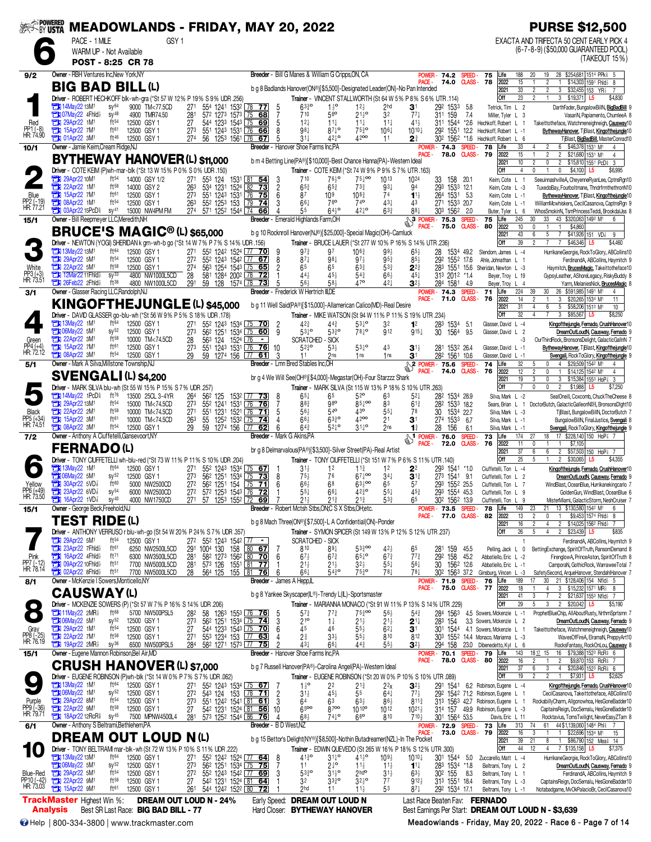| <b>SEEK-BY USTA</b>                 |                                                                                                           |                                      | <b>MEADOWLANDS - FRIDAY, MAY 20, 2022</b>                             |                                     |                                                                                                                                                                                  |               |                                         |                     |                                                      |                                                                                                                               |                                                    |                                     |                                         |                                             |                                |                                                                          | <b>PURSE \$12,500</b>                                                                                                                                            |
|-------------------------------------|-----------------------------------------------------------------------------------------------------------|--------------------------------------|-----------------------------------------------------------------------|-------------------------------------|----------------------------------------------------------------------------------------------------------------------------------------------------------------------------------|---------------|-----------------------------------------|---------------------|------------------------------------------------------|-------------------------------------------------------------------------------------------------------------------------------|----------------------------------------------------|-------------------------------------|-----------------------------------------|---------------------------------------------|--------------------------------|--------------------------------------------------------------------------|------------------------------------------------------------------------------------------------------------------------------------------------------------------|
|                                     | PACE - 1 MILE                                                                                             |                                      | GSY 1                                                                 |                                     |                                                                                                                                                                                  |               |                                         |                     |                                                      |                                                                                                                               |                                                    |                                     |                                         |                                             |                                |                                                                          | EXACTA AND TRIFECTA 50 CENT EARLY PICK 4                                                                                                                         |
|                                     | WARM UP - Not Available<br>POST - 8:25 CR 78                                                              |                                      |                                                                       |                                     |                                                                                                                                                                                  |               |                                         |                     |                                                      |                                                                                                                               |                                                    |                                     |                                         |                                             |                                |                                                                          | (6-7-8-9) (\$50,000 GUARANTEED POOL)<br>(TAKEOUT 15%)                                                                                                            |
| 9/2                                 | Owner - RBH Ventures Inc, New York, NY                                                                    |                                      |                                                                       |                                     |                                                                                                                                                                                  |               |                                         |                     |                                                      | Breeder - Bill G Manes & William G Cripps, ON, CA                                                                             |                                                    |                                     |                                         | POWER -<br>74.2                             | SPEED-                         | 75<br>Life                                                               | 20<br>19<br>28 \$254,681 1514 PPk \$ 5<br>188                                                                                                                    |
|                                     | <b>BIG BAD BILL(L)</b>                                                                                    |                                      |                                                                       |                                     |                                                                                                                                                                                  |               |                                         |                     |                                                      | b g 8 Badlands Hanover(ON®)[\$5,500]-Designated Leader(ON)-No Pan Intended                                                    |                                                    |                                     | <b>PACE</b>                             | 74.0                                        | CLASS-                         | 78<br>2022                                                               | 15<br>$\overline{2}$<br>\$14,303 1591 Fhld } 8                                                                                                                   |
|                                     | Driver - ROBERT HECHKOFF blk-wh-gra (*St 57 W 12% P 19% S 9% UDR .256)                                    |                                      |                                                                       |                                     |                                                                                                                                                                                  |               |                                         |                     |                                                      | Trainer - VINCENT STALLWORTH (St 64 W 5% P 8% S 6% UTR .114)                                                                  |                                                    |                                     |                                         |                                             |                                | 2021<br>Off                                                              | $\overline{33}$<br>$\overline{2}$<br>$\overline{c}$<br>3<br>$$32,455$ 153 YR <sub>3</sub><br>23<br>$\overline{2}$<br>\$19,371 L5<br>$\mathbf{1}$<br>3<br>\$4,830 |
|                                     | <b>EDI 14May22 13M<sup>1</sup></b><br>107May22 4Fhld                                                      | $sy^{64}$<br>$SY^{48}$               | 9000 TM<77.5CD<br>4900 TMR74.50                                       | 271<br>281                          | 554 1241 1532 78 77<br>572 1273 1573 75 68                                                                                                                                       |               |                                         | 5<br>7              | $63^{30}_{4}$<br>710                                 | $1\frac{1}{2}$ <sup>o</sup><br>56 <sup>o</sup>                                                                                | $12\frac{1}{2}$<br>$21\frac{1}{2}$ <sup>o</sup>    | 2hd<br>32                           | 31<br>$77\frac{1}{4}$                   | 292 1533<br>159<br>311                      | 5.8<br>7.4                     | Tetrick, Tim L 2<br>Miller, Tyler L 3                                    | DarthFader, BungalowBillN, BigBadBill<br>VasariN, Papiamento, ChumleeA 8                                                                                         |
| Red                                 | 29Apr22 1M <sup>1</sup>                                                                                   | ft <sub>54</sub>                     | 12500 GSY 1                                                           | 27                                  | 544 1233 1543 75 69                                                                                                                                                              |               |                                         | 5                   | $12\frac{1}{4}$                                      | $11\frac{1}{4}$                                                                                                               | $11\frac{1}{4}$                                    | $11\frac{1}{4}$                     | 413                                     | 311 1544                                    | $*2.6$                         | Hechkoff, Robert L                                                       | Takeittotheface, Watchmeneighneigh, Causway10                                                                                                                    |
| PP1 (-8)<br>HR: 74.90               | <b>TEM</b> 15Apr22 7M <sup>1</sup><br><b>EN 01Apr22 3M1</b>                                               | ft61<br>ft46                         | 12500 GSY 1<br>12500 GSY 1                                            | 273<br>274                          | 551 1243 1531 76<br>56 1253 1561 76                                                                                                                                              |               | 66<br>67                                | 8<br>5              | 981<br>$31\frac{1}{4}$                               | $87\frac{1}{4}$ <sup>o</sup><br>$42^{10}$                                                                                     | $75\frac{3}{4}$ <sup>o</sup><br>4200               | $10^{6}$<br>11                      | 1010}<br>2∛                             | 1551<br>292<br>302 1562                     | 12.2<br>$*1.6$                 | Hechkoff, Robert L -1<br>Hechkoff, Robert L 6                            | BythewayHanover, TBlast, Kingofthejungle10<br>T Blast, BigBadBill, MasterConrad10                                                                                |
| 10/1                                | Owner - Jamie Keim, Cream Ridge, NJ                                                                       |                                      |                                                                       |                                     |                                                                                                                                                                                  |               |                                         |                     |                                                      | Breeder - Hanover Shoe Farms Inc.PA                                                                                           |                                                    |                                     | PACE -                                  | <b>POWER-74.3</b><br>78.0                   | <b>SPEED</b><br><b>CLASS -</b> | Life<br>78<br>79<br>2022                                                 | 33<br>6<br>\$46,378 1531 M1<br>4<br>2<br>15<br>$\mathfrak{p}$<br>$\overline{2}$<br>\$21,680 1531 M1<br>4                                                         |
|                                     | <b>BYTHEWAY HANOVER (L) \$11,000</b>                                                                      |                                      |                                                                       |                                     |                                                                                                                                                                                  |               |                                         |                     |                                                      | b m 4 Betting Line(PA®)[\$10,000]-Best Chance Hanna(PA)-Western Ideal                                                         |                                                    |                                     |                                         |                                             |                                | 2021                                                                     | 10<br>$\overline{c}$<br>$\mathbf{0}$<br>$\overline{2}$<br>\$15,810 1551 PcDi<br>-3<br>$\theta$                                                                   |
|                                     | Driver - COTE KEIM (P)wh-mar-blk (*St 13 W 15% P 0% S 0% UDR 150)<br>29Apr22 10M <sup>1</sup>             | ft <sup>54</sup>                     | 14000 GSY 1/2                                                         | 271                                 | 553 124 1531 81 54                                                                                                                                                               |               |                                         | 3                   | 710                                                  | Trainer - COTE KEIM (*St 74 W 9% P 9% S 7% UTR .163)<br>$76\frac{1}{2}$ <sup>o</sup>                                          | $75\frac{1}{4}$ 00                                 | 1013                                | 1024                                    | 33                                          | 158 20.1                       | Off<br>Keim, Cote L                                                      | $\overline{4}$<br>$\mathbf 0$<br>\$4,100<br>L5<br>\$6,995<br>SeeuinnashvilleA, CheyenneRyanLee, CptnsRgn10<br>-1                                                 |
|                                     | <b>The 22Apr22 1M<sup>1</sup></b><br><b>EM</b> 15Apr22 7M <sup>1</sup>                                    | $ft^{58}$<br>ft61                    | 14000 GSY 2<br>12500 GSY 1                                            | 263<br>273                          | 534 1231 1524 82 73<br>551 1243 1531 76                                                                                                                                          |               | $\overline{75}$                         | $\overline{2}$<br>6 | $65\frac{3}{4}$<br>87                                | $65\frac{3}{4}$<br>109                                                                                                        | 733<br>1083                                        | $93\frac{1}{4}$<br>74               | 94<br>$1^{11}$                          | 293<br>264 1531 5.3                         | 1533 12.1                      | Keim, Cote L -3<br>Keim, Cote L -1                                       | TuxedoBay, Fourboltmane, ThndrfrmthethronN10<br>BythewayHanover, TjBlast, Kingofthejungle10                                                                      |
| Blue<br>PP2 (-19)<br>HR: 77.21      | 1M <sup>1</sup>                                                                                           | ft <sup>54</sup>                     | 12500 GSY 1                                                           | 263<br>274                          | 552 1253 153                                                                                                                                                                     |               | $79$ 74                                 | 3                   | $66\frac{1}{4}$                                      | 76 <sup>o</sup>                                                                                                               | 74 <sup>o</sup>                                    | 43 <sub>7</sub>                     | 43                                      | 271 1533 20.7                               |                                | Keim, Cote L -1                                                          | WilliamMcwhiskers, CecilCasanova, CaptnsRgn 9                                                                                                                    |
| 15/1                                | <b>Et 03Apr22 15PcD</b><br>Owner - Bill Reepmeyer LLC, Meredith, NH                                       | $SV^{41}$                            | 15000 NW4PM FM                                                        |                                     | 571 1252 1544 74 66                                                                                                                                                              |               |                                         |                     | 55                                                   | $64^{10}$<br>Breeder - Emerald Highlands Farm, OH                                                                             | $42^{10}$                                          | $63\frac{3}{4}$                     | 88 <sub>1</sub>                         | 303 1562 2.0                                | <b>SPEED</b>                   | Buter, Tyler L 6<br>75<br>Life                                           | WhosSmokinN, TsmPrincessTeddi, BrookdalJss 8<br>245<br>33<br>43 \$320,063 1493 M1<br>30                                                                          |
|                                     | <b>BRUCE'S MAGIC<sup>®</sup>(L) \$65,000</b>                                                              |                                      |                                                                       |                                     |                                                                                                                                                                                  |               |                                         |                     |                                                      | b g 10 Rocknroll Hanover(NJ®)[\$25,000]-Special Magic(OH)-Camluck                                                             |                                                    |                                     | PACE -                                  | 75.0                                        | <b>CLASS-</b>                  | 80<br>2022<br>2021                                                       | 10<br>\$4,860<br>$\theta$<br>$\mathbf{1}$<br>$\overline{1}$<br>43<br>6<br>\$41,926 151 VD<br>5<br>9                                                              |
|                                     | Driver - NEWTON (YOGI) SHERIDAN k grn-wh-b go (*St 14 W 7% P 7% S 14% UDR .156)                           |                                      |                                                                       |                                     |                                                                                                                                                                                  |               |                                         |                     |                                                      | Trainer - BRUCE LAUER (*St 277 W 10% P 16% S 14% UTR .236)                                                                    |                                                    |                                     |                                         |                                             |                                | Off                                                                      | 39<br>$\overline{7}$<br>\$46,346<br>\$4,460<br>$\overline{7}$<br>L5                                                                                              |
|                                     | <b>Ext 13May22 13M1</b><br>29Apr22 5M <sup>1</sup><br>о                                                   | ft64<br>ft <sup>54</sup>             | 12500 GSY 1<br>12500 GSY 1                                            | 271<br>$\overline{27}$ <sup>2</sup> | 55 <sup>2</sup> 124 <sup>2</sup> 1524 77 70<br>552 1243 1542 77 67                                                                                                               |               |                                         | 9<br>8              | $97\frac{3}{4}$<br>$87\frac{1}{4}$                   | 97<br>$98\frac{1}{4}$                                                                                                         | 106≩<br>$97\frac{1}{2}$                            | $99\frac{1}{2}$<br>$95\frac{3}{4}$  | $65\frac{1}{2}$<br>85}                  | 28 1534 49.2<br>292 1552 17.6               |                                | Slendorn, James L -4<br>Ahle, Johnathan L 1                              | HurrikaneGeorgie, RockToGlory, ABCollins10<br>FerdinandA, ABCollins, Haymitch 9                                                                                  |
| White<br>PP3 (+3)<br>HR: 73.51      | 22Apr22 5M1<br>12Mar22 11Fhld                                                                             | $ft^{58}$<br>$SV^{33}$               | 12500 GSY 1<br>4800 NW1000L5CD                                        | 274<br>28                           | 563 1254 1543 75 65<br>581 1284 2002 78 72                                                                                                                                       |               |                                         | 2                   | 65<br>$44\frac{1}{2}$                                | 65<br>$45\frac{1}{2}$                                                                                                         | $63\frac{3}{4}$<br>$54\frac{3}{4}$                 | $5^{3}$<br>$66\frac{1}{2}$          | $2^{2}$<br>$45\frac{1}{4}$              | 283 1551 15.6<br>313 2012 *1.4              |                                | Sheridan, Newton L -3<br>Beyer, Troy L 19                                | Haymitch, BrucesMagic, Takeittotheface10<br>GypsyLeather, AShoreLegacy, RiskyBuddy 8                                                                             |
|                                     | $7$ 26Feb22 2Fhld $\frac{1}{2}$                                                                           | ft36                                 | 4800 NW1000L5CD                                                       | 291                                 | 59 128 1574 78 73                                                                                                                                                                |               |                                         |                     | 56}                                                  | 58 <sub>3</sub>                                                                                                               | 470                                                | 421                                 | $3^{2}$                                 | 284 1581 4.9                                |                                | Beyer, Troy L 4                                                          | Yarm, MelaniesNick, <u>BrucesMagic</u> 8                                                                                                                         |
| 3/1                                 | Owner - Glasser Racing LLC, Randolph, NJ                                                                  |                                      |                                                                       |                                     |                                                                                                                                                                                  |               |                                         |                     | <b>Breeder</b> - Frederick W Hertrich III,DE         |                                                                                                                               |                                                    |                                     | PACE -                                  | POWER- 74.3<br>71.0                         | <b>SPEED</b><br><b>CLASS -</b> | 71<br>Life<br>76<br>2022                                                 | 224<br>39<br>30<br>26 \$591,985 1491 M1<br>14<br>$\overline{2}$<br>\$20,265 1534 M1<br>$\mathbf{1}$<br>3<br>11                                                   |
|                                     | <b>KINGOFTHEJUNGLE (L) \$45,000</b><br>Driver - DAVID GLASSER go-blu-wh (*St 56 W 9% P 5% S 18% UDR .178) |                                      |                                                                       |                                     |                                                                                                                                                                                  |               |                                         |                     |                                                      | b g 11 Well Said(PA®)[\$15,000]-Allamerican Calico(MD)-Real Desire<br>Trainer - MIKE WATSON (St 94 W 11% P 11% S 19% UTR 234) |                                                    |                                     |                                         |                                             |                                | 2021<br>Off                                                              | 31<br>6<br>5<br>\$58,206 1513 M1<br>4<br>10<br>32<br>\$85,567<br>\$8,250<br>$\overline{4}$<br>3<br>L5                                                            |
|                                     | <b>EN 13May22 1M1</b>                                                                                     | ft64                                 | 12500 GSY 1                                                           | 271                                 | 55 <sup>2</sup> 124 <sup>3</sup> 1534 75 70                                                                                                                                      |               |                                         | $\overline{2}$      | 423                                                  | $44\frac{3}{4}$                                                                                                               | $53^{10}$                                          | 3 <sup>2</sup>                      | 1 <sup>2</sup>                          | 283<br>1534                                 | -5.1                           | Glasser, David L -4                                                      | Kingofthejungle, Fernado, CrushHanover1                                                                                                                          |
| Green                               | 106May22 5M1<br>22Apr22 3M1                                                                               | $SV^{52}$<br>ft58                    | 12500 GSY 1<br>10000 TM<74.5CD                                        | 273<br>28                           | 56 <sup>2</sup> 125 <sup>1</sup> 153 <sup>4</sup> 75 60<br>56 <sup>3</sup> 124 1524 76<br>551 1243 1531 76                                                                       |               | $\sim$                                  | -9                  | $53^{10}$                                            | 5330<br><b>SCRATCHED - SICK</b>                                                                                               | $78^{10}$                                          | 912                                 | $915\frac{1}{4}$                        | 1564<br>30                                  | 9.5                            | Glasser, David L 2                                                       | DreamOutLoudN, Causway, Fernado 9<br>OurThirdRock, BronsonsDelight, GalacticGallnN<br>-3                                                                         |
| PP4 (+4)<br>HR: 72.12               | <b>TEM</b> 15Apr22 7M<br><b>EN 08Apr22 3M1</b>                                                            | ft61<br>$ft^{54}$                    | 12500 GSY 1<br>12500 GSY 1                                            | 273<br>29                           | 59 1274 156 77                                                                                                                                                                   |               | 76<br>61                                | 10<br>3             | $5^{230}$<br>11                                      | $53\frac{1}{2}$<br>2ns                                                                                                        | $53^{10}$<br>1 <sub>ns</sub>                       | 43<br>1 <sub>ns</sub>               | $3^{1}$<br>3 <sup>1</sup>               | 281 1532 26.4<br>282 1561 10.6              |                                | Glasser, David L -1<br>Glasser, David L -1                               | BythewayHanover, TBlast, Kingofthejungle10<br>Svengali, RockToGlory, Kingofthejungle                                                                             |
| 5/1                                 | Owner - Mark A Silva, Millstone Township, NJ                                                              |                                      |                                                                       |                                     |                                                                                                                                                                                  |               |                                         |                     | Breeder - Lmn Bred Stables Inc.OH                    |                                                                                                                               |                                                    |                                     | PACE -                                  | <b>2</b> POWER - 75.6<br>74.0               | <b>SPEED</b><br><b>CLASS -</b> | 74<br>Life<br>76<br>2022                                                 | 32<br>4 \$29,509 1542 M1<br>5<br>0<br>4<br>12<br>$\mathfrak{p}$<br>\$14,125 1542 M1<br>$\mathbf{0}$<br>4                                                         |
|                                     | <b>SVENGALI (L) \$4,200</b>                                                                               |                                      |                                                                       |                                     |                                                                                                                                                                                  |               |                                         |                     |                                                      | br g 4 We Will See(OH®)[\$4,000]-Megastar(OH)-Four Starzzz Shark                                                              |                                                    |                                     |                                         |                                             |                                | 2021                                                                     | 19<br>3<br>$\mathbf{0}$<br>3<br>\$15,384 1553 HoP <sup>2</sup><br>3                                                                                              |
|                                     | Driver - MARK SILVA blu-wh (St 55 W 15% P 15% S 7% UDR .257)<br><b>The 14May22 1PcD</b>                   | ft76                                 | 13500 25CL 3-4YR                                                      | 264                                 | 562 125                                                                                                                                                                          |               | 153 <sup>2</sup> 77 <b>73</b>           | 8                   | $65\frac{1}{4}$                                      | Trainer - MARK SILVA (St 115 W 13% P 18% S 10% UTR .263)<br>65                                                                | 52 <sup>o</sup>                                    | 63                                  | 52‡                                     | 282 1534 28.9                               |                                | Off<br>Silva, Mark L -2                                                  | $\overline{7}$<br>$\Omega$<br>$\mathbf{0}$<br>$\overline{2}$<br>\$1,988<br>L <sub>5</sub><br>\$7,250<br>SealOneill, Coxcomb, ChuckTheCheese {                    |
|                                     | 29Apr22 13M <sup>1</sup><br><b>THE 22Apr22 2M1</b>                                                        | ft <sup>54</sup><br>ft58             | 15000 TM<74.5CD<br>10000 TM<74.5CD                                    | 273<br>27 <sup>1</sup>              | 552 1241<br>551 1231 1521 76                                                                                                                                                     | 1531 L 76     | 76 <br>$\overline{71}$                  | 7<br>5              | 883<br>56}                                           | 980<br>$54^{\circ}$                                                                                                           | $85\frac{1}{4}$ 00<br>43 <sup>o</sup>              | 83<br>$55\frac{1}{4}$               | 61}<br>78                               | 282 1533 18.2<br>30                         | 1534 22.7                      | Sears, Brian L<br>Silva, Mark L -3                                       | DoctorButch, GalacticGalleonNDH, BronsonsDlght10<br>$\overline{1}$<br>TiBlast, BungalowBillN, DoctorButch 7                                                      |
| Black<br>PP5 (+34)<br>HR: 74.51     | 15Apr22 3M1                                                                                               | ft61                                 | 10000 TM<74.5CD                                                       | 263                                 | 55                                                                                                                                                                               |               | 125 <sup>2</sup> 153 <sup>2</sup> 75 74 | 4                   | $66\frac{1}{2}$                                      | $63^{30}_{4}$                                                                                                                 | 4200                                               | 21                                  | 3 <sup>1</sup>                          | 274 1533 6.7                                |                                | Silva, Mark L -1                                                         | BungalowBillN, FinalJustice, Svengali 8                                                                                                                          |
| 7/2                                 | <b>EN 08Apr22 3M1</b><br>Owner - Anthony A Ciuffetelli, Gansevoort, NY                                    | ft <sup>54</sup>                     | 12500 GSY 1                                                           | 29                                  | 59                                                                                                                                                                               | 1274 156 [77] | 62                                      | 6                   | $64\frac{3}{4}$<br><b>Breeder</b> - Mark G Akins, PA | $52^{10}$                                                                                                                     | $31^{10}_{12}$                                     | 2ns                                 | $1\frac{3}{4}$<br>$\mathbb{S}^1$ POWER- | 28<br>156<br>76.0                           | 6.1<br><b>SPEED</b>            | Silva, Mark L -1<br>73<br>Life                                           | Svengali, RockToGlory, Kingofthejungle 9<br>174<br>17 \$228,140 150 HoP <sup>3</sup><br>27<br>18                                                                 |
|                                     | FERNADO(L)                                                                                                |                                      |                                                                       |                                     |                                                                                                                                                                                  |               |                                         |                     |                                                      | br g 8 Delmarvalous(PA®)[\$3,500]-Silver Street(PA)-Real Artist                                                               |                                                    |                                     | PACE -                                  | 72.0                                        | <b>CLASS-</b>                  | 76<br>2022<br>2021                                                       | 11<br>\$7,105<br>0<br>$\overline{1}$<br>37<br>$\overline{2}$<br>\$57,503 150 HoP 3 7<br>6<br>6                                                                   |
|                                     | Driver - TONY CIUFFETELLI wh-blu-red (*St 73 W 11% P 11% S 10% UDR .204)                                  |                                      |                                                                       |                                     |                                                                                                                                                                                  |               |                                         |                     |                                                      | Trainer - TONY CIUFFETELLI (*St 151 W 7% P 6% S 11% UTR .140)                                                                 |                                                    |                                     |                                         |                                             |                                | Off                                                                      | 25<br>\$4,355<br>$\overline{c}$<br>\$30,065<br>L5                                                                                                                |
|                                     | 13May22 1M1<br>106May22 5M1                                                                               | ft64<br>$SV^{52}$                    | 12500 GSY 1<br>12500 GSY 1                                            | 271<br>$\overline{27}3$             | 552 1243 1534 75 67<br>562 1251 1534 75                                                                                                                                          |               | 73                                      | 8                   | $3^{11}$<br>$75\frac{1}{2}$                          | 1 <sup>2</sup><br>76                                                                                                          | $11\frac{3}{4}$<br>$67\frac{1}{4}$ 00              | 1 <sup>2</sup><br>$34\frac{1}{4}$   | 2 <sup>2</sup><br>$3^{13}$              | 293 1541 *1.0<br>273 1541 9.1               | 1541 *10                       | Ciuffetelli, Ton L -4<br>Ciuffetelli, Ton L 2                            | Kingofthejungle, Fernado, CrushHanover10<br>DreamOutLoudN, Causway, Fernado 9                                                                                    |
| Yellow<br>PP6 (+49)<br>HR: 73.50    | <b>TEM</b> 30Apr22 5VD <sup>7</sup><br>$23$ Apr22 6VD $\frac{7}{8}$                                       | ft60<br>$sy^{54}$                    | 5000 NW2500CD<br>6000 NW2500CD                                        | 272<br>272                          | 56 <sup>2</sup> 1251 154 75<br>57 <sup>2</sup> 125 <sup>3</sup> 154 <sup>3</sup> 76 72                                                                                           |               | <u>71   </u>                            | 6                   | $66\frac{1}{2}$<br>$55\frac{1}{4}$                   | 68<br>$66\frac{1}{4}$                                                                                                         | $63\frac{1}{2}$ 00<br>$42\frac{3}{4}$ <sup>o</sup> | 65<br>$55\frac{1}{4}$               | 5 <sup>7</sup><br>453                   | 293 1552 25.5<br>293 1554 45.3              |                                | Ciuffetelli, Ton L 7<br>Ciuffetelli, Ton L 9                             | WindBlast, OceanBlue, Hurrikanekingcarlo 7<br>GoldenGun, WindBlast, OceanBlue 6                                                                                  |
|                                     | <b>置】16Apr22 1VD</b> f sy <sup>4∪</sup><br>Owner - George Beck, Freehold, NJ                              |                                      | 4000 NW1750CD                                                         |                                     | <u>271 57 1253 1552 L72 69</u>                                                                                                                                                   |               |                                         |                     | 2 <sup>1</sup>                                       | <b>Breeder</b> - Robert Mctsh Stbs, ON; C S X Stbs, OH; etc.                                                                  | $2^{13}$                                           |                                     |                                         | 302 1562 13.9<br>POWER-73.5                 | SPEED-                         | Ciuffetelli, Ton<br>Life<br>78                                           | MisterMiami, GalacticStorm, NeshCruiser<br>149<br>23<br>21<br>13 \$130,580 1542 M1<br>6                                                                          |
| 15/1                                | <b>TEST RIDE (L)</b>                                                                                      |                                      |                                                                       |                                     |                                                                                                                                                                                  |               |                                         |                     |                                                      | b g 8 Mach Three(ON®)[\$7,500]-L A Confidential(ON)-Ponder                                                                    |                                                    |                                     | PACE -                                  | 77.0                                        | <b>CLASS -</b>                 | 82<br>2022                                                               | 13<br>$\overline{2}$<br>\$9,453 1574 Fhld} 8<br>0                                                                                                                |
|                                     | Driver - ANTHONY VERRUSO r blu-wh-go (St 54 W 20% P 24% S 7% UDR .357)                                    |                                      |                                                                       |                                     |                                                                                                                                                                                  |               |                                         |                     |                                                      | Trainer - SYMON SPICER (St 149 W 13% P 12% S 12% UTR 237)                                                                     |                                                    |                                     |                                         |                                             |                                | 2021<br>Off                                                              | 16<br>$\overline{2}$<br>2 \$14,025 1562 Fhid<br>4<br>26<br>5<br>$\overline{2}$<br>$$23,439$ L5<br>\$835<br>4                                                     |
|                                     | 29Apr22 5M <sup>1</sup><br>23Apr22 7Fhld <sup>1</sup>                                                     | ft <sup>54</sup><br>ft61             | 12500 GSY 1<br>6250 NW2500L5CD                                        |                                     | 272 552 1243 1542 77 -                                                                                                                                                           |               |                                         | - 7                 | 810                                                  | <b>SCRATCHED - SICK</b><br>$89\frac{1}{4}$                                                                                    | $53\frac{3}{4}$ 00                                 | 42}                                 | 65                                      | 281 159                                     | 45.5                           | Pelling, Jack L                                                          | FerdinandA, ABCollins, Haymitch 9<br>0<br>BettingExchange, SpiritOfTruth, RansomDemand 8                                                                         |
| Pink<br>PP7 (-12)<br>HR: 78.14      | 16Apr22 4Fhld}                                                                                            | ft71                                 | 6300 NW3500L5CD                                                       | $\frac{28}{28}$ <sup>1</sup>        | 291 1004 130 158 80 67<br>281 582 1273 1562 80 70                                                                                                                                |               |                                         | -6                  | $67\frac{1}{2}$                                      | $67\frac{3}{4}$                                                                                                               | $65^{10}$                                          | $67\frac{3}{4}$                     | $77\frac{3}{4}$                         | 292<br>158                                  | 45.2                           | Abbatiello, Eric L -2                                                    | FirenglowA, PrinceAston, SpiritOfTruth 8                                                                                                                         |
|                                     | <b>TEM</b> 09Apr22 10Fhld <sup>3</sup><br><b>Extra 02Apr22 8Fhld</b>                                      | ft <sub>51</sub><br>ft <sup>51</sup> | 7700 NW5000L5CD<br>7700 NW5000L5CD                                    | 28                                  | 573 126<br>564 125                                                                                                                                                               |               | 1551 81 77<br>155 81 76                 | 6                   | $21\frac{1}{2}$<br>66‡                               | $21\frac{1}{2}$<br>$54^{30}_{4}$                                                                                              | $3^{2}\frac{1}{2}$<br>$75\frac{3}{4}$ <sup>o</sup> | $55\frac{1}{4}$<br>$78\frac{1}{4}$  | $56\frac{1}{4}$<br>78‡                  | 30<br>30 <sup>2</sup> 156 <sup>3</sup> 37.2 | 1562 12.6                      | Abbatiello, Eric L -1<br>Ginsburg, Vincen L -3                           | CamporaN, GothicRock, WarraweeTotal 7<br>SafetySecond, ArqueHanover, StendahlHanover 7                                                                           |
| 8/1                                 | Owner - McKenzie I Sowers, Monticello, NY                                                                 |                                      |                                                                       |                                     |                                                                                                                                                                                  |               |                                         |                     | Breeder - James A Hepp,IL                            |                                                                                                                               |                                                    |                                     | PACE -                                  | POWER- 71.9<br>75.0                         | SPEED.                         | Life<br>76<br><b>CLASS-77</b><br>2022                                    | 21 \$128,406 154 Nfld> 5<br>189<br>17<br>30<br>18<br>3 \$15,232 1571 MR<br>$\overline{4}$<br>8                                                                   |
|                                     | <b>CAUSWAY(L)</b><br>Driver - MCKENZIE SOWERS (P) (*St 57 W 7% P 16% S 14% UDR .206)                      |                                      |                                                                       |                                     |                                                                                                                                                                                  |               |                                         |                     |                                                      | b g 8 Yankee Skyscaper(IL®)-Trendy L(IL)-Sportsmaster<br>Trainer - MARIANNA MONACO (*St 91 W 11% P 13% S 14% UTR 229)         |                                                    |                                     |                                         |                                             |                                | 2021<br>Off                                                              | 41<br>$\overline{2}$<br>\$21,637 1553 Nfld }7<br>3<br>29<br>5<br>3<br>2 \$20,042 L5<br>\$5,190                                                                   |
|                                     | $\frac{1}{2}$ 11May22 2MR <sup>1</sup>                                                                    | ft68                                 | 5700 NW500PSL5                                                        | 282                                 | 58 126 <sup>3</sup> 155 <sup>3</sup> 76 76                                                                                                                                       |               |                                         | 5                   | $57\frac{3}{4}$                                      | $7^{73}$                                                                                                                      | $75\frac{3}{4}$ 00                                 | $56\frac{1}{2}$                     | $5^{4}$                                 | 284 1563                                    |                                | 4.5 Sowers, Mckenzie L -1                                                | ProphetBlueChip, AllAboutRusty, NrthmSprtsmn 7                                                                                                                   |
|                                     | <b>Ext 06May22 5M1</b>                                                                                    | $sy^{52}$<br>$ft^{54}$               | 12500 GSY 1<br>12500 GSY 1                                            | 273<br>27                           | 56 <sup>2</sup> 125 <sup>1</sup> 153 <sup>4</sup> 75 <b>74</b><br>544 1233 1543 75 70                                                                                            |               |                                         | 3<br>6              | $21^{\circ}$<br>45                                   | $1\frac{1}{4}$<br>46                                                                                                          | $21\frac{1}{2}$<br>$55\frac{1}{2}$                 | 21}<br>$6^{2}$                      | $2^{1\frac{1}{4}}$<br>3 <sup>1</sup>    | 283 154                                     |                                | 3.3 Sowers, Mckenzie L 2<br>301 1544 4.1 Sowers, Mckenzie L              | DreamOutLoudN, Causway, Fernado 9<br>Takeittotheface, Watchmeneighneigh, Causway10                                                                               |
| Gray<br>PP8 (-25)<br>HR: 76.19      | 29Apr22 1M <sup>1</sup><br>$\frac{1}{2}$ 19Apr22 2MR                                                      | ft <sup>58</sup><br>sy <sup>36</sup> | 12500 GSY 1<br>6500 NW500PSL5                                         | 271<br>284                          | 553 1234 153 77 63<br>582 1271 1573 77 75                                                                                                                                        |               |                                         |                     | $2\frac{3}{4}$<br>431                                | $33\frac{1}{2}$<br>$66\frac{1}{4}$                                                                                            | $55\frac{1}{2}$<br>$44\frac{3}{4}$                 | 810<br>$55\frac{1}{2}$              | 812<br>$3^{2}$                          |                                             |                                | 303 1552 14.4 Monaco, Marianna L -3<br>294 158 23.0 Dibenedetto, Kyl L 6 | WavesOfFireA, ElramaN, PreppyArt10<br>RocksFantasy, RockOnLou, Causway 8                                                                                         |
| 15/1                                | Owner - Eugene Mannon Robinson, Bel Air, MD                                                               |                                      |                                                                       |                                     |                                                                                                                                                                                  |               |                                         |                     |                                                      | Breeder - Hanover Shoe Farms Inc,PA                                                                                           |                                                    |                                     |                                         | POWER- 70.1 SPEED                           |                                | 79<br>Life                                                               | 143<br>16 \$79,388 1523 RcR 6<br>1817 15                                                                                                                         |
|                                     | <b>CRUSH HANOVER (L) \$7,000</b>                                                                          |                                      |                                                                       |                                     |                                                                                                                                                                                  |               |                                         |                     |                                                      | b g 7 Russell Hanover(PA®)-Carolina Angel(PA)-Western Ideal                                                                   |                                                    |                                     | PACE -                                  | 78.0                                        |                                | <b>CLASS-80</b><br>2022<br>2021                                          | 16<br>$\overline{2}$<br>$\overline{c}$<br>\$9,870 153 RcR 7<br>$\mathbf{1}$<br>37<br>6<br>\$20,846 1523 RcR 6<br>3<br>4                                          |
|                                     | Driver - EUGENE ROBINSON (P)wh-blk (*St 14 W 0% P 7% S 7% UDR .062)<br><b>EN 13May22 1M<sup>1</sup></b>   | ft64                                 | 12500 GSY 1                                                           |                                     |                                                                                                                                                                                  |               |                                         | -7                  |                                                      | Trainer - EUGENE ROBINSON (*St 20 W 0% P 10% S 10% UTR .089)                                                                  |                                                    | 2 <sup>2</sup>                      | $\mathbf{3}^{2\frac{1}{2}}$             |                                             |                                | Off                                                                      | 19<br>\$7,931 L5<br>\$2,625<br>Kingofthejungle, Fernado, CrushHanover10                                                                                          |
|                                     | 1M <sup>1</sup>                                                                                           | $sy^{52}$<br>ft <sup>54</sup>        | 12500 GSY 1                                                           | $^{271}_{272}$                      | 55 <sup>2</sup> 124 <sup>3</sup> 153 <sup>4</sup> 75 <b>67</b><br>54 <sup>3</sup> 124 153 78 71                                                                                  |               |                                         | $\overline{2}$      | $\frac{11}{3}$ <sup>1</sup> / <sub>2</sub>           | $2^{2}_{45}$                                                                                                                  | $\frac{2^{13}}{5^{5}}$                             | $64\frac{1}{4}$                     | $77\frac{1}{2}$                         |                                             |                                | 291 1541 6.2 Robinson, Eugene L -4<br>292 1542 71.2 Robinson, Eugene L 1 | CecilCasanova, Takeittotheface, ABCollins10                                                                                                                      |
| Purple<br>PP9 (-36)<br>HR: 79.71    | 29Apr22 8M1                                                                                               | ft <sup>58</sup>                     | 12500 GSY 1<br>12500 GSY 1                                            | 273<br>27                           | 55 <sup>1</sup> 124 <sup>2</sup> 154 <sup>1</sup> 81 61<br>54 <sup>2</sup> 123 <sup>1</sup> 1524 81 <b>56</b>                                                                    |               |                                         | 3<br>10             | 64<br>6500                                           | 63<br>$8^{700}$                                                                                                               | $63\frac{1}{2}$<br>$10^{10^{\circ}}$               | $86\frac{1}{2}$<br>1012             | $8^{11}$<br>$10^{21}$                   | 314 157                                     |                                | 313 1563 42.7 Robinson, Eugene L 1<br>49.9 Robinson, Eugene L -3         | RockabillyCharm, Allgonowhoa, HesGoneBadder10<br>CaptainsReign, DocSemalu, HesGoneBadder10                                                                       |
| 6/1                                 | <b>The 18Apr22 12RcR</b> \$<br>Owner - Anthony S Beltrami, Bethlehem, PA                                  | $sy^{45}$                            | 7500 MPNW4500L4                                                       | 281                                 | 573 1252 1544 86 76                                                                                                                                                              |               | Breeder - BD West, NZ                   |                     | $68\frac{1}{2}$                                      | $74^{10}_{4}$                                                                                                                 | 66                                                 | 810                                 | 7104                                    | 301 1564 53.5<br>POWER- 72.9                | SPEED-                         | Davis, Eric L 11<br>73<br>Life                                           | Rocktavius, TomsTwilight, NeverEasyZTam 8<br>313<br>74<br>44 \$1,139,060 1484 Phis<br>61                                                                         |
|                                     | <b>DREAM OUT LOUD N(L)</b>                                                                                |                                      |                                                                       |                                     |                                                                                                                                                                                  |               |                                         |                     |                                                      | b g 15 Bettor's Delight(NY®)[\$8,500]-Nothin Butadreamer(NZL)-In The Pocket                                                   |                                                    |                                     | PACE-                                   | 73.0                                        |                                | CLASS-79<br>2022<br>2021                                                 | 16<br>3<br>\$22,696 1534 M1<br>$\mathbf{1}$<br>15<br>$\overline{39}$<br>21<br>8<br>\$86,790 152 Mea <sup>\$</sup> 14<br>$\mathbf{1}$                             |
|                                     | Driver - TONY BELTRAMI mar-blk-wh (St 72 W 13% P 10% S 11% UDR 222)                                       |                                      |                                                                       |                                     |                                                                                                                                                                                  |               |                                         |                     |                                                      | Trainer - EDWIN QUEVEDO (St 265 W 16% P 18% S 12% UTR .300)                                                                   |                                                    |                                     |                                         |                                             |                                | Off                                                                      | 44<br>12<br>7 \$135,158 L5<br>4<br>\$7,375                                                                                                                       |
|                                     | <b>ED 13May 22 13M<sup>1</sup></b><br><b>124 06May22 5M1</b><br>29Apr22 5M1                               | ft64<br>$sy^{52}$                    | 12500 GSY 1<br>12500 GSY 1                                            | 271<br>273                          |                                                                                                                                                                                  |               |                                         |                     | 4130<br>11                                           | $3^{14}$ <sup>o</sup><br>$2^{10}$                                                                                             | $41\frac{1}{2}$ <sup>o</sup><br>$11\frac{1}{2}$    | $109\frac{1}{2}$<br>$11\frac{1}{2}$ | $10^{10}$<br>$11\frac{1}{4}$            | 301 1544 5.0<br>283 1534 *1.8               |                                | Zuccarello, Matt L -4<br>Beltrami, Tony L 2                              | HurrikaneGeorgie, RockToGlory, ABCollins10<br>DreamOutLoudN, Causway, Fernado 9                                                                                  |
| Blue-Red<br>PP10 (-42)<br>HR: 73.03 | <b>Extra 22Apr22 9M1</b>                                                                                  | ft <sup>54</sup><br>ft <sup>58</sup> | 12500 GSY 1<br>12500 GSY 1                                            | 272<br>27                           | 552 1242 1524 $\overline{17}$ 64<br>562 1251 1534 $\overline{17}$ 54<br>562 1251 1534 $\overline{17}$ 55<br>552 1243 1524 $\overline{17}$ 69<br>544 1243 1524 $\overline{17}$ 64 |               |                                         |                     | $53^{30}_{4}$<br>32                                  | $31\frac{1}{2}$ <sup>o</sup><br>$33^{30}_{4}$                                                                                 | 2 <sup>hd</sup><br>$3^{210}$                       | $3^{11}$<br>7 <sup>7</sup>          | $63\frac{1}{2}$<br>912}                 | 30 <sup>2</sup> 155 8.3<br>313 1551 18.4    |                                | Beltrami, Tony L 1<br>Beltrami, Tony L -3                                | FerdinandA, ABCollins, Haymitch 9<br>CaptainsReign, DocSemalu, HesGoneBadder10                                                                                   |
|                                     | <b>EN 15Apr22 9M1</b>                                                                                     | ft61                                 | 12500 GSY 1                                                           | 261                                 | 544 1242 1522 80 72                                                                                                                                                              |               |                                         |                     | 2 <sub>hd</sub>                                      | 11                                                                                                                            | $11\frac{1}{2}$                                    | 53                                  | 87‡                                     | 292 1534 17.1                               |                                | Beltrami, Tony L -1                                                      | Notabadgame, MvOkPalacioBr, CecilCasanova10                                                                                                                      |
|                                     | <b>TrackMaster</b> Highest Win %:<br><b>Analysis</b>                                                      |                                      | <b>DREAM OUT LOUD N - 24%</b><br>Best SR Last Race: BIG BAD BILL - 77 |                                     |                                                                                                                                                                                  |               |                                         |                     |                                                      | Early Speed: DREAM OUT LOUD N<br>Hard Closer: BYTHEWAY HANOVER                                                                |                                                    |                                     |                                         |                                             |                                | Last Race Beaten Fav: FERNADO                                            | Best Earnings Per Start: DREAM OUT LOUD N - \$3,639                                                                                                              |
|                                     | $\bullet$ Help   800-334-3800   www.trackmaster.com                                                       |                                      |                                                                       |                                     |                                                                                                                                                                                  |               |                                         |                     |                                                      |                                                                                                                               |                                                    |                                     |                                         |                                             |                                |                                                                          | Meadowlands - Friday, May 20, 2022 - Race 6 - Page 7 of 14                                                                                                       |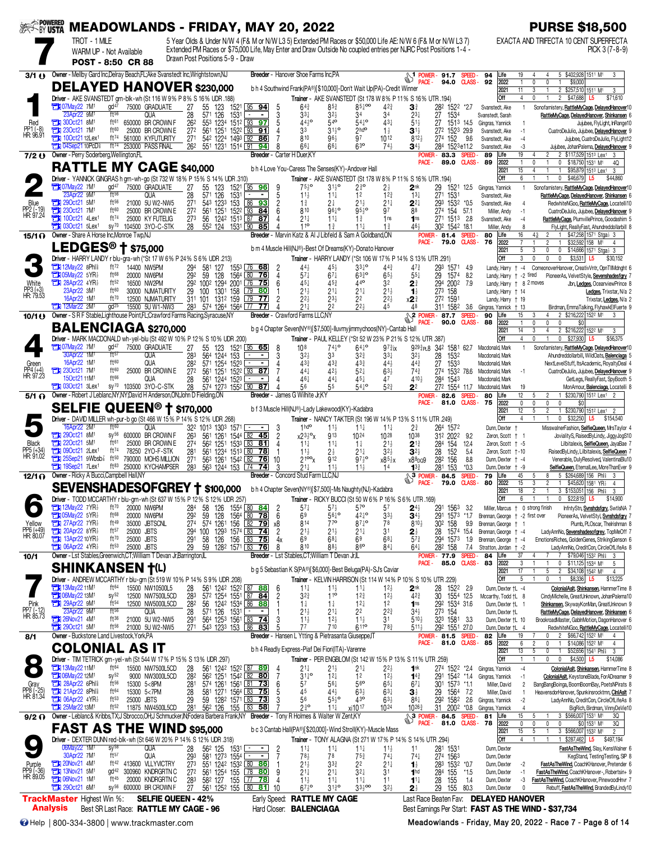| <b>SEEK BY USTA</b>                    |                                                                                                      | TROT - 1 MILE                                           |                                                                                                                                 |                                    |                                                                                                                    |                                                                                                                |                           | <b>MEADOWLANDS - FRIDAY, MAY 20, 2022</b><br>5 Year Olds & Under N/W 4 (F& M or N/W L3 5) Extended PM Races or \$50,000 Life AE: N/W 6 (F& M or N/W L3 7)            |                                                                                                                              |                                                                          |                                                                  |                                                                       |                                |                                                                                               |                                            | <b>PURSE \$18,500</b><br>EXACTA AND TRIFECTA 10 CENT SUPERFECTA                                                                      |
|----------------------------------------|------------------------------------------------------------------------------------------------------|---------------------------------------------------------|---------------------------------------------------------------------------------------------------------------------------------|------------------------------------|--------------------------------------------------------------------------------------------------------------------|----------------------------------------------------------------------------------------------------------------|---------------------------|----------------------------------------------------------------------------------------------------------------------------------------------------------------------|------------------------------------------------------------------------------------------------------------------------------|--------------------------------------------------------------------------|------------------------------------------------------------------|-----------------------------------------------------------------------|--------------------------------|-----------------------------------------------------------------------------------------------|--------------------------------------------|--------------------------------------------------------------------------------------------------------------------------------------|
|                                        |                                                                                                      | WARM UP - Not Available<br>POST - 8:50 CR 88            |                                                                                                                                 |                                    | Drawn Post Positions 5-9 - Draw                                                                                    |                                                                                                                |                           | Extended PM Races or \$75,000 Life, May Enter and Draw Outside No coupled entries per NJRC Post Positions 1-4 -                                                      |                                                                                                                              |                                                                          |                                                                  |                                                                       |                                |                                                                                               |                                            | PICK 3 (7-8-9)                                                                                                                       |
| 3/1()                                  |                                                                                                      |                                                         | Owner - Mellby Gard Inc, Delray Beach, FL; Ake Svanstedt Inc, Wrightstown, NJ                                                   |                                    |                                                                                                                    |                                                                                                                |                           | Breeder - Hanover Shoe Farms Inc.PA                                                                                                                                  |                                                                                                                              |                                                                          |                                                                  | $\frac{1}{2}$ POWER - 91.7<br>94.0                                    | <b>SPEED</b><br><b>CLASS -</b> | 94<br>Life<br>92<br>2022                                                                      | 19<br>0<br>$\mathbf{1}$                    | 5 \$402,928 1511 M1<br>3<br>0<br>\$9,000                                                                                             |
|                                        |                                                                                                      |                                                         | <b>DELAYED HANOVER \$230,000</b><br>Driver - AKE SVANSTEDT grn-blk-wh (St 116 W 9% P 8% S 16% UDR .188)                         |                                    |                                                                                                                    |                                                                                                                |                           | b h 4 Southwind Frank(PA®)[\$10,000]-Don't Wait Up(PA)-Credit Winner<br>Trainer - AKE SVANSTEDT (St 178 W 8% P 11% S 16% UTR 194)                                    |                                                                                                                              |                                                                          |                                                                  |                                                                       |                                | 2021<br>loff                                                                                  | 11<br>3<br>4<br>0                          | 2 \$257,510 1511 M1<br>3<br>2 \$47,688<br>\$71,610<br>$\mathbf{1}$<br>L5                                                             |
|                                        | <b>FEED 07May22 7M1</b><br>23Apr22 9M1                                                               | gd <sup>47</sup><br>ft56                                | 75000 GRADUATE<br>QUA                                                                                                           | 27<br>28                           | 55<br>123<br>571<br>126<br>1531                                                                                    | 1521 95 94                                                                                                     | h                         | $64\frac{3}{4}$<br>$33\frac{1}{4}$                                                                                                                                   | $85\frac{3}{4}$<br>34<br>$32\frac{1}{2}$                                                                                     | $85\frac{1}{4}$ 00<br>$42\frac{3}{4}$<br>34                              | 31<br>$2^{3}$                                                    | 282 1522<br>27<br>1534                                                | *2.7                           | Svanstedt, Ake<br>Svanstedt, Sarah                                                            |                                            | Sonofamistery, RattleMyCage, DelayedHanover10<br>RattleMyCage, DelayedHanover, Shinkansen 6                                          |
| Red<br>PP1 (-8)<br>HR: 96.91           | $\frac{1}{200}$ 300ct21 8M <sup>1</sup><br>230ct21 7M <sup>1</sup><br>77 100 ct21 12Lex <sup>1</sup> | ft61<br>ft60                                            | 650000 BR CROWN F<br>25000 BR CROWN E<br>ft74 561000 KYFUTURITY                                                                 | 262<br>272<br>271                  | 553 1234<br>561 1251<br>542 1224 1493 92                                                                           | 1512 93<br>97<br>$152^2$ $93$ 91<br>86                                                                         |                           | 4410<br>33<br>810                                                                                                                                                    | $54^{\circ}$<br>$31^{10}_{2}$<br>96}<br>97                                                                                   | $54^{10}$<br>43 <sup>1</sup><br>2 <sup>h</sup><br>$1\frac{1}{2}$<br>1012 | $51\frac{1}{2}$<br>$3^{1}$<br>$812\frac{1}{2}$                   | 27<br>272 1523 29.9<br>274 152                                        | 1513 145<br>9.6                | Gingras, Yannick<br>Svanstedt, Ake<br>Svanstedt, Ake                                          | $-1$                                       | Jujubee, FlyLight, InRange10<br>CuatroDeJulio, Jujubee, DelayedHanover 9<br>Jujubee, CuatroDeJulio, FlyLight12                       |
| 7/2()                                  | <b>THE 04Sep21 10PcD</b><br>Owner - Perry Soderberg, Wellington, FL                                  |                                                         | ft <sup>74</sup> 253000 PASS FINAL                                                                                              | 262                                | 551 1231 1514 91                                                                                                   | -94                                                                                                            |                           | $66\frac{1}{4}$<br>Breeder - Carter H Duer, KY                                                                                                                       | 63 <sup>o</sup><br>$66\frac{1}{4}$                                                                                           | $74\frac{1}{2}$                                                          | 34}<br>POWER-                                                    | 284 1523e11.2<br>83.3                                                 | <b>SPEED</b>                   | Svanstedt, Ake<br>89<br>Life                                                                  | -3<br>19                                   | Jujubee, JohanPalema, DelayedHanover 9<br>\$117,529 1513 Lex1 3<br>$\overline{2}$                                                    |
|                                        |                                                                                                      |                                                         | <b>RATTLE MY CAGE \$40,000</b>                                                                                                  |                                    |                                                                                                                    |                                                                                                                |                           | b h 4 Love You-Caress The Senses(KY)-Andover Hall                                                                                                                    |                                                                                                                              |                                                                          | PACE-                                                            | 89.0                                                                  | <b>CLASS-</b>                  | 89<br>2022<br>2021                                                                            | 0<br>15<br>4                               | 0<br>\$18,750 1531 M1<br>$\mathbf{1}$<br>4Q<br>\$95,879 1513 Lex1<br>$\mathbf{1}$<br>3                                               |
|                                        | <b>TEN 07May22 7M1</b><br>23Apr22 9M1                                                                | gd <sup>47</sup><br>ft56                                | 75000 GRADUATE<br>QUA                                                                                                           | 27                                 | Driver - YANNICK GINGRAS h grn-wh-go (St 732 W 18% P 15% S 14% UDR 310)<br>55<br>123                               | 1521 95 96<br>. .                                                                                              | 9                         | Trainer - AKE SVANSTEDT (St 178 W 8% P 11% S 16% UTR 194)<br>$75\frac{1}{2}$ <sup>o</sup>                                                                            | $31\frac{1}{2}$ <sup>o</sup><br>$2^{30}$<br>12                                                                               | $2\frac{1}{2}$                                                           | $2^{\rm nk}$                                                     | 29<br>1521                                                            | 12.5                           | Off<br>Gingras, Yannick                                                                       | 6<br>$\overline{1}$                        | 0 $$46,679$ L5<br>\$44,860<br>Sonofamistery, RattleMyCage, DelayedHanover10                                                          |
| Blue<br>PP2 (-19)<br>HR: 97.24         | 290ct21 5M <sup>1</sup><br><b>EX 230ct21 7M1</b>                                                     | ft56<br>ft60                                            | 21000 5U W2-NW5<br>25000 BR CROWN E                                                                                             | 28<br>271<br>27 <sup>2</sup>       | 571 126<br>1531<br>543 1233<br>561 1251                                                                            | 153 86 93<br>1522 93 84                                                                                        | 5<br>$\overline{c}$       | $11\frac{1}{2}$<br>$1\frac{3}{4}$<br>810                                                                                                                             | $11\frac{1}{4}$<br>2‡<br>21분<br>96 <sub>7</sub> °                                                                            | 12 <sup>3</sup><br>$21\frac{1}{4}$<br>$95\frac{1}{2}$<br>97              | $13\frac{1}{4}$<br>22}<br>88                                     | 271 1531<br>293<br>274 154                                            | 1532 *0.5<br>57.1              | Svanstedt, Ake<br>Svanstedt, Ake<br>Miller, Andy                                              |                                            | RattleMyCage, DelayedHanover, Shinkansen 6<br>RedwhiteNGoo, RattleMyCage, Locatelli10<br>CuatroDeJulio, Jujubee, DelayedHanover 9    |
|                                        | <b>The 100ct21 4Lex1</b><br>$1030ct21$ 5 Lex <sup>1</sup>                                            | ft74<br>$SV^{70}$                                       | 25000 KY FUTELIG<br>104500 3YO-C-STK                                                                                            | 273<br>28                          | 56<br>552 124 1531 90                                                                                              | 1242 1513 87 87<br>85                                                                                          |                           | 21 <sup>1</sup><br>110                                                                                                                                               | $11\frac{1}{4}$<br>$1\frac{3}{4}$<br>$1\frac{3}{4}$<br>$11+$                                                                 | 1 <sub>ns</sub><br>$1\frac{3}{4}$                                        | 1 <sub>ns</sub><br>464                                           | 271 1513 2.8<br>302 1542 18.1                                         |                                | Svanstedt, Ake<br>Miller, Andy                                                                | $-4$<br>8                                  | RattleMyCage, PlumvillePrince, Goodashim 5<br>FlyLight, ReallyFast, Ahundreddollarbill 8                                             |
| 15/1 O                                 | Owner - Share A Horse Inc.Monroe Twp.NJ                                                              | LEDGES <sup>®</sup> † \$75,000                          |                                                                                                                                 |                                    |                                                                                                                    |                                                                                                                |                           | Breeder - Marvin Katz & Al J Libfeld & Sam A Goldband,ON<br>b m 4 Muscle Hill(NJ®)-Best Of Dreams(KY)-Donato Hanover                                                 |                                                                                                                              |                                                                          | POWER-<br><b>PACE</b>                                            | 81.4<br>79.0                                                          | <b>SPEED</b><br><b>CLASS -</b> | Life<br>80<br>76<br>2022<br>2021                                                              | 16<br>43<br>5<br>3                         | \$47,258 1571 Stga} 3<br>2<br>$\mathbf{1}$<br>$\overline{2}$<br>\$32,592 158 M1<br>$\overline{4}$<br>0<br>\$14,666 1571 Stga} 3<br>0 |
|                                        | <b>TEM</b> 12May22 8Phl <sup>§</sup>                                                                 | ft $72$                                                 | Driver - HARRY LANDY r blu-gra-wh (*St 17 W 6% P 24% S 6% UDR .213)<br>14400 NW5PM                                              | 294                                | 581 127                                                                                                            | 1553 76 68                                                                                                     |                           | Trainer - HARRY LANDY (*St 106 W 17% P 14% S 13% UTR .291)<br>445                                                                                                    | $45\frac{1}{2}$                                                                                                              | $33^{10}$<br>$44\frac{3}{4}$                                             | $47\frac{3}{4}$                                                  | 293 1571                                                              | 4.9                            | <b>Off</b><br>Landy, Harry                                                                    | 0<br>3<br>$+ -4$                           | 0<br>$\mathbf{0}$<br>$$3,531$ L5<br>\$30,152<br>ComeonoverHanover, CreativVntr, OpnTIIMdnght 6                                       |
| White                                  | <b>Ext 05May22 5YR</b><br>$28$ Apr22 4YR <sup>3</sup>                                                | ft68<br>ft $52$                                         | 20000 NW6PM<br>16500 NW2PM                                                                                                      | 292                                | 59<br>128<br>292 1002 1294 2001 76 75                                                                              | 1564 80<br>76                                                                                                  |                           | 57‡<br>45+                                                                                                                                                           | $67\frac{1}{4}$<br>440<br>$45\frac{3}{7}$                                                                                    | $63^{30}_{4}$<br>$65\frac{1}{2}$<br>32                                   | $55\frac{1}{4}$<br>21                                            | 29<br>1574<br>294 2002                                                | 8.2<br>7.9                     | Landy. Harry + -2 tired<br>Landy, Harry + 8 2 moves                                           |                                            | PioneerAs, VelvetStyle, Sevenshadesfory 7<br>Jbn, Ledges, OceanviewPrince 8                                                          |
| PP3 (+3)<br>HR: 79.53                  | 23Apr22 3M <sup>1</sup><br>16Apr22 1M <sup>1</sup>                                                   | ft60<br>$ft^{70}$<br>$qd^{25}$                          | 30000 NJMATURITY<br>12500 NJMATURITY                                                                                            | 29                                 | 100 1301 158<br>311 101 1312 159                                                                                   | $\begin{array}{ c c } \hline 79 & \textbf{80} \end{array}$<br>$\begin{bmatrix} 79 & \textbf{77} \end{bmatrix}$ | 2                         | $21\frac{1}{2}$<br>$2^{2}$                                                                                                                                           | $21\frac{1}{4}$<br>$21\frac{1}{4}$<br>22<br>$2^{3}\frac{1}{2}$<br>224                                                        | $21\frac{1}{2}$<br>$2^{2}$                                               | $\mathbf{1}_{2}^{1}$<br>x2 ∛                                     | 273 158<br>272 1591                                                   |                                | Landy, Harry + 14<br>Landy, Harry + 19                                                        |                                            | Ledges, Trixstar, N/a 2<br>Trixstar, Ledges, N/a 2                                                                                   |
| 10/1()                                 | <b>12Mar22 2M1</b>                                                                                   |                                                         | 15500 5U W1-NW3<br>Owner - S R F Stable, Lighthouse Point, FL, Crawford Farms Racing, Syracuse, NY                              |                                    | 283 574 1264 1564 77                                                                                               | 77                                                                                                             |                           | $21\frac{1}{4}$<br><b>Breeder</b> - Crawford Farms LLC,NY                                                                                                            | 22                                                                                                                           | 45                                                                       | 48<br>$\mathbb{S}^2$<br>PACE -                                   | 311 1582 3.6<br><b>POWER-87.7</b><br>90.0                             | <b>SPEED</b><br><b>CLASS -</b> | Gingras, Yannick † 13<br>90<br>Life<br>88<br>2022                                             | 15<br>3<br>0<br>$\mathbf{1}$               | Birdman, EmmaTalking, FlyhawkElFuerte 9<br>2 \$216,222 1522 M1<br>$\overline{4}$<br>3<br>0<br>0<br>\$0                               |
|                                        |                                                                                                      |                                                         | <b>BALENCIAGA \$270,000</b>                                                                                                     |                                    | Driver - MARK MACDONALD wh-yel-blu (St 492 W 10% P 12% S 10% UDR 200)                                              |                                                                                                                |                           | b g 4 Chapter Seven(NY®)[\$7,500]-lluvmyjimmychoos(NY)-Cantab Hall<br>Trainer - PAUL KELLEY (*St 52 W 23% P 21% S 12% UTR 387)                                       |                                                                                                                              |                                                                          |                                                                  |                                                                       |                                | 2021<br>Off                                                                                   | 14<br>3<br>4<br>0                          | 2 \$216,222 1522 M1<br>4<br>3<br>0<br>\$27,930<br>\$56,375<br>L5.                                                                    |
|                                        | <b>TEN 07May22 7M1</b><br>30Apr22 1M <sup>1</sup>                                                    | $\mathrm{d}^{47}$<br>ft57                               | 75000 GRADUATE<br><b>QUA</b>                                                                                                    | 27<br>283                          | 55 123<br>564 1244<br>153                                                                                          | 1521 95 65                                                                                                     | 8<br>3                    | 10 <sup>8</sup><br>32)                                                                                                                                               | $743^{\circ}$<br>33<br>32}                                                                                                   | $64^{10}$<br>$97\frac{3}{4}$ ix<br>$33\frac{1}{4}$                       | $32\frac{1}{2}$                                                  | 9293 <sub>PL8</sub> 342 1581 62.7<br>28<br>1532                       |                                | Macdonald, Mark<br>Macdonald, Mark                                                            |                                            | Sonofamistery, RattleMyCage, DelayedHanover10<br>Ahundreddollarbill, WildOats, Balenciaga 5                                          |
| Green<br>PP4 (+4)<br>HR: 97.23         | 16Apr22 1M <sup>1</sup><br><b>EX 230ct21 7M1</b><br>150ct2111M <sup>1</sup>                          | ft60<br>ft60<br>ft66                                    | QUA<br>25000 BR CROWN E<br>QUA                                                                                                  | 282<br>27 <sup>2</sup><br>28       | 571 1254 1523<br>561 1251<br>561 1244 1523                                                                         | $\overline{87}$<br>152 <sup>2</sup> 93                                                                         |                           | 433<br>441<br>461                                                                                                                                                    | $43\frac{3}{4}$<br>433<br>$42\frac{1}{2}$<br>52‡<br>$44+$<br>45‡                                                             | 443<br>$63\frac{1}{2}$<br>47                                             | $44\frac{3}{4}$<br>$74\frac{3}{4}$<br>4104                       | 27<br>1533<br>274 1532 78.6<br>284 1543                               |                                | Macdonald, Mark<br>Macdonald, Mark<br>Macdonald, Mark                                         |                                            | NextLevelStuff, ItsAcademic, RoyaltyDeal 4<br>CuatroDeJulio, Jujubee, DelayedHanover 9<br>GetLegs, ReallyFast, SpyBooth 5            |
|                                        | $21$ 030ct21 3Lex <sup>1</sup>                                                                       | $SV^{70}$                                               | 103500 3YO-C-STK<br>5/1 @ Owner - Robert J Leblanc, NY, NY; David H Anderson, ON; John D Fielding, ON                           | 28                                 | 574 1273 1552 90 87                                                                                                |                                                                                                                |                           | 56<br><b>Breeder</b> - James G Wilhite Jr.KY                                                                                                                         | 55                                                                                                                           | $54^{0}$<br>$52\frac{3}{4}$                                              | 22<br>POWER-                                                     | 272 1554 11.7<br>82.6                                                 | <b>SPEED</b>                   | Macdonald, Mark<br>Life<br>80                                                                 | 19<br>12<br>5                              | MonAmour, Balenciaga, Locatelli 8<br>\$230,790 1512 Lex1 2<br>2                                                                      |
|                                        |                                                                                                      |                                                         | <b>SELFIE QUEEN<sup>®</sup> † \$170,000</b>                                                                                     |                                    |                                                                                                                    |                                                                                                                |                           | b f 3 Muscle Hill(NJ®)-Lady Lakewood(KY)-Kadabra                                                                                                                     |                                                                                                                              |                                                                          |                                                                  | 81.0                                                                  | <b>CLASS-</b>                  | 75<br>2022<br>2021                                                                            | 0<br>0<br>12<br>5                          | 0<br>$\mathbf{0}$<br>\$0<br>$\overline{2}$<br>1 \$230,790 1512 Lex1 2                                                                |
|                                        | 16Apr22 2M <sup>1</sup><br><b>THE 290ct21 8M<sup>1</sup></b>                                         | ft60                                                    | <b>Driver</b> - DAVID MILLER wh-pur-b go (St 466 W 15% P 14% S 12% UDR 268)<br><b>QUA</b><br>sy <sup>56</sup> 600000 BR CROWN F | 263                                | 32 <sup>2</sup> 101 <sup>3</sup> 130 <sup>3</sup> 1571<br>561 1261                                                 | $\sim$ $ -$<br>$154^4$ 82 45                                                                                   |                           | Trainer - NANCY TAKTER (St 196 W 14% P 13% S 11% UTR 249)<br>1hd <sup>o</sup><br>x23 <sup>3</sup>                                                                    | $11\frac{1}{2}$<br>$11\frac{1}{4}$<br>913<br>$10^{24}$                                                                       | $11\frac{1}{4}$<br>1028                                                  | $2\frac{3}{4}$<br>1038                                           | 264 1572<br>312 2022                                                  | 9.2                            | Off<br>Dunn, Dexter<br>Zeron, Scott + 1                                                       | 4                                          | 0<br>$$32,250$ L5<br>\$154,540<br>MisswalnerFashion, SelfieQueen, MrsTaylor 4<br>JovialityS, RaisedByLindy, JiggyJogS10              |
| <b>Black</b><br>PP5 (+34)<br>HR: 91.02 | <b>FEM</b> 220ct21 5M <sup>1</sup><br><b>Et 090ct21</b> 2Lex <sup>1</sup>                            | ft61<br>ft74                                            | 25000 BR CROWN E<br>78250 2YO-F-STK                                                                                             | 27 <sup>4</sup><br>28 <sup>1</sup> | 562 1251<br>561 1234 1513 80                                                                                       | $153^3$ 83 81<br>78                                                                                            |                           | $11\frac{1}{4}$<br>$11\frac{1}{2}$                                                                                                                                   | $11\frac{1}{4}$<br>$1\frac{1}{4}$<br>$21\frac{1}{4}$<br>$2\frac{1}{2}$                                                       | $21\frac{1}{2}$<br>$32\frac{1}{2}$                                       | $2^{12}$<br>$3^{2+}$                                             | 284<br>154<br>152<br>28                                               | 12.4<br>5.4                    | Zeron, Scott + -5<br>Zeron, Scott +-10                                                        |                                            | Lilbitalexis, SelfieQueen, JayaBae 7<br>RaisedByLindy, Lilbitalexis, SelfieQueen 7                                                   |
|                                        | <b>The 19Sep21 7Lex1</b>                                                                             | <b>The 25Sep21 9Wbsb</b> <sup>2</sup> ft <sup>50</sup>  | 790000 MOHS MILLION<br>ft <sup>83</sup> 250000 KYCHAMPSER                                                                       | 271                                | 563 1261 1542 82<br>283 563 1244 153 74                                                                            | 76<br>74                                                                                                       | 10                        | 2100 <sub>x</sub><br>$21\frac{1}{4}$                                                                                                                                 | <b>912</b><br>$11\frac{1}{2}$<br>$11\frac{1}{2}$                                                                             | $97\frac{1}{2}$ <sup>o</sup><br>x8 <sup>51</sup> <sub>2</sub> x<br>14    | $x88$ po $9$<br>$13\frac{3}{4}$                                  | 156<br>282<br>281<br>153                                              | 8.8<br>$*0.3$                  | Dunn, Dexter + -4<br>Dunn, Dexter + -9                                                        |                                            | Venerable, DulyResolved, ValentinaBlu10<br>SelfieQueen, EternalLee, MoreThanEver 9                                                   |
| 12/1 O                                 | Owner - Ricky A Bucci, Campbell Hall, NY                                                             |                                                         |                                                                                                                                 |                                    |                                                                                                                    |                                                                                                                |                           | Breeder - Concord Stud Farm LLC.N.<br>SEVENSHADESOFGREY † \$100,000 bh4 Chapter Seven(NY®)[\$7,500]-Ms Naughty(NJ)-Kadabra                                           |                                                                                                                              |                                                                          | $\sqrt{3 \frac{1}{2}}$ POWER -<br>PACE -                         | 84.5<br>79.0                                                          | <b>SPEED</b><br><b>CLASS-</b>  | 79<br>Life<br>80<br>2022<br>2021                                                              | 45<br>5<br>15<br>3<br>18<br>$\overline{2}$ | 5 \$264,689 156 Phis<br>8<br>3<br>$\overline{2}$<br>\$45,620 1581 YR <sub>2</sub><br>$\mathbf{1}$<br>4<br>3 \$153,051 156 Phli<br>3  |
|                                        | <b>THE 12May22 7YR</b>                                                                               | ft70                                                    | 20000 NW6PM                                                                                                                     | 284                                | Driver - TODD MCCARTHY r blu-grn-wh (St 637 W 15% P 12% S 12% UDR .257)<br>58<br>126                               | $155^4$ 80 84                                                                                                  | 2                         | Trainer - RICKY BUCCI (St 50 W 6% P 16% S 6% UTR 169)<br>$57\frac{1}{4}$                                                                                             | 57 <sup>o</sup><br>$57\frac{1}{2}$                                                                                           | 57                                                                       | $24\frac{1}{2}$                                                  | 1563<br>291                                                           | -32                            | <b>Off</b><br>Miller, Marcus †                                                                | 0 strong finish                            | \$22,819 L5<br>\$14,900<br>InfntyStn, Svnshdsfgry, SwtlsNA 7                                                                         |
| Yellow                                 | <b>Extra 05May22 5YR</b><br>$27$ Apr22 7YR                                                           | ft <sup>68</sup><br>ft49                                | 20000 NW6PM<br>35000 JBTSCNL                                                                                                    | 292<br>274                         | 59<br>128<br>574 1261                                                                                              | 1564 80 78<br>156 82 79                                                                                        | 6<br>х8                   | 69<br>814                                                                                                                                                            | $56^{10}_{4}$<br>77 <sup>o</sup>                                                                                             | $42^{10}$<br>$33\frac{1}{2}$<br>$87\frac{1}{4}$ <sup>o</sup><br>78       | $34\frac{1}{2}$<br>810}                                          | 291 1573 *1.7<br>30 <sup>2</sup> 158                                  | 9.9                            | Brennan, George + -2 first over<br>Brennan, George †                                          |                                            | PioneerAs, VelvetStyl, Svnshdsfgry 7<br>Plumb, PLOscar, Thelrishman 8                                                                |
| PP6 (+49)<br>HR: 80.07                 | 20Apr22 8YR1<br><b>TEM 06Apr22 4YR</b>                                                               | ft57<br>$ft^{70}$<br>$ft^{53}$                          | 25000 JBTS<br>25000 JBTS<br>25000 JBTS                                                                                          | 294 100<br>291<br>29               | 58<br>59<br>128 <sup>2</sup> 1571 83                                                                               | 1293 1574 83 74<br>126 156 83 75<br>76                                                                         | $\overline{2}$<br>4x<br>8 | $21\frac{1}{2}$<br>69<br>810                                                                                                                                         | $21\frac{1}{2}$<br>$21\frac{1}{4}$<br>$68\frac{1}{4}$<br>69<br>860<br>88 <sup>3</sup>                                        | 31<br>$68\frac{1}{4}$<br>$84\frac{1}{4}$                                 | 21<br>$5^{7}$<br>$64\frac{1}{4}$                                 | 28<br>294 1573<br>282 158                                             | 1574 154<br>1.9<br>7.4         | Brennan, George + -4<br>Brennan, George + -4<br>Stratton, Jordan + -2                         |                                            | LadyAnnNo, Sevenshadesofgrey, TopMeOff 7<br>EmotionsRiches, GoldenGenes, StrikingGenson 6<br>LadyAnnNo, CreditCon, CircleOfLifeAs 8  |
| 10/1                                   |                                                                                                      |                                                         | Owner - Lst Stables, Greenwich, CT; William T Devan Jr, Barrington, IL                                                          |                                    |                                                                                                                    |                                                                                                                |                           | <b>Breeder</b> - Lst Stables, CT; William T Devan Jr, IL                                                                                                             |                                                                                                                              |                                                                          | PACE -                                                           | <b>POWER-77.9</b><br>85.0                                             | <b>SPEED</b><br><b>CLASS -</b> | 84<br>Life<br>83<br>2022                                                                      | 37<br>3                                    | \$79,046 1532 Phl<br>\$11,125 1534 M1<br>0<br>-5                                                                                     |
|                                        |                                                                                                      | <b>SHINKANSEN T(L)</b>                                  |                                                                                                                                 |                                    | Driver - ANDREW MCCARTHY r blu-grn (St 519 W 10% P 14% S 9% UDR .208)                                              |                                                                                                                |                           | b g 5 Sebastian K S(PA®)[\$6,000]-Best Beluga(PA)-SJ's Caviar<br>Trainer - KELVIN HARRISON (St 114 W 14% P 10% S 10% UTR .229)                                       |                                                                                                                              |                                                                          |                                                                  |                                                                       |                                | 2021<br>Off                                                                                   | 17<br>5                                    | 5<br>$\overline{c}$<br>\$34,108 1542 M1<br>$\overline{4}$<br>\$8,336<br>\$13,225<br>L5                                               |
|                                        | <b>TEM</b> 13May22 11M <sup>1</sup><br>13M <sup>1</sup>                                              | ft <sup>64</sup><br>$SV^{52}$<br>ft <sub>54</sub>       | 15500 NW10500L5<br>12500 NW7500L5CD<br>12500 NW5000L5CD                                                                         | 28<br>283<br>282                   | 572 1254 1551 87 84                                                                                                | 561 1242 1522 87 88                                                                                            | 6                         | $11\frac{1}{4}$<br>$3^{2^{3}}$<br>$1\frac{1}{4}$                                                                                                                     | $11\frac{1}{2}$<br>$11\frac{1}{4}$<br>11 <sup>o</sup><br>12 <sup>3</sup> / <sub>4</sub><br>$1\frac{1}{4}$<br>$12\frac{1}{4}$ | $12\frac{1}{2}$<br>$12\frac{1}{2}$<br>1 <sup>2</sup>                     | 2 <sup>nk</sup><br>$42\frac{3}{4}$<br>1 <sub>ns</sub>            | 28<br>1522<br>30 1554 12.5<br>292 1534 31.6                           | -2.9                           | Dunn, Dexter +L -4<br>Mccarthy, Todd +L 8<br>Dunn, Dexter †L 1                                |                                            | ColonialAsit, Shinkansen, HammerTime 8<br>CindyMichelle, GreatUnknown, JohanPalema10<br>Shinkansen, SkywayKonMan, GreatUnknown 9     |
| Pink<br>PP7 (-12)<br>HR: 85.73         | 29Apr22_9M1<br>23Apr22_9M1<br><b>EX 26Nov21 4M<sup>1</sup></b>                                       | $f$ <sup>156</sup><br>ft36                              | QUA<br>21000 5U W2-NW5                                                                                                          | $\frac{28}{291}$                   | 56 124 <sup>2</sup> 153 <sup>4</sup> 86 88<br>571 126 1531<br>564 1253 1561 83 74                                  |                                                                                                                |                           | $21\frac{1}{2}$<br>$11\frac{1}{2}$                                                                                                                                   | 22<br>$21\frac{1}{4}$<br>$11\frac{1}{2}$<br>12 <sub>2</sub>                                                                  | $2^{2^{3}}$<br>$\overline{3}1$                                           | $34\frac{1}{2}$<br>$5^{10}$                                      | 273 154<br>323 1581                                                   | - 3.3                          | Dunn, Dexter +L<br>Dunn, Dexter +L 10                                                         |                                            | RattleMyCage, DelayedHanover, Shinkansen 6<br>BrookroadMaster, GablnMotion, DagonHanover 6                                           |
| 8/1                                    | <b>EN 290ct21 5M1</b>                                                                                | $ft^{56}$<br>Owner - Buckstone Land Livestock, York, PA | 21000 5U W2-NW5                                                                                                                 |                                    | 271 543 1233 153 86 83                                                                                             |                                                                                                                |                           | 77<br>Breeder - Hansen L Ytting & Pietrasanta Giuseppe, T                                                                                                            | 710                                                                                                                          | 783<br>6110                                                              | 5113                                                             | 292 1551 27.0<br>POWER-81.5                                           | <b>SPEED</b>                   | Dunn, Dexter † L 4<br>82<br>Life                                                              | 19                                         | RedwhiteNGoo, RattleMyCage, Locatelli10<br>2 \$66,742 1522 M1<br>0<br>4                                                              |
|                                        |                                                                                                      | <b>COLONIAL AS IT</b>                                   | Driver - TIM TETRICK grn-yel-wh (St 544 W 17% P 15% S 13% UDR 297)                                                              |                                    |                                                                                                                    |                                                                                                                |                           | b h 4 Readly Express-Piaf Dei Fiori(ITA)-Varenne<br>Trainer - PER ENGBLOM (St 142 W 15% P 13% S 11% UTR 259)                                                         |                                                                                                                              |                                                                          | PACE -                                                           | 81.0                                                                  | <b>CLASS -</b>                 | 85<br>2022<br>2021<br><b>Off</b>                                                              | 6<br>$\mathfrak{p}$<br>13<br>5             | \$14,086 1522 M1<br>0<br>4<br>$\mathbf{1}$<br>$\mathbf{0}$<br>\$52,656 1541 Phi<br>3<br>$\mathbf{0}$<br>\$4,500 L5<br>\$14,086<br>0  |
|                                        | <b>THE 13May22 11M<sup>1</sup></b><br><b>Ext 06May22 12M1</b>                                        | ft <sup>64</sup><br>$sy^{52}$                           | 15500 NW7500L5CD<br>9000 NW3000L5CD                                                                                             | $\frac{28}{28^2}$                  | 56 <sup>1</sup> 124 <sup>2</sup> 152 <sup>2</sup> 87 89<br>56 <sup>2</sup> 125 <sup>1</sup> 154 <sup>2</sup> 82 80 |                                                                                                                |                           | $21\frac{1}{4}$<br>$31\frac{1}{4}$ <sup>o</sup>                                                                                                                      | $21\frac{1}{4}$<br>$21\frac{1}{2}$<br>$12\frac{1}{4}$<br>12                                                                  | 22}<br>$12\frac{1}{2}$                                                   | 1 <sup>nk</sup><br>$1^{4^{3}_{4}}$                               | 274 1522 *2.4<br>291 1542 *1.4                                        |                                | Gingras, Yannick<br>Gingras, Yannick                                                          | $-4$<br>$-1$                               | ColonialAslt, Shinkansen, HammerTime 8<br>ColonialAslt, KeystoneBlade, ForADreamer 9                                                 |
| Gray<br>PP8 (-25)<br>HR: 81.34         | <b>EN 28Apr22 6Phls</b><br>21Apr22 8Phl <sup>§</sup>                                                 | ft56<br>$ft^{64}$                                       | 15300 5<8PM<br>15300 5<7PM                                                                                                      | 281<br>28                          | 574 1261 1561 81 73<br>581 1271 1564 83 75                                                                         |                                                                                                                | 6                         | 57<br>45                                                                                                                                                             | 56 <sup>o</sup><br>$56\frac{1}{4}$<br>443<br>$63\frac{1}{2}$                                                                 | $65\frac{1}{4}$<br>$63\frac{1}{4}$                                       | $67\frac{1}{4}$<br>$\mathbf{3}$                                  | 301 1573 *1.1<br>29 1564 7.2                                          |                                | Miller, David<br>Miller, David                                                                | $\overline{2}$<br>$\overline{1}$           | BangBangBoinga, BoomBoomBay, PoetsNPirats 8<br>HeavensdorHanover, Spunkinsrocktmn, CInIAsIt 7                                        |
|                                        | <b>EN 06Apr22 4YR</b><br><b>TEM</b> 25Mar22 13M <sup>1</sup>                                         | $ft^{53}$<br>ft $52$                                    | 25000 JBTS<br>11875 NW4500L5CD                                                                                                  | 29<br>281                          | 59 128 <sup>2</sup> 1571 83 <b>73</b><br>56 <sup>2</sup> 126 155 83 <b>58</b>                                      |                                                                                                                |                           | 56<br>$2\frac{3}{4}$ <sup>o</sup><br>Owner - Leblanc& Kribbs, TX;J Sbrocco, OH;J Schmucker, IN: Fodera Barbera Frank, NY Breeder - Tony R Holmes & Walter W Zent, KY | 43 <sup>o</sup><br>$55\frac{1}{2}$ <sup>o</sup><br>xi1017<br>$11\frac{1}{4}$                                                 | $63\frac{1}{2}$<br>1024                                                  | $86\frac{1}{4}$<br>$10^{26}$                                     | 292 1582<br>31 200 <sup>2</sup> *0.8<br>$\sqrt{3}$ POWER - 84.5 SPEED | 2.6                            | Gingras, Yannick<br>Gingras, Yannick<br>Life                                                  | $-2$<br>15                                 | LadyAnnNo, CreditCon, CircleOfLifeAs 8<br>BigRich, Birdman, VinnyDeVie10<br>3 \$566,007 1531 M1<br>3Q                                |
| 9/2 ∩                                  |                                                                                                      |                                                         | <b>FAST AS THE WIND \$95,000</b>                                                                                                |                                    |                                                                                                                    |                                                                                                                |                           | b c 3 Cantab Hall(PA®)[\$20,000]-Wind Stroll(KY)-Muscle Mass                                                                                                         |                                                                                                                              |                                                                          | PACE -                                                           |                                                                       | 81.0 CLASS-                    | 81<br>78<br>2022<br>2021                                                                      | 0<br>0<br>15<br>5                          | $\mathbf{0}$<br>0<br>\$0 1531 M1<br>3Q<br>3 \$566,007 1532 M1<br>$\overline{2}$                                                      |
|                                        | 06May22 1M <sup>1</sup>                                                                              | $sy^{58}$                                               | Driver - DEXTER DUNN red-blk-wh (St 646 W 20% P 14% S 12% UDR .318)<br><b>QUA</b>                                               | 28                                 | 562 125                                                                                                            | 1531 ∟∸<br>$\div$                                                                                              |                           | Trainer - TONY ALAGNA (St 271 W 17% P 14% S 14% UTR 294)<br>$11\frac{1}{4}$                                                                                          | $11\frac{1}{4}$<br>$11\frac{1}{4}$                                                                                           | $11\frac{1}{2}$                                                          | 11                                                               | 281 1531                                                              |                                | Off<br>Dunn, Dexter                                                                           | $\overline{4}$                             | 1 \$287,462 <b>L5</b> \$497,194<br>FastAsTheWind, Slay, KensWalner 6                                                                 |
| Purple<br>PP9 (-36)<br>HR: 89.05       | 30Apr22 7M1<br>20Nov21 4M <sup>1</sup><br><b>EX 13Nov21 5M1</b>                                      | ft57<br>qd <sup>42</sup>                                | <b>QUA</b><br>ft <sup>42</sup> 413600 VLLYVICTRY<br>300960 KNDRGRTN C                                                           | 293<br>273<br>272                  | 581 1273 1554<br>551 1242 1532 80 86<br>561 1254                                                                   | 155 78 80                                                                                                      | 9                         | 78}<br>$21\frac{1}{2}$<br>$21\frac{1}{4}$                                                                                                                            | 78<br>$75\frac{3}{4}$<br>$3^{3}_{4}$<br>22<br>$32\frac{1}{4}$<br>$21\frac{1}{4}$                                             | $74\frac{1}{4}$<br>$21\frac{1}{4}$<br>3 <sup>1</sup>                     | $74\frac{1}{4}$<br>$\mathbf{1}^{\frac{1}{2}}$<br>1 <sup>hd</sup> | 274 1563<br>283 1532 *0.7<br>284 155                                  | $*1.5$                         | Dunn, Dexter<br>Dunn, Dexter                                                                  | $-2$<br>$-1$                               | KegStand, TestingTesting, SIP 8<br>FastAsTheWind, CoachKHanover, Pretender 6<br>FastAsTheWind, CoachKHanover-, Robertsin+ 9          |
|                                        | <b>Ext 06Nov21 1M1</b><br><b>EX 290ct21 6M<sup>1</sup></b>                                           | ft 45                                                   | 20000 KNDRGRTN C<br>sy <sup>56</sup> 600000 BR CROWN F                                                                          | 283<br>27                          | 582 127                                                                                                            | 155 77 78<br>561 1252 155 80 81                                                                                | -10                       | $11\frac{1}{2}$<br>$67\frac{1}{2}$ <sup>o</sup>                                                                                                                      | $11\frac{1}{4}$<br>$11\frac{1}{4}$<br>$3^{130}$                                                                              | 11<br>33300<br>$3^{2}\frac{1}{2}$                                        | $1^{11}$<br>2  ั                                                 | 28<br>155<br>29<br>155                                                | -14<br>80.3                    | Dunn, Dexter<br>Dunn, Dexter<br>Dunn, Dexter                                                  | -3<br>0                                    | FastAsTheWind, CoachKHanover, PinewoodHnvr 7<br>Rebuff, FastAsTheWind, BrandedByLindy10                                              |
|                                        | <b>TrackMaster Highest Win %:</b><br><b>Analysis</b>                                                 |                                                         | <b>SELFIE QUEEN - 42%</b><br>Best SR Last Race: RATTLE MY CAGE - 96                                                             |                                    |                                                                                                                    |                                                                                                                |                           | Early Speed: RATTLE MY CAGE<br>Hard Closer: <b>BALENCIAGA</b>                                                                                                        |                                                                                                                              |                                                                          |                                                                  |                                                                       |                                | Last Race Beaten Fav: DELAYED HANOVER<br>Best Earnings Per Start: FAST AS THE WIND - \$37,734 |                                            |                                                                                                                                      |

[Help](http://info.trackmaster.com/harness/hpl.pdf) | 800-334-3800 | www.trackmaster.com **Meadowlands - Friday, May 20, 2022 - Race 7 - Page 8 of 14**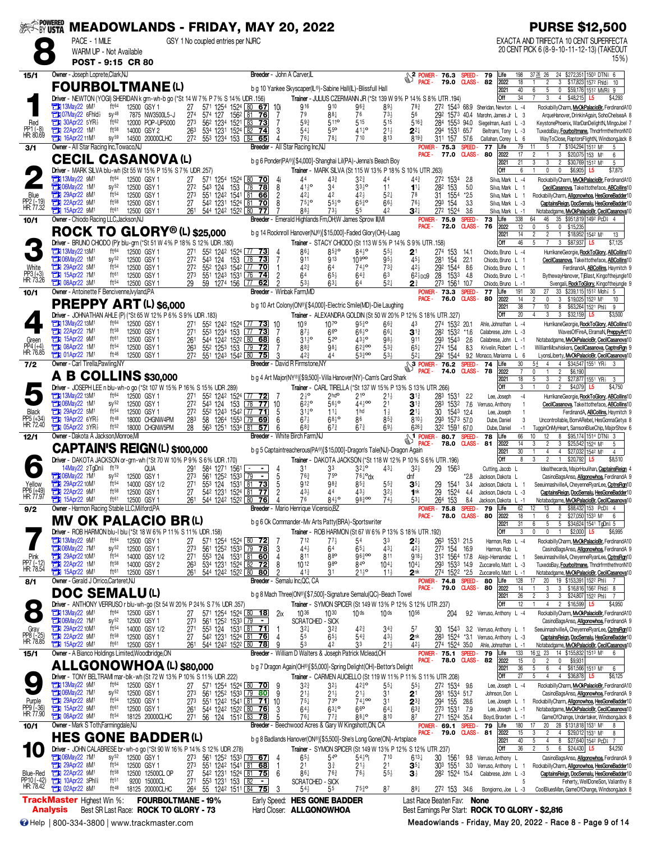| <b>EXAPOWERED</b>                   |                                                                |                                                                      |                                      |                                                                                                           |                                     |                      |                  |                                                                                      |                                            | <b>MEADOWLANDS - FRIDAY, MAY 20, 2022</b>                                                   |                                                                                          |                                                    |                                       |                                                        |                                       |                         |                                                             | <b>PURSE \$12,500</b>                                                                                                                     |
|-------------------------------------|----------------------------------------------------------------|----------------------------------------------------------------------|--------------------------------------|-----------------------------------------------------------------------------------------------------------|-------------------------------------|----------------------|------------------|--------------------------------------------------------------------------------------|--------------------------------------------|---------------------------------------------------------------------------------------------|------------------------------------------------------------------------------------------|----------------------------------------------------|---------------------------------------|--------------------------------------------------------|---------------------------------------|-------------------------|-------------------------------------------------------------|-------------------------------------------------------------------------------------------------------------------------------------------|
|                                     |                                                                | PACE - 1 MILE<br>WARM UP - Not Available                             |                                      |                                                                                                           |                                     |                      |                  | GSY 1 No coupled entries per NJRC                                                    |                                            |                                                                                             |                                                                                          |                                                    |                                       |                                                        |                                       |                         |                                                             | EXACTA AND TRIFECTA 10 CENT SUPERFECTA<br>20 CENT PICK 6 (8-9-10-11-12-13) (TAKEOUT                                                       |
|                                     |                                                                | POST - 9:15 CR 80                                                    |                                      |                                                                                                           |                                     |                      |                  |                                                                                      |                                            |                                                                                             |                                                                                          |                                                    |                                       |                                                        |                                       |                         |                                                             | 15%)                                                                                                                                      |
| 15/1                                |                                                                | Owner - Joseph Loprete, Clark, NJ                                    |                                      |                                                                                                           |                                     |                      |                  |                                                                                      |                                            | Breeder - John A Carver,IL                                                                  |                                                                                          |                                                    |                                       | <b>SPOWER-</b><br>PACE -                               | 76.3<br>79.0                          | SPEED-                  | 79<br>Life<br>$CLASS - B2$<br>2022                          | 198<br>3726 26<br>24 \$272,351 1503 DTN 6<br>$\overline{2}$<br>3 \$17,823 1572 Fhid<br>18<br>10                                           |
|                                     |                                                                |                                                                      |                                      | <b>FOURBOLTMANE(L)</b><br>Driver - NEWTON (YOGI) SHERIDAN k grn-wh-b go (*St 14 W 7% P 7% S 14% UDR .156) |                                     |                      |                  |                                                                                      |                                            | b q 10 Yankee Skyscaper(L®)-Sabine Hall(IL)-Blissfull Hall                                  | Trainer - JULIUS CZERMANN JR (*St 139 W 9% P 14% S 8% UTR .194)                          |                                                    |                                       |                                                        |                                       |                         | 2021<br>Off                                                 | 40<br>$\overline{5}$<br>6<br>0<br>\$59,176 1512 MVR\$<br>3<br>$4$ \$48,215<br>34<br>\$4,293<br>L5                                         |
|                                     | <b>Ext 13May22 9M1</b>                                         |                                                                      | ft64                                 | 12500 GSY 1                                                                                               | 27                                  |                      |                  | 571 1254 1524 80 67 10i                                                              |                                            | 916                                                                                         | 910                                                                                      | $96\frac{3}{4}$                                    | $89\frac{1}{2}$                       | $78\frac{3}{4}$                                        |                                       |                         | 272 1543 68.9 Sheridan, Newton L -4                         | RockabillyCharm, MvOkPalacioBr, FerdinandA10                                                                                              |
| Red                                 |                                                                | <b>THI 07May22 6Fhld</b> }<br>$\frac{1}{2}$ 30Apr22 5YR <sub>2</sub> | $SY^{48}$<br>ft62                    | 7875 NW3500L5-J<br>12000 POP-UP5000                                                                       | 274<br>273                          | 574 127              | 562 1234         | 1562 81<br>76<br>1521 83 73                                                          | 7<br>7                                     | 79<br>593                                                                                   | 88‡<br>511 <sup>o</sup>                                                                  | 76<br>515                                          | $73\frac{1}{2}$<br>515                | 56<br>$5^{16}$                                         | 292<br>284 1553 94.0                  | 1573 40.4               | Marohn, James Jr L 3<br>Siegelman, Austi L -3               | ArqueHanover, DrinkinAgain, SohoChelseaA 8<br>KeystonePhoenix, WarDanDelightN, MingoJoel 7                                                |
| PP1 (-8)<br>HR: 80.69               | 22Apr22 1M <sup>1</sup><br><b>TEM</b> 16Apr22 11M <sup>1</sup> |                                                                      | $ft^{58}$<br>$SV^{59}$               | 14000 GSY 2<br>14500 20000CLHC                                                                            | 263                                 | 27 <sup>2</sup>      | 553 1234 153 84  | 534 1231 1524 82 74<br>65                                                            | 3<br>4                                     | $54\frac{1}{4}$<br>$76\frac{1}{4}$                                                          | 55 <sup>o</sup><br>$78\frac{1}{4}$                                                       | $41^{10}$<br>710                                   | $21\frac{1}{2}$<br>813                | $2^{2}$<br>$8^{19}$                                    | 294<br>311 157 57.6                   | 1531 65.7               | Beltrami, Tony L -3<br>Callahan, Corev L 6                  | TuxedoBay, Fourboltmane, ThndrfrmthethronN10<br>WayToClose, RaptorsFlightN, WindsongJack 8                                                |
| 3/1                                 |                                                                | Owner - All Star Racing Inc, Towaco, NJ                              |                                      | <b>CECIL CASANOVA (L)</b>                                                                                 |                                     |                      |                  |                                                                                      |                                            | Breeder - All Star Racing Inc.NJ                                                            |                                                                                          |                                                    |                                       | PACE -                                                 | <b>POWER-75.3</b><br>77.0             | <b>SPEED</b>            | 77<br>Life<br><b>CLASS-80</b><br>2022                       | 79<br>5<br>7 \$104,294 1512 M1<br>5<br>17<br>$\mathfrak{p}$<br>$3\phantom{.0}$<br>\$20,075 153 M <sup>1</sup><br>6                        |
|                                     |                                                                |                                                                      |                                      | Driver - MARK SILVA blu-wh (St 55 W 15% P 15% S 7% UDR .257)                                              |                                     |                      |                  |                                                                                      |                                            | b g 6 Ponder(PA®)[\$4,000]-Shanghai Lil(PA)-Jenna's Beach Boy                               | Trainer - MARK SILVA (St 115 W 13% P 18% S 10% UTR .263)                                 |                                                    |                                       |                                                        |                                       |                         | 2021<br>Off                                                 | 21<br>3<br>$\overline{2}$<br>3<br>\$30,769 1512 M1<br>5<br>6<br>$\theta$<br>\$6,905<br>\$7,875<br>0<br>L5                                 |
|                                     | <b>THE 13May22 9M1</b><br><b>Ext 06May22 1M1</b>               |                                                                      | ft64<br>$SV^{52}$                    | 12500 GSY 1<br>12500 GSY 1                                                                                | 27<br>27 <sup>2</sup>               | 543 124              | 153              | 571 1254 1524 80 70<br>$78$ 78                                                       | - 4i<br>8                                  | 44<br>$41\frac{1}{2}$ <sup>o</sup>                                                          | 433<br>34                                                                                | $3^{2^{3}}$<br>$33\frac{1}{2}$ <sup>o</sup>        | 44<br>11                              | $44\frac{3}{4}$<br>$1^{11}$                            | 272 1534<br>282 153                   | 2.8<br>5.0              | Silva, Mark L -4<br>Silva, Mark L 1                         | RockabillyCharm, MvOkPalacioBr, FerdinandA10<br>CecilCasanova, Takeittotheface, ABCollins10                                               |
| Blue<br>PP2 (-19)<br>HR: 77.32      | 29Apr22 8M1<br>22Apr22 9M1                                     |                                                                      | ft54<br>$ft^{58}$                    | 12500 GSY 1<br>12500 GSY 1                                                                                | 273<br>27                           |                      |                  | 551 1242 1541 81 66<br>542 1231 1524 81 70                                           | 2<br>8                                     | $42\frac{1}{4}$<br>$75\frac{1}{4}$ <sup>o</sup>                                             | 42<br>$55\frac{1}{2}$ <sup>o</sup>                                                       | 42}<br>$65\frac{3}{4}$ <sup>o</sup>                | $5^{2}$<br>$66\frac{1}{2}$            | 78<br>$76\frac{1}{2}$                                  | 31 1554<br>293<br>154                 | $*2.5$<br>3.3           | Silva, Mark L 1<br>Silva, Mark L -3                         | RockabillyCharm, Allgonowhoa, HesGoneBadder10<br>CaptainsReign, DocSemalu, HesGoneBadder10                                                |
| 10/1                                | <b>The 15Apr22 9M1</b>                                         | Owner - Chiodo Racing LLC, Jackson, NJ                               | ft61                                 | 12500 GSY 1                                                                                               | $\overline{26}$ <sup>1</sup>        |                      | 544 1242 1522 80 | 77                                                                                   |                                            | 88}<br>Breeder - Emerald Highlands Fm, OH; W James Sprow III, MI                            | $73\frac{1}{2}$                                                                          | 55                                                 | 42                                    | $3^{2+}$                                               | 272 1524<br><b>POWER-75.9</b>         | 3.6<br>SPEED-           | Silva, Mark L -1<br>73<br>Life                              | Notabadgame, MvOkPalacioBr, CecilCasanova10<br>338<br>64<br>46<br>35 \$951,819 1492 PcD 4 4                                               |
|                                     |                                                                |                                                                      |                                      | ROCK TO GLORY <sup>®</sup> (L) \$25,000                                                                   |                                     |                      |                  |                                                                                      |                                            | b g 14 Rocknroll Hanover(NJ®)[\$15,000]-Faded Glory(OH)-Laag                                |                                                                                          |                                                    |                                       | <b>PACE -</b>                                          | 72.0                                  | <b>CLASS</b> -          | 76<br>2022<br>2021                                          | 5<br>12<br>0<br>$\mathbf 0$<br>\$15,23<br>14<br>$\overline{2}$<br>$\overline{2}$<br>\$18,952 1542 M1<br>$\mathbf{1}$<br>13                |
|                                     | <b>EN 13May22 13M</b>                                          |                                                                      | ft64                                 | Driver - BRUNO CHIODO (P)r blu-grn (*St 51 W 4% P 18% S 12% UDR .180)<br>12500 GSY 1                      | 271                                 |                      |                  | 55 <sup>2</sup> 124 <sup>2</sup> 152 <sup>4</sup> 77 <b>73</b> 4                     |                                            | 861                                                                                         | Trainer - STACY CHIODO (St 113 W 5% P 14% S 9% UTR .158)<br>$85\frac{3}{4}$ <sup>o</sup> | 8410                                               | 55 <sub>3</sub>                       | 2 <sup>1</sup>                                         | 274<br>153                            | 14.1                    | Off<br>Chiodo, Bruno L -4                                   | 46<br>5<br>3<br>\$87,937<br>\$7,125<br>L5<br>HurrikaneGeorgie, RockToGlory, ABCollins10                                                   |
|                                     | <b>THE 06May22 1M1</b><br><b>EX 29Apr22 5M1</b>                |                                                                      | $sy^{52}$<br>ft54                    | 12500 GSY 1<br>12500 GSY 1                                                                                | 27 <sup>2</sup><br>27 <sup>2</sup>  |                      |                  | 543 124 153 78 73<br>552 1243 1542 77 70                                             | 7<br>$\mathbf{1}$                          | 911<br>$42\frac{3}{4}$                                                                      | 913<br>64                                                                                | 10 <sup>900</sup><br>$74\frac{1}{2}$ <sup>o</sup>  | $95\frac{1}{2}$<br>$73\frac{3}{4}$    | 453<br>$42\frac{1}{2}$                                 | 281<br>154<br>292 1544                | 22.1<br>8.6             | Chiodo, Bruno L 1<br>Chiodo, Bruno L 1                      | CecilCasanova, Takeittotheface, ABCollins10<br>FerdinandA, ABCollins, Haymitch 9                                                          |
| White<br>PP3 (+3)<br>HR: 73.26      | <b>EN 15Apr22 7M1</b><br><b>Eti 08Apr22 3M1</b>                |                                                                      | ft61<br>ft <sup>54</sup>             | 12500 GSY 1<br>12500 GSY 1                                                                                | 273<br>29                           |                      | 551 1243 1531 76 | 74<br>59 1274 156 77 62                                                              | $\overline{c}$<br>2                        | 64<br>$53\frac{1}{2}$                                                                       | $65\frac{1}{2}$<br>$63\frac{1}{4}$                                                       | $64\frac{3}{4}$<br>64                              | 63<br>$52\frac{1}{4}$                 | $62\frac{1}{2}$ <sub>DO</sub> $9$<br>$2^{\frac{3}{4}}$ | 28<br>1533<br>273                     | - 4.8<br>1561 10.7      | Chiodo, Bruno L -1<br>Chiodo, Bruno L -1                    | BythewayHanover, TiBlast, Kingofthejungle10<br>Svengali, RockToGlory, Kingofthejungle 9                                                   |
| 10/1                                |                                                                | Owner - Antoinette F Bencivenne, lvyland, PA                         |                                      |                                                                                                           |                                     |                      |                  |                                                                                      |                                            | Breeder - Winbak Farm, MD                                                                   |                                                                                          |                                                    |                                       | PACE -                                                 | POWER-<br>73.3<br>76.0                | SPEED-<br><b>CLASS-</b> | 77<br>Life<br>80<br>2022                                    | 191<br>30<br>27<br>33 \$239,115 1512 Moh? 5<br>$\mathbf 0$<br>3<br>14<br>$\overline{2}$<br>\$19,025 1523 M1<br>10                         |
|                                     |                                                                |                                                                      |                                      | <b>PREPPY ART (L) \$6,000</b><br>Driver - JOHNATHAN AHLE (P) (*St 65 W 12% P 6% S 9% UDR .183)            |                                     |                      |                  |                                                                                      |                                            | b g 10 Art Colony(ON®)[\$4,000]-Electric Smile(MD)-Die Laughing                             | Trainer - ALEXANDRA GOLDIN (St 50 W 20% P 12% S 18% UTR .327)                            |                                                    |                                       |                                                        |                                       |                         | 2021<br>Off                                                 | $\overline{38}$<br>10<br>8<br>\$63,264 1521 Phis<br>g<br>$3\phantom{.0}$<br>3 \$32,159<br>20<br>4<br>\$3,500<br>L5                        |
|                                     | <b>TEM</b> 13May22 13M <sup>1</sup><br><b>EM</b> 22Apr22 7M    |                                                                      | ft64<br>$ft^{58}$                    | 12500 GSY 1<br>12500 GSY 1                                                                                | 27 <sup>1</sup><br>27 <sup>1</sup>  |                      |                  | 55 <sup>2</sup> 124 <sup>2</sup> 152 <sup>4</sup> 77 73 10<br>553 1234 153 77 73     | 7                                          | 10 <sup>9</sup><br>$87\frac{1}{2}$                                                          | $10^{76}$<br>$6^{60}$                                                                    | $95\frac{3}{7}$<br>$66^{10}$                       | $66\frac{3}{4}$<br>$66\frac{1}{4}$    | 43<br>$3^{13}$                                         | 274 1532 20.1<br>282 1532             | $*16$                   | Ahle, Johnathan L -4<br>Calabrese, John L -3                | HurrikaneGeorgie, RockToGlory, ABCollins10<br>WavesOfFireA, ElramaN, PreppyArt10                                                          |
| Green                               | $15$ Apr22 $9M1$<br><b>EN 08Apr22 1M1</b>                      |                                                                      | ft61<br>ft54                         | 12500 GSY 1<br>12500 GSY 1                                                                                | 261<br>263                          |                      | 552 1253 153 79  | 544 1242 1522 80 68<br>$\overline{72}$                                               | 6                                          | $31\frac{1}{2}$ <sup>o</sup><br>883                                                         | $52^{\circ}$<br>981                                                                      | $43\frac{1}{2}$ <sup>o</sup><br>$62\frac{3}{4}$ 00 | $98\frac{1}{2}$<br>533                | 911<br>$65\frac{1}{4}$                                 | 293<br>1543<br>274 154                | 2.6<br>8.3              | Calabrese, John L -1<br>Krivelin, Robert L -1               | Notabadgame, MvOkPalacioBr, CecilCasanova10<br>WilliamMcwhiskers, CecilCasanova, CaptnsRgn 9                                              |
| PP4 (+4)<br>HR: 76.85               | <b>EN 01Apr22 7M1</b>                                          | Owner - Carl Tirella, Pawling, NY                                    | ft 46                                | 12500 GSY 1                                                                                               |                                     | 272 551 1243 1542 80 |                  | 75                                                                                   | 3                                          | 423<br>Breeder - David R Firmstone, NY                                                      | 44                                                                                       | $53\frac{3}{4}$ 00                                 | $53\frac{1}{2}$                       | $5^{2+}$                                               | 292 1544                              |                         | 9.2 Monaco, Marianna L 6<br>74<br>Life                      | LyonsLiberty, MvOkPalacioBr, CecilCasanova10<br>30<br>$\overline{4}$<br>\$34,547 1551 YR <sub>2</sub><br>54<br>$\overline{4}$             |
| 7/2                                 |                                                                |                                                                      |                                      | <b>A B COLLINS</b> \$30,000                                                                               |                                     |                      |                  |                                                                                      |                                            | b g 4 Art Major(NY®)[\$9,500]-Villa Hanover(NY)-Cam's Card Shark                            |                                                                                          |                                                    |                                       | PACE -                                                 | $\frac{104}{9}$ POWER - 76.2<br>74.0  | SPEED-                  | <b>CLASS-78</b><br>2022<br>2021                             | $\overline{2}$<br>$\overline{7}$<br>$\overline{1}$<br>\$6,190<br>$\mathbf{0}$<br>18<br>3<br>$\overline{2}$<br>\$27,877 1551 YR}<br>5<br>3 |
|                                     |                                                                |                                                                      |                                      | Driver - JOSEPH LEE n blu-wh-o go (*St 107 W 15% P 16% S 15% UDR .289)                                    |                                     |                      |                  |                                                                                      |                                            |                                                                                             | Trainer - CARL TIRELLA (*St 137 W 15% P 13% S 13% UTR .266)                              |                                                    |                                       |                                                        |                                       |                         | Off                                                         | 3<br>$\pmb{0}$<br>\$4,750<br>$\mathfrak{p}$<br>\$4,079<br>L5                                                                              |
|                                     | <b>THE 13May22 13M1</b><br><b>Ext 06May22 1M1</b>              |                                                                      | ft <sup>64</sup><br>$SV^{52}$        | 12500 GSY 1<br>12500 GSY 1                                                                                | 27 <sup>1</sup><br>27 <sup>2</sup>  |                      | 543 124 153      | 552 1242 1524 77 72<br>78 77                                                         | 10                                         | $2\frac{1}{2}$ <sup>o</sup><br>$62\frac{1}{2}$ <sup>o</sup>                                 | 2hd°<br>$56\frac{1}{2}$ <sup>o</sup>                                                     | $21^{\circ}$<br>$44\frac{1}{2}$ 00                 | $21\frac{1}{2}$<br>21                 | $3^{13}$<br>$3^{13}$                                   | 283<br>1531<br>283 1532 7.6           | 2.2                     | Lee, Joseph<br>Verruso, Anthony                             | $-4$<br>HurrikaneGeorgie, RockToGlory, ABCollins10<br>$\overline{1}$<br>CecilCasanova, Takeittotheface, ABCollins10                       |
| Black<br>PP5 (+34)<br>HR: 72.40     | <b>EN 29Apr22 5M1</b>                                          | <b>EN 19Apr22 6YR</b>                                                | ft54<br>ft48                         | 12500 GSY 1<br>18000 CHGNW4PM                                                                             | 272<br>$^{283}_{28}$                |                      |                  | 55 <sup>2</sup> 124 <sup>3</sup> 154 <sup>2</sup> 77 <b>71</b><br>58 1264 1553 79 69 | -5<br>6                                    | $3^{110}$<br>$67\frac{1}{2}$                                                                | $11\frac{1}{4}$<br>$68\frac{1}{2}$ °                                                     | 1 <sub>hd</sub><br>86                              | $1\frac{1}{2}$<br>$85\frac{3}{4}$     | $2^{11}$<br>810}                                       | 30 1543 124<br>293 1573 57.0          |                         | Lee, Joseph<br>Dube, Daniel                                 | $\mathbf{1}$<br>FerdinandA, <b>ABCollins</b> , Haymitch 9<br>3<br>Uncontrollable, BornARebel, HesGonnaGetya 8                             |
| 12/1                                |                                                                | <b>THE 05Apr22 3YR}</b><br>Owner - Dakota A Jackson, Monroe, MI      | ft52                                 | 18000 CHGNW5PM                                                                                            |                                     |                      | 563 1251 1534 81 | 57                                                                                   | 6                                          | 683<br>Breeder - White Birch Farm.NJ                                                        | $67\frac{3}{4}$                                                                          | $67\frac{3}{4}$                                    | 693                                   | 626 <sup>3</sup><br><b>SAT POWER-</b>                  | 322 1591 67.0<br>80.7                 | SPEED-                  | Dube, Daniel<br>78<br>Life                                  | TugginOnMyHeart, SamsonBlueChip, MajorShow 6<br>$-1$<br>66<br>\$95,174 1514 DTN# 3<br>12<br>8<br>10                                       |
|                                     |                                                                |                                                                      |                                      | <b>CAPTAIN'S REIGN(L) \$100,000</b>                                                                       |                                     |                      |                  |                                                                                      |                                            | b g 5 Captaintreacherous(PA®)[\$15,000]-Dragon's Tale(NJ)-Dragon Again                      |                                                                                          |                                                    |                                       | PACE -                                                 | 78.0                                  | <b>CLASS-</b>           | 81<br>2022<br>2021                                          | $\overline{2}$<br>14<br>3<br>3<br>\$25,542 1524 M1<br>5<br>30<br>$\overline{4}$<br>$\overline{4}$<br>\$27,032 1542 M1<br>$\overline{4}$   |
|                                     |                                                                | 14May22 2TgDn <sup>§</sup>                                           | $ft^{79}$                            | Driver - DAKOTA JACKSON or-grn-wh (*St 70 W 10% P 9% S 6% UDR .170)<br><b>QUA</b>                         | 291                                 |                      | 584 1271 1561    | -   -                                                                                |                                            | 31                                                                                          | Trainer - DAKOTA JACKSON (*St 118 W 12% P 10% S 6% UTR .196)<br>33                       | $3^{210}$                                          | 431                                   | 32 <sub>7</sub>                                        | 29<br>1563                            |                         | Off<br>Cutting, Jacob L                                     | 8<br>3<br>$\overline{2}$<br>\$20,792<br>\$8,510<br>$\mathbf{1}$<br>L5<br>Idealthecards, MajorHoulihan, CaptainsReign 4                    |
| PP6 (+49)                           | <b>EN 06May22 7M<sup>1</sup></b><br>29Apr22 10M1               |                                                                      | $sy^{52}$<br>ft54                    | 12500 GSY 1<br>14000 GSY 1/2                                                                              | $\overline{27}3$<br>27 <sup>1</sup> |                      | 561 1252 1533 79 | $\overline{\phantom{a}}$<br>553 124 1531 81 73                                       | $\begin{array}{c} 4 \\ 5 \\ 5 \end{array}$ | $76\frac{3}{4}$<br>912                                                                      | 75 <sup>o</sup><br>98 <sub>4</sub>                                                       | $76\frac{1}{4}$ <sup>o</sup> dx<br>$85\frac{3}{4}$ | $5^{5^{3}_{4}}$                       | dnt<br>$3^{5}{}_{7}$                                   | 29<br>1541                            | *2.8<br>-34             | Jackson, Dakota L<br>Jackson, Dakota L 1                    | CasinoBagsAnso, Allgonowhoa, FerdinandA 9<br>SeeuinnashvilleA, CheyenneRyanLee, CptnsRgn10                                                |
| HK: //.9                            | $22$ Apr22 $9M1$<br>$\frac{1}{2}$ 15Apr22 9M <sup>1</sup>      |                                                                      | ft58<br>ft <sup>61</sup>             | 12500 GSY 1<br>12500 GSY 1                                                                                | 27                                  |                      | 542 1231 1524 81 | 77<br>261 544 1242 1522 80 76                                                        | 2<br>4                                     | $43\frac{1}{2}$<br>76                                                                       | 44<br>843°                                                                               | $43\frac{1}{2}$<br>$98\frac{3}{4}$ 00              | $3^{2}\frac{1}{2}$<br>$74\frac{1}{2}$ | 1 <sub>nk</sub>                                        | 29<br>1524<br>264 153                 | -4.4<br>8.4             | Jackson, Dakota L -3<br>Jackson, Dakota L -1                | CaptainsReign, DocSemalu, HesGoneBadder10<br>Notabadgame, MvOkPalacioBr, CecilCasanova10                                                  |
| 9/2                                 |                                                                | Owner - Harmon Racing Stable LLC, Milford, PA                        |                                      | <b>MV OK PALACIO BR(L)</b>                                                                                |                                     |                      |                  |                                                                                      |                                            | Breeder - Mario Henrique Vicensio, BZ<br>b g 6 Ok Commander-My Arts Patty(BRA)-Sportswriter |                                                                                          |                                                    |                                       | PACE -                                                 | POWER-75.8<br>78.0                    | SPEED-                  | 79<br>Life<br>CLASS-80<br>2022                              | 8 \$88,432 153 PcD 4 4<br>62<br>12<br>13<br>18<br>6<br>$\overline{2}$<br>\$27,050 1533 M1<br>6                                            |
|                                     |                                                                |                                                                      |                                      | Driver - ROB HARMON blu-I blu (*St 18 W 6% P 11 % S 11 % UDR 158)                                         |                                     |                      |                  |                                                                                      |                                            |                                                                                             | Trainer - ROB HARMON (St 67 W 6% P 13% S 18% UTR .192)                                   |                                                    |                                       |                                                        |                                       |                         | 2021<br>Off                                                 | $\overline{5}$<br>31<br>6<br>5 \$34,624 1541 TgDni 5<br>3<br>$\mathbf 0$<br>$\overline{1}$<br>0<br>$$2,000$ L5<br>\$6,995                 |
|                                     | 13May22 9M1<br><b>EN 06May22 7M1</b>                           |                                                                      | ft64<br>$sy^{52}$                    | 12500 GSY 1<br>12500 GSY 1                                                                                | 27<br>27 <sup>3</sup>               |                      |                  | 571 1254 1524 80 72<br>561 1252 1533 79 78                                           | -3                                         | 712<br>$44\frac{1}{2}$                                                                      | 77‡<br>64                                                                                | 54<br>$65\frac{1}{4}$                              | 3 <sup>3</sup><br>$43\frac{1}{4}$     | $2^{2\frac{1}{2}}$<br>$42\frac{1}{2}$                  | 263 1531 21.5<br>273 154 16.9         |                         | Harmon, Rob L -4<br>Harmon, Rob L                           | RockabillyCharm, MvOkPalacioBr, FerdinandA10<br>CasinoBagsAnso, Allgonowhoa, FerdinandA 9                                                 |
| Pink<br>PP7 (-12)<br>HR: 78.54      | 29Apr22 10M <sup>1</sup><br>22Apr22 1M1                        |                                                                      | ft <sup>54</sup><br>ft <sup>58</sup> | 14000 GSY 1/2<br>14000 GSY 2                                                                              | 271<br>263                          |                      |                  | 553 124 1531 81 60<br>534 1231 1524 82 72                                            | 4<br>8                                     | 811<br>1012                                                                                 | $8^{80}$<br>980                                                                          | $96\frac{3}{4}$ 00<br>840                          | 811<br>$10^{4}$                       | 918}<br>$10^{4}$                                       | 312 1564 17.8<br>293 1533 14.9        |                         | Alejo-Hernandez L 1<br>Zuccarello, Matt L -3                | SeeuinnashvilleA, CheyenneRyanLee, CptnsRgn10<br>TuxedoBay, Fourboltmane, ThndrfrmthethronN10                                             |
| 8/1                                 | <b>External 15Apr22 9M1</b>                                    | Owner - Gerald J Orrico, Carteret, NJ                                | ft61                                 | 12500 GSY 1                                                                                               |                                     |                      |                  | 261 544 1242 1522 80 80                                                              | $\overline{2}$                             | $41\frac{3}{4}$<br><b>Breeder</b> - Semalu Inc, QC, CA                                      | 31                                                                                       | $21\frac{1}{2}$ <sup>o</sup>                       | $11\frac{1}{2}$                       | 2 <sup>nk</sup>                                        | 274 1522 *2.5<br>POWER-74.8 SPEED-    |                         | Zuccarello, Matt L -1<br>80<br>Life                         | Notabadgame, MvOkPalacioBr, CecilCasanova10<br>128<br>20 <sub>2</sub><br>19 \$153,391 1522 Phis                                           |
|                                     |                                                                | <b>DOC SEMALU(L)</b>                                                 |                                      |                                                                                                           |                                     |                      |                  |                                                                                      |                                            | b g 8 Mach Three(ON®)[\$7,500]-Signature Semalu(QC)-Beach Towel                             |                                                                                          |                                                    |                                       |                                                        | 79.0 CLASS-80<br>PACE -               |                         | 2022<br>2021                                                | 14<br>3 \$16,816 1562 Fhld } 8<br>3<br>26<br>3<br>3 \$24,807 1522 Phl \$<br>$\overline{c}$                                                |
|                                     | <b>EN 13May22 9M</b>                                           |                                                                      | ft <sup>64</sup>                     | Driver - ANTHONY VERRUSO r blu-wh-go (St 54 W 20% P 24% S 7% UDR .357)<br>12500 GSY 1                     | 27                                  |                      |                  | 571 1254 1524 80 18                                                                  | 2ix                                        | 1036                                                                                        | Trainer - SYMON SPICER (St 149 W 13% P 12% S 12% UTR 237)<br>$10^{30}$                   | 10 <sub>ds</sub>                                   | 10 <sup>ds</sup>                      | 1056                                                   | 204                                   |                         | Off<br>9.2 Verruso, Anthony L -4                            | 12<br>4<br>$\overline{2}$<br>\$16,599<br>\$4,950<br>L5<br>RockabillyCharm, MvOkPalacioBr, FerdinandA10                                    |
|                                     | 7M1<br>29Apr22 10M1                                            |                                                                      | $sy^{52}$<br>$ft^{54}$               | 12500 GSY 1<br>14000 GSY 1/2                                                                              | 273<br>27 <sup>1</sup>              |                      |                  | 561 1252 1533 79 -<br>553 124 1531 81 71                                             | -1                                         | <b>SCRATCHED - SICK</b><br>$3^{2}$                                                          | 32}                                                                                      | $42\frac{3}{4}$                                    | $3^{4^{3}_{4}}$                       | 57                                                     |                                       |                         | 30 1543 3.2 Verruso, Anthony L 1                            | CasinoBagsAnso, Allgonowhoa, FerdinandA 9<br>SeeuinnashvilleA, CheyenneRyanLee, CptnsRgn10                                                |
| Gray<br>PP8 (-25)<br>HR: 78.85      | <b>Ext 15Apr22 9M1</b>                                         |                                                                      | ft <sup>58</sup><br>ft61             | 12500 GSY 1<br>12500 GSY 1                                                                                | 27<br>261                           |                      |                  | 542 1231 1524 81 76<br>544 1242 1522 80 78                                           | $\overline{4}$<br>9                        | 55<br>53                                                                                    | $65\frac{1}{2}$<br>42                                                                    | $54\frac{3}{4}$<br>33                              | $43\frac{1}{2}$<br>$21\frac{1}{2}$    | 2 <sup>nk</sup><br>423                                 | 274 1524 35.0                         |                         | 283 1524 *3.1 Verruso, Anthony L -3<br>Ahle, Johnathan L -1 | CaptainsReign, DocSemalu, HesGoneBadder10<br>Notabadgame, MvOkPalacioBr, CecilCasanova10                                                  |
| 15/1                                |                                                                |                                                                      |                                      | Owner - A Bianco Holdings Limited, Woodbridge, ON                                                         |                                     |                      |                  |                                                                                      |                                            | Breeder - William D Walters & Joseph Patrick Mclead, OH                                     |                                                                                          |                                                    |                                       |                                                        | POWER-75.1<br>78.0 CLASS-82<br>PACE - | SPEED-                  | 79<br>Life<br>2022                                          | 133<br>16.12 23 14 \$155,832 1513 M1<br>6<br>$\mathbf 0$<br>15<br>0<br>$\overline{c}$<br>\$9,931                                          |
|                                     |                                                                |                                                                      |                                      | <b>ALLGONOWHOA (L) \$80,000</b><br>Driver - TONY BELTRAMI mar-blk-wh (St 72 W 13% P 10% S 11% UDR 222)    |                                     |                      |                  |                                                                                      |                                            | b g 7 Dragon Again(OH®)[\$5,000]-Spring Delight(OH)-Bettor's Delight                        | Trainer - CARMEN AUCIELLO (St 119 W 11% P 11% S 11% UTR .208)                            |                                                    |                                       |                                                        |                                       |                         | 2021<br>Off                                                 | 36<br>$6\overline{6}$<br>5<br>4 \$61,566 1513 M1<br>6<br>27<br>4 \$36,878<br>$\overline{4}$<br>\$6,125<br>L5                              |
|                                     | <b>EN 13May22 9M1</b><br>106May22 7M                           |                                                                      | ft64<br>$sy^{52}$                    | 12500 GSY 1<br>12500 GSY 1                                                                                | 27<br>273                           |                      |                  | 571 1254 1524 80 70 9<br>561 1252 1533 79 80                                         | - 9                                        | $3^{2^{3}}$<br>$21\frac{1}{2}$                                                              | 32}<br>$21\frac{1}{2}$                                                                   | $42\frac{3}{4}$ <sup>o</sup><br>$21\frac{1}{2}$    | $55\frac{1}{4}$<br>31                 | $55\frac{1}{2}$<br>2 <sup>1</sup>                      | 272 1534 9.6<br>281 1534 51.7         |                         | Lee, Joseph L -4<br>Johnson, Don L                          | RockabillyCharm, MvOkPalacioBr, FerdinandA10<br>CasinoBagsAnso, Allgonowhoa, FerdinandA 9                                                 |
| Purple<br>PP9 (-36)<br>HR: 77.90    | 29Apr22 8M1<br><b>EN 15Apr22 9M1</b>                           |                                                                      | $ft^{54}$<br>ft61                    | 12500 GSY 1<br>12500 GSY 1                                                                                | 273<br>261                          |                      |                  | 551 1242 1541 81 71<br>544 1242 1522 80 76                                           | 10<br>3                                    | $75\frac{1}{4}$<br>$64\frac{1}{2}$                                                          | 73 <sup>o</sup><br>$63^{10}_{4}$                                                         | $74\frac{1}{4}$ <sup>00</sup><br>$66^{\circ}$      | 31<br>$64\frac{1}{4}$                 | $2^{3\frac{3}{4}}$<br>$63\frac{3}{4}$                  | 294 155 28.6<br>273 1531 7.9          |                         | Lee, Joseph L 1<br>Lee, Joseph L -1                         | RockabillyCharm, Allgonowhoa, HesGoneBadder10<br>Notabadgame, MvOkPalacioBr, CecilCasanova10                                              |
| 10/1                                | <b>EN 08Apr22 9M1</b>                                          | Owner - Mark S Toth, Farmingdale, NJ                                 | ft <sup>54</sup>                     | 18125 20000CLHC                                                                                           |                                     |                      |                  | 271 56 124 1512 83 78                                                                | 5                                          | 761<br>Breeder - Beechwood Acres & Gary W Kingshott, ON, CA                                 | $77\frac{3}{4}$                                                                          | $88^{10}$                                          | 810                                   | 87                                                     | 271 1524 35.4<br>POWER- 69.1          | SPEED-                  | Boyd, Braxten L -1<br>79<br>Life                            | GameOfChange, Undertaker, WindsongJack 8<br>180<br>28 \$131,818 1531 M1<br>17<br>$20\degree$<br>8                                         |
|                                     |                                                                |                                                                      |                                      | <b>HES GONE BADDER(L)</b>                                                                                 |                                     |                      |                  |                                                                                      |                                            | b g 8 Badlands Hanover(ON®)[\$5,500]-She's Long Gone(ON)-Artsplace                          |                                                                                          |                                                    |                                       | PACE -                                                 | 79.0                                  |                         | CLASS-81<br>2022<br>2021                                    | $\overline{2}$<br>4 \$29,012 1531 M1<br>15<br>3<br>8<br>$\overline{5}$<br>40<br>4<br>8 \$27,640 1542 PcD                                  |
|                                     | <b>EX 06May22 7M1</b>                                          |                                                                      | $sy^{52}$                            | Driver - JOHN CALABRESE br-wh-o go (*St 90 W 16% P 14% S 12% UDR 278)<br>12500 GSY 1                      | 273                                 |                      |                  | 561 1252 1533 79 67 4                                                                |                                            | $65\frac{1}{2}$                                                                             | Trainer - SYMON SPICER (St 149 W 13% P 12% S 12% UTR .237)<br>$54^{\circ}$               | $54\frac{1}{2}$ °i                                 | 710                                   | $613\frac{1}{4}$                                       |                                       |                         | Off<br>30 1561 9.8 Verruso, Anthony L                       | 36<br>$\overline{c}$<br>$5\overline{)}$<br>6 \$24,430 L5<br>\$4,250<br>CasinoBagsAnso, <b>Allgonowhoa</b> , FerdinandA 9                  |
|                                     | 29Apr22 8M<br>22Apr22 9M1                                      |                                                                      | $ft^{54}$<br>ft <sup>58</sup>        | 12500 GSY 1<br>12500 12500CL OP                                                                           | 273<br>27                           |                      |                  | 551 1242 1541 81 68<br>542 1231 1524 81 75                                           | - 1<br>6                                   | 2 <sup>1</sup><br>864                                                                       | 3∛<br>763                                                                                | $21\frac{1}{2}$<br>$76\frac{1}{2}$                 | 2 <sup>1</sup><br>$55\frac{1}{2}$     | $3^{5}{}_{4}$<br>$\mathbf{3}$                          | 303 1551<br>282 1524 15.4             |                         | 3.0 Verruso, Anthony L 1<br>Calabrese, John L -3            | RockabillyCharm, Allgonowhoa, HesGoneBadder10<br>CaptainsReign, DocSemalu, HesGoneBadder10                                                |
| Blue-Red<br>PP10 (-42)<br>HR: 78.42 | <b>EX 02Apr22 8M1</b>                                          | <b>TEM 10Apr22 3Phls</b>                                             | $ft^{51}$<br>ft <sup>48</sup>        | 9200 15000CL<br>18125 20000CLHC                                                                           | 271<br>264                          |                      |                  | $55^3$ $123^1$ $153$ $82 -$<br>55 1242 1511 84 75                                    | -3                                         | <b>SCRATCHED - SICK</b><br>$54\frac{1}{2}$                                                  | 55                                                                                       | $75\frac{3}{4}$ <sup>o</sup>                       | 87                                    | $89\frac{1}{4}$                                        | 27 <sup>2</sup> 153 34.6              |                         | Bongiorno, Joe L -3                                         | Feherty, WellDoneSon, Valiantlvy 8<br>5<br>CoolBluesMan, GameOfChange, WindsongJack 8                                                     |
| <b>TrackMaster</b> Highest Win %:   |                                                                |                                                                      |                                      | <b>FOURBOLTMANE - 19%</b>                                                                                 |                                     |                      |                  |                                                                                      |                                            | Early Speed: HES GONE BADDER                                                                |                                                                                          |                                                    |                                       |                                                        | Last Race Beaten Fav: None            |                         |                                                             |                                                                                                                                           |
|                                     | <b>Analysis</b>                                                |                                                                      |                                      | Best SR Last Race: ROCK TO GLORY - 73                                                                     |                                     |                      |                  |                                                                                      |                                            | Hard Closer: <b>ALLGONOWHOA</b>                                                             |                                                                                          |                                                    |                                       |                                                        |                                       |                         |                                                             | Best Earnings Per Start: ROCK TO GLORY - \$2,816                                                                                          |

[Help](http://info.trackmaster.com/harness/hpl.pdf) | 800-334-3800 | www.trackmaster.com **Meadowlands - Friday, May 20, 2022 - Race 8 - Page 9 of 14**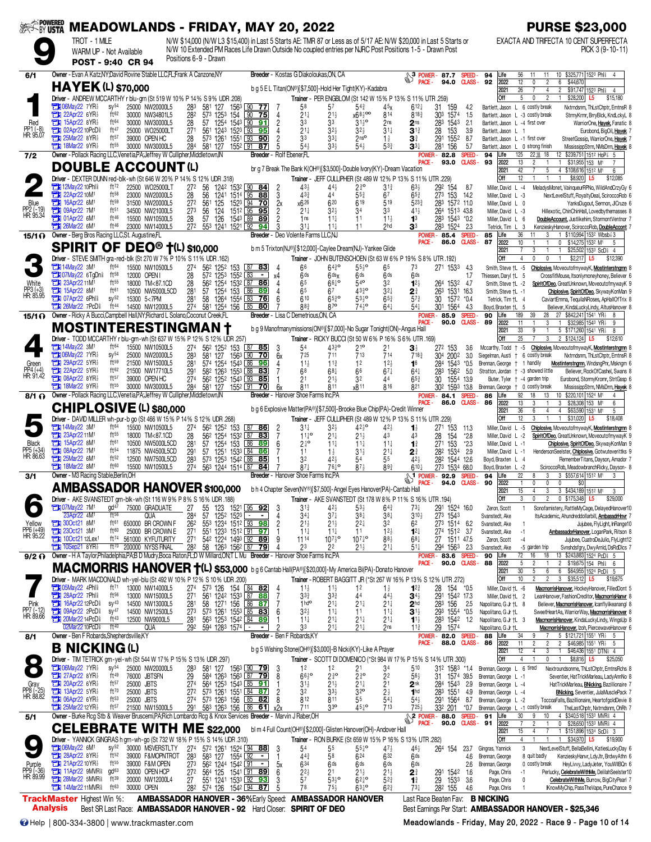| <b>EXAPOWERED</b>                |                                                                                                                                                                                   |                                              | <b>MEADOWLANDS - FRIDAY, MAY 20, 2022</b>                                                                             |                                    |                                     |                      |                                                                                                   |                                  |                                                                                                  |                                          |                                            |                                         |                                                                                                                                                                                                                               |                                     |                               |                                                                      | <b>PURSE \$23,000</b>                                                                                                                 |
|----------------------------------|-----------------------------------------------------------------------------------------------------------------------------------------------------------------------------------|----------------------------------------------|-----------------------------------------------------------------------------------------------------------------------|------------------------------------|-------------------------------------|----------------------|---------------------------------------------------------------------------------------------------|----------------------------------|--------------------------------------------------------------------------------------------------|------------------------------------------|--------------------------------------------|-----------------------------------------|-------------------------------------------------------------------------------------------------------------------------------------------------------------------------------------------------------------------------------|-------------------------------------|-------------------------------|----------------------------------------------------------------------|---------------------------------------------------------------------------------------------------------------------------------------|
|                                  | TROT - 1 MILE                                                                                                                                                                     | WARM UP - Not Available<br>POST - 9:40 CR 94 |                                                                                                                       | Positions 6-9 - Drawn              |                                     |                      |                                                                                                   |                                  |                                                                                                  |                                          |                                            |                                         | N/W \$14,000 (N/W L3 \$15,400) in Last 5 Starts AE: TMR 87 or Less as of 5/17 AE: N/W \$20,000 in Last 5 Starts or<br>N/W 10 Extended PM Races Life Drawn Outside No coupled entries per NJRC Post Positions 1-5 - Drawn Post |                                     |                               |                                                                      | EXACTA AND TRIFECTA 10 CENT SUPERFECTA<br>PICK 3 (9-10-11)                                                                            |
| 6/1                              | Owner - Evan A Katz.NY David Rovine Stable LLC.FL:Frank A Canzone.NY                                                                                                              |                                              |                                                                                                                       |                                    |                                     |                      |                                                                                                   |                                  | Breeder - Kostas G Diakoloukas ON, CA                                                            |                                          |                                            |                                         | $\begin{matrix}3 \end{matrix}$ POWER-<br>$\begin{matrix}3 \end{matrix}$ PACE.<br>PACE -                                                                                                                                       | 87.7                                | SPEED-<br><b>CLASS-</b>       | 94<br>Life                                                           | \$325,771 1523 Phi<br>56<br>11<br>10<br>11<br>$\overline{2}$<br>$\mathbf{0}$                                                          |
|                                  | <b>HAYEK (L) \$70,000</b>                                                                                                                                                         |                                              |                                                                                                                       |                                    |                                     |                      |                                                                                                   |                                  | b q 5 E L Titan(ON®)[\$7,500]-Hold Her Tight(KY)-Kadabra                                         |                                          |                                            |                                         |                                                                                                                                                                                                                               | 94.0                                |                               | 92<br>2022<br>2021                                                   | 12<br>\$44,670<br>6<br>26<br>$\overline{2}$<br>\$91,747 1523 Phis<br>4<br>4                                                           |
|                                  | Driver - ANDREW MCCARTHY r blu-grn (St 519 W 10% P 14% S 9% UDR .208)<br>$\Box 106$ May22 7YR $\frac{1}{2}$                                                                       | $SV^{54}$                                    | 25000 NW20000L5                                                                                                       | 283                                | 581 127                             | 1563                 | $[90$ 77                                                                                          |                                  | 58                                                                                               | 57                                       | $5^{4}$                                    | 4 <sub>2</sub> x                        | Trainer - PER ENGBLOM (St 142 W 15% P 13% S 11% UTR .259)<br>$612\frac{1}{4}$                                                                                                                                                 | 31.<br>159                          | 4.2                           | Off<br>Bartlett, Jason L 6 costly break                              | 5<br>$\overline{2}$<br>\$28,200<br>0<br>L5<br>\$15,180<br>Nxtrndsnm, ThLstChptr, EmtnsR 8                                             |
| Red                              | <b>EN 22Apr22 6YR</b><br>$T$ 15Apr22 8YR                                                                                                                                          | ft62<br>ft64                                 | 30000 NW34801L5<br>30000 NW30000L5                                                                                    | 282<br>28                          | 573 1253<br>57 1254                 | 154<br>1543          | 90<br>-75<br>$\sqrt{90}$<br><u>91</u>                                                             | 4<br>$\overline{2}$              | $21\frac{1}{4}$<br>33                                                                            | 21}<br>33                                | x68300<br>$3^{11}2^{\circ}$                | 814<br>2ns                              | 8183<br>2 <sub>ns</sub>                                                                                                                                                                                                       | 303 1574<br>283<br>1543             | 1.5<br>2.1                    | Bartlett, Jason L -3 costly break<br>Bartlett, Jason L -4 first over | StrmyKrmr, BrryBlck, KndLckyL 8<br>WarriorOne, Hayek, Fanatic 8                                                                       |
| PP1 (-8)<br>HR: 95.07            | <b>TEM 02Apr22 10PcD</b><br>$25$ Mar22 8YR $\frac{1}{2}$                                                                                                                          | ft47<br>ft57                                 | 25000 WO25000LT<br>39000 OPEN HC                                                                                      | 27 <sup>1</sup><br>28              | 561<br>1243<br>573 1261             | 1523 93<br>1551 33   | 95<br><u>90</u>                                                                                   | $\overline{c}$                   | $21\frac{1}{4}$<br>33                                                                            | $3^{2}$<br>$3^{3+}$                      | $32\frac{1}{2}$<br>2 <sub>ns</sub>         | $31\frac{1}{4}$<br>$1\frac{1}{2}$       | $3^{13}$<br>$\mathbf{3}^{\frac{3}{4}}$                                                                                                                                                                                        | 28<br>153<br>291<br>1552            | 3.9<br>8.7                    | Bartlett, Jason L<br>Bartlett, Jason L -1 first over                 | Eurobond, BigOil, Hayek 7<br>StreetGossip, WarriorOne, Hayek 7                                                                        |
| 7/2                              | <b>THE 18Mar22 9YR</b><br>Owner - Pollack Racing LLC, Venetia, PA; Jeffrey W Cullipher, Middletown, IN                                                                            | ft55                                         | 30000 NW30000L5                                                                                                       | 284                                | 581 127                             | 1552 91              | 87<br>Breeder - Rolf Ebener.FL                                                                    | 5                                | 54}                                                                                              | 33 <sup>1</sup>                          | 543                                        | 533                                     | $\mathbf{3}^{3+}$                                                                                                                                                                                                             | 281 156<br><b>POWER-82.8</b>        | 5.7<br><b>SPEED</b>           | Bartlett, Jason L<br>94<br>Life                                      | 0 strong finish<br>MississippStrm, NMsDrm, Hayek 8<br>125<br>12 \$239.751 1512 HoP<br>22 18<br>18                                     |
|                                  | <b>DOUBLE ACCOUNT(L)</b>                                                                                                                                                          |                                              |                                                                                                                       |                                    |                                     |                      |                                                                                                   |                                  | br g 7 Break The Bank K(OH®)[\$3,500]-Double lvory(KY)-Dream Vacation                            |                                          |                                            |                                         | PACE -                                                                                                                                                                                                                        | 93.0                                | <b>CLASS-</b>                 | 2022<br>93<br>2021                                                   | 13<br>$\overline{c}$<br>$\overline{1}$<br>\$31,955 153 M <sup>1</sup><br>42<br>5<br>4 \$108,616 1512 M1<br>6                          |
|                                  | <b>Driver</b> - DEXTER DUNN red-blk-wh (St 646 W 20% P 14% S 12% UDR 318)<br><b>EN 12May22 10Phl&amp;</b>                                                                         | ft $72$                                      | 22500 WO25000LT                                                                                                       | 272                                | 56                                  | 1242 1532 90         | 84                                                                                                | 2                                | $43\frac{1}{2}$                                                                                  | 44,                                      | $2^{30}$                                   | $3^{13}$                                | Trainer - JEFF CULLIPHER (St 489 W 12% P 13% S 11% UTR .229)<br>$63\frac{1}{2}$                                                                                                                                               | 292 154                             | 8.7                           | Off<br>Miller, David L -4                                            | 12<br>$\overline{1}$<br>\$8,920<br>\$12,085<br>$\overline{1}$<br>L5<br>MeladysMonet, VainqueurRPNo, WildAndCrzyGy 6                   |
| Blue                             | 22Apr22 10M<br>16Apr22 6M1                                                                                                                                                        | $ft^{58}$<br>$ft^{59}$                       | 23000 NW20000L5<br>31500 NW20000L5                                                                                    | 28<br>27 <sup>2</sup>              | 56<br>1241<br>561<br>125            | 1514 95              | 88<br>152 <sup>3</sup> 94 70                                                                      | 3                                | 433<br>x626                                                                                      | 44<br>620                                | $55\frac{3}{4}$<br>619                     | 67<br>519                               | $65\frac{3}{4}$<br>5233                                                                                                                                                                                                       | $27^3$ 153<br>283 1572 11.0         | 14.2                          | Miller, David L -3<br>Miller, David L 0                              | NextLevelStuff, RoyaltyDeal, SciroccoRob 6<br>YanksDugout, Sermon, JICruze 6                                                          |
| PP2 (-19)<br>HR: 95.34           | <b>Ext 09Apr22 7M1</b><br><b>The O1Apr22 6M</b>                                                                                                                                   | ft <sub>51</sub><br>ft46                     | 34500 NW21000L5<br>15500 NW10500L5                                                                                    | 273<br>28                          | 124<br>56<br>57<br>126              | 1543 L89             | 1512 95 95<br>89                                                                                  | $\frac{2x}{2}$<br>$\overline{2}$ | $21\frac{1}{4}$<br>1ns                                                                           | $3^{2}$<br>$11\frac{1}{4}$               | 34<br>11                                   | 33<br>$11\frac{1}{2}$                   | $41\frac{1}{2}$<br>1 <sup>3</sup>                                                                                                                                                                                             | 264 1513 43.8<br>283 1543 *0.2      |                               | Miller, David L -3<br>Miller, David L 6                              | Hillexotic, ChinChinHall, Lovedbythemasses 8<br>DoubleAccount, Justlikehim, StormontVentnor 7                                         |
|                                  | 26Mar22 6M                                                                                                                                                                        | ft46                                         | 23000 NW14000L5                                                                                                       | 272                                | 553 1241                            | 1521 92              | 94                                                                                                |                                  | $31\frac{1}{4}$                                                                                  | $11\frac{1}{4}$                          | 11                                         | 2hd                                     | 33                                                                                                                                                                                                                            | 283 1524                            | 2.3                           | Tetrick, Tim L                                                       | KenzieskyHanover, SciroccoRob, DoubleAccont 7<br>3<br>1 \$110,994 1532 Wbsb 3                                                         |
| 15/1 <sub>0</sub>                | Owner - Berg Bros Racing LLC, St. Augustine, FL<br><b>SPIRIT OF DEO<sup>®</sup> †(L) \$10,000</b>                                                                                 |                                              |                                                                                                                       |                                    |                                     |                      |                                                                                                   |                                  | Breeder - Deo Volente Farms LLC,NJ<br>b m 5 Trixton(NJ®)[\$12,000]-Caylee Dream(NJ)-Yankee Glide |                                          |                                            |                                         | POWER -<br>PACE -                                                                                                                                                                                                             | 85.4<br>86.0                        | <b>SPEED</b><br><b>CLASS-</b> | 85<br>Life<br>87<br>2022<br>2021                                     | 36<br>11<br>3<br>$\mathbf{0}$<br>\$14,275 1532 M1<br>10<br>-5<br>3<br>$\mathbf{1}$                                                    |
|                                  | Driver - STEVE SMITH gra-red-blk (St 270 W 7 % P 10 % S 11 % UDR .162)                                                                                                            |                                              |                                                                                                                       |                                    |                                     |                      |                                                                                                   |                                  |                                                                                                  |                                          |                                            |                                         | Trainer - JOHN BUTENSCHOEN (St 63 W 6% P 19% S 8% UTR .192)                                                                                                                                                                   |                                     |                               | Off                                                                  | \$25,502 1533 ScDi<br>$\overline{4}$<br>0<br>$\mathbf 0$<br>$\overline{1}$<br>\$2,217<br>$\overline{4}$<br>L <sub>5</sub><br>\$12,390 |
|                                  | <b>EN 14May22 3M1</b><br><b>CHI 07May22 6TgDns</b>                                                                                                                                | ft64<br>$ft^{58}$                            | 15500 NW10500L5<br>12000 OPEN                                                                                         | 27 <sup>4</sup><br>28              | 562 1252 153<br>572 1253            | 1552 83              | 87 83<br>$\sim$                                                                                   | χ4                               | 66<br>6ds                                                                                        | 6430<br>$6$ ds $x$                       | $55^{10}$<br>6 <sup>ds</sup>               | 65<br>6 <sup>ds</sup>                   | 73<br>6 <sup>ds</sup>                                                                                                                                                                                                         | 271 1533                            | 4.3<br>1.7                    | Smith, Steve +L -5<br>Thiessen, Daryl †L 5                           | Chiplosive, MoveoutofmywayK, Mostinterstngmn 8<br>CrossfitMouse, Itsonlymoneyhoney, Believer 6                                        |
| White<br>PP3 (+3)<br>HR: 85.95   | <b>THE 23Apr22 11M1</b><br><b>EN 15Apr22 8M1</b>                                                                                                                                  | $ft^{55}$<br>ft61                            | 18000 TM<87.1CD<br>10500 NW5000L5CD                                                                                   | 28<br>281                          | 562 1254<br>57 1254                 | 153                  | 1532 87 86<br>86<br>89                                                                            | 4<br>4                           | 65<br>65                                                                                         | $66\frac{1}{4}$<br>67                    | $54^{\circ}$<br>$43^{30}_{4}$              | 32<br>$3^{2+}$                          | $12\frac{1}{2}$<br>21                                                                                                                                                                                                         | 264 1532 4.7<br>263<br>1531 16.3    |                               | Smith, Steve +L -2<br>Smith Steve +L -1                              | SpiritOfDeo, GreatUnknown, MoveoutofmywayK 9<br>Chiplosive, SpiritOfDeo, SkywayKonMan 9                                               |
|                                  | <b>THE O7Apr22 6Phl&amp;</b><br><b>Ext 26Mar22 7PcD</b>                                                                                                                           | $sy^{52}$<br>ft 44                           | 15300 5<7PM<br>14500 NW12000L5                                                                                        | 281<br>274                         | 58<br>581 1254                      | 1264 1554 83         | 76<br>156 85 80                                                                                   | 6                                | 610<br>883                                                                                       | $65\frac{3}{4}$ <sup>o</sup><br>$8^{70}$ | $53^{10}$<br>743°                          | $65\frac{3}{4}$<br>$64\frac{1}{4}$      | $5^{7}$<br>$54\frac{1}{4}$                                                                                                                                                                                                    | 30<br>1572 *0.4<br>301 1564         | -4.3                          | Tetrick, Tim +L 4<br>Boyd, Braxten †L 5                              | CaviartEmma, TequilaNRoses, ApHallOfTrix 8<br>Believer, KindaLuckyLindy, AltusHanover 8                                               |
| 15/1 O                           | Owner - Ricky A Bucci, Campbell Hall, NY; Richard L Solano, Coconut Creek, FL                                                                                                     |                                              |                                                                                                                       |                                    |                                     |                      |                                                                                                   |                                  | Breeder - Lisa C Demetrious, ON, CA                                                              |                                          |                                            |                                         | POWER -<br>PACE.                                                                                                                                                                                                              | 85.9<br>90.0                        | SPEED.<br><b>CLASS-</b>       | 90<br>Life<br>89<br>2022                                             | 189<br>27<br>\$842,241 1541 YR<br>39<br>28<br>3<br>\$32,985 1543 YR}<br>11<br>9                                                       |
|                                  | <b>MOSTINTERESTINGMAN</b><br>Driver - TODD MCCARTHY r blu-grn-wh (St 637 W 15% P 12% S 12% UDR .257)                                                                              |                                              |                                                                                                                       |                                    |                                     |                      |                                                                                                   |                                  | b g 9 Manofmanymissions(ON®)[\$7,000]-No Sugar Tonight(ON)-Angus Hall                            |                                          |                                            |                                         | Trainer - RICKY BUCCI (St 50 W 6% P 16% S 6% UTR .169)                                                                                                                                                                        |                                     |                               | 2021<br>Off                                                          | 33<br>9<br>5 \$171,260 1541 YR<br>8<br>25<br>3<br>2 \$124,124<br>L5<br>\$12,610                                                       |
|                                  | <b>EN 14May22 3M1</b><br><b>THI 06May22 7YR3</b>                                                                                                                                  | ft64<br>$SV^{54}$                            | 15500 NW10500L5<br>25000 NW20000L5                                                                                    | 27 <sup>4</sup><br>283             | 562 1252 153<br>581 127             | 156 <sup>3</sup> 190 | 87 85<br>70                                                                                       | 3<br>6x                          | 54<br>725                                                                                        | 4330<br>711                              | 21 <sup>o</sup><br>713                     | 21<br>714                               | $\mathbf{3}$<br>718 <sub>7</sub>                                                                                                                                                                                              | 272 153<br>304 2002                 | 3.6<br>3.0                    | Mccarthy, Todd + -5<br>Siegelman, Austi                              | Chiplosive, MoveoutofmywayK, Mostinterstngmn 8<br>6 costly break<br>Nxtrndsnm, ThLstChptr, EmtnsR 8                                   |
| Green                            | $29$ Apr22 5YR<br>$22$ Apr22 5YR                                                                                                                                                  | ft59<br>ft62                                 | 21500 NW15000L5<br>21500 NW17710L5                                                                                    | 281<br>291                         | 574 1254<br>582 1263                |                      | 1543 86 96<br>1553 88 83                                                                          | 4                                | $11\frac{1}{2}$<br>68                                                                            | $11\frac{3}{4}$<br>$68\frac{1}{4}$       | 12<br>66                                   | 12 <sub>3</sub><br>$67\frac{1}{4}$      | 1 <sup>6</sup><br>$64\frac{1}{4}$                                                                                                                                                                                             | 284<br>1543<br>283<br>1562          | $*0.5$<br>5.0                 | Brennan, George<br>$\ddagger$                                        | 1 handily<br>Mostinterstngmn, WndsngPnr, Mskngm 6<br>+ -3 showed little                                                               |
| PP4 (+4)<br>HR: 91.42            | $\Box$ 08Apr22 8YR<br><b>THE 18Mar22 9YR</b>                                                                                                                                      | ft57<br>ft55                                 | 39000 OPEN HC                                                                                                         | 27 <sup>4</sup>                    | 562 1252                            |                      | 1543 93 85                                                                                        |                                  | 2 <sup>1</sup>                                                                                   | $21\frac{1}{2}$                          | 32                                         | 44                                      | $65\frac{3}{4}$                                                                                                                                                                                                               | 30<br>1554                          | 13.9                          | Stratton, Jordan                                                     | Believer, RockOfCashel, Swans 8<br>Buter, Tyler + -4 garden trip<br>Eurobond, StormyKromr, StrtGssp 6                                 |
| 8/1 O                            | Owner - Pollack Racing LLC, Venetia, PA; Jeffrey W Cullipher, Middletown, IN                                                                                                      |                                              | 30000 NW30000L5                                                                                                       | 284                                | 581 127                             | 1552 91              | 70                                                                                                | 6x                               | 811<br>Breeder - Hanover Shoe Farms Inc.PA                                                       | 811                                      | x8 11                                      | 816                                     | 821<br>POWER-                                                                                                                                                                                                                 | 302<br>1593<br>84.1                 | 13.8<br>SPEED-                | Brennan, George<br>86<br>Life                                        | 0 costly break<br>MississippStrm, NMsDrm, Hayek 8<br>92<br>18<br>13<br>\$220,101 1524 M1<br>10<br>4                                   |
|                                  | <b>CHIPLOSIVE (L) \$80,000</b>                                                                                                                                                    |                                              |                                                                                                                       |                                    |                                     |                      |                                                                                                   |                                  | b g 6 Explosive Matter(PA®)[\$7,500]-Brooke Blue Chip(PA)-Credit Winner                          |                                          |                                            |                                         | PACE -                                                                                                                                                                                                                        | 86.0                                | CLASS-                        | 86<br>2022<br>2021                                                   | 13<br>3<br>3<br>\$28,308 153 M1<br>6<br>36<br>6<br>4<br>$\overline{4}$<br>\$63,590 1531 M1<br>5                                       |
|                                  | Driver - DAVID MILLER wh-pur-b go (St 466 W 15% P 14% S 12% UDR .268)<br><b>Ext 14May22 3M1</b>                                                                                   | ft64                                         | 15500 NW10500L5                                                                                                       | 27 <sup>4</sup>                    | 562 1252 153                        |                      | $87$ 86                                                                                           | $\frac{2}{7}$                    | $31\frac{1}{4}$                                                                                  | $3^{2}$                                  | $42^{10}$                                  | $42\frac{1}{2}$                         | Trainer - JEFF CULLIPHER (St 489 W 12% P 13% S 11% UTR .229)<br>1                                                                                                                                                             | 271 153                             | 11.3                          | Off<br>Miller, David L -5                                            | 12<br>\$31,020<br>3<br>\$18,408<br>L5<br>Chiplosive, MoveoutofmywayK, Mostinterstngmn 8                                               |
| <b>Black</b>                     | 23Apr22 11M<br><b>EN 15Apr22 8M1</b>                                                                                                                                              | ft55<br>ft61                                 | 18000 TM<87.1CD<br>10500 NW5000L5CD                                                                                   | 28<br>28 <sup>1</sup>              | 562 1254<br>1254<br>57              | 1532<br>153          | 87<br>83<br>86 89                                                                                 | 6                                | $11^{10}$<br>$2\frac{1}{4}$ <sup>o</sup>                                                         | 21‡<br>$11\frac{1}{4}$                   | $21\frac{1}{2}$<br>$11\frac{1}{4}$         | 43<br>$11\frac{1}{4}$                   | 43<br>$\mathbf{1}^3$                                                                                                                                                                                                          | 28<br>154<br>27 <sup>1</sup><br>153 | $*2.8$<br>$*2.3$              | Miller, David L -2<br>Miller. David L -1                             | SpiritOfDeo, GreatUnknown, MoveoutofmywayK 9<br>Chiplosive, SpiritOfDeo, SkywayKonMan 9                                               |
| PP5 (+34)<br>HR: 86.63           | <b>201 08Apr22 7M1</b><br><b>TEM</b> 25Mar22 6M <sup>1</sup>                                                                                                                      | ft <sub>54</sub><br>ft52                     | 11875 NW4500L5CD<br>12500 NW7500L5CD                                                                                  | 29 <sup>°</sup><br>283             | 57<br>573 1253 1542 88              | 1251 1533 L84        | <u>86</u><br>-85                                                                                  |                                  | 11<br>32                                                                                         | $1\frac{1}{2}$<br>$42\frac{1}{2}$        | $31\frac{1}{2}$<br>54                      | $21\frac{1}{4}$<br>$\bar{5}5$           | 2<br>42 <sub>3</sub>                                                                                                                                                                                                          | 282 1534<br>282 1544 12.6           | - 2.9                         | Miller, David L -1<br>Boyd, Braxten L 4                              | HendersonSeelster, Chiplosive, Gotwuteverittks 9<br>RememberTitans, Dayson, Amador 7                                                  |
| 3/1                              | $713$ 18Mar22 8M<br>Owner - M3 Racing Stable, Berlin, OH                                                                                                                          | ft60                                         | 15500 NW10500L5                                                                                                       | 274                                | 563 1244 1514 87                    |                      | 84                                                                                                |                                  | $87\frac{1}{4}$<br><b>Breeder</b> - Hanover Shoe Farms Inc.PA                                    | $76\frac{1}{4}$ <sup>o</sup>             | $87\frac{1}{2}$                            | 893                                     | $610 +$                                                                                                                                                                                                                       | 273 1534<br>92.9                    | 68.0<br><b>SPEED</b>          | Boyd, Braxten L -2<br>94<br>Life                                     | SciroccoRob, MeadowbranchRicky, Dayson- 8<br>22<br>3 \$557,614 1512 M1<br>8<br>3<br>-3                                                |
|                                  | <b>AMBASSADOR HANOVER \$100,000</b>                                                                                                                                               |                                              |                                                                                                                       |                                    |                                     |                      |                                                                                                   |                                  | b h 4 Chapter Seven(NY®)[\$7,500]-Angel Eyes Hanover(PA)-Cantab Hall                             |                                          |                                            |                                         | <b>S</b> <sup>1</sup> POWER-<br>PACE -                                                                                                                                                                                        | 94.0                                | <b>CLASS-</b>                 | 90<br>2022<br>2021                                                   | $\mathbf 0$<br>$\mathbf{0}$<br>0<br>\$0<br>$\overline{1}$<br>15<br>3<br>3 \$434,189 1512 M1<br>3<br>4                                 |
|                                  | Driver - AKE SVANSTEDT grn-blk-wh (St 116 W 9% P 8% S                                                                                                                             |                                              |                                                                                                                       |                                    | 16% UDR .188)                       |                      |                                                                                                   |                                  | Trainer                                                                                          |                                          |                                            |                                         | - AKE SVANSTEDT (St 178 W 8% P 11% S 16% UTR .194)                                                                                                                                                                            |                                     |                               | Off                                                                  | $0$ \$175,348 L5<br>\$29,000                                                                                                          |
|                                  | <b>EN 07May22 7M</b><br>23Apr22 4M <sup>1</sup>                                                                                                                                   | gd <sup>47</sup><br>ft56                     | 75000 GRADUATE<br><b>QUA</b>                                                                                          | 27<br>284                          | 55<br>57                            | 1252 1523            | 123 1521 95 92                                                                                    | 3<br>4                           | $3^{13}$<br>$34\frac{1}{4}$                                                                      | $42\frac{1}{2}$<br>$37\frac{1}{4}$       | $53\frac{1}{2}$<br>$38\frac{1}{4}$         | $64\frac{3}{4}$<br>$38\frac{1}{4}$      | $73\frac{1}{4}$<br>$3^{10}$                                                                                                                                                                                                   | 291 1524 16.0<br>273 1543           |                               | Zeron, Scott<br>Svanstedt, Ake                                       | Sonofamistery, RattleMyCage, DelayedHanover10<br>ItsAcademic, Ahundreddollarbill, AmbassdrHnvr 7                                      |
| Yellow<br>PP6 (+49)<br>HR: 95.22 | <b>EN 300ct21 8M1</b><br><b>Extra 23Oct21 3M1</b>                                                                                                                                 | ft61<br>ft60                                 | 650000 BR CROWN F<br>25000 BR CROWN E                                                                                 | 262<br>$\frac{271}{271}$           | 553 1234 1512 93 98                 |                      | 55 <sup>1</sup> 123 <sup>3</sup> 151 <sup>2</sup> 91 <b>97</b><br>54 <sup>2</sup> 1224 1493 92 89 | $\overline{c}$                   | $21\frac{1}{2}$<br>$11\frac{1}{4}$                                                               | 21<br>$11\frac{1}{4}$                    | $2^{2}$<br>11                              | 32<br>$12\frac{1}{2}$                   | 62<br>$12\frac{1}{4}$                                                                                                                                                                                                         | 273 1514<br>274 1512 3.7            | 6.2                           | Svanstedt, Ake<br>Svanstedt, Ake                                     | Jujubee, FlyLight, InRange10<br>AmbassadorHanover, LoganPark, Ritson 8<br>$-1$                                                        |
|                                  | <b>Ext 100ct2112Lex1</b><br>$10$ Sep21 8YR $\frac{1}{2}$                                                                                                                          | ft74<br>ft70                                 | 561000 KYFUTURITY<br>200000 NYSS FINAL                                                                                | 282                                |                                     |                      | 58 1263 1562 87 79                                                                                | 9<br>4                           | 1114<br>23                                                                                       | $10^{71}$ <sup>o</sup><br>22             | $10^{7}$ <sup>1</sup> °<br>$21\frac{1}{2}$ | $88\frac{1}{2}$<br>$21\frac{1}{4}$      | $68\frac{1}{4}$<br>$51\frac{1}{4}$                                                                                                                                                                                            | 27 1511 47.5<br>294 1563 2.3        |                               | Zeron, Scott<br>Svanstedt, Ake                                       | $-4$<br>Jujubee, CuatroDeJulio, FlyLight12<br>Svnshdsfgry, DwyArnId, DsRdDIcs 7<br>-5 garden trip                                     |
| $9/2$ $\Omega$                   | Owner - H A Taylor, Philadelphia, PA; B D Mudry, Boca Raton, FL; D W Millard, ON; T L Mu Breeder - Hanover Shoe Farms Inc, PA                                                     |                                              |                                                                                                                       |                                    |                                     |                      |                                                                                                   |                                  |                                                                                                  |                                          |                                            |                                         | PACE -                                                                                                                                                                                                                        | <b>POWER-83.6</b><br>90.0           | SPEED-<br><b>CLASS-</b>       | 90<br>Life<br>88<br>2022                                             | 72<br>13 \$243,883 1524 PcD \$ 5<br>16<br>18<br>5<br>\$19,675 154 Phil 6<br>$\overline{c}$<br>$\overline{c}$                          |
|                                  | <b>MACMORRIS HANOVER †(L) \$53,000</b> bg 6 Cantab Hall(PA®)(\$20,000)-My America Bi(PA)-Donato Hanover<br>Driver - MARK MACDONALD wh-yel-blu (St 492 W 10% P 12% S 10% UDR .200) |                                              |                                                                                                                       |                                    |                                     |                      |                                                                                                   |                                  |                                                                                                  |                                          |                                            |                                         | Trainer - ROBERT BAGGITT JR (*St 267 W 16% P 13% S 12% UTR .272)                                                                                                                                                              |                                     |                               | 2021<br>Off                                                          | 30<br>5<br>6<br>6<br>\$64,955 1524 PcD \$ 5<br>10<br>$\overline{2}$<br>3 \$35,512 L5<br>\$19,675                                      |
|                                  | <b>The O5May22 4Phl?</b><br><b>The 28Apr22 7Phls</b>                                                                                                                              | ft71<br>ft <sup>56</sup>                     | 13000 NW14000L5<br>13000 NW15000L5                                                                                    | 27 <sup>4</sup><br>27 <sup>1</sup> |                                     |                      | 573 126 154 84 82<br>561 1242 1533 87 88                                                          | 7                                | $11\frac{1}{2}$<br>$3^{3}$                                                                       | 11<br>$3^{3}_{4}$                        | 1 <sup>2</sup><br>44                       | $1\frac{1}{2}$<br>$44\frac{1}{2}$       | $12^{3}$<br>$34\frac{1}{2}$                                                                                                                                                                                                   | 28<br>154 *0.5<br>291 1542 17.3     |                               | Miller, David +L -6<br>Miller, David †L 2                            | MacmorrisHanover, HockeyHanover, FilledDont 5<br>LeanHanover, FashionCreditor, MacmorrisHanvr 8                                       |
| Pink<br>PP7 (-12)<br>HR: 89.66   | 16Apr22 12PcD<br><b>TEM 09Apr22 2PcD</b>                                                                                                                                          | $SV^{43}$<br>$sy^{47}$                       | 14500 NW13000L5<br>14500 NW12500L5                                                                                    | 281<br>273                         | 58 1271 156 86 87                   |                      |                                                                                                   | 6                                | 1 <sup>h</sup><br>$32\frac{1}{2}$                                                                | 21‡<br>$11\frac{1}{4}$                   | $21\frac{1}{4}$<br>11                      | $21\frac{1}{4}$<br>$11\frac{1}{4}$      | 2 <sup>hd</sup><br>3 <sup>1</sup>                                                                                                                                                                                             | 283 156<br>293 1554 *0.5            | 2.5                           | Napolitano, G Jr +L 8<br>Napolitano, G Jr +L                         | Believer, MacmorrisHanover, Icanflylikeanangl 8<br>SweetHeartAs, WarriorWay, <u>MacmorrisHanover</u> 8                                |
|                                  | <b>The 20Mar22 14PcD</b><br>02Mar22 10PcD                                                                                                                                         | ft43<br>ft40                                 | 12500 NW9000L5<br><b>QUA</b>                                                                                          | 281<br>292                         | 594 1283 1574 <del>⊡</del>          |                      | 573 1261 1553 85 83<br>563 1253 1542 84 89<br>$\blacksquare$                                      | 2                                | $11\frac{1}{4}$<br>33                                                                            | $21\frac{1}{4}$<br>21‡                   | $21\frac{1}{4}$<br>$21\frac{1}{4}$         | $21\frac{1}{4}$<br>2ns                  | $1^{1\frac{1}{2}}$<br>$11\frac{3}{4}$                                                                                                                                                                                         | 283 1542 1.2<br>29<br>1574          |                               | Napolitano, G Jr +L 3<br>Napolitano, G Jr †L                         | MacmorrisHanover, KindaLuckyLindy, WingsUp 8<br>MacmorrisHanover, Izoh, PiercewaveHanover 6                                           |
| 8/1                              | Owner - Ben F Robards, Shepherdsville, KY                                                                                                                                         |                                              |                                                                                                                       |                                    |                                     |                      | Breeder - Ben F Robards,KY                                                                        |                                  |                                                                                                  |                                          |                                            |                                         | POWER -<br>PACE -                                                                                                                                                                                                             | 82.0 SPEED-<br>88.0                 | CLASS-                        | 88<br>Life<br>86<br>2022                                             | 5 \$121,721 1551 YR1<br>34<br>9<br>5<br>11<br>$\overline{2}$<br>$\overline{c}$<br>\$46,985 1551 YR <sub>2</sub><br>-5                 |
|                                  | <b>B NICKING(L)</b>                                                                                                                                                               |                                              |                                                                                                                       |                                    |                                     |                      |                                                                                                   |                                  | b g 5 Wishing Stone(OH®)[\$3,000]-B Nicki(KY)-Like A Prayer                                      |                                          |                                            |                                         |                                                                                                                                                                                                                               |                                     |                               | 2021<br>Off                                                          | 12<br>\$46,436 1551 DTN <sub>i</sub> 4<br>4<br>3<br>4<br>\$8,816<br>L <sub>5</sub><br>\$25,050                                        |
| $\bullet$                        | Driver - TIM TETRICK grn-yel-wh (St 544 W 17% P 15% S 13% UDR .297)<br>$\Box$ 06May22 7YR $\frac{1}{2}$                                                                           | $sy^{54}$                                    | 25000 NW20000L5                                                                                                       | 283                                |                                     |                      | 581 127 1563 90 79                                                                                | -3                               | 1 <sup>2</sup>                                                                                   | 12                                       | 2 <sup>1</sup>                             | 34                                      | Trainer - SCOTT DI DOMENICO (*St 984 W 17% P 15% S 14% UTR .300)<br>510                                                                                                                                                       | 312 1583 *1.4                       |                               | Brennan, George L 6 tired                                            | Nextroundsonme, ThLstChptr, EmtnsRchs 8                                                                                               |
|                                  | <b>EXAPPERENT 27 Apr22 8 YR</b><br>$20$ Apr22 6YR $\frac{1}{2}$                                                                                                                   | ft49<br>$ft^{57}$                            | 76000 JBTSFN<br>25000 JBTS                                                                                            | 29<br>274                          | 564 1253 1543 85 91                 |                      | 584 1263 1563 87 79                                                                               | 8                                | $66\frac{1}{2}$ <sup>o</sup><br>$31\frac{1}{2}$                                                  | $2^{30}$<br>21}                          | $2^{30}$<br>$21\frac{1}{4}$                | 22<br>21                                | $56\frac{1}{2}$<br>2 <sup>nk</sup>                                                                                                                                                                                            | 31<br>1574 39.5<br>284 1543         | 2.9                           | Brennan, George L -1<br>Brennan, George L -4                         | Seventier, HatTrickMarleau, LadyAnnNo 8<br>HatTrickMarleau, <b>BNicking</b> , Bazillionaire 7                                         |
| Gray<br>PP8 (-25)<br>HR: 88.82   | <b>EDI</b> 13Apr22 5YR <sup>1</sup>                                                                                                                                               | ft70<br>$ft^{53}$                            | 25000 JBTS<br>25000 JBTS                                                                                              | 272<br>274                         |                                     |                      | 573 1261 1551 <b>84 87</b><br>573 1263 156 <u>85 82</u>                                           | $\overline{c}$<br>8              | 32<br>812                                                                                        | $3^{3}\frac{1}{2}$<br>811                | 32 <sup>o</sup><br>55                      | $\frac{2\frac{1}{2}}{5^{4}\frac{1}{4}}$ | 1 <sup>hd</sup><br>$54\frac{1}{2}$                                                                                                                                                                                            | 283 1551<br>291 1564                | 4.9<br>8.7                    | Brennan, George L -4<br>Brennan, George L -2                         | BNicking, Seventier, JulaMusclePack 7<br>ToccoaFalls, Bazillionaire, HeartofgoldDevie 8                                               |
| 5/1                              | <b>Extra 25Mar22 12YR</b><br>Owner - Burke Rcg Stb & Weaver Bruscemi, PA; Rich Lombardo Rcg & Knox Services Breeder - Marvin J Raber, OH                                          | $ft^{57}$                                    | 21500 NW15000L5                                                                                                       | 291                                |                                     |                      | 583 1263 156 86 61                                                                                | x2x                              | 711                                                                                              | $3^{30}$                                 | $45^{10}$                                  | 713                                     | $725\frac{1}{2}$<br>$2 \frac{100 \text{ FU}}{100 \text{ F}}$ 88.0                                                                                                                                                             | 332 201                             | $*0.7$<br>SPEED.              | Brennan, George L -1 costly break<br>91<br>Life                      | TheLastChptr, Nxtmdsnm, OhRh 7<br>30<br>\$340,518 1533 MVR <sup>§</sup> 4<br>9<br>10                                                  |
|                                  | <b>CELEBRATE WITH ME \$22,000</b>                                                                                                                                                 |                                              |                                                                                                                       |                                    |                                     |                      |                                                                                                   |                                  | bl m 4 Full Count(OH®)[\$2,000]-Glisten Hanover(OH)-Andover Hall                                 |                                          |                                            |                                         | PACE -                                                                                                                                                                                                                        | 90.0                                | CLASS-91                      | 2022<br>2021                                                         | $\overline{7}$<br>$\overline{2}$<br>$\mathbf{0}$<br>\$28,650 1533 MVR 1 4<br>15<br>1 \$151,896 1534 ScD \$ 3<br>4                     |
|                                  | Driver - YANNICK GINGRAS h grn-wh-go (St 732 W 18% P 15% S 14% UDR .310)<br><b>THE 06May22 6M1</b>                                                                                | $sy^{52}$                                    | 30000 MSVERSTLTY                                                                                                      |                                    | 572 1261 1524 94 88                 |                      |                                                                                                   | 3                                | 54                                                                                               | 55                                       | $55\frac{1}{4}$ <sup>o</sup>               | $4^{7}$                                 | Trainer - RON BURKE (St 659 W 15% P 16% S 13% UTR .282)<br>$46\frac{1}{2}$                                                                                                                                                    | 264 154                             | 23.7                          | Off<br>Gingras, Yannick                                              | 4<br>$$34,970$ L5<br>\$19,900<br>NextLevelStuff, BellaBellini, KatiesLuckyDay 6<br>3                                                  |
|                                  | 28Apr22 8YR1<br>21Apr22 10YR1                                                                                                                                                     | ft52<br>$ft^{55}$                            | 39000 F&MOPNTROT<br>39000 F&M OPEN                                                                                    | $^{274}_{283}$<br>273              | 583 127 1554 32<br>562 1244 1542 91 |                      | $\blacksquare$<br>$\sim$                                                                          | 1<br>5x                          | $44\frac{3}{4}$<br>634                                                                           | 58<br>6 <sub>ds</sub>                    | $6^{24}$<br>6 <sup>ds</sup>                | 632<br>6 <sup>ds</sup>                  | 6 <sub>ds</sub><br>6 <sub>ds</sub>                                                                                                                                                                                            |                                     | 4.6<br>2.6                    | Brennan, George<br>Brennan, George                                   | 8 quit badly<br>KenzieskyHanvr, LdyJtr, BrdwyAthn 6<br>0 costly break<br>HeyLivvy, LadyJeter, YouWIIBQn 6                             |
| Purple<br>PP9 (-36)<br>HR: 89.99 | 11Apr22 9MVR <sup>\$</sup><br><b>Et 28Mar22 5MVR</b>                                                                                                                              | gd <sup>63</sup><br>ft39                     | 30000 OPEN HCP<br>20000 NW12000L4                                                                                     | 272<br>27                          | 564 125                             |                      | 1541 91 89<br>551 1241 1533 92 93                                                                 | 6<br>3                           | $2^{2}$<br>57                                                                                    | 21<br>$53\frac{1}{2}$ <sup>o</sup>       | $21\frac{1}{2}$<br>$6^{24}$ <sup>o</sup>   | $21\frac{1}{2}$<br>$5^{2}$              | 24<br>$\mathbf{1}^3$                                                                                                                                                                                                          | 291 1542<br>29 153 <sup>3</sup>     | 1.6<br>3.6                    | Page, Chris<br>Page, Chris                                           | Perlucky, CelebrateWithMe, DelilahSeelster10<br>-1<br>0<br>CelebrateWithMe, Burrow, BigCityPearl 7                                    |
|                                  | <b>EN 14Mar2211MVR</b>                                                                                                                                                            | ft63                                         | 30000 OPEN                                                                                                            | 282                                | 574 126                             |                      | 1542 94 87                                                                                        |                                  | 78                                                                                               | $75\frac{1}{2}$                          | $63\frac{1}{4}$ <sup>o</sup>               | $6^{23}$                                | $73\frac{1}{4}$                                                                                                                                                                                                               | $28^2$ 155                          | 4.6                           | Page, Chris                                                          | IKnowMyChip, PassTheVape, PureChance 9                                                                                                |
|                                  | <b>TrackMaster</b> Highest Win %:<br><b>Analysis</b>                                                                                                                              |                                              | <b>AMBASSADOR HANOVER - 36% Early Speed:</b><br>Best SR Last Race: AMBASSADOR HANOVER - 92 Hard Closer: SPIRIT OF DEO |                                    |                                     |                      |                                                                                                   |                                  | <b>AMBASSADOR HANOVER</b>                                                                        |                                          |                                            |                                         |                                                                                                                                                                                                                               |                                     |                               | Last Race Beaten Fav: B NICKING                                      | Best Earnings Per Start: AMBASSADOR HANOVER - \$25,346                                                                                |

Best Earnings Per Start: *AMBASSADOR HANOVER - \$25,346*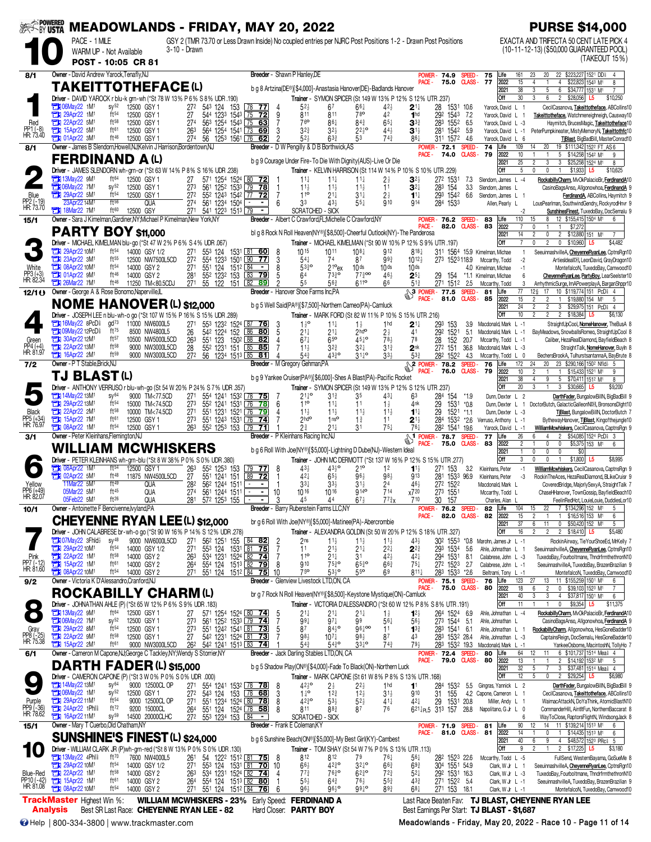|                                     |                                                                      | SER POWERED MEADOWLANDS - FRIDAY, MAY 20, 2022                          |                                                                                                                              | <b>PURSE \$14,000</b>                                              |                                                                                                                  |                                                                                                                           |                                                                          |                                                                       |                                                             |                                                                                                                                                            |
|-------------------------------------|----------------------------------------------------------------------|-------------------------------------------------------------------------|------------------------------------------------------------------------------------------------------------------------------|--------------------------------------------------------------------|------------------------------------------------------------------------------------------------------------------|---------------------------------------------------------------------------------------------------------------------------|--------------------------------------------------------------------------|-----------------------------------------------------------------------|-------------------------------------------------------------|------------------------------------------------------------------------------------------------------------------------------------------------------------|
|                                     | PACE - 1 MILE                                                        | WARM UP - Not Available<br>POST - 10:05 CR 81                           | GSY 2 (TMR 73.70 or Less Drawn Inside) No coupled entries per NJRC Post Positions 1-2 - Drawn Post Positions<br>3-10 - Drawn |                                                                    |                                                                                                                  |                                                                                                                           |                                                                          |                                                                       |                                                             | EXACTA AND TRIFECTA 50 CENT LATE PICK 4<br>(10-11-12-13) (\$50,000 GUARANTEED POOL)<br>(TAKEOUT 15%)                                                       |
| 8/1                                 | Owner - David Andrew Yarock, Tenafly, NJ                             |                                                                         |                                                                                                                              |                                                                    | Breeder - Shawn P Hanley, DE                                                                                     |                                                                                                                           |                                                                          | POWER-<br>74.9                                                        | 75<br>SPEED-<br>Life<br><b>CLASS-77</b>                     | 22 \$223,227 1521 DD<br>161<br>23<br>20<br>4                                                                                                               |
|                                     |                                                                      | <b>TAKEITTOTHEFACE(L)</b>                                               |                                                                                                                              |                                                                    | b q 8 Artzina(DE®)[\$4,000]-Anastasia Hanover(DE)-Badlands Hanover                                               |                                                                                                                           |                                                                          | PACE -<br>75.0                                                        | 2022<br>2021                                                | 15<br>$\overline{4}$<br>\$22,823 1543 M1<br>8<br>$\overline{38}$<br>$\overline{3}$<br>5<br>6<br>\$34,777 1531 M1                                           |
|                                     | <b>THE O6May22 1M1</b>                                               | $sy^{52}$<br>12500 GSY 1                                                | Driver - DAVID YAROCK r blu-k grn-wh (*St 78 W 13% P 6% S 8% UDR 190)<br>543 124<br>272<br>153                               | $\begin{array}{ c c c }\n\hline\n78 & 77\n\end{array}$             | $5^{2}$                                                                                                          | Trainer - SYMON SPICER (St 149 W 13% P 12% S 12% UTR 237)<br>67<br>$66\frac{1}{4}$                                        | $42\frac{1}{2}$<br>$2^{11}$                                              | 28<br>1531 10.6                                                       | Off<br>Yarock, David L 1                                    | 6<br>2 \$28,056<br>30<br>3<br>\$10,250<br>L5<br>CecilCasanova, Takeittotheface, ABCollins10                                                                |
| Red                                 | 29Apr22 1M <sup>1</sup><br>а<br>22Apr22 5M1                          | ft54<br>12500 GSY 1<br>$ft^{58}$<br>12500 GSY 1                         | 544 1233 1543 75<br>27<br>274<br>563 1254 1543 75 63                                                                         | -72                                                                | 811<br>9<br>76 <sup>o</sup>                                                                                      | 78 <sup>o</sup><br>811<br>$84\frac{3}{4}$<br>861                                                                          | 42<br>1 <sup>hd</sup><br>$65\frac{1}{4}$<br>$\mathbf{3}^{3\ddagger}$     | 292 1543 7.2<br>283 1552 6.5                                          | Yarock, David L 1<br>Yarock, David L -3                     | Takeittotheface, Watchmeneighneigh, Causway10<br>Haymitch, BrucesMagic, Takeittotheface10                                                                  |
| PP1 (-8)<br>HR: 73.40               | <b>EX 15Apr22 5M1</b><br><b>EM 01Apr22 3M1</b>                       | ft61<br>12500 GSY 1<br>ft 46<br>12500 GSY 1                             | 263<br>564 1254 1541 73 69<br>274<br>56 1253 1561 76                                                                         | 62                                                                 | $3^{2^{3}}$<br>3<br>$\mathfrak{p}$<br>52}                                                                        | $32\frac{1}{2}$<br>$2^{25}$<br>$63\frac{3}{4}$<br>53                                                                      | $44\frac{1}{2}$<br>$3^{1}$<br>$74\frac{3}{4}$<br>86}                     | 281 1542<br>311 1572 4.6                                              | 5.9<br>Yarock, David L -1<br>Yarock, David L 6              | PeterPumpkineater, MistyMemoryN, Takeittothfc10<br>TBlast, BigBadBill, MasterConrad10                                                                      |
| 8/1                                 |                                                                      | <b>FERDINAND A(L)</b>                                                   | Owner - James B Slendorn, Howell, NJ; Kelvin J Harrison, Bordentown, NJ                                                      |                                                                    | Breeder - D W Pengilly & D B Borthwick, AS<br>b g 9 Courage Under Fire-To Die With Dignity (AUS)-Live Or Die     |                                                                                                                           |                                                                          | POWER-<br>72.1<br>PACE -<br>74.0                                      | 74<br>Life<br>SPEED-<br><b>CLASS-79</b><br>2022             | 109<br>19 \$111,342 1522 FT AS 6<br>14<br>20<br>10<br>5 <sup>5</sup><br>\$14,258 1542 M1<br>9                                                              |
|                                     |                                                                      |                                                                         | Driver - JAMES SLENDORN wh-grn-or (*St 63 W 14% P 8% S 16% UDR 238)                                                          |                                                                    |                                                                                                                  | Trainer - KELVIN HARRISON (St 114 W 14% P 10% S 10% UTR 229)                                                              |                                                                          |                                                                       | 2021<br>Off                                                 | 25<br>3<br>3<br>\$25,258 1524 M1<br>8<br>5<br>$\mathbf 0$<br>0<br>\$1,933<br>\$10,625<br>L5                                                                |
|                                     | <b>THE 13May22 9M1</b><br><b>The O6May22 7M1</b>                     | ft64<br>12500 GSY 1<br>$sy^{52}$<br>12500 GSY 1                         | 27<br>273                                                                                                                    | 571 1254 1524 80 72<br>561 1252 1533 79 78                         | $11\frac{1}{4}$<br>$11\frac{1}{2}$<br>$\overline{1}$                                                             | $11\frac{1}{4}$<br>$11\frac{1}{4}$<br>$11\frac{1}{2}$<br>$11\frac{1}{2}$                                                  | $3^{2}$<br>$2\frac{1}{2}$<br>11<br>$3^{2}$                               | 272 1531<br>283 154                                                   | 7.3<br>Slendorn, James L -4<br>33<br>Slendorn, James L      | RockabillyCharm, MvOkPalacioBr, FerdinandA10<br>CasinoBagsAnso, Allgonowhoa, FerdinandA 9                                                                  |
| Blue<br>PP2 (-19)<br>HR: 73.70      | <b>The 29Apr22 5M1</b><br>23Apr22 14M                                | ft <sup>54</sup><br>12500 GSY 1<br>$ft^{56}$<br><b>QUA</b>              | 272<br>274<br>561 1234 1504                                                                                                  | 552 1243 1542 77 72<br>$\blacksquare$                              | $11^{\circ}$<br>$\overline{7}$<br>33<br>6                                                                        | $21\frac{1}{4}$<br>$31\frac{1}{4}$<br>$55\frac{1}{4}$<br>43}                                                              | $2\frac{1}{2}$<br>$11\frac{1}{4}$<br>910<br>914                          | 293 1542<br>284 1533                                                  | 6.6<br>Slendorn, James L 1<br>Allen, Pearly L               | FerdinandA, ABCollins, Haymitch 9<br>LousPearlman, SouthwindGendry, RockyrodHnvr 9                                                                         |
| 15/1                                | <b>TEM</b> 18Mar22 7M <sup>1</sup>                                   | ft60<br>12500 GSY                                                       | 27 <sup>1</sup><br>541 1223 1513 79<br>Owner - Sara J Kimelman, Gardiner, NY; Michael P Kimelman, New York, NY               |                                                                    | <b>SCRATCHED - SICK</b><br>Breeder - Albert C Crawford, FL; Michelle C Crawford, NY                              |                                                                                                                           |                                                                          | POWER-<br>76.2                                                        | SPEED-<br>83<br>Life                                        | $-2$<br>SunshinesFinest, TuxedoBay, DocSemalu 9<br>110<br>12 \$155,415 1504 M1<br>15<br>8<br>6                                                             |
|                                     |                                                                      | PARTY BOY \$11,000                                                      |                                                                                                                              |                                                                    | bl g 8 Rock N Roll Heaven(NY®)[\$8,500]-Cheerful Outlook(NY)-The Panderosa                                       |                                                                                                                           |                                                                          | PACE -<br>82.0                                                        | CLASS-<br>83<br>2022<br>2021                                | $\overline{7}$<br>\$7,272<br>0<br>14<br>$\overline{0}$<br>$\overline{2}$<br>$$12,880$ 151<br>2<br>M1                                                       |
|                                     | 29Apr22 10M1                                                         | $ft^{54}$<br>14000 GSY 1/2                                              | Driver - MICHAEL KIMELMAN blu-go (*St 47 W 2% P 6% S 4% UDR .067)<br>271<br>553 124 1531 81 60                               |                                                                    | 1015<br>8                                                                                                        | Trainer - MICHAEL KIMELMAN (*St 90 W 10% P 12% S 9% UTR .197)<br>1011<br>$10^{8}$                                         | 912                                                                      | 818 <sub>1</sub>                                                      | Off<br>311 1564 15.9 Kimelman, Michae                       | $\overline{7}$<br>0<br>$\overline{2}$<br>$0$ \$10,960<br>\$4,482<br>L5<br>SeeuinnashvilleA, CheyenneRyanLee, CptnsRqn10<br>$\mathbf{1}$                    |
| White                               | 23Apr22 3M1<br><b>EX 08Apr22 10M1</b>                                | $ft^{55}$<br>12500 NW7500L5CD<br>$ft^{54}$<br>14000 GSY 2               | 27 <sup>2</sup><br>554 1233 1501 90<br>271<br>551 124 1512 84                                                                | $\overline{77}$<br>т.,                                             | $54\frac{1}{4}$<br>3<br>8<br>$53\frac{3}{4}$ <sup>o</sup>                                                        | 74<br>87<br>21 <sup>o</sup> ex<br>10 <sub>ds</sub>                                                                        | $99\frac{3}{4}$<br>$10^{12}$<br>10 <sub>ds</sub><br>10ds                 |                                                                       | 273 1523118.9 Mccarthy, Todd<br>4.0 Kimelman, Michae        | $-2$<br>ArtiesIdeal <sup>DH</sup> , LeonDavid, GrayDragon10<br>$-1$<br>MontefalcoN, TuxedoBay, Camwood10                                                   |
| PP3 (+3)<br>HR: 82.34               | <b>T1 01Apr22 9M1</b><br>$71126$ Mar22 7M <sup>1</sup>               | $ft^{46}$<br>14000 GSY 2<br>$ft^{46}$<br>11250 TM<80.5CDJ               | 281<br>552 1232 153<br>271<br>55 122 151 82                                                                                  | 83 79<br><u>89</u>                                                 | 5<br>64<br>っ<br>55                                                                                               | $77\frac{3}{4}$ 00<br>$73\frac{3}{4}$ <sup>o</sup><br>563<br>6110                                                         | 46 <sup>1</sup><br>$2^{5}{}^{1}$<br>66<br>$51\frac{3}{4}$                | 29 154<br>271 1512 2.5                                                | *1.1 Kimelman, Michae<br>Mccarthy, Todd                     | 6<br>CheyenneRyanLee, PartyBoy, LearSeelster10<br>ArrhythmicSurge, ImAPowerplayA, BarganShppr10<br>3                                                       |
| 12/1()                              |                                                                      | Owner - George A & Rose Bonomo, Naperville, L                           | <b>NOME HANOVER (L) \$12,000</b>                                                                                             |                                                                    | <b>Breeder</b> - Hanover Shoe Farms Inc.PA<br>b g 5 Well Said(PA®)[\$7,500]-Northern Cameo(PA)-Camluck           |                                                                                                                           |                                                                          | $\frac{10!}{2}$<br>$\frac{10!}{P^4}$<br>81.0<br>PACE -                | SPEED-<br>81<br>Life<br>CLASS-85<br>2022                    | 77<br>17<br>10 \$119,774 151 PcD 4<br>126<br>15<br>$\overline{2}$<br>$\overline{2}$<br>1 \$19,880 154 M1<br>-5                                             |
|                                     |                                                                      |                                                                         | Driver - JOSEPH LEE n blu-wh-o go (*St 107 W 15% P 16% S 15% UDR .289)                                                       |                                                                    |                                                                                                                  | Trainer - MARK FORD (St 82 W 11% P 10% S 15% UTR 216)                                                                     |                                                                          |                                                                       | 2021<br>Off                                                 | 3 \$29,975 151 PcD 4<br>24<br>$\overline{2}$<br>$\overline{2}$<br>2 \$18,384<br>10<br>$\overline{c}$<br>$2^{\circ}$<br>L5<br>\$6,130                       |
|                                     | <b>THE 16May22 8PcD</b><br><b>THE OSMay22 12PcD</b>                  | $\text{gd}^{73}$<br>11000 NW6000L5<br>ft75<br>8500 NW4800L5             | 271<br>542 1224 152<br>26                                                                                                    | 553 1232 1524 87 76<br>86<br>-80                                   | $1\frac{1}{2}$ <sup>o</sup><br>3<br>- 5<br>$21\frac{1}{4}$                                                       | $11\frac{1}{4}$<br>$1\frac{1}{2}$<br>$21\frac{1}{4}$<br>2 <sup>hd</sup>                                                   | 1 <sub>hd</sub><br>$2^{11}$<br>2½<br>41                                  | 293<br>153<br>292 1521                                                | 3.9<br>Macdonald, Mark L -1<br>5.1<br>Macdonald, Mark L -1  | StraightUpCool, NomeHanover, TheBusA 8<br>BayMeadows, SnowballsRomeo, StraightUpCool 8                                                                     |
| Green<br>PP4 (+4)<br>HR: 81.97      | 30Apr22 12M1<br>22Apr22 13M1                                         | ft57<br>10500 NW5000L5CD<br>$ft^{58}$<br>9000 NW3000L5CD                | 551 123 1502 88 82<br>263<br>28<br>552 1231 151                                                                              | 85<br>85                                                           | 4<br>$67\frac{1}{4}$<br>7<br>$11\frac{1}{2}$                                                                     | $45^{10}$<br>650<br>$3^{2^{3}}$<br>$3^{2+}$                                                                               | 78 <sup>1</sup><br>78<br>$3^{13}$<br>2 <sup>nk</sup>                     | 28<br>152<br>272 151                                                  | 20.7<br>Mccarthy, Todd L -1<br>36.8<br>Macdonald, Mark L -3 | Caliber, HezaRealDiamond, BayfieldBeach 8<br>StraightTalk, NomeHanover, Buyln 8                                                                            |
| 7/2                                 | <b>The 16Apr22 2M1</b><br>Owner - P T Stable, Brick, NJ              | ft59<br>9000 NW3000L5CD                                                 | 272<br>56 1234 1513 85 81                                                                                                    |                                                                    | 54}<br>4<br>Breeder - M Gregory Gehman, PA                                                                       | 4330<br>$31^{10}$                                                                                                         | $33\frac{1}{2}$<br>533                                                   | 282 1522<br>$\frac{20-102}{2}$<br>$\frac{2 \text{ POWER} - 78.2}{20}$ | 4.3<br>Mccarthy, Todd L 0<br>76<br>Life<br>SPEED-           | BechersBrookA, TulhurstsantannaA, BayBrute 8<br>20<br>23 \$290,166 1502 Nfld} 5<br>172<br>24                                                               |
|                                     | TJ BLAST (L)                                                         |                                                                         |                                                                                                                              |                                                                    | b g 9 Yankee Cruiser(PA®)[\$6,000]-Shes A Blast(PA)-Pacific Rocket                                               |                                                                                                                           |                                                                          | PACE -<br>76.0                                                        | <b>CLASS-79</b><br>2022<br>2021                             | 10<br>\$15,433 1521 M1<br>2<br>$\mathbf{1}$<br>9<br>38<br>9<br>5<br>\$70,411 1512 M1<br>8                                                                  |
|                                     | 14May22 13M <sup>1</sup>                                             | $SV^{64}$<br>9000 TM<77.5CD                                             | Driver - ANTHONY VERRUSO r blu-wh-go (St 54 W 20% P 24% S 7% UDR .357)<br>271                                                | 554 1241 1532 78 75                                                | $21\frac{1}{4}$ <sup>o</sup><br>- 7                                                                              | Trainer - SYMON SPICER (St 149 W 13% P 12% S 12% UTR 237)<br>35<br>31}                                                    | 43‡<br>63                                                                | 284 154                                                               | Off<br>*1.9<br>Dunn, Dexter L 2                             | 20<br>3<br>\$30,665<br>3<br>\$9,200<br>L5<br>DarthFader, BungalowBillN, BigBadBill 9                                                                       |
| Black                               | 29Apr22 13M1<br><b>EX 22Apr22 2M1</b>                                | ft <sup>54</sup><br>15000 TM<74.5CD<br>ft58<br>10000 TM<74.5CD          | 273<br>552 1241 1531<br>551 1231 1521 76<br>27 <sup>1</sup>                                                                  | 78<br> 76 <br>79                                                   | 110<br>$6\phantom{.}6$<br>$11\frac{1}{2}$<br>4                                                                   | $11\frac{1}{4}$<br>11<br>$11\frac{1}{2}$<br>$11\frac{1}{2}$                                                               | $1\frac{1}{2}$<br>4nk<br>$11\frac{1}{2}$<br>$1^{11}$                     | 29<br>1531<br>1521<br>29                                              | $^*0.8$<br>$*1.1$<br>Dunn, Dexter L -3                      | Dunn, Dexter L 1 DoctorButch, GalacticGalleonNIH, BronsonsDlght10<br>TBlast, BungalowBillN, DoctorButch 7                                                  |
| PP5 (+34)<br>HR: 76.97              | <b>TEM</b> 15Apr22 7M <sup>1</sup><br><b>T3 08Apr22 1M1</b>          | ft61<br>12500 GSY 1<br>ft <sup>54</sup><br>12500 GSY 1                  | 273<br>551 1243 1531 76 74<br>263<br>552 1253 153 79                                                                         | $\overline{71}$                                                    | $2h$ do<br>2∛                                                                                                    | 1 <sup>1</sup><br>$1\frac{3}{4}$<br>$21\frac{1}{4}$<br>31                                                                 | 11<br>$2^{1\frac{1}{2}}$<br>$75\frac{1}{4}$<br>76}                       | 284<br>1532 *2.6<br>282 1541 19.6                                     | Verruso, Anthony L -1<br>Yarock, David L -1                 | BythewayHanover, TBlast, Kingofthejungle10<br>WilliamMcwhiskers, CecilCasanova, CaptnsRgn 9                                                                |
| 3/1                                 | Owner - Peter Kleinhans, Flemington, NJ                              |                                                                         | <b>WILLIAM MCWHISKERS</b>                                                                                                    |                                                                    | Breeder - P Kleinhans Racing Inc, NJ<br>b g 6 Roll With Joe(NY®)[\$5,000]-Lightning D Dube(NJ)-Western Ideal     |                                                                                                                           |                                                                          | <b>ST</b> POWER - 78.7<br>75.0<br>PACE -                              | 77<br>Life<br><b>SPEED</b><br><b>CLASS-</b><br>83<br>2022   | 26<br>\$54,085 1524 PcD 3<br>6<br>$\overline{2}$<br>$\overline{2}$<br>0<br>0<br>\$5,375 153 M <sup>1</sup><br>-1<br>6                                      |
|                                     |                                                                      |                                                                         | Driver - PETER KLEINHANS wh-grn-blu (*St 8 W 38% P 0% S 0% UDR .380)                                                         |                                                                    |                                                                                                                  | Trainer - JOHN MC DERMOTT (*St 137 W 16% P 12% S 15% UTR 277)                                                             |                                                                          |                                                                       | 2021<br>Off                                                 | 0<br>0<br>$\mathbf{0}$<br>\$0<br>$\mathbf{1}$<br>3<br>0<br>$\mathbf{0}$<br>\$1,800<br>$\mathbf{1}$<br>\$8,995                                              |
| ∩                                   | <b>1M1</b> 08Apr22 1M1<br><b>EM</b> 02Apr22 5M <sup>1</sup>          | ft <sup>54</sup><br>12500 GSY 1<br>ft48<br>11875 NW4500L5CD             | $\frac{26^3}{27}$<br>55 <sup>2</sup> 125 <sup>3</sup> 153<br>55 <sup>1</sup> 124 <sup>1</sup> 151                            | $\frac{79}{2}$ 77<br>89<br>$\overline{72}$                         | 43 <sup>1</sup><br>- 8<br>$42\frac{1}{4}$<br>$\overline{1}$                                                      | 4330<br>210<br>$65\frac{1}{2}$<br>$96\frac{1}{2}$                                                                         | 12<br>$98\frac{1}{2}$<br>913                                             | 271 153<br>281 1533 96.9                                              | 3.2<br>Kleinhans, Peter<br>Kleinhans, Peter                 | $-1$<br>WilliamMcwhiskers, CecilCasanova, CaptnsRgn 9<br>-3<br>RockinTheAces, HezaRealDiamond, BLikeCruisr 9                                               |
| Yellow<br>PP6 (+49)<br>HR: 82.07    | 11Mar22 5M1<br>05Mar22 5M1                                           | ft49<br>QUA<br>ft45<br>QUA                                              | 282<br>$56^2$ 1244 1511 $\sqrt{ }$<br>561 1244 1511<br>274                                                                   |                                                                    | $3^{3}\frac{1}{4}$<br>- 1<br>10<br>1016                                                                          | $33\frac{1}{2}$<br>$31\frac{1}{2}$<br>1016<br>$914^{\circ}$                                                               | 24<br>46}<br>714<br>x720                                                 | 272 1522<br>273 1551                                                  | Macdonald, Mark L<br>Mccarthy, Todd L                       | CoveredBridge, MajorlySexyA, StraightTalk 7<br>ChaseHHanover, TownGossip, BayfieldBeach10                                                                  |
| 10/1                                | 05Feb22 5M1                                                          | ft26<br><b>QUA</b><br>Owner - Antoinette F Bencivenne, Ivyland, PA      | 281 572 1253 155                                                                                                             | - 1                                                                | 3<br>45<br>Breeder - Barry Rubenstein Farms LLC,NY                                                               | $67\frac{1}{2}$<br>44                                                                                                     | $77\frac{3}{4}x$<br>710                                                  | 30 157<br><b>POWER-76.2</b>                                           | Charles, Alan L<br>82<br>Life<br>SPEED-                     | FeelinRedHot, LouieLouie, DuddiesLor10<br>7 \$134,296 152 M1<br>5<br>104<br>22<br>15                                                                       |
|                                     |                                                                      |                                                                         | <b>CHEYENNE RYAN LEE (L) \$12,000</b>                                                                                        |                                                                    | br g 6 Roll With Joe(NY®)[\$5,000]-Matinee(PA)-Abercrombie                                                       |                                                                                                                           |                                                                          | PACE -<br>82.0 CLASS-                                                 | 2022<br>82<br>2021                                          | 15<br>\$16,516 153 M <sup>1</sup><br>$\overline{c}$<br>$\mathbf{1}$<br>6<br>$\overline{37}$<br>$6\overline{6}$<br>11<br>0 \$50,420 152 M <sup>1</sup><br>5 |
|                                     | <b>THI 07May22 3Fhld</b> }                                           | $sy^{48}$<br>9000 NW6000L5CD                                            | Driver - JOHN CALABRESE br-wh-o go (*St 90 W 16% P 14% S 12% UDR .278)<br>271<br>56 <sup>2</sup> 125 <sup>1</sup> 155 84 82  |                                                                    | 2 <sub>ns</sub><br>$\frac{2}{7}$                                                                                 | Trainer - ALEXANDRA GOLDIN (St 50 W 20% P 12% S 18% UTR .327)<br>$11\frac{1}{2}$<br>$11\frac{1}{2}$                       | 43}<br>$11\frac{1}{2}$                                                   |                                                                       | Off<br>302 1553 *0.8 Marohn, James Jr L -1                  | $\overline{2}$<br>2 \$18,410 L5<br>16<br>$\overline{c}$<br>\$5,480<br>RockinAirway, TieYourShoeEd, MrKelly 7                                               |
| Pink                                | 29Apr22 10M <sup>1</sup><br>22Apr22 1M1                              | $ft^{54}$<br>14000 GSY 1/2<br>$ft^{58}$<br>14000 GSY 2                  | 271<br>553 124 1531 81 75<br>534 1231 1524 82 74<br>263                                                                      |                                                                    | 11<br>11 <sup>o</sup>                                                                                            | $21\frac{1}{2}$<br>$21\frac{1}{4}$<br>31<br>$21\frac{1}{4}$                                                               | $2^{2}$<br>$2^{2\frac{3}{4}}$<br>$42\frac{1}{2}$<br>$42\frac{1}{4}$      | 293 1534<br>294<br>1531                                               | 5.6<br>Ahle, Johnathan L<br>8.1<br>Calabrese, John L -3     | SeeuinnashvilleA, CheyenneRyanLee, CptnsRgn10<br>TuxedoBay, Fourboltmane, ThndrfrmthethronN10                                                              |
| PP7 (-12)<br>HR: 81.60              | 15Apr22 1M <sup>1</sup><br><b>EN 08Apr22 10M1</b>                    | ft61<br>14000 GSY 2<br>$ft^{54}$<br>14000 GSY 2                         | 264<br>554 124<br>27 <sup>1</sup><br>551 124                                                                                 | 1513 82 79<br>1512 84 75                                           | 910<br>- 8<br>75 <sup>o</sup><br>10                                                                              | $75^{30}_{4}$<br>$65\frac{3}{4}$ <sup>o</sup><br>$53^{10}$<br>55 <sup>o</sup>                                             | $66\frac{3}{4}$<br>$75\frac{1}{4}$<br>69                                 | 272 1523 2.7<br>$811\frac{1}{4}$<br>283 1533 *2.6                     | Calabrese, John L -1<br>Beltrami, Tony L -1                 | SeeuinnashvilleA, TuxedoBay, BrazenBrazilian 9<br>MontefalcoN, TuxedoBay, Camwood10                                                                        |
| 9/2                                 |                                                                      | Owner - Victoria K D'Alessandro, Cranford, NJ                           | <b>ROCKABILLY CHARM(L)</b>                                                                                                   |                                                                    | Breeder - Glenview Livestock LTD,ON, CA<br>br g 7 Rock N Roll Heaven(NY®)[\$8,500]-Keystone Mystique(ON)-Camluck |                                                                                                                           |                                                                          | POWER-75.1<br>75.0<br>PACE -                                          | 76<br>Life<br>SPEED-<br>CLASS-<br>80<br>2022                | 123<br>11 \$155,259 1501 M1<br>6<br>27<br>13<br>18<br>$\overline{2}$<br>$\mathbf 0$<br>\$39,103 1523 M1<br>6<br>$\overline{7}$                             |
| $\bullet$                           |                                                                      |                                                                         | Driver - JOHNATHAN AHLE (P) (*St 65 W 12% P 6% S 9% UDR .183)                                                                |                                                                    |                                                                                                                  | Trainer - VICTORIA D'ALESSANDRO (*St 60 W 12% P 8% S 8% UTR .191)                                                         |                                                                          |                                                                       | 2021<br>Off                                                 | 40<br>3<br>3<br>4<br>\$37,817 1501 M1<br>6<br>$\mathbf 0$<br>\$9,354 L5<br>11<br>\$11,375                                                                  |
|                                     | <b>External 13May22 9M<sup>1</sup></b><br>7M1                        | ft64<br>12500 GSY 1<br>$sy^{52}$<br>12500 GSY 1                         | 27<br>273                                                                                                                    | 571 1254 1524 80 74<br>561 1252 1533 79 74                         | $21\frac{1}{4}$<br>- 5<br>-7<br>$99\frac{1}{4}$                                                                  | 21‡<br>$21\frac{1}{4}$<br>$97\frac{1}{4}$<br>99                                                                           | $1\frac{1}{2}$<br>$12\frac{1}{2}$<br>$56\frac{1}{2}$<br>$56\frac{1}{4}$  | 26 <sup>4</sup> 152 <sup>4</sup> 6.9<br>273 1544 5.1                  | Ahle, Johnathan L -4<br>Ahle, Johnathan L                   | RockabillyCharm, MvOkPalacioBr, FerdinandA10<br>CasinoBagsAnso, Allgonowhoa, FerdinandA 9                                                                  |
| Gray<br>PP8 (-25)<br>HR: 75.38      | 29Apr22 8M1<br>22Apr22 9M1                                           | $ft^{54}$<br>12500 GSY 1<br>$ft^{58}$<br>12500 GSY 1                    | 551 1242 1541 81 73<br>273<br>542 1231 1524 81 73<br>27                                                                      |                                                                    | 87<br>- 5<br>981                                                                                                 | $96\frac{1}{4}$ 00<br>$84\frac{1}{2}$ <sup>o</sup><br>$10^{7}$<br>98}                                                     | 11<br>$13\frac{3}{4}$<br>87<br>43                                        | 283 1541 6.1<br>283 1532 28.4                                         | Ahle, Johnathan L 1<br>Ahle, Johnathan L -3                 | RockabillyCharm, Allgonowhoa, HesGoneBadder10<br>CaptainsReign, DocSemalu, HesGoneBadder10                                                                 |
| 6/1                                 | <b>EX 15Apr22 2M1</b>                                                | ft61<br>9000 NW3000L5CD                                                 | 26 <sup>2</sup><br>542 1241 1513 83 74<br>Owner - Cameron M Capone, NJ; George C Tackley, NY; Wendy S Storrier, NY           |                                                                    | $54\frac{3}{4}$<br>Breeder - Jack Darling Stables LTD,ON, CA                                                     | $33^{10}$<br>$54^{30}_{4}$                                                                                                | $74\frac{3}{4}$<br>791                                                   | 283 1532 19.3<br>POWER-72.4 SPEED-<br>79.0 CLASS -<br>PACE -          | Macdonald, Mark L -1<br>80<br>Life<br>80                    | YankeeOsborne, MacintoshN, TollyHo 7<br>6 \$101,737 1514 Meal 4<br>64<br>12<br>11                                                                          |
|                                     |                                                                      | <b>DARTH FADER (L) \$15,000</b>                                         |                                                                                                                              |                                                                    | b g 5 Shadow Play(ON®)[\$4,000]-Fade To Black(ON)-Northern Luck                                                  |                                                                                                                           |                                                                          |                                                                       | 2022<br>2021<br>Off                                         | 13<br>2 \$14,192 1532 M1<br>5<br>32<br>3 \$37,481 1514 Meal 4<br>5<br>12<br>5<br>$\theta$<br>$\overline{2}$<br>\$29,254<br>\$6,980<br>L5                   |
| $\bullet$                           | <b>EDI</b> 14May22 13M <sup>1</sup>                                  | $SV^{64}$<br>9000 12500CL OP                                            | Driver - CAMERON CAPONE (P) (*St 3 W 0% P 0% S 0% UDR .000)<br>271                                                           | 554 1241 1532 78 78<br>543 124 153 78 68                           | $42\frac{1}{2}$ <sup>o</sup><br>-8                                                                               | Trainer - MARK CAPONE (St 61 W 8% P 8% S 13% UTR .168)<br>21<br>$2^{2}$                                                   | 1 <sub>hd</sub><br>11                                                    | 28 <sup>4</sup> 153 <sup>2</sup><br>31 155                            | 5.5<br>Gingras, Yannick L 2                                 | DarthFader, BungalowBillN, BigBadBill 9                                                                                                                    |
| Purple<br>PP9 (-36)<br>HR: 78.62    | 1M <sup>1</sup><br>29Apr22 11M1                                      | SV <sup>52</sup><br>12500 GSY 1<br>ft <sup>54</sup><br>9000 12500CL OP  | $\overline{27}$ <sup>2</sup><br>551 1234 1524 80 78<br>271                                                                   |                                                                    | $1^{10}$<br>3<br>8<br>$42^{30}_{4}$                                                                              | $12\frac{3}{4}$<br>$12\frac{1}{2}$<br>$5^{3}{}_{2}$<br>$52\frac{1}{2}$                                                    | $31\frac{1}{2}$<br>910<br>41‡<br>421                                     | 29<br>1531                                                            | 4.2 Capone, Cameron L 1<br>20.8<br>Miller, Andy L 1         | CecilCasanova, Takeittotheface, ABCollins10<br>WaimacAttackN, DoYaThink, AtomicBlastN10                                                                    |
|                                     | 24Apr22 1Phl <sup>§</sup><br><b>Et 16Apr2211M1</b>                   | ft $^{72}$<br>9200 15000CL<br>$sy^{59}$<br>14500 20000CLHC              | 264<br>27 <sup>2</sup><br>553 1234 153 184                                                                                   | $\blacksquare$                                                     | 8<br>811<br><b>SCRATCHED - SICK</b>                                                                              | 87<br>883                                                                                                                 | 76                                                                       | $6^{21}$ <sub>tr</sub> 5 31 <sup>3</sup> 157                          | 28.8<br>Napolitano, G Jr L 0                                | CommanderHill, AintItFun, NorthernBaccarat 8<br>WayToClose, RaptorsFlightN, WindsongJack 8<br>6                                                            |
| 15/1                                | Owner - Mary T Cuerbo, Old Chatham, NY                               |                                                                         | <b>SUNSHINE'S FINEST (L) \$24,000</b>                                                                                        |                                                                    | Breeder - Frank E Coleman, KY<br>b g 6 Sunshine Beach(ON®)[\$5,000]-My Best Girl(KY)-Cambest                     |                                                                                                                           |                                                                          | POWER- 71.9 SPEED- 81<br>PACE -                                       | Life<br>2022<br>81.0 CLASS-81<br>2021                       | 90<br>14 11 \$139,214 1513 M1<br>12<br>6<br>0<br>14<br>1 \$14,435 1513 M1<br>6<br>40<br>4 \$48,572 1523 PRc \$ 5<br>6<br>9                                 |
|                                     |                                                                      |                                                                         | Driver - WILLIAM CLARK JR (P)wh-grn-red (*St 8 W 13% P 0% S 0% UDR .130)                                                     |                                                                    |                                                                                                                  | Trainer - TOM SHAY (St 54 W 7% P 0% S 13% UTR .113)                                                                       |                                                                          |                                                                       | Off                                                         | 9<br>2 \$17,225 L5<br>2<br>\$3,180                                                                                                                         |
|                                     | <b>TEXA 13May22 4Phl?</b><br>29Apr22 10M <sup>1</sup><br>22Apr22 1M1 | ft70<br>7600 NW4000L5<br>ft <sup>54</sup><br>14000 GSY 1/2<br>$ft^{58}$ | 26 <sup>1</sup><br>271                                                                                                       | 54 1222 1512 81 75<br>553 124 1531 81 70 10<br>534 1231 1524 82 74 | 812<br>- 8<br>$66\frac{1}{2}$                                                                                    | 812<br>79<br>$42^{30}_{4}$<br>$3^{24}$ <sup>o</sup>                                                                       | $56\frac{1}{4}$<br>76‡<br>$66\frac{3}{4}$<br>$69\frac{3}{4}$             | 282 1523 22.6<br>304 1551 54.9                                        | Mccarthy, Todd L -5<br>Clark, W Jr L 1                      | FullSend, WesternBayama, GoSueMe 8<br>SeeuinnashvilleA, CheyenneRyanLee, CptnsRgn10                                                                        |
| Blue-Red<br>PP10 (-42)<br>HR: 81.08 | <b>EDI</b> 15Apr22 1M <sup>1</sup><br><b>124 08Apr22 10M1</b>        | 14000 GSY 2<br>ft61<br>14000 GSY 2<br>$ft^{54}$<br>14000 GSY 2          | 263<br>264<br>554 124<br>271<br>551 124                                                                                      | 1513 82 80<br>1512 84 76                                           | $77\frac{3}{4}$<br>$55\frac{1}{2}$<br>6                                                                          | $76^{30}_{4}$<br>$62\frac{3}{4}$ <sup>o</sup><br>$64\frac{3}{4}$<br>$76\frac{1}{2}$<br>$96\frac{1}{2}$<br>$99\frac{1}{4}$ | 72 <sub>4</sub><br>$5^{2+}$<br>$55\frac{3}{4}$<br>$43\frac{3}{4}$<br>893 | 292 1531 16.3<br>271 1522 5.4                                         | Clark, $W$ Jr $L -3$<br>Clark, $W$ Jr $L - 1$               | TuxedoBay, Fourboltmane, ThndrfrmthethronN10<br>SeeuinnashvilleA, TuxedoBay, BrazenBrazilian 9<br>MontefalcoN, TuxedoBay, Camwood10                        |
|                                     | <b>TrackMaster Highest Win %:</b>                                    |                                                                         | <b>WILLIAM MCWHISKERS - 23% Early Speed: FERDINAND A</b>                                                                     |                                                                    | $96\frac{1}{2}$                                                                                                  |                                                                                                                           | $68\frac{1}{4}$                                                          | 271 153                                                               | 18.1<br>Clark, W Jr L -1                                    | Last Race Beaten Fav: TJ BLAST, CHEYENNE RYAN LEE                                                                                                          |
|                                     | <b>Analysis</b>                                                      |                                                                         | Best SR Last Race: CHEYENNE RYAN LEE - 82                                                                                    |                                                                    | Hard Closer: PARTY BOY                                                                                           |                                                                                                                           |                                                                          |                                                                       | Best Earnings Per Start: TJ BLAST - \$1,687                 |                                                                                                                                                            |

[Help](http://info.trackmaster.com/harness/hpl.pdf) | 800-334-3800 | www.trackmaster.com **Meadowlands - Friday, May 20, 2022 - Race 10 - Page 11 of 14**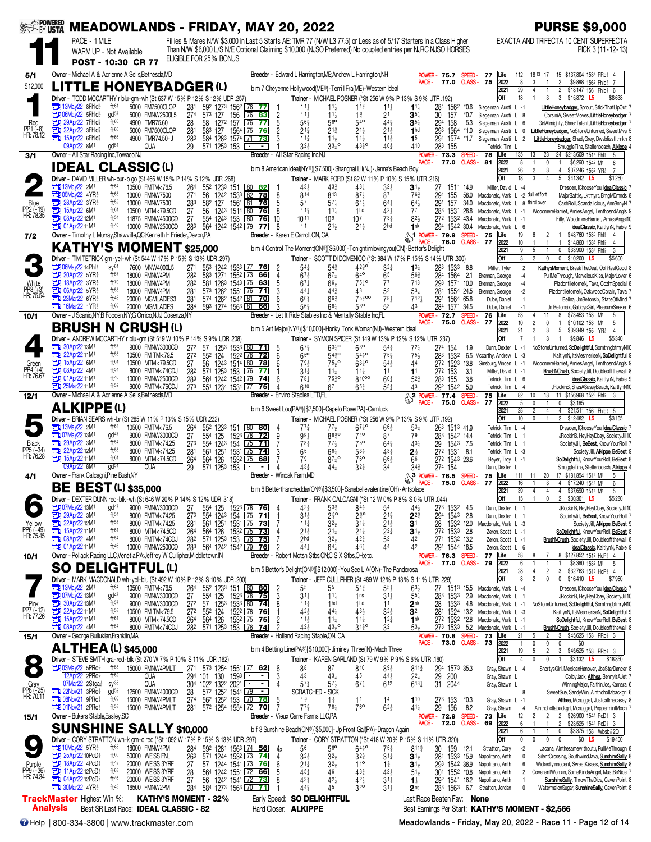| <b>BEST-BY USTA</b>                    |                                                                                                                      |                                      |                                              |                        | <b>MEADOWLANDS - FRIDAY, MAY 20, 2022</b>                                                                                                                                                                                           |                                         |                                              |                                                                                                                                     |                                     |                                       |                                               |                                      |                               |                                                    | <b>PURSE \$9,000</b>                                                                                                                        |
|----------------------------------------|----------------------------------------------------------------------------------------------------------------------|--------------------------------------|----------------------------------------------|------------------------|-------------------------------------------------------------------------------------------------------------------------------------------------------------------------------------------------------------------------------------|-----------------------------------------|----------------------------------------------|-------------------------------------------------------------------------------------------------------------------------------------|-------------------------------------|---------------------------------------|-----------------------------------------------|--------------------------------------|-------------------------------|----------------------------------------------------|---------------------------------------------------------------------------------------------------------------------------------------------|
|                                        | PACE - 1 MILE                                                                                                        |                                      |                                              |                        | Fillies & Mares N/W \$3,000 in Last 5 Starts AE: TMR 77 (N/W L3 77.5) or Less as of 5/17 Starters in a Class Higher<br>Than N/W \$6,000 L/S N/E Optional Claiming \$10,000 (NJSO Preferred) No coupled entries per NJRC NJSO HORSES |                                         |                                              |                                                                                                                                     |                                     |                                       |                                               |                                      |                               |                                                    | EXACTA AND TRIFECTA 10 CENT SUPERFECTA<br>PICK 3 (11-12-13)                                                                                 |
|                                        |                                                                                                                      | WARM UP - Not Available              | POST - 10:30 CR 77                           |                        | ELIGIBLE FOR 25% BONUS                                                                                                                                                                                                              |                                         |                                              |                                                                                                                                     |                                     |                                       |                                               |                                      |                               |                                                    |                                                                                                                                             |
| 5/1                                    | Owner - Michael A & Adrienne A Selis, Bethesda, MD                                                                   |                                      |                                              |                        |                                                                                                                                                                                                                                     |                                         |                                              | Breeder - Edward L Harrington, ME; Andrew L Harrington, NH                                                                          |                                     |                                       |                                               | POWER-<br>75.7                       | <b>SPEED</b>                  | Life<br>77                                         | 15 \$137,804 1534 PRc \$4<br>112<br>18.13 17                                                                                                |
| \$12,000                               | LITTLE HONEYBADGER(L)                                                                                                |                                      |                                              |                        |                                                                                                                                                                                                                                     |                                         |                                              | b m 7 Cheyenne Hollywood(ME®)-Terri I Fra(ME)-Western Ideal                                                                         |                                     |                                       | PACE -                                        | 77.0                                 |                               | 2022<br><b>CLASS-75</b>                            | 8<br>\$9,888 1562 Fhld} 7<br>3<br>$\overline{2}$<br>$\mathbf{1}$                                                                            |
|                                        | Driver - TODD MCCARTHY r blu-grn-wh (St 637 W 15% P 12% S 12% UDR .257)                                              |                                      |                                              |                        |                                                                                                                                                                                                                                     |                                         |                                              | Trainer - MICHAEL POSNER (*St 256 W 9% P 13% S 9% UTR .192)                                                                         |                                     |                                       |                                               |                                      |                               | 2021<br>Off                                        | $\overline{29}$<br>4<br>$\overline{2}$<br>$$18,147$ 156 Fhid $6$<br>18<br>3<br>3 \$15,872 L5<br>\$8,638                                     |
|                                        | <b>TEX 13May22 8Fhld</b>                                                                                             | ft61<br>gd <sup>57</sup>             | 5000 FM7500CLOP                              | 281                    | 592 1273 1562 76 77                                                                                                                                                                                                                 |                                         | $11\frac{1}{2}$                              | $11\frac{1}{2}$                                                                                                                     | $11\frac{3}{4}$                     | $11\frac{1}{2}$                       | $11\frac{1}{4}$                               | 284 1562                             | $^*0.6$                       | Siegelman, Austi L -1                              | LittleHoneybadger, Sprout, StickThatLipOut 7                                                                                                |
| Red                                    | <b>THI 06May22 5Fhld</b> }<br><b>The 29Apr22 7Fhld</b>                                                               | ft60                                 | 5000 FMNW2500L5<br>4900 TMR75.60             | 27 <sup>4</sup><br>28  | 573 127<br>156<br>58 1272 157                                                                                                                                                                                                       | $\sqrt{76}$<br>83<br>$\sqrt{76}$<br>77  | $\overline{2}$<br>11<br>563<br>5             | $11\frac{1}{2}$<br>56 <sup>o</sup>                                                                                                  | $1\frac{3}{4}$<br>$54$ <sup>o</sup> | 2 <sup>1</sup><br>$44\frac{3}{4}$     | $\mathbf{3}5$<br>$\mathbf{3}^{5\ddagger}$     | 30<br>157<br>294<br>158              | *0.7<br>5.3                   | Siegelman, Austi L 8<br>Siegelman, Austi L         | CorsiniA, SweetMoves, LittleHoneybadger<br>GirlAlmighty, SheerTalent, LittleHoneybadger<br>6                                                |
| PP1 (-8)<br>HR: 78.12                  | 22Apr22 3Fhld}<br><b>THE 15Apr22 6Fhld</b>                                                                           | ft66<br>ft66                         | 5000 FM7500CLOP<br>4900 TMR74.50-J           | 28 <sup>1</sup><br>283 | 583 127 1564 75 76<br>584 1283 1574 71 73                                                                                                                                                                                           |                                         | $21\frac{3}{4}$<br>$11\frac{3}{4}$           | $21\frac{3}{4}$<br>$11\frac{1}{2}$                                                                                                  | $21\frac{1}{2}$<br>11               | $21\frac{1}{2}$<br>$11\frac{1}{2}$    | 1 <sub>hd</sub><br>1 <sup>5</sup>             | 293<br>1564<br>291<br>1574 *1.7      | $*1.0$                        | Siegelman, Austi L<br>Siegelman, Austi L           | LittleHoneybadger, NoStoneUnturned, SweetMvs {<br>0<br>$\overline{2}$<br>LittleHoneybadger, ShadyGrey, Dwsblissflthnkn 8                    |
|                                        | 09Apr22 8M <sup>1</sup>                                                                                              | gd <sup>51</sup>                     | QUA                                          | 29                     | 571 1253 153                                                                                                                                                                                                                        |                                         | 32,                                          | $33^{10}$                                                                                                                           | 4330                                | 46 <sup>3</sup>                       | A10                                           | 283<br>155                           |                               | Tetrick, Tim                                       | SmuggleTina, Stellenbosch, Alkippe                                                                                                          |
| 3/1                                    | Owner - All Star Racing Inc, Towaco, NJ                                                                              |                                      |                                              |                        |                                                                                                                                                                                                                                     |                                         | Breeder - All Star Racing Inc.NJ             |                                                                                                                                     |                                     |                                       | PACE -                                        | <b>POWER-73.3</b><br>77.0            | <b>SPEED</b><br><b>CLASS-</b> | 78<br>Life<br>2022<br>81                           | 135<br>24 \$213,609 1514 Phis<br>13<br>23<br>-5<br>8<br>\$6,260 1542 M1<br>$\mathbf{0}$<br>8                                                |
|                                        | <b>IDEAL CLASSIC(L)</b>                                                                                              |                                      |                                              |                        |                                                                                                                                                                                                                                     |                                         |                                              | b m 8 American Ideal(NY®)[\$7,500]-Shanghai Lil(NJ)-Jenna's Beach Boy                                                               |                                     |                                       |                                               |                                      |                               | 2021                                               | 26<br>$\overline{c}$<br>3<br>4<br>\$37,246 1552 YR}<br>$\overline{7}$                                                                       |
|                                        | Driver - DAVID MILLER wh-pur-b go (St 466 W 15% P 14% S 12% UDR .268)<br><b>TEM</b> 13May22 2M <sup>1</sup>          | ft64                                 | 10500 FMTM<76.5                              | 264                    | 552 1233 151                                                                                                                                                                                                                        | 80 82                                   | $43\frac{1}{2}$                              | Trainer - MARK FORD (St 82 W 11% P 10% S 15% UTR .216)<br>433                                                                       | 431                                 | $3^{2}$                               | $\mathbf{3}^{1\frac{1}{2}}$                   | 27<br>1511 149                       |                               | Off<br>Miller, David L -4                          | 18<br>3<br>5 \$41,342<br>$\overline{4}$<br>L5<br>\$1,260<br>Dresden, IChoose You, IdealClassic                                              |
|                                        | <b>THI 05May22 4YR3</b><br>$28$ Apr22 3YR $\frac{1}{2}$                                                              | ft68<br>ft52                         | 13000 FMNW7500<br>13000 FMNW7500             | 271                    | 56 1242 1533 82                                                                                                                                                                                                                     | 78                                      | 814<br>8                                     | 813                                                                                                                                 | $87\frac{1}{2}$                     | 87                                    | $76\frac{3}{4}$                               | 291<br>155                           | 58.0                          | Macdonald, Mark L -2 dull effort                   | MajorBattle, Lktmyrt, BrngMDmnds &                                                                                                          |
| Blue<br>PP2 (-19)<br>HR: 78.35         | <b>Ext 15Apr22 6M1</b>                                                                                               | ft61                                 | 10500 MTM<79.5CD                             | 283<br>27              | 582 127<br>56 1243 1514 80 76                                                                                                                                                                                                       | 1561 81 76<br>8                         | 5<br>57<br>$11\frac{3}{4}$                   | $57\frac{1}{4}$<br>$11\frac{1}{4}$                                                                                                  | $64\frac{1}{2}$<br>1 <sub>hd</sub>  | $64\frac{1}{4}$<br>423                | $64\frac{1}{2}$<br>77                         | 291<br>157<br>283<br>1531 28.8       | 34.0                          | Macdonald, Mark L<br>Macdonald, Mark L -1          | 8 third over<br>CashRoll, Scandalicious, AnnBnnyN 7<br>WoodmereHarriet, ArniesAngel, TenthosndAngls 9                                       |
|                                        | <b>EDI 08Apr22 12M1</b><br><b>TH</b> 01Apr22 11M <sup>1</sup>                                                        | $ft^{54}$<br>ft46                    | 11875 FMNW4500CD<br>10000 FMNW2500CD         | 27<br>283              | 554 1243 153 80 76<br>564 1242 1542 79                                                                                                                                                                                              | 10<br>77                                | 1011<br>8<br>11                              | 10 <sup>9</sup><br>21 <sub>3</sub>                                                                                                  | 10 <sup>7</sup><br>21 <sub>3</sub>  | $73\frac{1}{4}$<br>2 <sub>hd</sub>    | $82\frac{1}{2}$<br>1nk                        | 272 1532 43.4<br>294 1542 30.4       |                               | Macdonald, Mark L -1<br>Macdonald, Mark L          | Filly, WoodmereHarriet, ArniesAngel10<br>6<br>IdealClassic, KaitlynN, Rable 9                                                               |
| 7/2                                    | Owner - Timothy L Murray, Shawville, QC; Kenneth H Frieder, Devon, PA                                                |                                      |                                              |                        |                                                                                                                                                                                                                                     |                                         | Breeder - Karen E Carroll, ON, CA            |                                                                                                                                     |                                     |                                       |                                               | $\frac{1}{2}$ POWER - 79.9           | <b>SPEED</b>                  | 75<br>Life                                         | \$48,760 1533 Phil 4<br>19<br>6<br>$\mathbf{1}$                                                                                             |
|                                        | <b>KATHY'S MOMENT \$25,000</b>                                                                                       |                                      |                                              |                        |                                                                                                                                                                                                                                     |                                         |                                              | b m 4 Control The Moment(ON®)[\$6,000]-Tonightimlovingyou(ON)-Bettor's Delight                                                      |                                     |                                       |                                               | 76.0                                 | <b>CLASS-</b>                 | 77<br>2022<br>2021                                 | 10<br>\$14,860 1533 Phis<br>$\overline{4}$<br>9<br>5<br>0<br>\$33,900 1534 Phl<br>3                                                         |
|                                        | <b>Driver</b> - TIM TETRICK grn-yel-wh (St 544 W 17% P 15% S 13% UDR 297)                                            |                                      |                                              |                        |                                                                                                                                                                                                                                     |                                         |                                              | Trainer - SCOTT DI DOMENICO (*St 984 W 17% P 15% S 14% UTR .300)                                                                    |                                     |                                       |                                               |                                      |                               | Off                                                | 3<br>$\overline{2}$<br>$\mathbf 0$<br>$\mathbf 0$<br>$$10,200$ L5<br>\$5,600                                                                |
|                                        | <b>The O6May22 14Phl<sup>§</sup></b><br>20Apr22 5YR}                                                                 | SV <sup>61</sup><br>ft57             | 7600 MNW4000L5<br>18000 FMNW4PM              | 27 <sup>1</sup><br>282 | 553 1242 1533 77 76<br>583 1271 1552 73 66                                                                                                                                                                                          | -2                                      | $54\frac{1}{4}$<br>$67\frac{1}{2}$<br>4      | $5^{43}$<br>$67\frac{1}{4}$                                                                                                         | $42^{30}_{4}$<br>640                | $3^{2}$<br>65                         | $1^{3}$<br>563                                | 283 1533 8.8<br>284 1564             | 2.1                           | Miller, Tyler<br>Brennan, George                   | $\overline{2}$<br>KathysMoment, BreakTheDeal, OohRealGood 8<br>PullMeThrough, MarvelousKiss, MajorLover 6<br>$-4$                           |
| White                                  | 13Apr22 3YR1<br>$T$ 06Apr22 5YR                                                                                      | ft70<br>ft <sub>53</sub>             | 18000 FMNW4PM<br>18000 FMNW4PM               | 282<br>281             | 581 1263 1543 75 63<br>573 1262 1551 76                                                                                                                                                                                             | 71                                      | 5<br>$67\frac{1}{4}$<br>3<br>$44\frac{1}{4}$ | $66\frac{1}{2}$<br>$44\frac{3}{4}$                                                                                                  | $75\frac{1}{4}$ <sup>o</sup><br>43  | 77<br>53                              | 713<br>$5^{3}$                                | 293 1571 10.0<br>284 1554 24.5       |                               | Brennan, George                                    | PlzdontlietomeN, Tava, CozlmSpecial 8<br>$-4$<br>PlzdontlietomeN, OakwoodCorallr, Tava 7                                                    |
| PP3 (+3)<br>HR: 75.54                  | <b>The 23Mar22 6YR}</b>                                                                                              | ft43                                 | 20000 MGMLADIES3                             | 281                    | 574 1262 1542 81 70                                                                                                                                                                                                                 |                                         | ĥ<br>66 <sub>3</sub>                         | $66\frac{3}{4}$                                                                                                                     | 75300                               | 783                                   | 712 <sub>7</sub>                              | 291 1564 65.8                        |                               | Brennan, George<br>Dube, Daniel                    | $-2$<br>Belina, JmBetonsix, StateOfMind 7                                                                                                   |
| 10/1                                   | $7$ 16Mar22 1YR<br>Owner - J Scanio NY B Fooden NY G Orrico NJ J Cosenza NY                                          | ft60                                 | 20000 MGMLADIES                              | 284                    | 593 1274 1563 81                                                                                                                                                                                                                    | 66                                      | $56\frac{3}{4}$                              | $66\frac{1}{4}$<br>Breeder - Let It Ride Stables Inc & Mentally Stable Inc,FL                                                       | 530                                 | 53                                    | 43                                            | 284 1571 34.5<br><b>POWER-72.7</b>   | <b>SPEED</b>                  | Dube, Daniel<br>Life<br>76                         | $-1$<br>JmBetonsix, GabbysGirl, PleasureSeeker 6<br>53<br>11<br>8 \$73,453 153 M1<br>4<br>5                                                 |
|                                        | <b>BRUSH N CRUSH(L)</b>                                                                                              |                                      |                                              |                        |                                                                                                                                                                                                                                     |                                         |                                              | b m 5 Art Major(NY®)[\$10,000]-Honky Tonk Woman(NJ)-Western Ideal                                                                   |                                     |                                       | PACE -                                        | 75.0                                 | <b>CLASS</b> -                | 2022<br>77                                         | 10<br>$\mathfrak{p}$<br>0<br>\$10,102 153 M1<br>$\mathbf{1}$<br>5                                                                           |
|                                        | Driver - ANDREW MCCARTHY r blu-grn (St 519 W 10% P 14% S 9% UDR .208)                                                |                                      |                                              |                        |                                                                                                                                                                                                                                     |                                         |                                              | Trainer - SYMON SPICER (St 149 W 13% P 12% S 12% UTR .237)                                                                          |                                     |                                       |                                               |                                      |                               | 2021<br>Off                                        | 21<br>$\overline{2}$<br>$5\overline{)}$<br>\$39,349 155 YR <sub>2</sub><br>3<br>$\overline{4}$<br>\$9,846<br>3<br>L <sub>5</sub><br>\$5,340 |
|                                        | <b>EX 30Apr22 13M1</b>                                                                                               | ft <sub>57</sub>                     | 9000 FMNW3000CD                              | 27 <sup>2</sup>        | 57 1253 1533 80 71                                                                                                                                                                                                                  |                                         | $67\frac{3}{4}$<br>5                         | $63^{10}$                                                                                                                           | 630                                 | $54\frac{1}{4}$                       | $72\frac{1}{4}$                               | 274 154                              | 1.9                           | Dunn, Dexter L -1                                  | NoStoneUnturned, SoDelightful, SomthngbtmryN10                                                                                              |
| Green                                  | 22Apr22 11M1<br><b>EN 15Apr22 6M1</b>                                                                                | $ft^{58}$<br>ft61                    | 10500 FM TM<79.5<br>10500 MTM<79.5CD         | 272<br>27              | 552 124<br>56                                                                                                                                                                                                                       | 1522 78<br><u>72</u><br>1243 1514 80 78 | 65 <sup>o</sup><br>6<br>79 <sub>3</sub><br>6 | $54^{30}_{4}$<br>$75\frac{1}{2}$ <sup>o</sup>                                                                                       | $54^{10}$<br>$63^{10}$              | $75\frac{3}{4}$<br>$54\frac{1}{2}$    | $75\frac{1}{2}$<br>44                         | 1532<br>283<br>272 1523 13.8         |                               | 6.5 Mccarthy, Andrew L -3<br>Ginsburg, Vincen L -1 | KaitlynN, ItsMesmeriseN, SoDelightful 9<br>WoodmereHarriet, ArniesAngel, TenthosndAngls 9                                                   |
| PP4 (+4)<br>HR: 76.67                  | <b>EN 08Apr22 4M1</b><br><b>TEM</b> 01Apr22 11M <sup>1</sup>                                                         | $ft^{54}$<br>$ft^{46}$               | 8000 FMTM<74CDJ                              | 282                    | 571 1253 153 76<br>564 1242 1542 79 74                                                                                                                                                                                              | 771                                     | $31\frac{1}{4}$<br>$78\frac{1}{4}$           | $11\frac{1}{4}$<br>$75^{30}_{4}$                                                                                                    | $11\frac{1}{4}$<br>81000            | 11                                    | 1 <sup>1</sup>                                | 272 153                              | 3.1                           | Miller, David L -1                                 | BrushNCrush, SocietyJill, Doubleoffthewall 8                                                                                                |
|                                        | <b>THE 25Mar22 11M1</b>                                                                                              | ft52                                 | 10000 FMNW2500CD<br>9000 FMTM<76CDJ          | 283                    | 273 551 1234 1534 77 75                                                                                                                                                                                                             |                                         | 6<br>610                                     | 67                                                                                                                                  | 65}                                 | $66\frac{3}{4}$<br>55 <sup>3</sup>    | $5^{2}$<br>43                                 | 283 155<br>292 1542 5.0              | 3.8                           | Tetrick, Tim L 6<br>Tetrick, Tim L                 | IdealClassic, KaitlynN, Rable 9<br>$\overline{4}$<br>JRockinB, ShesASassyBeach, KaitlynN10                                                  |
| 12/1                                   | Owner - Michael A & Adrienne A Selis, Bethesda, MD                                                                   |                                      |                                              |                        |                                                                                                                                                                                                                                     |                                         | <b>Breeder</b> - Enviro Stables LTD.FL       |                                                                                                                                     |                                     |                                       | S <sub>2</sub> POWER-                         | 77.4<br>75.0                         | <b>SPEED</b><br>CLASS-        | Life<br>75<br>77<br>2022                           | 10<br>11 \$156,968 1522 Phl 3<br>82<br>13<br>5<br>$\mathbf{0}$<br>$\mathbf{0}$<br>\$3,165                                                   |
|                                        | <b>ALKIPPE(L)</b>                                                                                                    |                                      |                                              |                        |                                                                                                                                                                                                                                     |                                         |                                              | b m 6 Sweet Lou(PA®)[\$7,500]-Capelo Rose(PA)-Camluck                                                                               |                                     |                                       |                                               |                                      |                               | 2021                                               | 28<br>$\overline{2}$<br>4<br>4<br>\$21,511 156 Fhid } 5                                                                                     |
|                                        | Driver - BRIAN SEARS wh-br (St 285 W 11% P 13% S 15% UDR 232)<br><b>TEM</b> 13May22 2M <sup>1</sup>                  | ft <sup>64</sup>                     | 10500 FMTM<76.5                              | 264                    | 552 1233 151                                                                                                                                                                                                                        | $80$ 80<br>4                            | $77\frac{3}{4}$                              | Trainer - MICHAEL POSNER (*St 256 W 9% P 13% S 9% UTR .192)<br>$77\frac{1}{2}$                                                      | $67\frac{1}{4}$ o                   | 66                                    | $5^{3}$                                       | 263 1513 41.9                        |                               | Off<br>Tetrick, Tim L -4                           | 10<br>0<br>$\overline{1}$<br>$\overline{2}$<br>\$12,482<br>L5<br>\$3,165<br>Dresden, IChooseYou, IdealClassic                               |
|                                        | <b>TEM</b> 07May22 13M <sup>1</sup>                                                                                  | $qd^{47}$                            | 9000 FMNW3000CD                              | 27                     | 554 125                                                                                                                                                                                                                             | 1523 78 72                              | 9<br>$99\frac{1}{2}$                         | 8630                                                                                                                                | 740                                 | 87                                    | 79                                            | 283 1542 14.4                        |                               | Tetrick, Tim L 1                                   | JRockinB, HeyHeyDbay, SocietyJill10                                                                                                         |
| <b>Black</b><br>PP5 (+34)<br>HR: 76.28 | <b>EN 29Apr22 3M1</b><br>22Apr22 12M1                                                                                | ft <sub>54</sub><br>ft58             | 8000 FMTM<74.25<br>8000 FMTM<74.25           | 273<br>281             | 554 1243 154 75 71<br>561 1251                                                                                                                                                                                                      | 1531 75 74                              | $78\frac{1}{4}$<br>3<br>65                   | $77\frac{1}{2}$<br>$66\frac{1}{4}$                                                                                                  | 75 <sup>o</sup><br>53‡              | $64\frac{3}{4}$<br>$43\frac{1}{4}$    | $43\frac{1}{4}$<br>$2\frac{1}{2}$             | 29 1543 7.5<br>272 1531 8.1          |                               | Tetrick, Tim L<br>Tetrick, Tim L -3                | SocietyJill. BeBest. Know YourRoll<br>SocietyJill, Alkippe, BeBest 9                                                                        |
|                                        | <b>EX 15Apr22 11M1</b><br>09Apr22 8M <sup>1</sup>                                                                    | ft61<br>$\mathsf{qd}^{51}$           | 8000 MTM<74.5CD<br><b>QUA</b>                | 264<br>29              | 564 126<br>571 1253 153                                                                                                                                                                                                             | 153 <sup>2</sup> 75<br>68               | 79<br>43 <sub>3</sub>                        | $87\frac{1}{4}$ <sup>o</sup><br>441                                                                                                 | 76 <sup>o</sup><br>$3^{2^{3}}$      | 66}<br>34                             | 66<br>$34\frac{3}{4}$                         | 272 1543 23.6<br>274 154             |                               | Beyer, Troy L -1<br>Dunn, Dexter                   | SoDelightful, Know YourRoll, BeBest &<br>SmuggleTina, Stellenbosch, Alkippe                                                                 |
| 4/1                                    | Owner - Frank Calcagni, Pine Bush, NY                                                                                |                                      |                                              |                        |                                                                                                                                                                                                                                     |                                         | Breeder - Winbak Farm,MD                     |                                                                                                                                     |                                     |                                       |                                               | $\frac{3}{2}$ POWER - 76.5           | <b>SPEED</b>                  | 75<br>Life                                         | 17 \$181,854 1514 M1<br>111<br>20<br>11<br>5                                                                                                |
|                                        | <b>BE BEST (L) \$35,000</b>                                                                                          |                                      |                                              |                        |                                                                                                                                                                                                                                     |                                         |                                              | b m 6 Betterthancheddar(ON®)[\$3,500]-Sanabellevalentine(OH)-Artsplace                                                              |                                     |                                       |                                               | 75.0                                 | <b>CLASS-</b>                 | 77<br>2022<br>2021                                 | 16<br>4 \$17,240 1541 M1<br>3<br>6<br>39<br>$\overline{4}$<br>\$37,690 1514 M1<br>4<br>$\overline{4}$<br>5                                  |
|                                        | Driver - DEXTER DUNN red-blk-wh (St 646 W 20% P 14% S 12% UDR .318)                                                  |                                      |                                              |                        |                                                                                                                                                                                                                                     |                                         |                                              | Trainer - FRANK CALCAGNI (*St 12 W 0% P 8% S 0% UTR .044)                                                                           |                                     |                                       |                                               |                                      |                               | Off                                                | 15<br>$\mathfrak{p}$<br>\$30,301 L5<br>\$5,280<br>$\mathsf{n}$                                                                              |
|                                        | <b>TEM</b> 07May22 13M <sup>1</sup><br>29Apr22 3M <sup>1</sup>                                                       | gd <sup>47</sup><br>ft <sup>54</sup> | 9000 FMNW3000CD<br>8000 FMTM<74.25           | 27<br>273              | 554 125<br>554 1243 154 75 71                                                                                                                                                                                                       | 1523 78 76                              | $42\frac{1}{2}$<br>$31\frac{1}{2}$           | $5^{3}_{4}$<br>2 <sup>3</sup> °                                                                                                     | 841<br>$2\frac{3}{4}$ <sup>o</sup>  | 54<br>$21\frac{3}{4}$                 | $44\frac{1}{2}$<br>$2^{2^3}$                  | 273 1532 45<br>294 1543 2.8          |                               | Dunn, Dexter L 1<br>Dunn, Dexter L 1               | JRockinB, HeyHeyDbay, SocietyJill10<br>SocietyJill, BeBest, Know YourRoll 7                                                                 |
| Yellow                                 | 22Apr22 12M1<br>15Apr22 11M <sup>1</sup>                                                                             | $ft^{58}$<br>ft61                    | 8000 FMTM<74.25                              | 281                    | 561 1251 1531 75 73<br>$564 + 126$                                                                                                                                                                                                  |                                         | $11\frac{1}{4}$                              | $3^{2}\frac{1}{2}$                                                                                                                  | $31\frac{1}{4}$                     | $21\frac{1}{2}$                       | 3 <sup>1</sup>                                | 28 1532 120                          |                               | Macdonald, Mark L -3                               | SocietyJill, Alkippe, BeBest 9                                                                                                              |
| PP6 (+49)<br>HR: 75.45                 | <b>Et 08Apr22 4M<sup>1</sup></b>                                                                                     | ft <sup>54</sup>                     | 8000 MTM<74.5CD<br>8000 FMTM<74CDJ           | $\frac{264}{282}$      | 571 1253 153 76 75                                                                                                                                                                                                                  | $153^2$ 75 73                           | $21\frac{1}{2}$<br>2 <sub>hd</sub>           | $21\frac{1}{4}$<br>$3^{2}$                                                                                                          | $21\frac{1}{4}$<br>423              | $2^{2}$<br>52                         | $3^{11}$<br>42                                | 272 1533 2.8<br>271 1532 13.2        |                               | Zeron, Scott L -1<br>Zeron, Scott L -1             | SoDelightful, Know YourRoll, BeBest 8<br>BrushNCrush, SocietyJill, Doubleoffthewall &                                                       |
| 10/1                                   | <b>Extra 01Apr22 11M<sup>1</sup></b><br>Owner - Pollack Racing LLC, Venetia, PA; Jeffrey W Cullipher, Middletown, IN | ft <sup>46</sup>                     | 10000 FMNW2500CD                             | 283                    | 564 1242 1542 79 76                                                                                                                                                                                                                 |                                         | 2<br>44 <sub>7</sub>                         | $64\frac{1}{4}$<br>Breeder - Robert Mctsh Stbs, ON; C S X Stbs, OH; etc.                                                            | 461                                 | 44                                    | 42                                            | 291 1544 18.5<br>POWER- 76.3         | <b>SPEED</b>                  | Zeron, Scott L 6<br>77<br>Life                     | IdealClassic, KaitlynN, Rable 9<br>58<br>8 \$127,852 1512 HoP 3 4<br>8                                                                      |
|                                        | <b>SO</b>                                                                                                            |                                      | <b>DELIGHTFUL(L)</b>                         |                        |                                                                                                                                                                                                                                     |                                         |                                              |                                                                                                                                     |                                     |                                       | PACE -                                        | 77.0                                 | CLASS-                        | 79<br>2022                                         | 6<br>\$8,360 1532 M1<br>$5\phantom{.0}$                                                                                                     |
|                                        | Driver - MARK MACDONALD wh-yel-blu (St 492 W 10% P 12% S 10% UDR .200)                                               |                                      |                                              |                        |                                                                                                                                                                                                                                     |                                         |                                              | b m 5 Bettor's Delight(ON®)[\$12,000]-You See L A(ON)-The Panderosa<br>Trainer - JEFF CULLIPHER (St 489 W 12% P 13% S 11% UTR .229) |                                     |                                       |                                               |                                      |                               | 2021<br>Off                                        | 28<br>4<br>2<br>3 \$32,763 1512 HoP 3 4<br>8<br>$\mathfrak{p}$<br>$\mathbb O$<br>$0$ \$16,410 L5<br>\$7,960                                 |
|                                        | 73May22 2M1                                                                                                          | ft64                                 | 10500 FMTM<76.5                              | $\frac{264}{27}$       | 55 <sup>2</sup> 123 <sup>3</sup> 151 80 80<br>55 <sup>4</sup> 125 152 <sup>3</sup> 78 75                                                                                                                                            | -2                                      | 55                                           | 55                                                                                                                                  | $5^{4^3}$                           | $55\frac{1}{2}$                       | $63\frac{1}{2}$                               | 27<br>1513 155                       |                               | Macdonald, Mark L -4                               | Dresden, IChooseYou, IdealClassic 7                                                                                                         |
|                                        | 731 07May22 13M1<br>30Apr22 13M1                                                                                     | $gd^{47}$<br>ft57                    | 9000 FMNW3000CD<br>9000 FMNW3000CD           | 27 <sup>2</sup>        | 57 1253 1533 80 74                                                                                                                                                                                                                  |                                         | 3<br>$31\frac{1}{4}$<br>8<br>$11\frac{1}{4}$ | $11\frac{1}{4}$<br>1 <sub>hd</sub>                                                                                                  | 1 <sub>ns</sub><br>1 <sub>hd</sub>  | $31\frac{1}{2}$<br>11                 | $55\frac{1}{4}$<br>2 <sup>nk</sup>            | 283 1533 2.9<br>28<br>1533           | 4.8                           | Macdonald, Mark L 1<br>Macdonald, Mark L -1        | JRockinB, HeyHeyDbay, SocietyJill10<br>NoStoneUnturned, SoDelightful, SomthngbtmryN10                                                       |
| Pink<br>PP7 (-12)<br>HR: 77.26         | 22Apr22 11M1<br>15Apr22 11M <sup>1</sup>                                                                             | $ft^{58}$<br>ft61                    | 10500 FM TM<79.5<br>8000 MTM<74.5CD          | 272<br>264             | 564 126                                                                                                                                                                                                                             | $153^2$ $\overline{75}$ 75              | $42\frac{1}{2}$<br>$11\frac{1}{2}$           | 44<br>$11\frac{1}{4}$                                                                                                               | $43\frac{1}{2}$<br>$11\frac{1}{4}$  | $3^{2}\frac{1}{2}$<br>$12\frac{1}{4}$ | 32<br>1 <sup>nk</sup>                         | 281 1524 132<br>272 1532 *2.8        |                               | Macdonald, Mark L -3<br>Macdonald, Mark L -1       | KaitlynN, ItsMesmeriseN, SoDelightful 9<br>SoDelightful, Know YourRoll, BeBest 8                                                            |
|                                        | <b>EX 08Apr22 4M<sup>1</sup></b>                                                                                     | $ft^{54}$                            | 8000 FMTM<74CDJ                              | 282                    | 571 1253 153 76 74                                                                                                                                                                                                                  |                                         | $42\frac{1}{2}$                              | $43\frac{1}{2}$ <sup>o</sup>                                                                                                        | $31\frac{3}{4}$ <sup>o</sup>        | 32                                    | $53\frac{1}{2}$                               | 273 1533 5.2                         |                               | Macdonald, Mark L -1                               | <b>BrushNCrush</b> , SocietyJill, Doubleoffthewall 8                                                                                        |
| 15/1                                   | Owner - George Bullukian, Franklin, MA                                                                               |                                      |                                              |                        |                                                                                                                                                                                                                                     |                                         |                                              | <b>Breeder</b> - Holland Racing Stable, ON, CA                                                                                      |                                     |                                       | PACE -                                        | POWER- 70.8 SPEED-<br>73.0 CLASS- 73 |                               | 73<br>Life<br>2022                                 | 21<br>\$45,625 153 PRc 3<br>5<br>$\overline{2}$<br>3<br>$\mathbf{1}$<br>0<br>0<br>0<br>\$0                                                  |
|                                        | <b>ALTHEA (L) \$45,000</b>                                                                                           |                                      |                                              |                        |                                                                                                                                                                                                                                     |                                         |                                              | b m 4 Betting Line(PA®)[\$10,000]-Jiminey Three(IN)-Mach Three                                                                      |                                     |                                       |                                               |                                      |                               | 2021                                               | 19<br>5<br>$\overline{c}$<br>3<br>\$45,625 153 PRc 3<br>$\overline{4}$                                                                      |
| $\blacksquare$                         | Driver - STEVE SMITH gra-red-blk (St 270 W 7% P 10% S 11% UDR .162)<br><b>THE O3May22 5PRc</b>                       | ft <sup>58</sup>                     | 15000 FMNW4PMLT                              |                        | 271 573 1254 1551 77 62                                                                                                                                                                                                             |                                         | 88<br>6                                      | Trainer - KAREN GARLAND (St 79 W 9% P 9% S 6% UTR .160)<br>87                                                                       | 810                                 | $89\frac{1}{2}$                       | $8^{11\frac{3}{4}}$                           |                                      |                               | Off<br>Gray, Shawn L 4                             | 0<br>$$3,132$ L5<br>\$18,850<br>$\mathbf{1}$<br>ShortysGirl, MexicanHanover, JbsStarDancer 8                                                |
|                                        | 12Apr22 2PRc <sup>§</sup><br>07Mar22 2Stga}                                                                          | ft $62$                              | QUA                                          |                        | $294$ 101 130 1593                                                                                                                                                                                                                  |                                         | 43<br>3                                      | $43\frac{1}{4}$                                                                                                                     | 45                                  | $44\frac{1}{2}$                       | $2^{2}$                                       | 294 1573 35.3<br>29 200              |                               | Gray, Shawn                                        | ColbyJack, Althea, BennylsAJet 7                                                                                                            |
| Gray<br>PP8 (-25)<br>HR: 70.11         | <b>Extra 22Nov21 3PRc</b>                                                                                            | $SV^{38}$<br>$\text{gd}^{52}$        | QUA<br>12500 FMNW4000CD                      | $\frac{28}{274}$       | 304 1022 1322 2021                                                                                                                                                                                                                  | 4                                       | $57\frac{3}{4}$                              | $5^{7}\frac{1}{2}$<br><b>SCRATCHED - SICK</b>                                                                                       | $67\frac{1}{4}$                     | 612                                   | $613\frac{1}{4}$                              | 31 2044                              |                               | Gray, Shawn L                                      | WinningMajor, FaithInJoe, Kamara 6<br>SweetSue, SandyWin, Aintnohollabackgrl 6                                                              |
|                                        | <b>THE O8Nov21 9PRc</b><br><b>THE O1Nov21 2PRc</b>                                                                   | ft60<br>ft <sup>58</sup>             | 15000 FMNW4PMLT<br>15000 FMNW4PMLT           | 281                    | 562 1252 153 70<br>572 1254 1554 72                                                                                                                                                                                                 | 78<br>70                                | 5<br>$1\frac{3}{4}$<br>$77\frac{3}{4}$       | $1\frac{1}{4}$<br>$78\frac{1}{4}$                                                                                                   | 11<br>76 <sup>o</sup>               | 14<br>$62\frac{1}{2}$                 | $1^{10}$<br>411                               | $27^3$ 153<br>29<br>156              | *0.3<br>8.2                   | Gray, Shawn L -1<br>Gray, Shawn                    | Althea, Mcnugget, Justcallmecasey 8<br>Aintnohollabackgrl, Mcnugget, PeppermintMoch 7                                                       |
| 15/1                                   | Owner - Bukers Stable, Easley, SC                                                                                    |                                      |                                              |                        |                                                                                                                                                                                                                                     |                                         |                                              | Breeder - Vieux Carre Farms LLC.PA                                                                                                  |                                     |                                       |                                               | <b>POWER-72.9</b>                    | <b>SPEED</b>                  | 73<br>Life                                         | 12<br>$\overline{2}$<br>\$26,900 1541 PcD 3                                                                                                 |
|                                        | <b>SUNSHINE SALLY \$10,000</b>                                                                                       |                                      |                                              |                        |                                                                                                                                                                                                                                     |                                         |                                              | b f 3 Sunshine Beach(ON®)[\$5,000]-Up Front Gal(PA)-Dragon Again                                                                    |                                     |                                       | PACE-                                         | 72.0                                 | <b>CLASS-</b>                 | 69<br>2022<br>2021                                 | \$23,525 1541 PcD 1 3<br>6<br>$\overline{c}$<br>6<br>0<br>\$3,375 158 Wbsb 2Q                                                               |
|                                        | Driver - CORY STRATTON wh-k grn-c red (*St 1092 W 17% P 15% S 13% UDR .297)                                          |                                      |                                              |                        |                                                                                                                                                                                                                                     |                                         |                                              | Trainer - CORY STRATTON (*St 418 W 20% P 15% S 11% UTR .320)                                                                        |                                     |                                       |                                               |                                      |                               | Off                                                | $\mathbf 0$<br>$$0$ L5<br>0<br>$\mathbf{0}$<br>$\mathbf 0$<br>\$19,400                                                                      |
|                                        | $\frac{1}{2}$ 10May22 5YR}<br><b>TEM</b> 25Apr22 10PcD <sup>§</sup>                                                  | ft68<br>$ft^{66}$                    | 18000 FMNW4PM<br>50000 WEISS FNL             | 284<br>263             | 59 <sup>2</sup> 128 <sup>1</sup> 156 <sup>3</sup> 74 <b>56</b><br>571 1244 1532 73 74                                                                                                                                               |                                         | 56<br>4х<br>4<br>$3^{2}$                     | 56 <sup>o</sup><br>$3^{2}\frac{1}{2}$                                                                                               | $64^{10}$<br>32}                    | $75\frac{1}{4}$<br>$31\frac{1}{4}$    | $8^{11}$<br>$\mathbf{3}^{1\frac{1}{2}}$       | 30 159 12.1<br>281 1533 15.9         |                               | Stratton, Cory<br>Napolitano, Anth                 | $-2$<br>Jacana, Ainthesamewithoutu, PullMeThrough 8<br>0<br>SilentCrossing, SouthwindJava, SunshineSally 8                                  |
| Purple<br>PP9 (-36)<br>HR: 74.34       | <b>TEM 18Apr22 4PcD</b><br><b>TEM</b> 11Apr22 12PcD <sup>§</sup>                                                     | ft48<br>ft63                         | 20000 WEISS 3YRF                             | 27                     | 57 1244 1541 73 76<br>564 1242 1551 72 66                                                                                                                                                                                           |                                         | 6<br>$21\frac{1}{4}$                         | $3^{2}\frac{1}{2}$                                                                                                                  | $1^{10}$                            | $1\frac{3}{4}$                        | $\mathbf{3}$ 1 $\mathrm{t}$                   | 293 1542 36.9                        |                               | Napolitano, Anth                                   | WickedlyInnocent, SweetKisses, SunshineSally 8<br>6                                                                                         |
|                                        | <b>TEM</b> 04Apr22 12PcD <sup>§</sup>                                                                                | ft 46                                | 20000 WEISS 3YRF<br>20000 WEISS 3YRF         | 28<br>27               | 56 1242 1541 72 73                                                                                                                                                                                                                  |                                         | $45\frac{3}{4}$<br>5<br>433<br>8             | 46<br>$42\frac{1}{2}$                                                                                                               | $4^{3}3$<br>42}                     | $42\frac{1}{2}$<br>$31\frac{1}{4}$    | $51\frac{1}{2}$<br>$\mathbf{1}^{\frac{1}{2}}$ | 301 1552 *0.8<br>292 1541 16.2       |                               | Napolitano, Anth<br>Napolitano, Anth               | CovenantWoman, SomeKindaAngel, MustBeNice 7<br>$\overline{2}$<br>SunshineSally, ThrowTheDice, CavenPoint 8                                  |
|                                        | <b>TEX 30Mar22 4YR</b>                                                                                               | ft43                                 | 16500 FMNW2PM                                | 284                    | 584 1273 1563 70 71                                                                                                                                                                                                                 |                                         | $44\frac{3}{4}$                              | 45                                                                                                                                  | 32 <sup>o</sup>                     | $31\frac{1}{2}$                       | 2 <sub>ns</sub>                               | 283 1563 6.7                         |                               | Stratton, Jordan                                   | $\mathbf{0}$<br>WatermelonSugar, SunshineSally, CavenPoint 8                                                                                |
|                                        | <b>TrackMaster Highest Win %:</b><br><b>Analysis</b>                                                                 |                                      | Best SR Last Race: <b>IDEAL CLASSIC - 82</b> |                        | <b>KATHY'S MOMENT - 32%</b>                                                                                                                                                                                                         |                                         | Hard Closer: <b>ALKIPPE</b>                  | Early Speed: SO DELIGHTFUL                                                                                                          |                                     |                                       |                                               | Last Race Beaten Fav: None           |                               |                                                    | Best Earnings Per Start: KATHY'S MOMENT - \$2,566                                                                                           |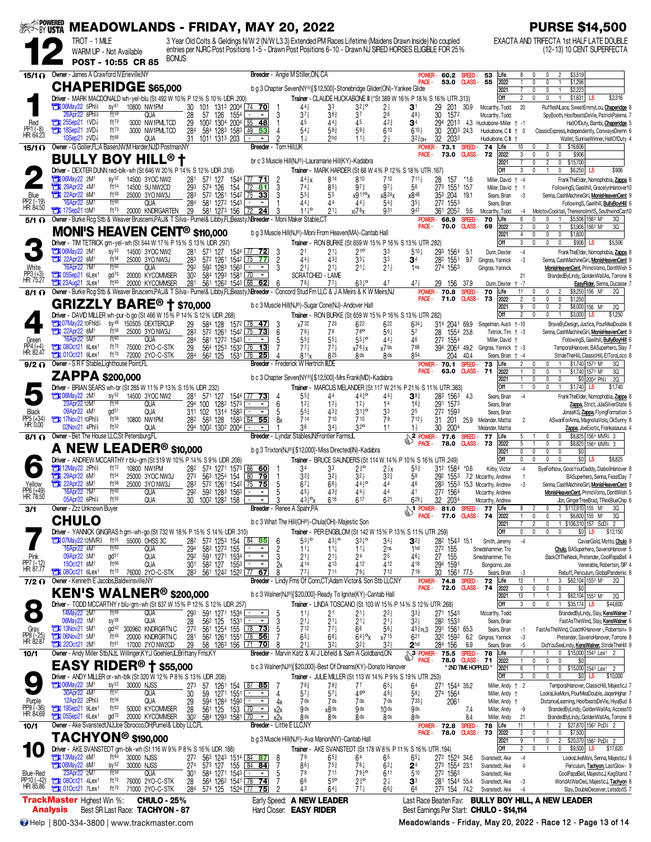| <b>EXT-BY USTA</b>                  |                                                                             |                               | <b>MEADOWLANDS - FRIDAY, MAY 20, 2022</b>                                                                                                      |                                                      |                                                                                                                                                                                                                       |                                 |                                                                                                                            |                                                           |                                     |                                                      |                                  |                          |                                                        | <b>PURSE \$14,500</b>                                                                                                                |
|-------------------------------------|-----------------------------------------------------------------------------|-------------------------------|------------------------------------------------------------------------------------------------------------------------------------------------|------------------------------------------------------|-----------------------------------------------------------------------------------------------------------------------------------------------------------------------------------------------------------------------|---------------------------------|----------------------------------------------------------------------------------------------------------------------------|-----------------------------------------------------------|-------------------------------------|------------------------------------------------------|----------------------------------|--------------------------|--------------------------------------------------------|--------------------------------------------------------------------------------------------------------------------------------------|
|                                     | TROT - 1 MILE<br>WARM UP - Not Available                                    |                               |                                                                                                                                                |                                                      | 3 Year Old Colts & Geldings N/W 2 (N/W L3 3) Extended PM Races Lifetime (Maidens Drawn Inside) No coupled<br>entries per NJRC Post Positions 1-5 - Drawn Post Positions 6-10 - Drawn NJ SIRED HORSES ELIGIBLE FOR 25% |                                 |                                                                                                                            |                                                           |                                     |                                                      |                                  |                          |                                                        | EXACTA AND TRIFECTA 1st HALF LATE DOUBLE<br>(12-13) 10 CENT SUPERFECTA                                                               |
|                                     | POST - 10:55 CR 85                                                          |                               | <b>BONUS</b>                                                                                                                                   |                                                      |                                                                                                                                                                                                                       |                                 |                                                                                                                            |                                                           |                                     |                                                      |                                  |                          |                                                        |                                                                                                                                      |
| 15/10                               | Owner - James A Crawford IV. Erieville, NY                                  |                               |                                                                                                                                                |                                                      |                                                                                                                                                                                                                       |                                 | Breeder - Angie M Stiller, ON, CA                                                                                          |                                                           |                                     | POWER -<br><b>PACE</b>                               | 60.2<br>53.0                     | SPEED.<br><b>CLASS-</b>  | 53<br>Life<br>55<br>2022                               | \$3,519<br>8<br>\$1,296<br>$\mathbf{0}$<br><sup>0</sup>                                                                              |
|                                     |                                                                             |                               | <b>CHAPERIDGE</b> \$65,000                                                                                                                     |                                                      |                                                                                                                                                                                                                       |                                 | b g 3 Chapter Seven(NY®)[\$12,500]-Stonebridge Glider(ON)-Yankee Glide                                                     |                                                           |                                     |                                                      |                                  |                          | 2021<br>Off                                            | \$2,223<br>$\mathbf{0}$<br>0<br>$\overline{2}$<br>\$2,316<br>0<br>0                                                                  |
|                                     | <b>THE OGMay22 5Phl&amp;</b>                                                | SV <sup>61</sup>              | Driver - MARK MACDONALD wh-yel-blu (St 492 W 10% P 12% S 10% UDR .200)<br>10800 NW1PM                                                          | 30<br>101                                            | 1313 2004 74 70                                                                                                                                                                                                       |                                 | Trainer - CLAUDE HUCKABONE III (*St 389 W 16% P 18% S 16% UTR .313)<br>443<br>33                                           | $3^{24}$ °                                                | $2\frac{1}{2}$                      | 31                                                   | 29<br>201                        | 30.9                     | Mccarthy, Todd                                         | \$1,631<br>L <sub>5</sub><br>20<br>RufflesNLace, SweetEmmyLou, Chaperidge 8                                                          |
| Red                                 | 26Apr22 8Phl <sup>5</sup><br><b>THE 25Sep21 1VD</b>                         | ft59<br>ft73                  | QUA<br>3000 NW1PMLTCD                                                                                                                          | 28<br>57<br>126<br>29                                | 1554<br>$\sim$<br>$\sim$<br>100 <sup>2</sup> 1304 2004 55 48                                                                                                                                                          | 3                               | $37\frac{1}{2}$<br>$36\frac{3}{4}$<br>45<br>44}                                                                            | 37<br>45                                                  | 26<br>$42\frac{3}{4}$               | 48}<br>34                                            | 30<br>1572<br>294<br>$201^3$ 4.3 |                          | Mccarthy, Todd<br>Huckabone-Miller † -1                | SpyBooth, HoofbeatsDeVie, PatrickPalema 7<br>HallOfDuty, Bambi, Chaperidge 5                                                         |
| PP1 (-8)<br>HR: 64.23               | <b>TEM 18Sep21 3VD</b><br>10Sep21 2VD                                       | ft73<br>ft <sup>68</sup>      | 3000 NW1PMLTCD<br>QUA                                                                                                                          | 284<br>1011 1313 203<br>31                           | 584 1283 1583 49 53                                                                                                                                                                                                   |                                 | $54\frac{1}{4}$<br>$58\frac{3}{4}$<br>2hd                                                                                  | $59\frac{3}{4}$<br>$11\frac{1}{2}$                        | 610                                 | $6^{10}$<br>$3^{23}$ DH                              | 30<br>2003 24.3<br>32<br>2033    |                          | Huckabone, C III + 0<br>Huckabone, C III               | ClassicExpress, Independently, ConwaysDremn 6<br>Wallet, SunriseWinner, HallOfDuty 4                                                 |
| $15/1$ $\Omega$                     |                                                                             |                               | Owner - G Goller, FL: A Basen, NV: M Harder, NJ: D Postman, NY                                                                                 |                                                      | Breeder - Tom Hill.UK                                                                                                                                                                                                 |                                 |                                                                                                                            |                                                           |                                     | POWER-<br>PACE -                                     | 73.1 SPEED<br>73.0               | <b>CLASS -</b>           | 74<br>Life<br>72<br>2022                               | \$16,606<br>10<br>0<br>0<br>3<br>\$906<br>$\theta$<br>0<br>0                                                                         |
|                                     |                                                                             |                               | <b>BULLY BOY HILL<sup>®</sup> t</b>                                                                                                            |                                                      |                                                                                                                                                                                                                       |                                 | br c 3 Muscle Hill(NJ®)-Lauramarie Hill(KY)-Kadabra                                                                        |                                                           |                                     |                                                      |                                  |                          | 2021                                                   | $\Omega$<br>$\overline{c}$<br>0<br>\$15,700                                                                                          |
|                                     | <b>THE O6May22 2M</b>                                                       | SV <sup>52</sup>              | Driver - DEXTER DUNN red-blk-wh (St 646 W 20% P 14% S 12% UDR 318)<br>14500 3YOC NW2                                                           | 281<br>571 127                                       | 1544 77 <b>71</b>                                                                                                                                                                                                     |                                 | Trainer - MARK HARDER (St 68 W 4% P 12% S 18% UTR .167)<br>44}x<br>814                                                     | 810                                                       | 710                                 | $711\frac{1}{2}$                                     | 28<br>157                        | *1.6                     | Off<br>Miller, David + -4                              | \$6,250<br>3<br>\$906<br>L5<br>FrankTheElder, Nomophobia, Zappa 8                                                                    |
| Blue                                | 29Apr22 4M1<br>$22$ Apr22 8M <sup>1</sup>                                   | ft <sup>54</sup><br>$ft^{58}$ | 14500 5U NW2CD<br>25000 3YO NW3J                                                                                                               | 574 126<br>293<br>283                                | 154<br>$72$ 81<br>57 <sup>2</sup> 1261 1542 75 33                                                                                                                                                                     | 3                               | $85\frac{1}{2}$<br>74‡<br>55<br>55}                                                                                        | $97\frac{3}{4}$<br>x9 11 <sup>o</sup> x                   | $97\frac{1}{2}$<br>x824x            | 56<br>$x8^{48}$                                      | 273 1551 15.7<br>353 204 19.1    |                          | Miller, David †<br>Sears, Brian                        | FollowingS, Gaelihill, GracelynHanover10<br>Senna, CashMachineGirl, MonisHeavenCent 9                                                |
| PP2 (-19)<br>HR: 84.50              | 16Apr22 5M1<br>$73.17$ Sep21 13M <sup>1</sup>                               | $f$ t $60$<br>$ft^{73}$       | qua<br>20000 KNDRGARTEN                                                                                                                        | 284<br>29                                            | 581 1272 1543<br>$\sim$<br>581 1273 156 72 24                                                                                                                                                                         |                                 | 44}<br>44<br>$11^{10}_{4}$<br>$21\frac{1}{4}$                                                                              | 44}<br>xi78x                                              | $54\frac{3}{4}$<br>931              | $35\frac{1}{2}$<br>947                               | 272 1553<br>361 2052 5.6         |                          | Sears, Brian<br>Mccarthy, Todd                         | FollowingS, Gaelihill, <b>BullyBoyHill</b> 6<br>MolotovCocktail, TheresnolimitS, SouthwindCan10<br>-4                                |
| $5/1$ $\Omega$                      |                                                                             |                               | Owner - Burke Rcg Stb & Weaver Bruscemi, PA; J& T Silva - Purnel& Libby, FL; Beasty, NBreeder - Moni Maker Stable, C'                          |                                                      |                                                                                                                                                                                                                       |                                 |                                                                                                                            |                                                           |                                     | PACE -                                               | <b>POWER- 68.9</b><br>70.0       | SPEED.<br><b>CLASS-</b>  | 70<br>Life<br>2022<br>69                               | 6<br>\$5,506 1563 M1<br>3Q<br>$\overline{2}$<br>$\mathbf{0}$<br>\$3,906 1563 M1<br>3Q<br>0                                           |
|                                     |                                                                             |                               | <b>MONI'S HEAVEN CENT<sup>®</sup> \$110,000</b>                                                                                                |                                                      |                                                                                                                                                                                                                       |                                 | b g 3 Muscle Hill(NJ®)-Moni From Heaven(MA)-Cantab Hall                                                                    |                                                           |                                     |                                                      |                                  |                          | 2021<br>Off                                            | 4<br>0<br>\$1,600<br>0<br>0<br>3<br>$\mathbf 0$<br>$\mathbf{0}$<br>$\Omega$<br>\$906<br>\$5,506<br>L5                                |
|                                     | <b>106May22 2M1</b>                                                         | $sy^{52}$                     | Driver - TIM TETRICK grn-yel-wh (St 544 W 17% P 15% S 13% UDR .297)<br>14500 3YOC NW2                                                          | 281                                                  | 571 127 1544 77 72                                                                                                                                                                                                    | 3                               | Trainer - RON BURKE (St 659 W 15% P 16% S 13% UTR 282)<br>21<br>$21\frac{1}{4}$                                            | $21^{\circ}$                                              | 33                                  | $5^{10}$                                             | 293<br>1564 5.1                  |                          | Dunn, Dexter                                           | $-4$<br>FrankTheElder, Nomophobia, Zappa 8                                                                                           |
|                                     | <b>THE 22Apr22 8M1</b><br>16Apr22 7M <sup>1</sup>                           | $ft^{58}$<br>ft60             | 25000 3YO NW3J<br>QUA                                                                                                                          | 283<br>292                                           | 572 1261 1542 75<br>77<br>592 1283 1563 <u>  - </u><br>$\blacksquare$                                                                                                                                                 | 2                               | $44\frac{1}{2}$<br>$43\frac{3}{4}$<br>$21\frac{1}{2}$<br>$21\frac{1}{4}$                                                   | 33‡<br>$21\frac{1}{4}$                                    | 33<br>$21\frac{1}{2}$               | 34<br>1 <sub>ns</sub>                                | 282<br>1551<br>274 1563          | 9.7                      | Gingras, Yannick<br>Gingras, Yannick                   | -3<br>Senna, CashMachineGirl, MonisHeavenCent 9<br>MonisHeavenCent, PrimoVomo, DontlWish 5                                           |
| White<br>PP3 (+3)<br>HR: 75.27      | <b>Ext</b> 05Sep21 6Lex <sup>1</sup><br>23Aug21 3Lex <sup>1</sup>           | gd70<br>ft 90                 | 20000 KYCOMMSER<br>20000 KYCOMMSER                                                                                                             | 302<br>281                                           | 584 1293 1581 70<br>$\blacksquare$<br>561 1262 1543 68 62                                                                                                                                                             |                                 | SCRATCHED - LAME<br>$77\frac{1}{2}$<br>78,                                                                                 | $63^{10}$                                                 | 47                                  | 474                                                  | 29<br>156                        | 37.9                     | Dunn, Dexter +                                         | 21<br>BrandedByLindy, GoldenWallAs, Torrone 8<br>-7<br>EasyRider, Senna, Ducasse 7                                                   |
| $8/1$ $\Omega$                      |                                                                             |                               | Owner - Burke Rcq Stb & Weaver Bruscemi, PA: J& T Silva- Purnel& Libby, FL; Beasty, NBreeder - Concord Stud Fm LLC & J A Meirs & K W Meirs, NJ |                                                      |                                                                                                                                                                                                                       |                                 |                                                                                                                            |                                                           |                                     | POWER-<br>PACE -                                     | 70.8<br>71.0 CLASS -             | <b>SPEED</b>             | 70<br>Life<br>2022<br>73                               | \$9,250 156 M <sup>1</sup><br>11<br>20<br>0<br>$\overline{2}$<br>0<br>0<br>0<br>\$1,250                                              |
|                                     |                                                                             |                               | GRIZZLY BARE <sup>®</sup> † \$70,000                                                                                                           |                                                      |                                                                                                                                                                                                                       |                                 | b c 3 Muscle Hill(NJ®)-Sugar Cone(NJ)-Andover Hall                                                                         |                                                           |                                     |                                                      |                                  |                          | 2021<br>Off                                            | 9<br>$\mathbf{0}$<br>0<br>$\overline{2}$<br>\$8,000 156 M <sup>1</sup><br>2Q<br>$\overline{2}$<br>0<br>0<br>\$3,000<br>\$1,250<br>L5 |
|                                     | $\Box$ 07May22 10Fhld $\frac{1}{2}$                                         |                               | Driver - DAVID MILLER wh-pur-b go (St 466 W 15% P 14% S 12% UDR .268)<br>sy <sup>48</sup> 150505 DEXTERCUP                                     | 584 128<br>29                                        | 1572 78 47                                                                                                                                                                                                            |                                 | Trainer - RON BURKE (St 659 W 15% P 16% S 13% UTR .282)<br>x732<br>723                                                     | 622                                                       | 622                                 | $634\frac{1}{4}$                                     | 314<br>2041 69.9                 |                          | Siegelman, Austi +-10                                  | BraveByDesign, Justice, PourMeaDouble 8                                                                                              |
| Green                               | <b>Ext</b> 22Apr22 8M <sup>1</sup><br>16Apr22 5M <sup>1</sup>               | $ft^{58}$<br>$f$ t $60$       | 25000 3YO NW3J<br>QUA                                                                                                                          | 283<br>284                                           | 572 1261 1542 75 73<br>581 1272 1543<br>$\blacksquare$                                                                                                                                                                | 6                               | 78}<br>78<br>$55\frac{3}{4}$<br>$55\frac{1}{4}$                                                                            | 78 <sup>o</sup><br>$55^{10}$                              | $56\frac{1}{4}$<br>444              | 57<br>46                                             | 28<br>1554 23.8<br>272 1554      |                          | Tetrick, Tim + -3<br>Miller, David                     | Senna, CashMachineGirl, MonisHeavenCent 9<br>FollowingS, Gaelihill, <b>BullyBoyHill</b> 6                                            |
| PP4 (+4)<br>HR: 82.47               | <b>Ext</b> 080ct21 8Lex <sup>1</sup><br><b>TH</b> 01Oct21 9Lex <sup>1</sup> | ft70<br>ft70                  | 75000 2YO-C-STK<br>72000 2YO-C-STK                                                                                                             | 29<br>284                                            | 564 1253 1532 76 13<br>56 <sup>2</sup> 125 1531 76<br>25                                                                                                                                                              |                                 | $77\frac{1}{2}$<br>$77\frac{1}{2}$<br>825<br>811 <sub>x</sub>                                                              | $x76\frac{1}{2}x$<br>8 <sub>ds</sub>                      | x7ds<br>8 <sub>ds</sub>             | 766<br>854                                           | 394<br>2064 49.2<br>204          | 40.4                     | Gingras, Yannick † -3<br>Sears, Brian + -4             | TemporalHanover, BASuperhero, Slay 7<br>StrideTheHill, ClassicHill, ElToroLoco 8                                                     |
| $9/2$ $\Omega$                      | Owner - S R F Stable, Lighthouse Point, FL                                  |                               |                                                                                                                                                |                                                      |                                                                                                                                                                                                                       |                                 | <b>Breeder</b> - Frederick W Hertrich III, DE                                                                              |                                                           |                                     | <b>POWER</b><br>PACE-                                | 70.1<br>63.0                     | <b>SPEED</b><br>CLASS-   | 73<br>Life<br>71<br>2022                               | \$1,740 1573 M1<br>3Q<br>0<br>0<br>$\theta$<br>0<br>\$1,740 1573 M1<br>3Q                                                            |
|                                     | <b>ZAPPA</b> \$200,000                                                      |                               |                                                                                                                                                |                                                      |                                                                                                                                                                                                                       |                                 | b c 3 Chapter Seven(NY®)[\$12,500]-Mrs Frank(MD)-Kadabra                                                                   |                                                           |                                     |                                                      |                                  |                          | 2021<br>Off                                            | $\Omega$<br>0<br>\$0 2004 Phis<br>20<br>$\theta$                                                                                     |
|                                     | <b>T106May22 2M1</b>                                                        | SV <sup>52</sup>              | <b>Driver</b> - BRIAN SEARS wh-br (St 285 W 11% P 13% S 15% UDR 232)<br>14500 3YOC NW2                                                         | 281<br>571 127                                       | 1544 77 <b>73</b>                                                                                                                                                                                                     |                                 | Trainer - MARCUS MELANDER (St 117 W 21% P 21% S 11% UTR 363)<br>44<br>553                                                  | $44^{30}_{4}$                                             | $44\frac{1}{2}$                     | 38}                                                  | 283<br>1563                      | 4.3                      | Sears, Brian                                           | \$1,740<br>L5<br>\$1,740<br>$-4$<br>FrankTheElder, Nomophobia, Zappa 8                                                               |
| Black                               | 23Apr22 12M <sup>1</sup><br>09Apr22 4M <sup>1</sup>                         | ft56<br>gd <sup>51</sup>      | QUA<br>QUA                                                                                                                                     | 294<br>100<br>311 102                                | 1282 1573<br>$\sim$<br>1314 1583<br>$\blacksquare$                                                                                                                                                                    | 6                               | 12 <sub>3</sub><br>$12\frac{1}{2}$<br>$43\frac{3}{4}$<br>55}                                                               | $12\frac{1}{2}$<br>$31\frac{3}{4}$ <sup>o</sup>           | 14<br>33                            | $16\frac{3}{4}$<br>25                                | 291 1573<br>272 1593             |                          | Sears, Brian<br>Sears, Brian                           | Zappa, Strict, JulaSilverState 6<br>JonasKS, Zappa, FlyingFormation 5                                                                |
| PP5 (+34)<br>HR: 0.00               | <b>TEM</b> 17Nov21 10Phl <sup>§</sup><br>02Nov21 4Phl <sup>§</sup>          | $ft^{58}$<br>ft52             | 10800 NW1PM<br>qua                                                                                                                             | 282<br>294 1002 1302 2004                            | 583 128 1583 64 55                                                                                                                                                                                                    |                                 | 714<br>710<br>36<br>34}                                                                                                    | 710<br>32 <sup>o</sup>                                    | 79<br>11                            | 7124<br>$1\frac{1}{2}$                               | 31<br>201<br>30<br>2004          |                          | 25.9 Melander, Mattia<br>Melander, Mattia              | 2<br>ASwanForAnna, MagnoliaVolo, OkSunny 8<br>Zappa, JoeExotic, Frankasaurus 4                                                       |
| 8/1 O                               | Owner - Bet The House LLC, St Petersburg, FL                                |                               |                                                                                                                                                |                                                      |                                                                                                                                                                                                                       |                                 | Breeder - Lyndar Stables, IN; Frontier Farms, IL                                                                           |                                                           |                                     | $\sqrt{\frac{2 \text{ POWER} - 77.6}{\text{PAWF}} }$ | 78.0                             | SPEED -<br>CLASS-        | 77<br>Life<br>73<br>2022                               | \$8,825 1564 MVR \$3<br>5<br>0<br>0<br>5<br>0<br>0<br>\$8,825 1564 MVR \$3                                                           |
|                                     |                                                                             |                               | <b>A NEW LEADER<sup>®</sup> \$10,000</b><br>Driver - ANDREW MCCARTHY r blu-grn (St 519 W 10% P 14% S 9% UDR .208)                              |                                                      |                                                                                                                                                                                                                       |                                 | b g 3 Trixton(NJ®)[\$12,000]-Miss Directed(IN)-Kadabra<br>Trainer - BRUCE SAUNDERS (St 114 W 14% P 10% S 16% UTR .249)     |                                                           |                                     |                                                      |                                  |                          | 2021<br>Off                                            | 0<br>0<br>0<br>\$0<br>$\Omega$<br>$\mathbf{0}$<br>$\mathbf{0}$<br>\$0 L5<br>\$8,825<br>0<br>$\Omega$                                 |
|                                     | <b>THE 12May22 2Phis</b>                                                    | ft72<br>ft54                  | 10800 NW1PM                                                                                                                                    | 282                                                  | 574 1271 1573 66 60                                                                                                                                                                                                   |                                 | 34<br>33                                                                                                                   | $2^{30}$                                                  | $2\frac{1}{2}x$                     | $55\frac{3}{4}$                                      | 312 1584                         | $*0.6$                   | Kirby, Victor                                          | $-4$<br>ByeForNow, GoosYourDaddy, DiaboliHanover 8                                                                                   |
|                                     | <b>Extra 29Apr22 6M1</b><br>22Apr22 8M1                                     | ft58                          | 25000 3YOC NW3J<br>25000 3YO NW3J                                                                                                              | 273<br>563<br>283                                    | 1254 154<br>$\frac{80}{2}$<br><u>79 </u><br>572 1261 1542 75 75                                                                                                                                                       | 5                               | $3^{2^{3}}$<br>$3^{2}\frac{1}{2}$<br>67‡<br>$66\frac{1}{2}$                                                                | $3^{2}\frac{1}{2}$<br>$44\frac{1}{2}$ <sup>o</sup>        | $3^{2^{3}}$<br>44                   | 58<br>46                                             | 292 1553                         |                          | 7.2 Mccarthy, Andrew<br>283 1553 15.3 Mccarthy, Andrew | BASuperhero, Senna, FeastDay 7<br>$\overline{1}$<br>-3<br>Senna, CashMachineGirl, MonisHeavenCent 9                                  |
| Yellow<br>PP6 (+49)<br>HR: 78.50    | 16Apr22 7M1<br>05Apr22 6Phl\$                                               | $f$ †60<br>ft <sup>50</sup>   | QUA<br>QUA                                                                                                                                     | 292<br>592 1283 1563<br>30<br><u>1002 1282 158 L</u> | <u>-</u> 3                                                                                                                                                                                                            |                                 | 454<br>$43\frac{3}{4}$<br>616<br>$43\frac{1}{2}$ ° <sub>X</sub>                                                            | $44\frac{1}{2}$<br>617                                    | 44<br>621                           | 41<br>6291                                           | 272 1564<br>32<br><u>2034</u>    |                          | Mccarthy, Andrew<br>Mccarthy, Andrew                   | MonisHeavenCent, PrimoVomo, DontlWish 5<br>Jbn, GingerTreeBrad, TRexBlueChip 6                                                       |
| 3/1                                 | Owner - Zzz Unknown Buyer                                                   |                               |                                                                                                                                                |                                                      | Breeder - Renee A Spahr, PA                                                                                                                                                                                           |                                 |                                                                                                                            |                                                           |                                     | $\frac{1}{2}$ POWER - 81.0 SPEED -<br>PACE -         | 77.0 CLASS- 74                   |                          | Life<br>77<br>2022                                     | 2 \$112,910 155 M <sup>1</sup><br>3Q<br>8<br>2<br>0<br>\$6,600 155 M <sup>1</sup><br>0<br>$\mathbf{1}$<br>3Q                         |
|                                     | <b>CHULO</b>                                                                |                               | Driver - YANNICK GINGRAS h grn-wh-go (St 732 W 18% P 15% S 14% UDR 310)                                                                        |                                                      |                                                                                                                                                                                                                       |                                 | b c 3 What The Hill(OH®)-Chula(OH)-Majestic Son<br>Trainer - PER ENGBLOM (St 142 W 15% P 13% S 11% UTR 259)                |                                                           |                                     |                                                      |                                  |                          | 2021<br>Off                                            | $\overline{c}$<br>1 \$106,310 157 ScD £ 2<br>$\mathbf 0$<br>\$12,150<br>0<br>0<br>0<br>\$0 L5                                        |
|                                     | <b>TH</b> 07May22 12MVR <sup>§</sup> ft <sup>55</sup> 55000 OHSS 3C         | ft60                          |                                                                                                                                                | 282                                                  | 57 <sup>2</sup> 125 <sup>3</sup> 154 84 85<br>$\sim$ 1                                                                                                                                                                | -6                              | $53\frac{1}{2}$ <sup>o</sup><br>$43\frac{1}{2}$ <sup>o</sup>                                                               | $33\frac{1}{4}$                                           | $34\frac{1}{2}$                     | $3^{2}$                                              | 282 1543 15.1                    |                          | Smith, Jeremy                                          | $-4$<br>CaviarGold, Motto, Chulo 9                                                                                                   |
| Pink                                | 16Apr22 4M1<br>09Apr22 5M1                                                  | gd <sup>51</sup>              | QUA<br>QUA                                                                                                                                     | 294<br>583 1273 155                                  | 292 591 1271 1534                                                                                                                                                                                                     | $\overline{c}$                  | $11\frac{1}{4}$<br>$11\frac{1}{4}$<br>$21\frac{1}{2}$<br>$21\frac{1}{2}$                                                   | $11\frac{1}{4}$<br>2 <sup>4</sup>                         | 2 <sub>ns</sub><br>25               | 1 <sub>hd</sub><br>461                               | 272 155<br>27 155                |                          | Smedshammer, Tro<br>Smedshammer, Tro                   | Chulo, BASuperhero, SaverioHanover 5<br>BackOfTheNeck, Pretender, CoolPapaBell 4                                                     |
| PP7 (-12)<br>HR: 87.77              | 15Oct21 8M <sup>1</sup><br>$21$ 080ct21 6Lex <sup>1</sup>                   | ft66<br>$ft^{70}$             | QUA<br>76000 2YO-C-STK                                                                                                                         |                                                      | 283 561 1242 1522 77 67                                                                                                                                                                                               | 2x<br>8                         | 414<br>413<br>$77\frac{1}{2}$<br>711                                                                                       | 412<br>$79\frac{1}{4}$                                    | 412<br>712                          | 418<br>719                                           | 294 159<br>30 1561 77.5          |                          | Bongiorno, Joe<br>Sears, Brian                         | Venerable, Robertsin, SIP 4<br>Rebuff, Periculum, GlobalPandemic 8<br>-3                                                             |
| $7/2$ $\Omega$                      | Owner - Kenneth E Jacobs, Baldwinsville, NY                                 |                               |                                                                                                                                                |                                                      |                                                                                                                                                                                                                       |                                 | Breeder - Lindy Fms Of Conn, CT; Adam Victor & Son Stb LLC, NY                                                             |                                                           |                                     | PACE -                                               | <b>POWER-74.8</b><br>72.0        | SPEED-<br><b>CLASS -</b> | 72<br>Life<br>74<br>2022                               | 3 \$62,104 1553 M1<br>13<br>20<br>$\mathbf{1}$<br>$\mathbf 0$<br>0<br>0<br>\$0<br>0                                                  |
| $\bullet$                           |                                                                             |                               | <b>KEN'S WALNER<sup>®</sup> \$200,000</b><br>Driver - TODD MCCARTHY r blu-grn-wh (St 637 W 15% P 12% S 12% UDR .257)                           |                                                      |                                                                                                                                                                                                                       |                                 | b c 3 Walner(NJ®)[\$20,000]-Ready To Ignite(KY)-Cantab Hall<br>Trainer - LINDA TOSCANO (St 103 W 15% P 14% S 12% UTR .268) |                                                           |                                     |                                                      |                                  |                          | 2021<br>Off                                            | 13<br>3 \$62,104 1553 M1<br>20<br>3<br>\$35,174 L5<br>$\theta$<br>0<br>\$44,600<br>$\mathbf{1}$                                      |
| $\bigcirc$                          | 14May22 2M <sup>1</sup><br>06May22 1M1                                      | $ft^{68}$<br>$SV^{58}$        | <b>QUA</b><br>QUA                                                                                                                              | 591 1271 1534<br>293<br>28                           | $\sim$ 1<br>$56^2$ 125 1531                                                                                                                                                                                           | - 5                             | $11\frac{1}{2}$<br>21<br>$21\frac{1}{4}$<br>$21\frac{1}{4}$                                                                | $21\frac{1}{2}$<br>21‡                                    | $2^{2}$<br>$21\frac{1}{2}$          | $3^{3}$<br>$3^{2}\frac{1}{2}$                        | 271 1543<br>282 1533             |                          | Mccarthy, Todd<br>Sears, Brian                         | BrandedByLindy, Slay, KensWalner 7<br>FastAsTheWind, Slay, KensWalner 6                                                              |
| Gray<br>PP8 (-25)<br>HR: 82.87      | <b>EN 13Nov21 5M<sup>1</sup></b><br><b>EN 06Nov21 5M1</b>                   | ft45                          | gd <sup>42</sup> 300960 KNDRGRTN C<br>20000 KNDRGRTN C                                                                                         |                                                      | 272 561 1254 155 78 73<br>562 1261 1551 78 56                                                                                                                                                                         | $\frac{3}{5}$<br>$\overline{7}$ | 712<br>$77\frac{1}{2}$<br>$65\frac{1}{4}$<br>$66\frac{1}{4}$                                                               | 66<br>$64\frac{1}{2}$ °x                                  | $56\frac{1}{4}$                     | 45 <sup>3</sup> PL3 291 1561 65.3                    |                                  |                          | Sears, Brian                                           | FastAsTheWind, CoachKHanover-, Robertsin+ 9<br>-1                                                                                    |
|                                     | $220ct21$ 2M <sup>1</sup>                                                   | ft61                          | 17000 2YO NW2CD                                                                                                                                | $\frac{28}{29}$<br>58 1263 156                       | $[71$ 70                                                                                                                                                                                                              | 8                               | $21\frac{1}{4}$<br>$3^{2+}$                                                                                                | 32}                                                       | x715<br>$3^{2}$                     | 621<br>2 <sup>hd</sup>                               | 322 1592 6.2<br>284 156          | 6.9                      | Gingras, Yannick<br>Sears, Brian                       | -3<br>Pretender, SaverioHanover, Torrone 8<br>-5<br>DidYouSeeLindy, KensWalner, StrideTheHill 9                                      |
| 10/1                                |                                                                             |                               | Owner - Andy Miller Stb, NJ,L Willinger, KY;J Goehlen, IL; Brittany Fms, KY<br><b>EASY RIDER<sup>®</sup> † \$55,000</b>                        |                                                      |                                                                                                                                                                                                                       |                                 | Breeder - Marvin Katz & Al J Libfeld & Sam A Goldband, ON                                                                  |                                                           |                                     | <b>A<sub>3</sub> POWER - 75.5 SPEED -</b><br>PACE -  | 78.0 CLASS- 71                   |                          | Life<br>78<br>2022                                     | 0 \$15,000 1543 Lex1 2<br>$\mathbf{1}$<br>$\mathbf 0$<br>$\mathbf 0$<br>$\mathbf{1}$<br>0<br>\$O                                     |
|                                     |                                                                             |                               | Driver - ANDY MILLER or - wh-blk (St 320 W 12% P 8% S 13% UDR .208)                                                                            |                                                      |                                                                                                                                                                                                                       |                                 | b c 3 Walner(NJ®)[\$20,000]-Best Of Dreams(KY)-Donato Hanover<br>Trainer - JULIE MILLER (St 113 W 14% P 9% S 19% UTR .253) |                                                           |                                     |                                                      |                                  | * 2ND TIME HOPPLED *     | 2021<br>Off                                            | 6<br>0 \$15,000 1543 Lex1 2<br>3<br>0<br>0<br>$\mathbb O$<br>$$0$ L5<br>\$10,000                                                     |
|                                     | <b>Ext 06May22 3M1</b><br>30Apr22 4M <sup>1</sup>                           | $sy^{52}$<br>ft57             | 30000 NJSS<br>QUA                                                                                                                              | 273<br>30<br>59 1271 1551                            | 57 1261 154 87 85<br>$\blacksquare$                                                                                                                                                                                   | 4                               | $78\frac{3}{4}$<br>$78\frac{3}{4}$<br>$57\frac{1}{2}$<br>$57\frac{1}{4}$                                                   | 77<br>490                                                 | $65\frac{1}{4}$<br>$48\frac{1}{2}$  | 64<br>$58\frac{1}{4}$                                | 271 1544 35.2<br>274 1564        |                          | Miller, Andy + 2<br>Miller, Andy †                     | TemporalHanover, ClassicHill, MajesticJ 7<br>LooksLikeMoni, PourMeaDouble, JagenHghar 7                                              |
| Purple<br>PP9 (-36)<br>HR: 84.69    | 12Apr22 2Phl <sup>§</sup>                                                   | $ft^{56}$<br>ft83             | QUA                                                                                                                                            | 29<br>$\overline{28}$                                | 594 1284 1593<br>$\overline{\phantom{a}}$<br>$\sim$                                                                                                                                                                   | 4x                              | 7 ds<br>7 ds                                                                                                               | 7 ds                                                      | 7 ds                                | $733\frac{1}{2}$                                     | 2061                             |                          | Miller, Andy †                                         | DistanceLearning, HoofbeatsDeVie, HiyaBud 8                                                                                          |
|                                     | 19Sep21 9Lex <sup>1</sup><br><b>The O5Sep21 6Lex1</b>                       | gd <sup>70</sup>              | 50000 KYCOMMSER<br>20000 KYCOMMSER                                                                                                             | 302                                                  | 561 125 153 70<br>⇁<br>584 1293 1581 70                                                                                                                                                                               | x2x<br>x2x                      | 9 <sub>ds</sub><br>x8 <sup>ds</sup><br>8 <sub>ds</sub><br>8 <sub>ds</sub>                                                  | 9 ds<br>8 ds                                              | 10 <sup>ds</sup><br>8 <sup>ds</sup> | 9ds<br>8ds                                           |                                  | 7.4<br>8.4               | Miller, Andy<br>Miller, Andy                           | BrandedByLindy, GoldenWallAs, Access10<br>-9<br>BrandedByLindy, GoldenWallAs, Torrone 8<br>21                                        |
| 10/1                                | $\mathsf{T}\mathsf{ACHYON}^{\circledcirc}$ \$190,000                        |                               | Owner - Ake Svanstedt, NJ; Joe Sbrocco, OH; Purnel & Libby LLC, FL                                                                             |                                                      | <b>Breeder</b> - Little E LLC, NY                                                                                                                                                                                     |                                 |                                                                                                                            |                                                           |                                     | POWER-<br>PACE -                                     | 72.8<br>78.0                     | SPEED-<br><b>CLASS-</b>  | 78<br>Life<br>73<br>2022                               | 2 \$27,870 1562 PcD 2<br>11<br>$\overline{2}$<br>0<br>0<br>\$7,500<br>$\mathbf{1}$                                                   |
|                                     |                                                                             |                               | Driver - AKE SVANSTEDT grn-blk-wh (St 116 W 9% P 8% S 16% UDR .188)                                                                            |                                                      |                                                                                                                                                                                                                       |                                 | b g 3 Muscle Hill(NJ®)-Ava Marion(NY)-Cantab Hall<br>Trainer - AKE SVANSTEDT (St 178 W 8% P 11% S 16% UTR .194)            |                                                           |                                     |                                                      |                                  |                          | 2021<br>Off                                            | 9<br>$\overline{2}$<br>\$20,370 1562 PcD 1 2<br>$\overline{2}$<br>0<br>$\mathbf{1}$<br>\$9,500 L5<br>\$17,620<br>0                   |
|                                     | <b>External 13May22 6M<sup>1</sup></b><br>23 06May22 8M1                    | ft <sup>64</sup><br>$sy^{52}$ | 30000 NJSS<br>30000 NJSS                                                                                                                       |                                                      | 27 <sup>2</sup> 56 <sup>2</sup> 124 <sup>3</sup> 1514 84 87 8<br>274 573 127 155 84 84                                                                                                                                | -7                              | 79<br>$6^{53}$<br>$86\frac{1}{2}$<br>$75\frac{3}{4}$                                                                       | 64<br>76‡                                                 | 65<br>$6^{2}$                       | $65\frac{1}{4}$<br>2 <sup>4</sup>                    | 272 1524 34.6<br>273 1554 23.1   |                          | Svanstedt, Ake<br>Svanstedt, Ake                       | LooksLikeMoni, Senna, MajesticJ 8<br>-4<br>Periculum, Tachyon, LastGlow- 9                                                           |
| Blue-Red<br>PP10 (-42)<br>HR: 85.86 | 23Apr22 2M <sup>1</sup><br><b>EX 080ct21 4Lex1</b>                          | $f$ <sup>156</sup><br>ft70    | QUA<br>76000 2YO-C-STK                                                                                                                         | 30 <sup>1</sup>                                      | 584 1271 1543<br>564 1262 1541 78 74                                                                                                                                                                                  | $\frac{5}{7}$                   | 79<br>711<br>55 <sup>o</sup><br>66                                                                                         | $79\frac{3}{4}$ <sup>o</sup><br>$2^{\frac{3}{4}^{\circ}}$ | 611<br>$2\frac{1}{4}$               | 510<br>33                                            | 272 1563<br>281 1544 55.4        |                          | Svanstedt, Ake<br>Svanstedt, Ake                       | CoolPapaBell, MajesticJ, KegStand 7<br>WorldAtWarDeo, MajesticJ, Tachyon 8<br>-3                                                     |
|                                     | <b>Ext</b> 010ct21 7Lex <sup>1</sup>                                        | $ft^{70}$                     | 71000 2YO-C-STK                                                                                                                                | 28                                                   | 284 574 125 1524 77 75                                                                                                                                                                                                | $\overline{2}$                  | 43<br>$64\frac{1}{2}$                                                                                                      | $77\frac{1}{2}$                                           | $66\frac{3}{4}$                     | 66                                                   | 273 154 74.2                     |                          | Svanstedt, Ake                                         | Slay, DoubleDeceiver, LetsdoitS 7<br>$-4$                                                                                            |
|                                     | <b>TrackMaster Highest Win %:</b><br>Analysis                               |                               | <b>CHULO - 25%</b><br>Best SR Last Race: TACHYON - 87                                                                                          |                                                      |                                                                                                                                                                                                                       |                                 | Early Speed: A NEW LEADER<br>Hard Closer: EASY RIDER                                                                       |                                                           |                                     |                                                      |                                  |                          | Best Earnings Per Start: CHULO - \$14,114              | Last Race Beaten Fav: BULLY BOY HILL, A NEW LEADER                                                                                   |

[Help](http://info.trackmaster.com/harness/hpl.pdf) | 800-334-3800 | www.trackmaster.com **Meadowlands - Friday, May 20, 2022 - Race 12 - Page 13 of 14**